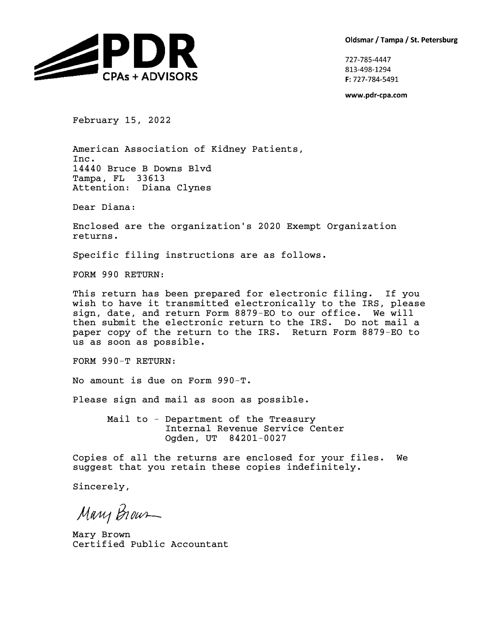Oldsmar / Tampa / St. Petersburg



727-785-4447 813-498-1294 F: 727-784-5491

www.pdr-cpa.com

February 15, 2022

American Association of Kidney Patients, Inc. 14440 Bruce B Downs Blvd Tampa, FL 33613 Attention: Diana Clynes

Dear Diana:

Enclosed are the organization's 2020 Exempt Organization returns.

Specific filing instructions are as follows.

FORM 990 RETURN:

This return has been prepared for electronic filing. If you wish to have it transmitted electronically to the IRS, please sign, date, and return Form 8879-EO to our office. We will then submit the electronic return to the IRS. Do not mail a paper copy of the return to the IRS. Return Form 8879-EO to us as soon as possible.

FORM 990-T RETURN:

No amount is due on Form 990-T.

Please sign and mail as soon as possible.

Mail to - Department of the Treasury Internal Revenue Service Center Ogden, UT 84201-0027

Copies of all the returns are enclosed for your files. We suggest that you retain these copies indefinitely.

Sincerely,

Mary Brown

Mary Brown Certified Public Accountant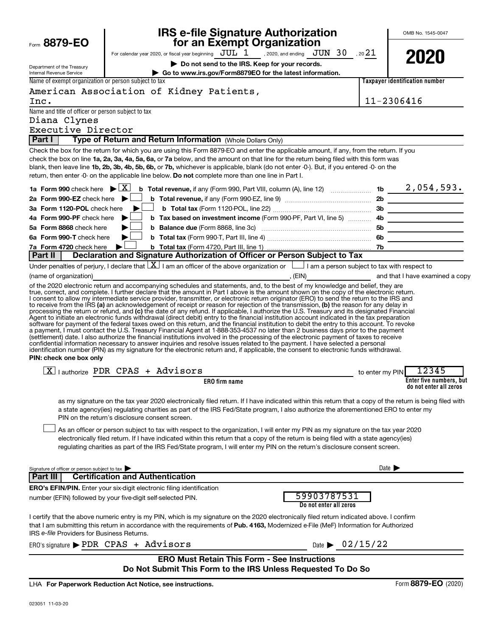| Form 8879-EO                                                                                                                                 |                                                | <b>IRS e-file Signature Authorization</b><br>for an Exempt Organization                                                                                                                                                                                                                                                                                                                                                                                                                                                                                                                                                                                                                                                                                                                                                                                                                                                                                                                         |                                       |                 | OMB No. 1545-0047                                                                                                     |
|----------------------------------------------------------------------------------------------------------------------------------------------|------------------------------------------------|-------------------------------------------------------------------------------------------------------------------------------------------------------------------------------------------------------------------------------------------------------------------------------------------------------------------------------------------------------------------------------------------------------------------------------------------------------------------------------------------------------------------------------------------------------------------------------------------------------------------------------------------------------------------------------------------------------------------------------------------------------------------------------------------------------------------------------------------------------------------------------------------------------------------------------------------------------------------------------------------------|---------------------------------------|-----------------|-----------------------------------------------------------------------------------------------------------------------|
|                                                                                                                                              |                                                | For calendar year 2020, or fiscal year beginning $JUL$ $1$ , 2020, and ending $JUN$ $30$ , 20 $21$                                                                                                                                                                                                                                                                                                                                                                                                                                                                                                                                                                                                                                                                                                                                                                                                                                                                                              |                                       |                 |                                                                                                                       |
|                                                                                                                                              |                                                | Do not send to the IRS. Keep for your records.                                                                                                                                                                                                                                                                                                                                                                                                                                                                                                                                                                                                                                                                                                                                                                                                                                                                                                                                                  |                                       |                 | 2020                                                                                                                  |
| Department of the Treasury<br>Internal Revenue Service                                                                                       |                                                | Go to www.irs.gov/Form8879EO for the latest information.                                                                                                                                                                                                                                                                                                                                                                                                                                                                                                                                                                                                                                                                                                                                                                                                                                                                                                                                        |                                       |                 |                                                                                                                       |
| Name of exempt organization or person subject to tax                                                                                         |                                                |                                                                                                                                                                                                                                                                                                                                                                                                                                                                                                                                                                                                                                                                                                                                                                                                                                                                                                                                                                                                 |                                       |                 | Taxpayer identification number                                                                                        |
|                                                                                                                                              |                                                | American Association of Kidney Patients,                                                                                                                                                                                                                                                                                                                                                                                                                                                                                                                                                                                                                                                                                                                                                                                                                                                                                                                                                        |                                       |                 |                                                                                                                       |
| Inc.                                                                                                                                         |                                                |                                                                                                                                                                                                                                                                                                                                                                                                                                                                                                                                                                                                                                                                                                                                                                                                                                                                                                                                                                                                 |                                       |                 | 11-2306416                                                                                                            |
| Name and title of officer or person subject to tax                                                                                           |                                                |                                                                                                                                                                                                                                                                                                                                                                                                                                                                                                                                                                                                                                                                                                                                                                                                                                                                                                                                                                                                 |                                       |                 |                                                                                                                       |
| Diana Clynes                                                                                                                                 |                                                |                                                                                                                                                                                                                                                                                                                                                                                                                                                                                                                                                                                                                                                                                                                                                                                                                                                                                                                                                                                                 |                                       |                 |                                                                                                                       |
| Executive Director                                                                                                                           |                                                |                                                                                                                                                                                                                                                                                                                                                                                                                                                                                                                                                                                                                                                                                                                                                                                                                                                                                                                                                                                                 |                                       |                 |                                                                                                                       |
| Part I                                                                                                                                       |                                                | Type of Return and Return Information (Whole Dollars Only)                                                                                                                                                                                                                                                                                                                                                                                                                                                                                                                                                                                                                                                                                                                                                                                                                                                                                                                                      |                                       |                 |                                                                                                                       |
|                                                                                                                                              |                                                | Check the box for the return for which you are using this Form 8879-EO and enter the applicable amount, if any, from the return. If you<br>check the box on line 1a, 2a, 3a, 4a, 5a, 6a, or 7a below, and the amount on that line for the return being filed with this form was<br>blank, then leave line 1b, 2b, 3b, 4b, 5b, 6b, or 7b, whichever is applicable, blank (do not enter -0-). But, if you entered -0- on the<br>return, then enter -0- on the applicable line below. Do not complete more than one line in Part I.                                                                                                                                                                                                                                                                                                                                                                                                                                                                |                                       |                 |                                                                                                                       |
| 1a Form 990 check here $\blacktriangleright \lfloor \underline{X} \rfloor$                                                                   |                                                |                                                                                                                                                                                                                                                                                                                                                                                                                                                                                                                                                                                                                                                                                                                                                                                                                                                                                                                                                                                                 |                                       |                 |                                                                                                                       |
| 2a Form 990-EZ check here $\blacktriangleright$                                                                                              |                                                |                                                                                                                                                                                                                                                                                                                                                                                                                                                                                                                                                                                                                                                                                                                                                                                                                                                                                                                                                                                                 |                                       |                 |                                                                                                                       |
| 3a Form 1120-POL check here                                                                                                                  |                                                |                                                                                                                                                                                                                                                                                                                                                                                                                                                                                                                                                                                                                                                                                                                                                                                                                                                                                                                                                                                                 |                                       |                 |                                                                                                                       |
| 4a Form 990-PF check here                                                                                                                    | ▶                                              | b Tax based on investment income (Form 990-PF, Part VI, line 5)  4b                                                                                                                                                                                                                                                                                                                                                                                                                                                                                                                                                                                                                                                                                                                                                                                                                                                                                                                             |                                       |                 |                                                                                                                       |
| 5a Form 8868 check here                                                                                                                      | ▶                                              |                                                                                                                                                                                                                                                                                                                                                                                                                                                                                                                                                                                                                                                                                                                                                                                                                                                                                                                                                                                                 |                                       |                 | <u> Albanya (Albanya) albanyi albanyi albanyi albanyi albanyi albanyi albanyi albanyi albanyi albanyi albanyi alb</u> |
| 6a Form 990-T check here                                                                                                                     | ▶                                              |                                                                                                                                                                                                                                                                                                                                                                                                                                                                                                                                                                                                                                                                                                                                                                                                                                                                                                                                                                                                 |                                       |                 |                                                                                                                       |
| 7a Form 4720 check here                                                                                                                      |                                                |                                                                                                                                                                                                                                                                                                                                                                                                                                                                                                                                                                                                                                                                                                                                                                                                                                                                                                                                                                                                 |                                       |                 |                                                                                                                       |
| <b>Part II</b>                                                                                                                               |                                                | Declaration and Signature Authorization of Officer or Person Subject to Tax                                                                                                                                                                                                                                                                                                                                                                                                                                                                                                                                                                                                                                                                                                                                                                                                                                                                                                                     |                                       |                 |                                                                                                                       |
|                                                                                                                                              |                                                | Under penalties of perjury, I declare that $\lfloor \underline{X} \rfloor$ I am an officer of the above organization or $\lfloor \underline{\hspace{1cm}} \rfloor$ I am a person subject to tax with respect to                                                                                                                                                                                                                                                                                                                                                                                                                                                                                                                                                                                                                                                                                                                                                                                 |                                       |                 |                                                                                                                       |
| (name of organization)                                                                                                                       |                                                | examined a copy (EIN) and that I have examined a copy<br>of the 2020 electronic return and accompanying schedules and statements, and, to the best of my knowledge and belief, they are                                                                                                                                                                                                                                                                                                                                                                                                                                                                                                                                                                                                                                                                                                                                                                                                         |                                       |                 |                                                                                                                       |
| PIN: check one box only                                                                                                                      |                                                | processing the return or retund, and (c) the date of any retund. If applicable, I authorize the U.S. Treasury and its designated Financial<br>Agent to initiate an electronic funds withdrawal (direct debit) entry to the financial institution account indicated in the tax preparation<br>software for payment of the federal taxes owed on this return, and the financial institution to debit the entry to this account. To revoke<br>a payment, I must contact the U.S. Treasury Financial Agent at 1-888-353-4537 no later than 2 business days prior to the payment<br>(settlement) date. I also authorize the financial institutions involved in the processing of the electronic payment of taxes to receive<br>confidential information necessary to answer inquiries and resolve issues related to the payment. I have selected a personal<br>identification number (PIN) as my signature for the electronic return and, if applicable, the consent to electronic funds withdrawal. |                                       |                 |                                                                                                                       |
| $X$   authorize PDR CPAS + Advisors                                                                                                          |                                                |                                                                                                                                                                                                                                                                                                                                                                                                                                                                                                                                                                                                                                                                                                                                                                                                                                                                                                                                                                                                 |                                       | to enter my PIN | 12345                                                                                                                 |
|                                                                                                                                              |                                                | <b>ERO</b> firm name                                                                                                                                                                                                                                                                                                                                                                                                                                                                                                                                                                                                                                                                                                                                                                                                                                                                                                                                                                            |                                       |                 | Enter five numbers, but<br>do not enter all zeros                                                                     |
|                                                                                                                                              | PIN on the return's disclosure consent screen. | as my signature on the tax year 2020 electronically filed return. If I have indicated within this return that a copy of the return is being filed with<br>a state agency(ies) regulating charities as part of the IRS Fed/State program, I also authorize the aforementioned ERO to enter my<br>As an officer or person subject to tax with respect to the organization, I will enter my PIN as my signature on the tax year 2020<br>electronically filed return. If I have indicated within this return that a copy of the return is being filed with a state agency(ies)<br>regulating charities as part of the IRS Fed/State program, I will enter my PIN on the return's disclosure consent screen.                                                                                                                                                                                                                                                                                         |                                       |                 |                                                                                                                       |
| Signature of officer or person subject to tax<br>Part III                                                                                    | <b>Certification and Authentication</b>        |                                                                                                                                                                                                                                                                                                                                                                                                                                                                                                                                                                                                                                                                                                                                                                                                                                                                                                                                                                                                 |                                       |                 | Date $\blacktriangleright$                                                                                            |
|                                                                                                                                              |                                                |                                                                                                                                                                                                                                                                                                                                                                                                                                                                                                                                                                                                                                                                                                                                                                                                                                                                                                                                                                                                 |                                       |                 |                                                                                                                       |
| <b>ERO's EFIN/PIN.</b> Enter your six-digit electronic filing identification<br>number (EFIN) followed by your five-digit self-selected PIN. |                                                |                                                                                                                                                                                                                                                                                                                                                                                                                                                                                                                                                                                                                                                                                                                                                                                                                                                                                                                                                                                                 | 59903787531<br>Do not enter all zeros |                 |                                                                                                                       |
| IRS e-file Providers for Business Returns.                                                                                                   |                                                | I certify that the above numeric entry is my PIN, which is my signature on the 2020 electronically filed return indicated above. I confirm<br>that I am submitting this return in accordance with the requirements of Pub. 4163, Modernized e-File (MeF) Information for Authorized                                                                                                                                                                                                                                                                                                                                                                                                                                                                                                                                                                                                                                                                                                             |                                       |                 |                                                                                                                       |
| ERO's signature > PDR CPAS + Advisors                                                                                                        |                                                |                                                                                                                                                                                                                                                                                                                                                                                                                                                                                                                                                                                                                                                                                                                                                                                                                                                                                                                                                                                                 | Date $\triangleright$ 02/15/22        |                 |                                                                                                                       |
|                                                                                                                                              |                                                | <b>ERO Must Retain This Form - See Instructions</b><br>Do Not Submit This Form to the IRS Unless Requested To Do So                                                                                                                                                                                                                                                                                                                                                                                                                                                                                                                                                                                                                                                                                                                                                                                                                                                                             |                                       |                 |                                                                                                                       |
| LHA For Paperwork Reduction Act Notice, see instructions.                                                                                    |                                                |                                                                                                                                                                                                                                                                                                                                                                                                                                                                                                                                                                                                                                                                                                                                                                                                                                                                                                                                                                                                 |                                       |                 | Form 8879-EO (2020)                                                                                                   |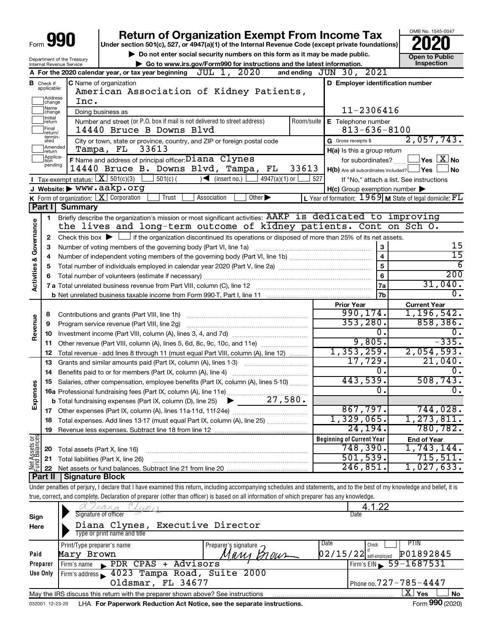|                         |                               | Form <b>YYU</b>                                                   | <b>Return of Organization Exempt From Income Tax</b><br>Under section 501(c), 527, or 4947(a)(1) of the Internal Revenue Code (except private foundations)                 |            |                                                     | OMB No. 1545-0047                                                  |  |  |  |
|-------------------------|-------------------------------|-------------------------------------------------------------------|----------------------------------------------------------------------------------------------------------------------------------------------------------------------------|------------|-----------------------------------------------------|--------------------------------------------------------------------|--|--|--|
|                         |                               |                                                                   | Do not enter social security numbers on this form as it may be made public.                                                                                                |            |                                                     | <b>Open to Public</b>                                              |  |  |  |
|                         |                               | Department of the Treasury<br>Internal Revenue Service            | Go to www.irs.gov/Form990 for instructions and the latest information.                                                                                                     |            |                                                     | Inspection                                                         |  |  |  |
|                         |                               |                                                                   | JUL 1, 2020<br>A For the 2020 calendar year, or tax year beginning                                                                                                         |            | and ending $JUN$ 30, $2021$                         |                                                                    |  |  |  |
|                         | <b>B</b> Check if applicable: |                                                                   | C Name of organization<br>American Association of Kidney Patients,                                                                                                         |            | D Employer identification number                    |                                                                    |  |  |  |
|                         | ]Address<br>]change           | Inc.                                                              |                                                                                                                                                                            |            |                                                     |                                                                    |  |  |  |
|                         | ]Name<br>]change              |                                                                   | Doing business as                                                                                                                                                          |            | 11-2306416                                          |                                                                    |  |  |  |
|                         | ]Initial<br>]return           |                                                                   | Number and street (or P.O. box if mail is not delivered to street address)                                                                                                 | Room/suite | E Telephone number                                  |                                                                    |  |  |  |
|                         | Final<br>return/              |                                                                   | 14440 Bruce B Downs Blvd                                                                                                                                                   |            | $813 - 636 - 8100$                                  |                                                                    |  |  |  |
|                         | termin-<br>ated               |                                                                   | City or town, state or province, country, and ZIP or foreign postal code                                                                                                   |            | G Gross receipts \$                                 | 2,057,743.                                                         |  |  |  |
|                         | Amended<br>Ireturn            |                                                                   | 33613<br>Tampa, FL                                                                                                                                                         |            | H(a) Is this a group return                         |                                                                    |  |  |  |
|                         | Applica-<br>tion<br>pending   |                                                                   | F Name and address of principal officer: Diana Clynes                                                                                                                      |            | for subordinates?                                   | $\sqrt{\mathsf{Yes}\mathord{\;\mathbb{X}}\mathord{\;\mathsf{No}}}$ |  |  |  |
|                         |                               |                                                                   | 14440 Bruce B. Downs Blvd, Tampa, FL<br>33613                                                                                                                              |            | $H(b)$ Are all subordinates included? $\Box$ Yes    | ⊥No                                                                |  |  |  |
|                         |                               | <b>I</b> Tax-exempt status: $X \mid 501(c)(3)$                    | $501(c)$ (<br>$\sim$<br>(insert no.)<br>$4947(a)(1)$ or                                                                                                                    | 527        |                                                     | If "No," attach a list. See instructions                           |  |  |  |
|                         |                               |                                                                   | J Website: > WWW.aakp.org                                                                                                                                                  |            | $H(c)$ Group exemption number $\blacktriangleright$ |                                                                    |  |  |  |
|                         |                               |                                                                   | <b>K</b> Form of organization: $\boxed{\textbf{X}}$ Corporation<br>Association<br>Trust<br>Other $\blacktriangleright$                                                     |            |                                                     | L Year of formation: $1969$ M State of legal domicile: $FL$        |  |  |  |
|                         | Part I                        | <b>Summary</b>                                                    |                                                                                                                                                                            |            |                                                     |                                                                    |  |  |  |
|                         | 1                             |                                                                   | Briefly describe the organization's mission or most significant activities: AAKP is dedicated to improving                                                                 |            |                                                     |                                                                    |  |  |  |
| Governance              |                               |                                                                   | the lives and long-term outcome of kidney patients. Cont on Sch O.                                                                                                         |            |                                                     |                                                                    |  |  |  |
|                         | 2                             |                                                                   | Check this box $\blacktriangleright$ $\Box$ if the organization discontinued its operations or disposed of more than 25% of its net assets.                                |            | 3                                                   | 15                                                                 |  |  |  |
|                         | З                             | Number of voting members of the governing body (Part VI, line 1a) | 15                                                                                                                                                                         |            |                                                     |                                                                    |  |  |  |
|                         | 4                             |                                                                   | 6                                                                                                                                                                          |            |                                                     |                                                                    |  |  |  |
|                         | 5                             |                                                                   | $\overline{200}$                                                                                                                                                           |            |                                                     |                                                                    |  |  |  |
| <b>Activities &amp;</b> |                               |                                                                   | Total number of volunteers (estimate if necessary)                                                                                                                         |            | $6\phantom{a}$                                      | 31,040.                                                            |  |  |  |
|                         |                               |                                                                   |                                                                                                                                                                            |            | 7a                                                  | $\overline{0}$ .                                                   |  |  |  |
|                         |                               |                                                                   |                                                                                                                                                                            |            | 7 <sub>b</sub>                                      |                                                                    |  |  |  |
|                         |                               |                                                                   |                                                                                                                                                                            |            | <b>Prior Year</b><br>990, 174.                      | <b>Current Year</b><br>1, 196, 542.                                |  |  |  |
| Revenue                 | 8                             |                                                                   |                                                                                                                                                                            |            | 353, 280.                                           | 858, 386.                                                          |  |  |  |
|                         | 9                             |                                                                   |                                                                                                                                                                            |            | 0.                                                  | 0.                                                                 |  |  |  |
|                         | 10                            |                                                                   | Other revenue (Part VIII, column (A), lines 5, 6d, 8c, 9c, 10c, and 11e)                                                                                                   |            | 9,805.                                              | $-335.$                                                            |  |  |  |
|                         | 11<br>12                      |                                                                   | Total revenue - add lines 8 through 11 (must equal Part VIII, column (A), line 12)                                                                                         |            | 1,353,259.                                          | 2,054,593.                                                         |  |  |  |
|                         | 13                            |                                                                   | Grants and similar amounts paid (Part IX, column (A), lines 1-3)                                                                                                           |            | 17,729.                                             | 21,040.                                                            |  |  |  |
|                         | 14                            |                                                                   |                                                                                                                                                                            |            | Ο.                                                  | $\overline{0}$ .                                                   |  |  |  |
| w                       | 15                            |                                                                   | Salaries, other compensation, employee benefits (Part IX, column (A), lines 5-10)                                                                                          |            | 443,539.                                            | 508, 743.                                                          |  |  |  |
|                         |                               |                                                                   |                                                                                                                                                                            |            | $\overline{0}$ .                                    | $\overline{0}$ .                                                   |  |  |  |
| Expenses                |                               |                                                                   | 27,580.<br><b>b</b> Total fundraising expenses (Part IX, column (D), line 25)                                                                                              |            |                                                     |                                                                    |  |  |  |
|                         |                               |                                                                   |                                                                                                                                                                            |            | 867,797.                                            | 744,028.                                                           |  |  |  |
|                         | 18                            |                                                                   | Total expenses. Add lines 13-17 (must equal Part IX, column (A), line 25)                                                                                                  |            | 1,329,065.                                          | 1,273,811.                                                         |  |  |  |
|                         | 19                            |                                                                   |                                                                                                                                                                            |            | 24,194.                                             | 780,782.                                                           |  |  |  |
| Net Assets or           |                               |                                                                   |                                                                                                                                                                            |            | <b>Beginning of Current Year</b>                    | <b>End of Year</b>                                                 |  |  |  |
|                         | 20                            |                                                                   | Total assets (Part X, line 16)                                                                                                                                             |            | 748,390 <b>.</b>                                    | $\overline{1,743}, 144.$                                           |  |  |  |
|                         | 21                            |                                                                   | Total liabilities (Part X, line 26)                                                                                                                                        |            | 501,539.                                            | 715,511.                                                           |  |  |  |
|                         | 22                            |                                                                   |                                                                                                                                                                            |            | 246,851.                                            | 1,027,633.                                                         |  |  |  |
|                         | Part II                       | <b>Signature Block</b>                                            |                                                                                                                                                                            |            |                                                     |                                                                    |  |  |  |
|                         |                               |                                                                   | Under penalties of perjury, I declare that I have examined this return, including accompanying schedules and statements, and to the best of my knowledge and belief, it is |            |                                                     |                                                                    |  |  |  |
|                         |                               |                                                                   | true, correct, and complete. Declaration of preparer (other than officer) is based on all information of which preparer has any knowledge.                                 |            |                                                     |                                                                    |  |  |  |
|                         |                               |                                                                   |                                                                                                                                                                            |            | 1 22                                                |                                                                    |  |  |  |
| Sign                    |                               |                                                                   | Signature of officer                                                                                                                                                       |            | Date                                                |                                                                    |  |  |  |
| Here                    |                               |                                                                   | Diana Clynes, Executive Director                                                                                                                                           |            |                                                     |                                                                    |  |  |  |

| Here     | Diana Clynes, Executive Director                                                |                      |                                                                  |
|----------|---------------------------------------------------------------------------------|----------------------|------------------------------------------------------------------|
|          | Type or print name and title                                                    |                      |                                                                  |
|          | Print/Type preparer's name                                                      | Preparer's signature | Date<br>PIIN<br>Check                                            |
| Paid     | Mary Brown                                                                      | Мали Влаит           | P01892845<br>$\left[0\,2\,/\,1\,5\,/\,2\,2\right]$ self-employed |
| Preparer | PDR CPAS + Advisors<br>Firm's name                                              |                      | Firm's EIN 59-1687531                                            |
| Use Only | Firm's address 1023 Tampa Road, Suite 2000                                      |                      |                                                                  |
|          | Oldsmar, FL 34677                                                               |                      | Phone no. 727 - 785 - 4447                                       |
|          | May the IRS discuss this return with the preparer shown above? See instructions |                      | xι<br>Yes<br><b>No</b>                                           |
|          |                                                                                 |                      |                                                                  |

032001 12-23-20 LHA **For Paperwork Reduction Act Notice, see the separate instructions.** Form 990 (2020)

Form 990 (2020)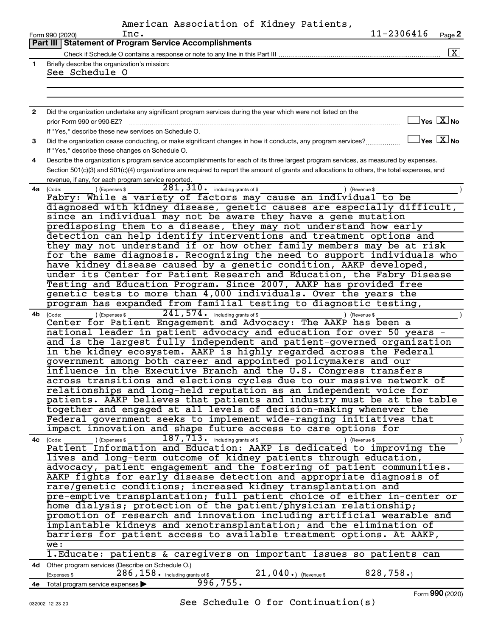|                | American Association of Kidney Patients,                                                                                                            |
|----------------|-----------------------------------------------------------------------------------------------------------------------------------------------------|
|                | 11-2306416<br>Inc.<br>Page 2<br>Form 990 (2020)                                                                                                     |
|                | <b>Part III   Statement of Program Service Accomplishments</b>                                                                                      |
|                | $\boxed{\mathbf{X}}$                                                                                                                                |
| $\mathbf{1}$   | Briefly describe the organization's mission:                                                                                                        |
|                | See Schedule O                                                                                                                                      |
|                |                                                                                                                                                     |
|                |                                                                                                                                                     |
| $\overline{2}$ | Did the organization undertake any significant program services during the year which were not listed on the                                        |
|                | $\exists$ Yes $\boxed{\text{X}}$ No<br>prior Form 990 or 990-EZ?                                                                                    |
|                | If "Yes," describe these new services on Schedule O.                                                                                                |
| 3              | $\exists$ Yes $\boxed{\text{X}}$ No<br>Did the organization cease conducting, or make significant changes in how it conducts, any program services? |
|                | If "Yes," describe these changes on Schedule O.                                                                                                     |
| 4              | Describe the organization's program service accomplishments for each of its three largest program services, as measured by expenses.                |
|                | Section 501(c)(3) and 501(c)(4) organizations are required to report the amount of grants and allocations to others, the total expenses, and        |
|                | revenue, if any, for each program service reported.                                                                                                 |
| 4a             | 281, 310 · including grants of \$<br>) (Expenses \$<br>) (Revenue \$<br>(Code:                                                                      |
|                | Fabry: While a variety of factors may cause an individual to be                                                                                     |
|                | diagnosed with kidney disease, genetic causes are especially difficult,                                                                             |
|                | since an individual may not be aware they have a gene mutation<br>predisposing them to a disease, they may not understand how early                 |
|                | detection can help identify interventions and treatment options and                                                                                 |
|                | they may not understand if or how other family members may be at risk                                                                               |
|                | for the same diagnosis. Recognizing the need to support individuals who                                                                             |
|                | have kidney disease caused by a genetic condition, AAKP developed,                                                                                  |
|                | under its Center for Patient Research and Education, the Fabry Disease                                                                              |
|                | Testing and Education Program. Since 2007, AAKP has provided free                                                                                   |
|                | genetic tests to more than 4,000 individuals. Over the years the                                                                                    |
|                | program has expanded from familial testing to diagnostic testing,                                                                                   |
| 4b             | $241,574$ $\cdot$ including grants of \$<br>) (Expenses \$<br>) (Revenue \$<br>(Code:                                                               |
|                | Center for Patient Engagement and Advocacy: The AAKP has been a                                                                                     |
|                | national leader in patient advocacy and education for over 50 years<br>and is the largest fully independent and patient-governed organization       |
|                | in the kidney ecosystem. AAKP is highly regarded across the Federal                                                                                 |
|                | government among both career and appointed policymakers and our                                                                                     |
|                | influence in the Executive Branch and the U.S. Congress transfers                                                                                   |
|                | across transitions and elections cycles due to our massive network of                                                                               |
|                | relationships and long-held reputation as an independent voice for                                                                                  |
|                | patients. AAKP believes that patients and industry must be at the table                                                                             |
|                | together and engaged at all levels of decision-making whenever the                                                                                  |
|                | Federal government seeks to implement wide-ranging initiatives that                                                                                 |
|                | impact innovation and shape future access to care options for                                                                                       |
| 4c (Code:      | 187, 713. including grants of \$<br>) (Expenses \$<br>) (Revenue \$<br>Patient Information and Education: AAKP is dedicated to improving the        |
|                | lives and long-term outcome of kidney patients through education,                                                                                   |
|                | advocacy, patient engagement and the fostering of patient communities.                                                                              |
|                | AAKP fights for early disease detection and appropriate diagnosis of                                                                                |
|                | rare/genetic conditions; increased kidney transplantation and                                                                                       |
|                | pre-emptive transplantation; full patient choice of either in-center or                                                                             |
|                | home dialysis; protection of the patient/physician relationship;                                                                                    |
|                | promotion of research and innovation including artificial wearable and                                                                              |
|                | implantable kidneys and xenotransplantation; and the elimination of                                                                                 |
|                | barriers for patient access to available treatment options. At AAKP,                                                                                |
|                | we:                                                                                                                                                 |
|                | 1. Educate: patients & caregivers on important issues so patients can                                                                               |
|                | 4d Other program services (Describe on Schedule O.)<br>$286, 158$ $\cdot$ including grants of \$<br>828, 758.<br>$21,040.$ (Revenue \$              |
|                | (Expenses \$<br>996, 755.<br>4e Total program service expenses >                                                                                    |
|                |                                                                                                                                                     |

See Schedule O for Continuation(s)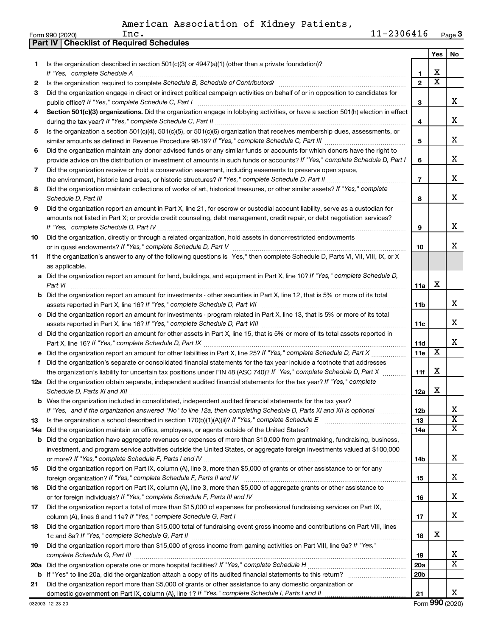|    | Part IV   Checklist of Required Schedules                                                                                             |                 |                         |                       |
|----|---------------------------------------------------------------------------------------------------------------------------------------|-----------------|-------------------------|-----------------------|
|    |                                                                                                                                       |                 | Yes                     | No                    |
| 1. | Is the organization described in section 501(c)(3) or $4947(a)(1)$ (other than a private foundation)?                                 |                 |                         |                       |
|    |                                                                                                                                       | 1               | х                       |                       |
| 2  |                                                                                                                                       | $\overline{2}$  | $\overline{\mathtt{x}}$ |                       |
| 3  | Did the organization engage in direct or indirect political campaign activities on behalf of or in opposition to candidates for       |                 |                         |                       |
|    | public office? If "Yes," complete Schedule C, Part I                                                                                  | 3               |                         | х                     |
| 4  | Section 501(c)(3) organizations. Did the organization engage in lobbying activities, or have a section 501(h) election in effect      |                 |                         |                       |
|    |                                                                                                                                       | 4               |                         | x                     |
| 5  | Is the organization a section 501(c)(4), 501(c)(5), or 501(c)(6) organization that receives membership dues, assessments, or          |                 |                         |                       |
|    |                                                                                                                                       | 5               |                         | х                     |
| 6  | Did the organization maintain any donor advised funds or any similar funds or accounts for which donors have the right to             |                 |                         |                       |
|    | provide advice on the distribution or investment of amounts in such funds or accounts? If "Yes," complete Schedule D, Part I          | 6               |                         | x                     |
| 7  | Did the organization receive or hold a conservation easement, including easements to preserve open space,                             |                 |                         |                       |
|    | the environment, historic land areas, or historic structures? If "Yes," complete Schedule D, Part II                                  | $\overline{7}$  |                         | x                     |
| 8  | Did the organization maintain collections of works of art, historical treasures, or other similar assets? If "Yes," complete          |                 |                         |                       |
|    |                                                                                                                                       | 8               |                         | x                     |
| 9  | Did the organization report an amount in Part X, line 21, for escrow or custodial account liability, serve as a custodian for         |                 |                         |                       |
|    | amounts not listed in Part X; or provide credit counseling, debt management, credit repair, or debt negotiation services?             |                 |                         |                       |
|    |                                                                                                                                       | 9               |                         | х                     |
| 10 | Did the organization, directly or through a related organization, hold assets in donor-restricted endowments                          |                 |                         |                       |
|    |                                                                                                                                       | 10              |                         | x                     |
| 11 | If the organization's answer to any of the following questions is "Yes," then complete Schedule D, Parts VI, VII, VIII, IX, or X      |                 |                         |                       |
|    | as applicable.                                                                                                                        |                 |                         |                       |
|    | a Did the organization report an amount for land, buildings, and equipment in Part X, line 10? If "Yes," complete Schedule D,         |                 |                         |                       |
|    | Part VI                                                                                                                               | 11a             | х                       |                       |
|    | <b>b</b> Did the organization report an amount for investments - other securities in Part X, line 12, that is 5% or more of its total |                 |                         |                       |
|    |                                                                                                                                       | 11b             |                         | x                     |
|    | c Did the organization report an amount for investments - program related in Part X, line 13, that is 5% or more of its total         | 11c             |                         | х                     |
|    | d Did the organization report an amount for other assets in Part X, line 15, that is 5% or more of its total assets reported in       |                 |                         |                       |
|    |                                                                                                                                       | 11d             |                         | х                     |
|    | e Did the organization report an amount for other liabilities in Part X, line 25? If "Yes," complete Schedule D, Part X               | 11e             | $\overline{\text{X}}$   |                       |
| f  | Did the organization's separate or consolidated financial statements for the tax year include a footnote that addresses               |                 |                         |                       |
|    | the organization's liability for uncertain tax positions under FIN 48 (ASC 740)? If "Yes," complete Schedule D, Part X                | 11f             | х                       |                       |
|    | 12a Did the organization obtain separate, independent audited financial statements for the tax year? If "Yes," complete               |                 |                         |                       |
|    |                                                                                                                                       | 12a             | х                       |                       |
|    | b Was the organization included in consolidated, independent audited financial statements for the tax year?                           |                 |                         |                       |
|    | If "Yes," and if the organization answered "No" to line 12a, then completing Schedule D, Parts XI and XII is optional                 | 12b             |                         | х                     |
| 13 |                                                                                                                                       | 13              |                         | $\overline{\text{x}}$ |
|    | 14a Did the organization maintain an office, employees, or agents outside of the United States?                                       | 14a             |                         | $\overline{\text{X}}$ |
|    | <b>b</b> Did the organization have aggregate revenues or expenses of more than \$10,000 from grantmaking, fundraising, business,      |                 |                         |                       |
|    | investment, and program service activities outside the United States, or aggregate foreign investments valued at \$100,000            |                 |                         |                       |
|    |                                                                                                                                       | 14b             |                         | x                     |
| 15 | Did the organization report on Part IX, column (A), line 3, more than \$5,000 of grants or other assistance to or for any             |                 |                         |                       |
|    |                                                                                                                                       | 15              |                         | x                     |
| 16 | Did the organization report on Part IX, column (A), line 3, more than \$5,000 of aggregate grants or other assistance to              |                 |                         |                       |
|    |                                                                                                                                       | 16              |                         | x                     |
| 17 | Did the organization report a total of more than \$15,000 of expenses for professional fundraising services on Part IX,               |                 |                         |                       |
|    |                                                                                                                                       | 17              |                         | x                     |
| 18 | Did the organization report more than \$15,000 total of fundraising event gross income and contributions on Part VIII, lines          |                 | х                       |                       |
|    | Did the organization report more than \$15,000 of gross income from gaming activities on Part VIII, line 9a? If "Yes,"                | 18              |                         |                       |
| 19 |                                                                                                                                       | 19              |                         | X                     |
|    |                                                                                                                                       | 20a             |                         | $\overline{\text{x}}$ |
|    |                                                                                                                                       | 20 <sub>b</sub> |                         |                       |
| 21 | Did the organization report more than \$5,000 of grants or other assistance to any domestic organization or                           |                 |                         |                       |
|    |                                                                                                                                       | 21              |                         | X.                    |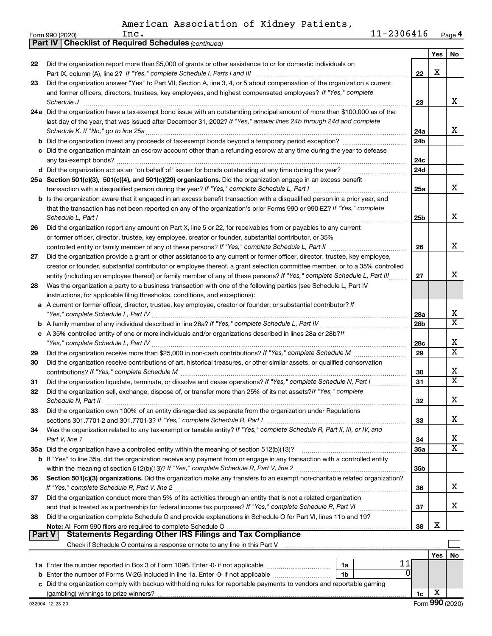|               | <b>Part IV   Checklist of Required Schedules (continued)</b>                                                                                                                           |                 |     |                         |
|---------------|----------------------------------------------------------------------------------------------------------------------------------------------------------------------------------------|-----------------|-----|-------------------------|
|               |                                                                                                                                                                                        |                 | Yes | No                      |
| 22            | Did the organization report more than \$5,000 of grants or other assistance to or for domestic individuals on                                                                          |                 |     |                         |
|               |                                                                                                                                                                                        | 22              | X   |                         |
| 23            | Did the organization answer "Yes" to Part VII, Section A, line 3, 4, or 5 about compensation of the organization's current                                                             |                 |     |                         |
|               | and former officers, directors, trustees, key employees, and highest compensated employees? If "Yes," complete                                                                         |                 |     |                         |
|               |                                                                                                                                                                                        | 23              |     | x                       |
|               | Schedule J <b>Execute Schedule J Execute Schedule J</b><br>24a Did the organization have a tax-exempt bond issue with an outstanding principal amount of more than \$100,000 as of the |                 |     |                         |
|               | last day of the year, that was issued after December 31, 2002? If "Yes," answer lines 24b through 24d and complete                                                                     |                 |     |                         |
|               |                                                                                                                                                                                        |                 |     | x                       |
|               |                                                                                                                                                                                        | 24a             |     |                         |
|               |                                                                                                                                                                                        | 24 <sub>b</sub> |     |                         |
|               | Did the organization maintain an escrow account other than a refunding escrow at any time during the year to defease                                                                   |                 |     |                         |
|               |                                                                                                                                                                                        | 24c             |     |                         |
|               |                                                                                                                                                                                        | 24 <sub>d</sub> |     |                         |
|               | 25a Section 501(c)(3), 501(c)(4), and 501(c)(29) organizations. Did the organization engage in an excess benefit                                                                       |                 |     |                         |
|               |                                                                                                                                                                                        | 25a             |     | x                       |
|               | <b>b</b> Is the organization aware that it engaged in an excess benefit transaction with a disqualified person in a prior year, and                                                    |                 |     |                         |
|               | that the transaction has not been reported on any of the organization's prior Forms 990 or 990-EZ? If "Yes," complete                                                                  |                 |     |                         |
|               | Schedule L, Part I                                                                                                                                                                     | 25b             |     | X                       |
| 26            | Did the organization report any amount on Part X, line 5 or 22, for receivables from or payables to any current                                                                        |                 |     |                         |
|               | or former officer, director, trustee, key employee, creator or founder, substantial contributor, or 35%                                                                                |                 |     |                         |
|               | controlled entity or family member of any of these persons? If "Yes," complete Schedule L, Part II                                                                                     | 26              |     | x                       |
| 27            | Did the organization provide a grant or other assistance to any current or former officer, director, trustee, key employee,                                                            |                 |     |                         |
|               | creator or founder, substantial contributor or employee thereof, a grant selection committee member, or to a 35% controlled                                                            |                 |     |                         |
|               | entity (including an employee thereof) or family member of any of these persons? If "Yes," complete Schedule L, Part III.                                                              | 27              |     | x                       |
| 28            | Was the organization a party to a business transaction with one of the following parties (see Schedule L, Part IV                                                                      |                 |     |                         |
|               | instructions, for applicable filing thresholds, conditions, and exceptions):                                                                                                           |                 |     |                         |
| а             | A current or former officer, director, trustee, key employee, creator or founder, or substantial contributor? If                                                                       |                 |     |                         |
|               |                                                                                                                                                                                        | 28a             |     | x                       |
|               |                                                                                                                                                                                        | 28 <sub>b</sub> |     | $\overline{\texttt{x}}$ |
|               | c A 35% controlled entity of one or more individuals and/or organizations described in lines 28a or 28b?/f                                                                             |                 |     |                         |
|               |                                                                                                                                                                                        | 28c             |     | х                       |
|               |                                                                                                                                                                                        | 29              |     | $\overline{\texttt{x}}$ |
| 29            |                                                                                                                                                                                        |                 |     |                         |
| 30            | Did the organization receive contributions of art, historical treasures, or other similar assets, or qualified conservation                                                            |                 |     | х                       |
|               |                                                                                                                                                                                        | 30              |     | $\overline{\text{X}}$   |
| 31            | Did the organization liquidate, terminate, or dissolve and cease operations? If "Yes," complete Schedule N, Part I                                                                     | 31              |     |                         |
| 32            | Did the organization sell, exchange, dispose of, or transfer more than 25% of its net assets? If "Yes," complete                                                                       |                 |     | Y                       |
|               | Schedule N, Part II                                                                                                                                                                    | 32              |     | ▵                       |
| 33            | Did the organization own 100% of an entity disregarded as separate from the organization under Regulations                                                                             |                 |     |                         |
|               |                                                                                                                                                                                        | 33              |     | x                       |
| 34            | Was the organization related to any tax-exempt or taxable entity? If "Yes," complete Schedule R, Part II, III, or IV, and                                                              |                 |     |                         |
|               | Part V, line 1                                                                                                                                                                         | 34              |     | х                       |
|               | 35a Did the organization have a controlled entity within the meaning of section 512(b)(13)?                                                                                            | 35a             |     | $\overline{\text{X}}$   |
|               | b If "Yes" to line 35a, did the organization receive any payment from or engage in any transaction with a controlled entity                                                            |                 |     |                         |
|               |                                                                                                                                                                                        | 35 <sub>b</sub> |     |                         |
| 36            | Section 501(c)(3) organizations. Did the organization make any transfers to an exempt non-charitable related organization?                                                             |                 |     |                         |
|               |                                                                                                                                                                                        | 36              |     | x                       |
| 37            | Did the organization conduct more than 5% of its activities through an entity that is not a related organization                                                                       |                 |     |                         |
|               |                                                                                                                                                                                        | 37              |     | х                       |
| 38            | Did the organization complete Schedule O and provide explanations in Schedule O for Part VI, lines 11b and 19?                                                                         |                 |     |                         |
|               | Note: All Form 990 filers are required to complete Schedule O                                                                                                                          | 38              | X   |                         |
| <b>Part V</b> |                                                                                                                                                                                        |                 |     |                         |
|               | Check if Schedule O contains a response or note to any line in this Part V [11] [12] Check if Schedule O contains a response or note to any line in this Part V                        |                 |     |                         |
|               |                                                                                                                                                                                        |                 | Yes | No                      |
|               | 11<br>1a                                                                                                                                                                               |                 |     |                         |
| b             | 0<br>Enter the number of Forms W-2G included in line 1a. Enter -0- if not applicable<br>1b                                                                                             |                 |     |                         |
|               | Did the organization comply with backup withholding rules for reportable payments to vendors and reportable gaming                                                                     |                 |     |                         |
|               |                                                                                                                                                                                        | 1c              | х   |                         |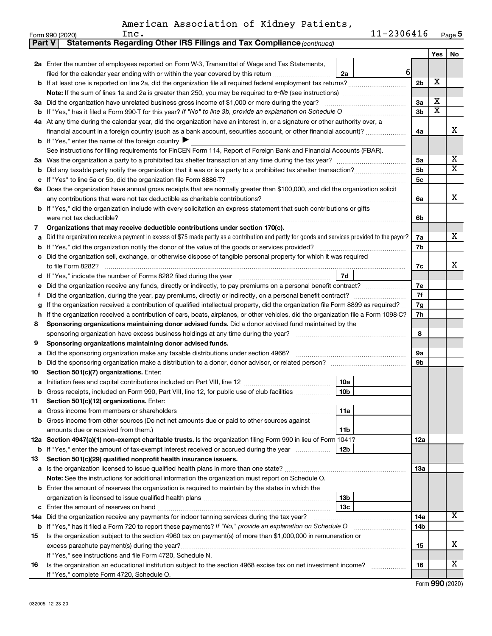|  | American Association of Kidney Patients, |  |  |  |
|--|------------------------------------------|--|--|--|
|--|------------------------------------------|--|--|--|

| <b>Part V</b> | Statements Regarding Other IRS Filings and Tax Compliance (continued)                                                                           |                |                         |    |  |  |
|---------------|-------------------------------------------------------------------------------------------------------------------------------------------------|----------------|-------------------------|----|--|--|
|               |                                                                                                                                                 |                | Yes                     | No |  |  |
|               | 2a Enter the number of employees reported on Form W-3, Transmittal of Wage and Tax Statements,                                                  |                |                         |    |  |  |
|               | $6 \mid$<br>filed for the calendar year ending with or within the year covered by this return<br>2a                                             |                |                         |    |  |  |
| b             |                                                                                                                                                 | 2 <sub>b</sub> | X                       |    |  |  |
|               |                                                                                                                                                 |                |                         |    |  |  |
| За            | Did the organization have unrelated business gross income of \$1,000 or more during the year?                                                   | 3a             | X                       |    |  |  |
| b             |                                                                                                                                                 | 3 <sub>b</sub> | $\overline{\textbf{x}}$ |    |  |  |
| 4а            | At any time during the calendar year, did the organization have an interest in, or a signature or other authority over, a                       |                |                         |    |  |  |
|               | financial account in a foreign country (such as a bank account, securities account, or other financial account)?                                | 4a             |                         | х  |  |  |
|               | <b>b</b> If "Yes," enter the name of the foreign country $\blacktriangleright$                                                                  |                |                         |    |  |  |
|               | See instructions for filing requirements for FinCEN Form 114, Report of Foreign Bank and Financial Accounts (FBAR).                             |                |                         |    |  |  |
| 5а            |                                                                                                                                                 | 5a             |                         | x  |  |  |
| b             |                                                                                                                                                 | 5 <sub>b</sub> |                         | X  |  |  |
| c             |                                                                                                                                                 | 5c             |                         |    |  |  |
| 6а            | Does the organization have annual gross receipts that are normally greater than \$100,000, and did the organization solicit                     |                |                         |    |  |  |
|               |                                                                                                                                                 | 6a             |                         | x  |  |  |
| b             | If "Yes," did the organization include with every solicitation an express statement that such contributions or gifts                            |                |                         |    |  |  |
|               | were not tax deductible?                                                                                                                        | 6b             |                         |    |  |  |
| 7             | Organizations that may receive deductible contributions under section 170(c).                                                                   |                |                         |    |  |  |
| a             | Did the organization receive a payment in excess of \$75 made partly as a contribution and partly for goods and services provided to the payor? | 7a             |                         | x  |  |  |
| b             |                                                                                                                                                 | 7b             |                         |    |  |  |
|               | Did the organization sell, exchange, or otherwise dispose of tangible personal property for which it was required                               |                |                         |    |  |  |
|               |                                                                                                                                                 | 7c             |                         | х  |  |  |
| d             | 7d                                                                                                                                              |                |                         |    |  |  |
|               | Did the organization receive any funds, directly or indirectly, to pay premiums on a personal benefit contract?                                 | 7е             |                         |    |  |  |
| f             |                                                                                                                                                 | 7f<br>7g       |                         |    |  |  |
|               | If the organization received a contribution of qualified intellectual property, did the organization file Form 8899 as required?                |                |                         |    |  |  |
| h             | If the organization received a contribution of cars, boats, airplanes, or other vehicles, did the organization file a Form 1098-C?              |                |                         |    |  |  |
| 8             | Sponsoring organizations maintaining donor advised funds. Did a donor advised fund maintained by the                                            |                |                         |    |  |  |
|               |                                                                                                                                                 | 8              |                         |    |  |  |
| 9             | Sponsoring organizations maintaining donor advised funds.                                                                                       |                |                         |    |  |  |
| а             | Did the sponsoring organization make any taxable distributions under section 4966?                                                              | <b>9a</b>      |                         |    |  |  |
| b             |                                                                                                                                                 | 9b             |                         |    |  |  |
| 10            | Section 501(c)(7) organizations. Enter:                                                                                                         |                |                         |    |  |  |
|               | 10a<br>10 <sub>b</sub><br>Gross receipts, included on Form 990, Part VIII, line 12, for public use of club facilities                           |                |                         |    |  |  |
|               | Section 501(c)(12) organizations. Enter:                                                                                                        |                |                         |    |  |  |
| 11            | 11a                                                                                                                                             |                |                         |    |  |  |
|               | Gross income from other sources (Do not net amounts due or paid to other sources against                                                        |                |                         |    |  |  |
|               | 11b                                                                                                                                             |                |                         |    |  |  |
|               | 12a Section 4947(a)(1) non-exempt charitable trusts. Is the organization filing Form 990 in lieu of Form 1041?                                  | 12a            |                         |    |  |  |
|               | 12 <sub>b</sub><br><b>b</b> If "Yes," enter the amount of tax-exempt interest received or accrued during the year                               |                |                         |    |  |  |
| 13            | Section 501(c)(29) qualified nonprofit health insurance issuers.                                                                                |                |                         |    |  |  |
| а             | Is the organization licensed to issue qualified health plans in more than one state?                                                            | <b>13a</b>     |                         |    |  |  |
|               | Note: See the instructions for additional information the organization must report on Schedule O.                                               |                |                         |    |  |  |
| b             | Enter the amount of reserves the organization is required to maintain by the states in which the                                                |                |                         |    |  |  |
|               | 13b                                                                                                                                             |                |                         |    |  |  |
| с             | 13 <sub>c</sub>                                                                                                                                 |                |                         |    |  |  |
| 14a           | Did the organization receive any payments for indoor tanning services during the tax year?                                                      | 14a            |                         | х  |  |  |
|               | <b>b</b> If "Yes," has it filed a Form 720 to report these payments? If "No," provide an explanation on Schedule O                              | 14b            |                         |    |  |  |
| 15            | Is the organization subject to the section 4960 tax on payment(s) of more than \$1,000,000 in remuneration or                                   |                |                         |    |  |  |
|               | excess parachute payment(s) during the year?                                                                                                    | 15             |                         | x  |  |  |
|               | If "Yes," see instructions and file Form 4720, Schedule N.                                                                                      |                |                         |    |  |  |
| 16            | Is the organization an educational institution subject to the section 4968 excise tax on net investment income?                                 | 16             |                         | x  |  |  |
|               | If "Yes," complete Form 4720, Schedule O.                                                                                                       |                |                         |    |  |  |

Form (2020) **990**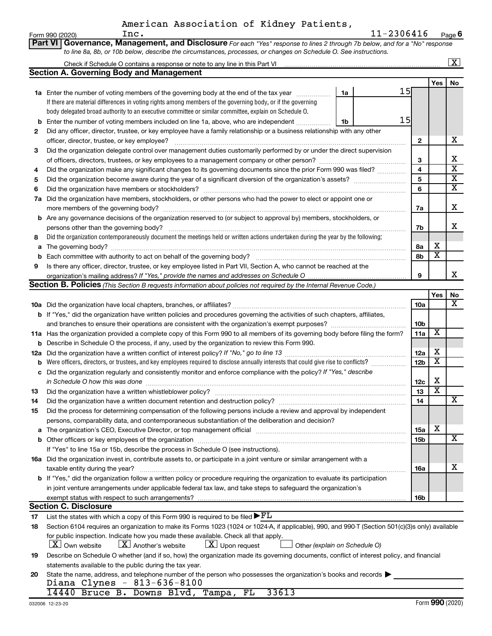|    | American Association of Kidney Patients,                                                                                                         |                 |                         |                         |
|----|--------------------------------------------------------------------------------------------------------------------------------------------------|-----------------|-------------------------|-------------------------|
|    | 11-2306416<br>Inc.<br>Form 990 (2020)                                                                                                            |                 |                         | Page 6                  |
|    | Governance, Management, and Disclosure For each "Yes" response to lines 2 through 7b below, and for a "No" response<br><b>Part VI</b>            |                 |                         |                         |
|    | to line 8a, 8b, or 10b below, describe the circumstances, processes, or changes on Schedule O. See instructions.                                 |                 |                         |                         |
|    |                                                                                                                                                  |                 |                         | $\overline{\mathbf{x}}$ |
|    | <b>Section A. Governing Body and Management</b>                                                                                                  |                 |                         |                         |
|    |                                                                                                                                                  |                 | Yes                     | No                      |
|    | 15<br>1a<br>1a Enter the number of voting members of the governing body at the end of the tax year                                               |                 |                         |                         |
|    | If there are material differences in voting rights among members of the governing body, or if the governing                                      |                 |                         |                         |
|    | body delegated broad authority to an executive committee or similar committee, explain on Schedule O.                                            |                 |                         |                         |
| b  | 15<br>Enter the number of voting members included on line 1a, above, who are independent<br>1b                                                   |                 |                         |                         |
| 2  | Did any officer, director, trustee, or key employee have a family relationship or a business relationship with any other                         |                 |                         |                         |
|    |                                                                                                                                                  | $\mathbf{2}$    |                         | x                       |
| 3  | Did the organization delegate control over management duties customarily performed by or under the direct supervision                            |                 |                         |                         |
|    |                                                                                                                                                  | 3               |                         | x                       |
| 4  | Did the organization make any significant changes to its governing documents since the prior Form 990 was filed?                                 | $\overline{4}$  |                         | $\overline{\mathtt{x}}$ |
| 5  |                                                                                                                                                  | 5               |                         | $\overline{\mathbf{X}}$ |
| 6  |                                                                                                                                                  | 6               |                         | $\overline{\mathtt{x}}$ |
|    | 7a Did the organization have members, stockholders, or other persons who had the power to elect or appoint one or                                |                 |                         |                         |
|    |                                                                                                                                                  | 7a              |                         | x                       |
|    | <b>b</b> Are any governance decisions of the organization reserved to (or subject to approval by) members, stockholders, or                      |                 |                         |                         |
|    | persons other than the governing body?                                                                                                           | 7b              |                         | x                       |
| 8  | Did the organization contemporaneously document the meetings held or written actions undertaken during the year by the following:                |                 |                         |                         |
|    |                                                                                                                                                  | 8а              | х                       |                         |
|    |                                                                                                                                                  | 8b              | $\overline{\text{x}}$   |                         |
| 9  | Is there any officer, director, trustee, or key employee listed in Part VII, Section A, who cannot be reached at the                             |                 |                         |                         |
|    |                                                                                                                                                  | 9               |                         | X.                      |
|    | Section B. Policies (This Section B requests information about policies not required by the Internal Revenue Code.)                              |                 |                         |                         |
|    |                                                                                                                                                  |                 | Yes                     | No                      |
|    |                                                                                                                                                  | 10a             |                         | $\overline{\mathbf{X}}$ |
|    | <b>b</b> If "Yes," did the organization have written policies and procedures governing the activities of such chapters, affiliates,              |                 |                         |                         |
|    |                                                                                                                                                  | 10 <sub>b</sub> |                         |                         |
|    | 11a Has the organization provided a complete copy of this Form 990 to all members of its governing body before filing the form?                  | 11a             | $\overline{\mathbf{X}}$ |                         |
|    | <b>b</b> Describe in Schedule O the process, if any, used by the organization to review this Form 990.                                           |                 |                         |                         |
|    |                                                                                                                                                  | 12a             | х                       |                         |
| b  | Were officers, directors, or trustees, and key employees required to disclose annually interests that could give rise to conflicts?              | 12 <sub>b</sub> | $\overline{\textbf{x}}$ |                         |
|    | c Did the organization regularly and consistently monitor and enforce compliance with the policy? If "Yes," describe                             |                 |                         |                         |
|    | in Schedule O how this was done encounteral contracts and a set of the set of the set of the set of the set of                                   | 12c             | X                       |                         |
| 13 | Did the organization have a written whistleblower policy?                                                                                        | 13              | $\overline{\textbf{x}}$ |                         |
| 14 |                                                                                                                                                  | 14              |                         | x                       |
| 15 | Did the process for determining compensation of the following persons include a review and approval by independent                               |                 |                         |                         |
|    | persons, comparability data, and contemporaneous substantiation of the deliberation and decision?                                                |                 |                         |                         |
| а  |                                                                                                                                                  | 15a             | х                       |                         |
| b  |                                                                                                                                                  | 15b             |                         | $\overline{\mathbf{X}}$ |
|    | If "Yes" to line 15a or 15b, describe the process in Schedule O (see instructions).                                                              |                 |                         |                         |
|    | 16a Did the organization invest in, contribute assets to, or participate in a joint venture or similar arrangement with a                        |                 |                         |                         |
|    | taxable entity during the year?                                                                                                                  | 16a             |                         | x                       |
|    | b If "Yes," did the organization follow a written policy or procedure requiring the organization to evaluate its participation                   |                 |                         |                         |
|    | in joint venture arrangements under applicable federal tax law, and take steps to safeguard the organization's                                   |                 |                         |                         |
|    | exempt status with respect to such arrangements?                                                                                                 | 16b             |                         |                         |
|    | <b>Section C. Disclosure</b>                                                                                                                     |                 |                         |                         |
| 17 | List the states with which a copy of this Form 990 is required to be filed $\blacktriangleright$ FL                                              |                 |                         |                         |
| 18 | Section 6104 requires an organization to make its Forms 1023 (1024 or 1024-A, if applicable), 990, and 990-T (Section 501(c)(3)s only) available |                 |                         |                         |
|    | for public inspection. Indicate how you made these available. Check all that apply.                                                              |                 |                         |                         |
|    | $\lfloor x \rfloor$ Upon request<br>  X   Own website<br>$\lfloor X \rfloor$ Another's website<br>Other (explain on Schedule O)                  |                 |                         |                         |
| 19 | Describe on Schedule O whether (and if so, how) the organization made its governing documents, conflict of interest policy, and financial        |                 |                         |                         |
|    | statements available to the public during the tax year.                                                                                          |                 |                         |                         |
| 20 | State the name, address, and telephone number of the person who possesses the organization's books and records                                   |                 |                         |                         |
|    | Diana Clynes - 813-636-8100                                                                                                                      |                 |                         |                         |
|    | 14440 Bruce B. Downs Blvd, Tampa, FL<br>33613                                                                                                    |                 |                         |                         |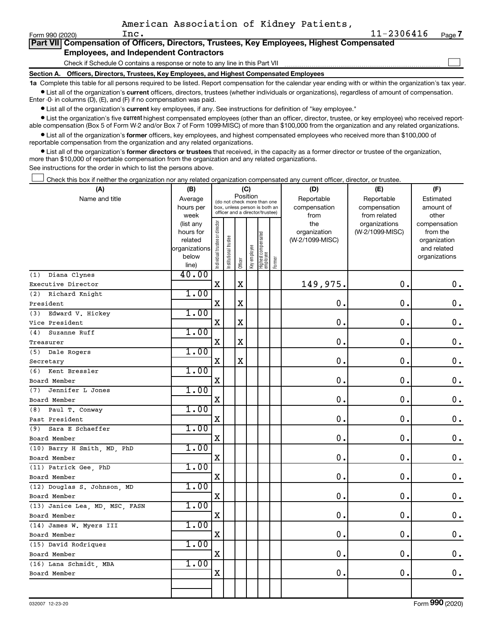$\Box$ 

|  | Part VII Compensation of Officers, Directors, Trustees, Key Employees, Highest Compensated |  |  |  |  |
|--|--------------------------------------------------------------------------------------------|--|--|--|--|
|  | <b>Employees, and Independent Contractors</b>                                              |  |  |  |  |

Check if Schedule O contains a response or note to any line in this Part VII

**Section A. Officers, Directors, Trustees, Key Employees, and Highest Compensated Employees**

**1a**  Complete this table for all persons required to be listed. Report compensation for the calendar year ending with or within the organization's tax year.  $\bullet$  List all of the organization's current officers, directors, trustees (whether individuals or organizations), regardless of amount of compensation.

Enter -0- in columns (D), (E), and (F) if no compensation was paid.

**•** List all of the organization's current key employees, if any. See instructions for definition of "key employee."

• List the organization's five *current* highest compensated employees (other than an officer, director, trustee, or key employee) who received reportable compensation (Box 5 of Form W-2 and/or Box 7 of Form 1099-MISC) of more than \$100,000 from the organization and any related organizations.

 $\bullet$  List all of the organization's former officers, key employees, and highest compensated employees who received more than \$100,000 of reportable compensation from the organization and any related organizations.

**•** List all of the organization's former directors or trustees that received, in the capacity as a former director or trustee of the organization, more than \$10,000 of reportable compensation from the organization and any related organizations.

See instructions for the order in which to list the persons above.

Check this box if neither the organization nor any related organization compensated any current officer, director, or trustee.  $\Box$ 

| (A)                            | (B)                  |                                |                                                                  | (C)         |              |                                   |        | (D)                             | (E)             | (F)                         |
|--------------------------------|----------------------|--------------------------------|------------------------------------------------------------------|-------------|--------------|-----------------------------------|--------|---------------------------------|-----------------|-----------------------------|
| Name and title                 | Average              |                                | (do not check more than one                                      |             | Position     |                                   |        | Reportable                      | Reportable      | Estimated                   |
|                                | hours per            |                                | box, unless person is both an<br>officer and a director/trustee) |             |              |                                   |        | compensation                    | compensation    | amount of                   |
|                                | week                 |                                |                                                                  |             |              |                                   |        | from                            | from related    | other                       |
|                                | (list any            |                                |                                                                  |             |              |                                   |        | the                             | organizations   | compensation                |
|                                | hours for<br>related |                                |                                                                  |             |              |                                   |        | organization<br>(W-2/1099-MISC) | (W-2/1099-MISC) | from the                    |
|                                | organizations        |                                |                                                                  |             |              |                                   |        |                                 |                 | organization<br>and related |
|                                | below                |                                |                                                                  |             |              |                                   |        |                                 |                 | organizations               |
|                                | line)                | Individual trustee or director | Institutional trustee                                            | Officer     | Key employee | Highest compensated<br>  employee | Former |                                 |                 |                             |
| (1) Diana Clynes               | 40.00                |                                |                                                                  |             |              |                                   |        |                                 |                 |                             |
| Executive Director             |                      | X                              |                                                                  | $\mathbf X$ |              |                                   |        | 149,975.                        | $\mathbf 0$ .   | $\mathbf 0$ .               |
| (2) Richard Knight             | 1.00                 |                                |                                                                  |             |              |                                   |        |                                 |                 |                             |
| President                      |                      | $\mathbf X$                    |                                                                  | $\mathbf X$ |              |                                   |        | $\mathbf 0$ .                   | $\mathbf 0$     | $\mathbf 0$ .               |
| (3)<br>Edward V. Hickey        | 1.00                 |                                |                                                                  |             |              |                                   |        |                                 |                 |                             |
| Vice President                 |                      | X                              |                                                                  | $\mathbf X$ |              |                                   |        | $\mathbf 0$ .                   | $\mathbf 0$ .   | $\mathbf 0$ .               |
| (4) Suzanne Ruff               | 1.00                 |                                |                                                                  |             |              |                                   |        |                                 |                 |                             |
| Treasurer                      |                      | $\mathbf X$                    |                                                                  | X           |              |                                   |        | $\mathbf 0$ .                   | $\mathbf 0$     | $\mathbf 0$ .               |
| (5) Dale Rogers                | 1.00                 |                                |                                                                  |             |              |                                   |        |                                 |                 |                             |
| Secretary                      |                      | X                              |                                                                  | X           |              |                                   |        | 0.                              | $\mathbf 0$ .   | $\mathbf 0$ .               |
| (6) Kent Bressler              | 1.00                 |                                |                                                                  |             |              |                                   |        |                                 |                 |                             |
| Board Member                   |                      | $\mathbf X$                    |                                                                  |             |              |                                   |        | $\mathbf 0$                     | 0.              | $\mathbf 0$ .               |
| Jennifer L Jones<br>(7)        | 1.00                 |                                |                                                                  |             |              |                                   |        |                                 |                 |                             |
| Board Member                   |                      | X                              |                                                                  |             |              |                                   |        | 0.                              | $\mathbf 0$     | $\mathbf 0$ .               |
| (8) Paul T. Conway             | 1.00                 |                                |                                                                  |             |              |                                   |        |                                 |                 |                             |
| Past President                 |                      | $\mathbf X$                    |                                                                  |             |              |                                   |        | $\mathbf 0$ .                   | $\mathbf 0$ .   | 0.                          |
| Sara E Schaeffer<br>(9)        | 1.00                 |                                |                                                                  |             |              |                                   |        |                                 |                 |                             |
| Board Member                   |                      | X                              |                                                                  |             |              |                                   |        | 0.                              | $\mathbf 0$ .   | $\mathbf 0$ .               |
| (10) Barry H Smith, MD, PhD    | 1.00                 |                                |                                                                  |             |              |                                   |        |                                 |                 |                             |
| Board Member                   |                      | X                              |                                                                  |             |              |                                   |        | $\mathbf 0$ .                   | $\mathbf 0$ .   | $\mathbf 0$ .               |
| (11) Patrick Gee, PhD          | 1.00                 |                                |                                                                  |             |              |                                   |        |                                 |                 |                             |
| Board Member                   |                      | X                              |                                                                  |             |              |                                   |        | 0.                              | $\mathbf 0$ .   | $\mathbf 0$ .               |
| (12) Douglas S. Johnson, MD    | 1.00                 |                                |                                                                  |             |              |                                   |        |                                 |                 |                             |
| Board Member                   |                      | X                              |                                                                  |             |              |                                   |        | 0.                              | $\mathbf 0$ .   | $\mathbf 0$ .               |
| (13) Janice Lea, MD, MSC, FASN | 1.00                 |                                |                                                                  |             |              |                                   |        |                                 |                 |                             |
| Board Member                   |                      | X                              |                                                                  |             |              |                                   |        | 0.                              | $\mathbf 0$ .   | $\mathbf 0$ .               |
| (14) James W. Myers III        | 1.00                 |                                |                                                                  |             |              |                                   |        |                                 |                 |                             |
| Board Member                   |                      | $\rm X$                        |                                                                  |             |              |                                   |        | 0.                              | О.              | $\mathbf 0$ .               |
| (15) David Rodriquez           | 1.00                 |                                |                                                                  |             |              |                                   |        |                                 |                 |                             |
| Board Member                   |                      | $\mathbf X$                    |                                                                  |             |              |                                   |        | 0.                              | $\mathbf 0$ .   | $\mathbf 0$ .               |
| (16) Lana Schmidt, MBA         | 1.00                 |                                |                                                                  |             |              |                                   |        |                                 |                 |                             |
| Board Member                   |                      | $\rm X$                        |                                                                  |             |              |                                   |        | 0.                              | $\mathbf 0$ .   | $0$ .                       |
|                                |                      |                                |                                                                  |             |              |                                   |        |                                 |                 |                             |
|                                |                      |                                |                                                                  |             |              |                                   |        |                                 |                 |                             |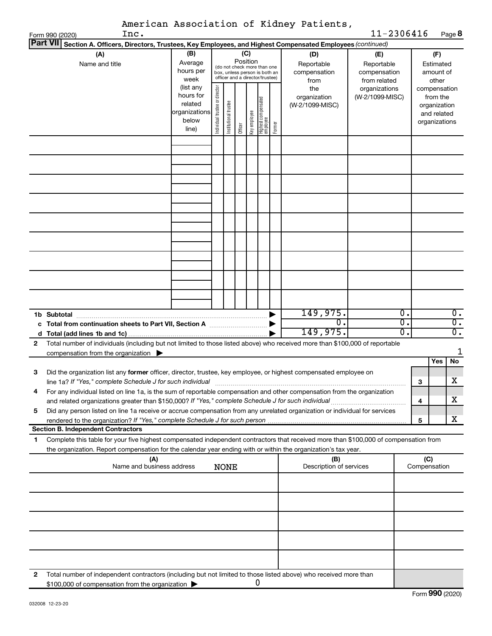|                 |                                                                                                                                                                                                                                                        |                                                        |                                |                       |          |              |                                                                                                 |        | American Association of Kidney Patients,  |                                                             |                            |     |                                                          |
|-----------------|--------------------------------------------------------------------------------------------------------------------------------------------------------------------------------------------------------------------------------------------------------|--------------------------------------------------------|--------------------------------|-----------------------|----------|--------------|-------------------------------------------------------------------------------------------------|--------|-------------------------------------------|-------------------------------------------------------------|----------------------------|-----|----------------------------------------------------------|
| <b>Part VII</b> | Inc.<br>Form 990 (2020)                                                                                                                                                                                                                                |                                                        |                                |                       |          |              |                                                                                                 |        |                                           | 11-2306416                                                  |                            |     | Page 8                                                   |
|                 | Section A. Officers, Directors, Trustees, Key Employees, and Highest Compensated Employees (continued)<br>(A)                                                                                                                                          | (B)                                                    |                                |                       |          | (C)          |                                                                                                 |        | (D)                                       | (E)                                                         |                            |     | (F)                                                      |
|                 | Name and title                                                                                                                                                                                                                                         | Average<br>hours per<br>week<br>(list any<br>hours for |                                |                       | Position |              | (do not check more than one<br>box, unless person is both an<br>officer and a director/trustee) |        | Reportable<br>compensation<br>from<br>the | Reportable<br>compensation<br>from related<br>organizations |                            |     | Estimated<br>amount of<br>other<br>compensation          |
|                 |                                                                                                                                                                                                                                                        | related<br>organizations<br>below<br>line)             | Individual trustee or director | Institutional trustee | Officer  | Key employee | Highest compensatec<br>employee                                                                 | Former | organization<br>(W-2/1099-MISC)           | (W-2/1099-MISC)                                             |                            |     | from the<br>organization<br>and related<br>organizations |
|                 |                                                                                                                                                                                                                                                        |                                                        |                                |                       |          |              |                                                                                                 |        |                                           |                                                             |                            |     |                                                          |
|                 |                                                                                                                                                                                                                                                        |                                                        |                                |                       |          |              |                                                                                                 |        |                                           |                                                             |                            |     |                                                          |
|                 |                                                                                                                                                                                                                                                        |                                                        |                                |                       |          |              |                                                                                                 |        |                                           |                                                             |                            |     |                                                          |
|                 |                                                                                                                                                                                                                                                        |                                                        |                                |                       |          |              |                                                                                                 |        |                                           |                                                             |                            |     |                                                          |
|                 |                                                                                                                                                                                                                                                        |                                                        |                                |                       |          |              |                                                                                                 |        |                                           |                                                             |                            |     |                                                          |
|                 |                                                                                                                                                                                                                                                        |                                                        |                                |                       |          |              |                                                                                                 |        |                                           |                                                             |                            |     |                                                          |
|                 | 1b Subtotal<br>c Total from continuation sheets to Part VII, Section A manuscreases                                                                                                                                                                    |                                                        |                                |                       |          |              |                                                                                                 |        | 149,975.<br>0                             |                                                             | О.<br>$\overline{0}$<br>σ. |     | 0.<br>$\overline{\mathfrak{o}}$ .<br>$\overline{0}$ .    |
| $\mathbf{2}$    | Total number of individuals (including but not limited to those listed above) who received more than \$100,000 of reportable<br>compensation from the organization $\blacktriangleright$                                                               |                                                        |                                |                       |          |              |                                                                                                 |        | 149,975.                                  |                                                             |                            |     | 1                                                        |
|                 |                                                                                                                                                                                                                                                        |                                                        |                                |                       |          |              |                                                                                                 |        |                                           |                                                             |                            |     | No<br>Yes                                                |
| З               | Did the organization list any former officer, director, trustee, key employee, or highest compensated employee on<br>line 1a? If "Yes," complete Schedule J for such individual                                                                        |                                                        |                                |                       |          |              |                                                                                                 |        |                                           |                                                             |                            | 3   | х                                                        |
| 4               | For any individual listed on line 1a, is the sum of reportable compensation and other compensation from the organization                                                                                                                               |                                                        |                                |                       |          |              |                                                                                                 |        |                                           |                                                             |                            | 4   | х                                                        |
| 5               | Did any person listed on line 1a receive or accrue compensation from any unrelated organization or individual for services                                                                                                                             |                                                        |                                |                       |          |              |                                                                                                 |        |                                           |                                                             |                            | 5   | x                                                        |
|                 | <b>Section B. Independent Contractors</b>                                                                                                                                                                                                              |                                                        |                                |                       |          |              |                                                                                                 |        |                                           |                                                             |                            |     |                                                          |
| 1               | Complete this table for your five highest compensated independent contractors that received more than \$100,000 of compensation from<br>the organization. Report compensation for the calendar year ending with or within the organization's tax year. |                                                        |                                |                       |          |              |                                                                                                 |        |                                           |                                                             |                            |     |                                                          |
|                 | (A)<br>Name and business address                                                                                                                                                                                                                       |                                                        |                                | <b>NONE</b>           |          |              |                                                                                                 |        | (B)<br>Description of services            |                                                             |                            | (C) | Compensation                                             |
|                 |                                                                                                                                                                                                                                                        |                                                        |                                |                       |          |              |                                                                                                 |        |                                           |                                                             |                            |     |                                                          |
|                 |                                                                                                                                                                                                                                                        |                                                        |                                |                       |          |              |                                                                                                 |        |                                           |                                                             |                            |     |                                                          |
|                 |                                                                                                                                                                                                                                                        |                                                        |                                |                       |          |              |                                                                                                 |        |                                           |                                                             |                            |     |                                                          |
|                 |                                                                                                                                                                                                                                                        |                                                        |                                |                       |          |              |                                                                                                 |        |                                           |                                                             |                            |     |                                                          |
|                 |                                                                                                                                                                                                                                                        |                                                        |                                |                       |          |              |                                                                                                 |        |                                           |                                                             |                            |     |                                                          |
| 2               | Total number of independent contractors (including but not limited to those listed above) who received more than<br>\$100,000 of compensation from the organization                                                                                    |                                                        |                                |                       |          |              | 0                                                                                               |        |                                           |                                                             |                            |     |                                                          |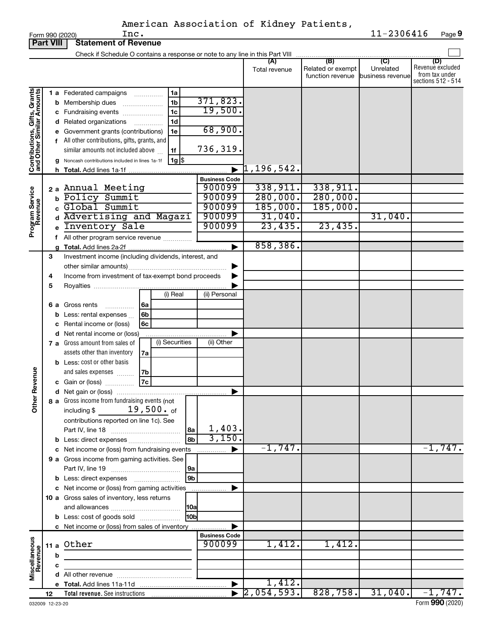|                                                           | <b>Part VIII</b><br><b>Statement of Revenue</b> |    |                                                                                                                                                                                                                                                                                                                                                                                                                                                                                                                                            |                                                |                                                        |                                                               |                              |                                                                 |  |  |
|-----------------------------------------------------------|-------------------------------------------------|----|--------------------------------------------------------------------------------------------------------------------------------------------------------------------------------------------------------------------------------------------------------------------------------------------------------------------------------------------------------------------------------------------------------------------------------------------------------------------------------------------------------------------------------------------|------------------------------------------------|--------------------------------------------------------|---------------------------------------------------------------|------------------------------|-----------------------------------------------------------------|--|--|
|                                                           |                                                 |    | Check if Schedule O contains a response or note to any line in this Part VIII                                                                                                                                                                                                                                                                                                                                                                                                                                                              |                                                |                                                        |                                                               |                              |                                                                 |  |  |
|                                                           |                                                 |    |                                                                                                                                                                                                                                                                                                                                                                                                                                                                                                                                            |                                                | (A)<br>Total revenue                                   | (B)<br>Related or exempt<br>function revenue business revenue | $\overline{C}$<br>Unrelated  | (D)<br>Revenue excluded<br>from tax under<br>sections 512 - 514 |  |  |
| Contributions, Gifts, Grants<br>and Other Similar Amounts |                                                 |    | 1 a Federated campaigns<br>1a<br>$\cdots$<br>1 <sub>b</sub><br><b>b</b> Membership dues<br>1 <sub>c</sub><br>c Fundraising events<br>1d<br>d Related organizations<br>.<br>e Government grants (contributions)<br>1e<br>f All other contributions, gifts, grants, and<br>similar amounts not included above<br>1f<br>Noncash contributions included in lines 1a-1f<br>$1g$ $\frac{1}{3}$                                                                                                                                                   | 371,823.<br>19,500.<br>68,900.<br>736,319.     | $\upharpoonright$ 1,196,542.                           |                                                               |                              |                                                                 |  |  |
|                                                           |                                                 | h. |                                                                                                                                                                                                                                                                                                                                                                                                                                                                                                                                            | <b>Business Code</b>                           |                                                        |                                                               |                              |                                                                 |  |  |
| Program Service<br>Revenue                                |                                                 |    | 2 a Annual Meeting<br><b>b</b> Policy Summit<br>Global Summit<br>d Advertising and Magazi<br>Inventory Sale                                                                                                                                                                                                                                                                                                                                                                                                                                | 900099<br>900099<br>900099<br>900099<br>900099 | 338,911.<br>280,000.<br>185,000.<br>31,040.<br>23,435. | 338,911.<br>280,000.<br>185,000.<br>23,435.                   | 31,040.                      |                                                                 |  |  |
|                                                           |                                                 |    | f All other program service revenue                                                                                                                                                                                                                                                                                                                                                                                                                                                                                                        |                                                | 858,386.                                               |                                                               |                              |                                                                 |  |  |
| Revenue<br>$\tilde{\vec{a}}$                              | 3<br>4<br>5<br>6а                               |    | Investment income (including dividends, interest, and<br>Income from investment of tax-exempt bond proceeds<br>(i) Real<br>Gross rents<br>6a<br>.<br><b>b</b> Less: rental expenses $\ldots$<br>6b<br>Rental income or (loss)<br>6с<br>d Net rental income or (loss)<br>(i) Securities<br>7 a Gross amount from sales of<br>assets other than inventory<br>7a<br><b>b</b> Less: cost or other basis<br>and sales expenses<br>7b<br>7c<br>c Gain or (loss)<br>8 a Gross income from fundraising events (not<br>$19,500.$ of<br>including \$ | (ii) Personal<br>(ii) Other                    |                                                        |                                                               |                              |                                                                 |  |  |
|                                                           |                                                 |    | contributions reported on line 1c). See<br> 8a<br>8b<br>c Net income or (loss) from fundraising events<br>9 a Gross income from gaming activities. See<br>l 9a<br>9b<br><b>b</b> Less: direct expenses <b>manually</b><br>c Net income or (loss) from gaming activities<br>10 a Gross sales of inventory, less returns<br> 10a<br>l10bl<br><b>b</b> Less: cost of goods sold<br>c Net income or (loss) from sales of inventory                                                                                                             | 1,403.<br>3,150.<br>.                          | $-1,747.$                                              |                                                               |                              | $-1,747.$                                                       |  |  |
| Miscellaneous<br>Revenue                                  |                                                 |    | 11 a Other                                                                                                                                                                                                                                                                                                                                                                                                                                                                                                                                 | <b>Business Code</b><br>900099                 | 1,412.                                                 | 1,412.                                                        |                              |                                                                 |  |  |
|                                                           |                                                 | b  |                                                                                                                                                                                                                                                                                                                                                                                                                                                                                                                                            |                                                |                                                        |                                                               |                              |                                                                 |  |  |
|                                                           |                                                 | c  |                                                                                                                                                                                                                                                                                                                                                                                                                                                                                                                                            |                                                |                                                        |                                                               |                              |                                                                 |  |  |
|                                                           |                                                 |    |                                                                                                                                                                                                                                                                                                                                                                                                                                                                                                                                            | $\blacktriangleright$                          | 1,412.                                                 |                                                               |                              |                                                                 |  |  |
|                                                           | 12                                              |    |                                                                                                                                                                                                                                                                                                                                                                                                                                                                                                                                            |                                                | $\overline{2,054,593.}$                                |                                                               | $828,758.$ 31,040. $-1,747.$ |                                                                 |  |  |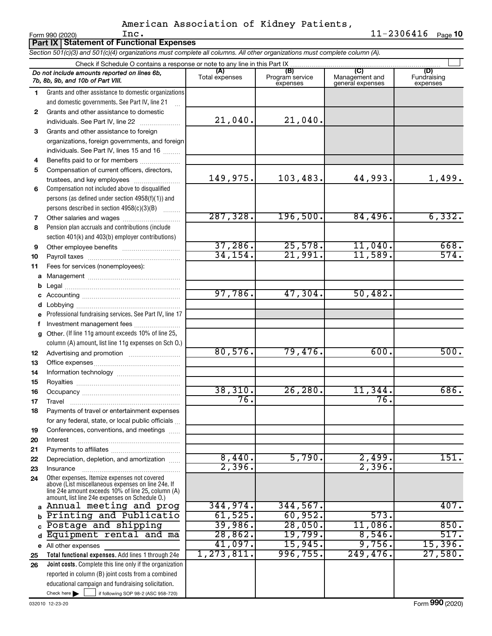|        | Inc.<br>Form 990 (2020)<br><b>Part IX   Statement of Functional Expenses</b>                                                                                                                               |                       |                                    |                                           | $11 - 2306416$ Page 10         |
|--------|------------------------------------------------------------------------------------------------------------------------------------------------------------------------------------------------------------|-----------------------|------------------------------------|-------------------------------------------|--------------------------------|
|        | Section 501(c)(3) and 501(c)(4) organizations must complete all columns. All other organizations must complete column (A).                                                                                 |                       |                                    |                                           |                                |
|        | Check if Schedule O contains a response or note to any line in this Part IX                                                                                                                                |                       |                                    |                                           |                                |
|        | Do not include amounts reported on lines 6b,<br>7b, 8b, 9b, and 10b of Part VIII.                                                                                                                          | (A)<br>Total expenses | (B)<br>Program service<br>expenses | (C)<br>Management and<br>general expenses | (D)<br>Fundraising<br>expenses |
| 1.     | Grants and other assistance to domestic organizations                                                                                                                                                      |                       |                                    |                                           |                                |
|        | and domestic governments. See Part IV, line 21                                                                                                                                                             |                       |                                    |                                           |                                |
| 2      | Grants and other assistance to domestic                                                                                                                                                                    |                       |                                    |                                           |                                |
|        | individuals. See Part IV, line 22                                                                                                                                                                          | 21,040.               | 21,040.                            |                                           |                                |
| 3.     | Grants and other assistance to foreign                                                                                                                                                                     |                       |                                    |                                           |                                |
|        | organizations, foreign governments, and foreign                                                                                                                                                            |                       |                                    |                                           |                                |
|        | individuals. See Part IV, lines 15 and 16                                                                                                                                                                  |                       |                                    |                                           |                                |
| 4      | Benefits paid to or for members                                                                                                                                                                            |                       |                                    |                                           |                                |
| 5      | Compensation of current officers, directors,                                                                                                                                                               |                       |                                    |                                           |                                |
|        | trustees, and key employees                                                                                                                                                                                | 149,975.              | 103,483.                           | 44,993.                                   | 1,499.                         |
| 6      | Compensation not included above to disqualified                                                                                                                                                            |                       |                                    |                                           |                                |
|        | persons (as defined under section 4958(f)(1)) and                                                                                                                                                          |                       |                                    |                                           |                                |
|        | persons described in section 4958(c)(3)(B)                                                                                                                                                                 | 287, 328.             | 196,500.                           | 84,496.                                   | 6,332.                         |
| 7      |                                                                                                                                                                                                            |                       |                                    |                                           |                                |
| 8      | Pension plan accruals and contributions (include                                                                                                                                                           |                       |                                    |                                           |                                |
|        | section 401(k) and 403(b) employer contributions)                                                                                                                                                          | 37,286.               | 25,578.                            | 11,040.                                   | 668.                           |
| 9      |                                                                                                                                                                                                            | 34, 154.              | 21,991.                            | 11,589.                                   | 574.                           |
| 10     |                                                                                                                                                                                                            |                       |                                    |                                           |                                |
| 11     | Fees for services (nonemployees):                                                                                                                                                                          |                       |                                    |                                           |                                |
|        |                                                                                                                                                                                                            |                       |                                    |                                           |                                |
| b<br>С |                                                                                                                                                                                                            | 97,786.               | 47,304.                            | 50,482.                                   |                                |
| d      |                                                                                                                                                                                                            |                       |                                    |                                           |                                |
| е      | Professional fundraising services. See Part IV, line 17                                                                                                                                                    |                       |                                    |                                           |                                |
| f      | Investment management fees                                                                                                                                                                                 |                       |                                    |                                           |                                |
| g      | Other. (If line 11g amount exceeds 10% of line 25,                                                                                                                                                         |                       |                                    |                                           |                                |
|        | column (A) amount, list line 11g expenses on Sch O.)                                                                                                                                                       |                       |                                    |                                           |                                |
| 12     |                                                                                                                                                                                                            | 80,576.               | 79,476.                            | 600.                                      | 500.                           |
| 13     |                                                                                                                                                                                                            |                       |                                    |                                           |                                |
| 14     |                                                                                                                                                                                                            |                       |                                    |                                           |                                |
| 15     |                                                                                                                                                                                                            |                       |                                    |                                           |                                |
| 16     |                                                                                                                                                                                                            | 38,310.               | $26,280$ .                         | 11,344.                                   | 686.                           |
| 17     | Travel                                                                                                                                                                                                     | 76.                   |                                    | 76.                                       |                                |
| 18     | Payments of travel or entertainment expenses                                                                                                                                                               |                       |                                    |                                           |                                |
|        | for any federal, state, or local public officials                                                                                                                                                          |                       |                                    |                                           |                                |
| 19     | Conferences, conventions, and meetings                                                                                                                                                                     |                       |                                    |                                           |                                |
| 20     | Interest                                                                                                                                                                                                   |                       |                                    |                                           |                                |
| 21     |                                                                                                                                                                                                            |                       |                                    |                                           |                                |
| 22     | Depreciation, depletion, and amortization                                                                                                                                                                  | 8,440.                | 5,790.                             | 2,499.                                    | 151.                           |
| 23     | Insurance                                                                                                                                                                                                  | 2,396.                |                                    | 2,396.                                    |                                |
| 24     | Other expenses. Itemize expenses not covered<br>above (List miscellaneous expenses on line 24e. If<br>line 24e amount exceeds 10% of line 25, column (A)<br>amount, list line 24e expenses on Schedule O.) |                       |                                    |                                           |                                |
| a      | Annual meeting and prog                                                                                                                                                                                    | 344,974.              | 344,567.                           |                                           | 407.                           |
| b      | Printing and Publicatio                                                                                                                                                                                    | 61,525.               | 60,952.                            | 573.                                      |                                |
|        | Postage and shipping                                                                                                                                                                                       | 39,986.               | 28,050.                            | 11,086.                                   | 850.                           |
|        | Equipment rental and ma                                                                                                                                                                                    | 28,862.               | 19,799.                            | 8,546.                                    | 517.                           |
|        | e All other expenses                                                                                                                                                                                       | 41,097.               | 15,945.                            | 9,756.                                    | 15,396.                        |
| 25     | Total functional expenses. Add lines 1 through 24e                                                                                                                                                         | 1, 273, 811.          | 996,755.                           | 249,476.                                  | 27,580.                        |
| 26     | Joint costs. Complete this line only if the organization                                                                                                                                                   |                       |                                    |                                           |                                |
|        | reported in column (B) joint costs from a combined                                                                                                                                                         |                       |                                    |                                           |                                |

Check here if following SOP 98-2 (ASC 958-720)

educational campaign and fundraising solicitation.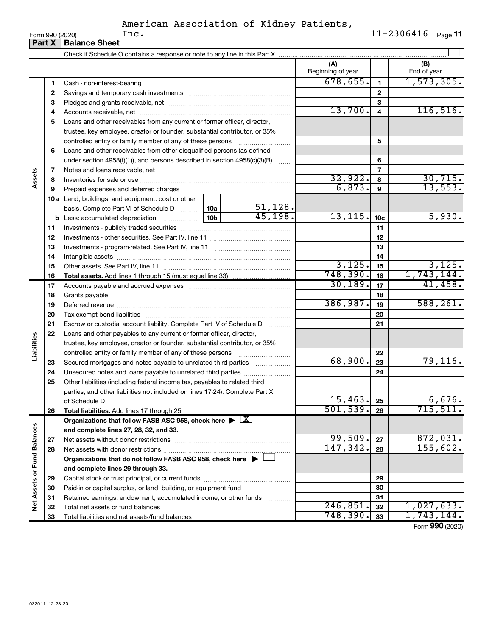|                 |      | American Association of Kidney Patients, |  |                        |  |
|-----------------|------|------------------------------------------|--|------------------------|--|
| Form 990 (2020) | Inc. |                                          |  | $11 - 2306416$ Page 11 |  |

| (A)<br>(B)<br>Beginning of year<br>End of year<br>678,655.<br>$\mathbf{1}$<br>1<br>$\mathbf{2}$<br>$\mathbf{2}$<br>3<br>З<br>13,700.<br>116,516.<br>$\overline{4}$<br>4<br>Loans and other receivables from any current or former officer, director,<br>5<br>trustee, key employee, creator or founder, substantial contributor, or 35%<br>5<br>controlled entity or family member of any of these persons<br>Loans and other receivables from other disqualified persons (as defined<br>6<br>6<br>under section $4958(f)(1)$ , and persons described in section $4958(c)(3)(B)$<br>$\ldots$<br>$\overline{7}$<br>Assets<br>7<br>32,922.<br>$\frac{30,715}{13,553}$<br>8<br>8<br>6,873.<br>$\mathbf{9}$<br>Prepaid expenses and deferred charges<br>9<br>10a Land, buildings, and equipment: cost or other<br>51,128.<br>basis. Complete Part VI of Schedule D  10a<br>45, 198.<br>13, 115.<br>5,930.<br>10b<br>10 <sub>c</sub><br><b>b</b> Less: accumulated depreciation<br>11<br>11<br>12<br>12<br>13<br>13<br>14<br>14<br>3,125.<br>3,125.<br>15<br>15<br>748,390.<br>1,743,144.<br>16<br>16<br>30, 189.<br>41,458.<br>17<br>17<br>18<br>18<br>386,987.<br>588, 261.<br>19<br>19<br>20<br>20<br>21<br>Escrow or custodial account liability. Complete Part IV of Schedule D<br>21<br>22<br>Loans and other payables to any current or former officer, director,<br>Liabilities<br>trustee, key employee, creator or founder, substantial contributor, or 35%<br>22<br>controlled entity or family member of any of these persons [<br>68,900.<br>79, 116.<br>23<br>Secured mortgages and notes payable to unrelated third parties<br>23<br>24<br>24<br>Unsecured notes and loans payable to unrelated third parties<br>25<br>Other liabilities (including federal income tax, payables to related third<br>parties, and other liabilities not included on lines 17-24). Complete Part X<br>15, 463.<br>6,676.<br>25<br>of Schedule D<br>501, 539.<br>715, 511.<br>26<br>26<br>Total liabilities. Add lines 17 through 25<br>Organizations that follow FASB ASC 958, check here $\blacktriangleright \lfloor \underline{X} \rfloor$<br>Net Assets or Fund Balances<br>and complete lines 27, 28, 32, and 33.<br>99,509.<br>872,031.<br>27<br>27<br>155,602.<br>147, 342.<br>28<br>28<br>Organizations that do not follow FASB ASC 958, check here $\blacktriangleright \bot$<br>and complete lines 29 through 33.<br>29<br>29<br>Paid-in or capital surplus, or land, building, or equipment fund<br>30<br>30<br>Retained earnings, endowment, accumulated income, or other funds<br>31<br>31<br>246,851.<br>32<br>32<br>748,390.<br>1,743,144.<br>33<br>33 |  | <b>Part X   Balance Sheet</b> |  |  |  |            |
|----------------------------------------------------------------------------------------------------------------------------------------------------------------------------------------------------------------------------------------------------------------------------------------------------------------------------------------------------------------------------------------------------------------------------------------------------------------------------------------------------------------------------------------------------------------------------------------------------------------------------------------------------------------------------------------------------------------------------------------------------------------------------------------------------------------------------------------------------------------------------------------------------------------------------------------------------------------------------------------------------------------------------------------------------------------------------------------------------------------------------------------------------------------------------------------------------------------------------------------------------------------------------------------------------------------------------------------------------------------------------------------------------------------------------------------------------------------------------------------------------------------------------------------------------------------------------------------------------------------------------------------------------------------------------------------------------------------------------------------------------------------------------------------------------------------------------------------------------------------------------------------------------------------------------------------------------------------------------------------------------------------------------------------------------------------------------------------------------------------------------------------------------------------------------------------------------------------------------------------------------------------------------------------------------------------------------------------------------------------------------------------------------------------------------------------------------------------------------------------------------------------------------------------------------------------------------------------------------------------------------------------------------------------|--|-------------------------------|--|--|--|------------|
|                                                                                                                                                                                                                                                                                                                                                                                                                                                                                                                                                                                                                                                                                                                                                                                                                                                                                                                                                                                                                                                                                                                                                                                                                                                                                                                                                                                                                                                                                                                                                                                                                                                                                                                                                                                                                                                                                                                                                                                                                                                                                                                                                                                                                                                                                                                                                                                                                                                                                                                                                                                                                                                                |  |                               |  |  |  |            |
|                                                                                                                                                                                                                                                                                                                                                                                                                                                                                                                                                                                                                                                                                                                                                                                                                                                                                                                                                                                                                                                                                                                                                                                                                                                                                                                                                                                                                                                                                                                                                                                                                                                                                                                                                                                                                                                                                                                                                                                                                                                                                                                                                                                                                                                                                                                                                                                                                                                                                                                                                                                                                                                                |  |                               |  |  |  |            |
|                                                                                                                                                                                                                                                                                                                                                                                                                                                                                                                                                                                                                                                                                                                                                                                                                                                                                                                                                                                                                                                                                                                                                                                                                                                                                                                                                                                                                                                                                                                                                                                                                                                                                                                                                                                                                                                                                                                                                                                                                                                                                                                                                                                                                                                                                                                                                                                                                                                                                                                                                                                                                                                                |  |                               |  |  |  | 1,573,305. |
|                                                                                                                                                                                                                                                                                                                                                                                                                                                                                                                                                                                                                                                                                                                                                                                                                                                                                                                                                                                                                                                                                                                                                                                                                                                                                                                                                                                                                                                                                                                                                                                                                                                                                                                                                                                                                                                                                                                                                                                                                                                                                                                                                                                                                                                                                                                                                                                                                                                                                                                                                                                                                                                                |  |                               |  |  |  |            |
|                                                                                                                                                                                                                                                                                                                                                                                                                                                                                                                                                                                                                                                                                                                                                                                                                                                                                                                                                                                                                                                                                                                                                                                                                                                                                                                                                                                                                                                                                                                                                                                                                                                                                                                                                                                                                                                                                                                                                                                                                                                                                                                                                                                                                                                                                                                                                                                                                                                                                                                                                                                                                                                                |  |                               |  |  |  |            |
|                                                                                                                                                                                                                                                                                                                                                                                                                                                                                                                                                                                                                                                                                                                                                                                                                                                                                                                                                                                                                                                                                                                                                                                                                                                                                                                                                                                                                                                                                                                                                                                                                                                                                                                                                                                                                                                                                                                                                                                                                                                                                                                                                                                                                                                                                                                                                                                                                                                                                                                                                                                                                                                                |  |                               |  |  |  |            |
|                                                                                                                                                                                                                                                                                                                                                                                                                                                                                                                                                                                                                                                                                                                                                                                                                                                                                                                                                                                                                                                                                                                                                                                                                                                                                                                                                                                                                                                                                                                                                                                                                                                                                                                                                                                                                                                                                                                                                                                                                                                                                                                                                                                                                                                                                                                                                                                                                                                                                                                                                                                                                                                                |  |                               |  |  |  |            |
|                                                                                                                                                                                                                                                                                                                                                                                                                                                                                                                                                                                                                                                                                                                                                                                                                                                                                                                                                                                                                                                                                                                                                                                                                                                                                                                                                                                                                                                                                                                                                                                                                                                                                                                                                                                                                                                                                                                                                                                                                                                                                                                                                                                                                                                                                                                                                                                                                                                                                                                                                                                                                                                                |  |                               |  |  |  |            |
|                                                                                                                                                                                                                                                                                                                                                                                                                                                                                                                                                                                                                                                                                                                                                                                                                                                                                                                                                                                                                                                                                                                                                                                                                                                                                                                                                                                                                                                                                                                                                                                                                                                                                                                                                                                                                                                                                                                                                                                                                                                                                                                                                                                                                                                                                                                                                                                                                                                                                                                                                                                                                                                                |  |                               |  |  |  |            |
|                                                                                                                                                                                                                                                                                                                                                                                                                                                                                                                                                                                                                                                                                                                                                                                                                                                                                                                                                                                                                                                                                                                                                                                                                                                                                                                                                                                                                                                                                                                                                                                                                                                                                                                                                                                                                                                                                                                                                                                                                                                                                                                                                                                                                                                                                                                                                                                                                                                                                                                                                                                                                                                                |  |                               |  |  |  |            |
|                                                                                                                                                                                                                                                                                                                                                                                                                                                                                                                                                                                                                                                                                                                                                                                                                                                                                                                                                                                                                                                                                                                                                                                                                                                                                                                                                                                                                                                                                                                                                                                                                                                                                                                                                                                                                                                                                                                                                                                                                                                                                                                                                                                                                                                                                                                                                                                                                                                                                                                                                                                                                                                                |  |                               |  |  |  |            |
|                                                                                                                                                                                                                                                                                                                                                                                                                                                                                                                                                                                                                                                                                                                                                                                                                                                                                                                                                                                                                                                                                                                                                                                                                                                                                                                                                                                                                                                                                                                                                                                                                                                                                                                                                                                                                                                                                                                                                                                                                                                                                                                                                                                                                                                                                                                                                                                                                                                                                                                                                                                                                                                                |  |                               |  |  |  |            |
|                                                                                                                                                                                                                                                                                                                                                                                                                                                                                                                                                                                                                                                                                                                                                                                                                                                                                                                                                                                                                                                                                                                                                                                                                                                                                                                                                                                                                                                                                                                                                                                                                                                                                                                                                                                                                                                                                                                                                                                                                                                                                                                                                                                                                                                                                                                                                                                                                                                                                                                                                                                                                                                                |  |                               |  |  |  |            |
|                                                                                                                                                                                                                                                                                                                                                                                                                                                                                                                                                                                                                                                                                                                                                                                                                                                                                                                                                                                                                                                                                                                                                                                                                                                                                                                                                                                                                                                                                                                                                                                                                                                                                                                                                                                                                                                                                                                                                                                                                                                                                                                                                                                                                                                                                                                                                                                                                                                                                                                                                                                                                                                                |  |                               |  |  |  |            |
|                                                                                                                                                                                                                                                                                                                                                                                                                                                                                                                                                                                                                                                                                                                                                                                                                                                                                                                                                                                                                                                                                                                                                                                                                                                                                                                                                                                                                                                                                                                                                                                                                                                                                                                                                                                                                                                                                                                                                                                                                                                                                                                                                                                                                                                                                                                                                                                                                                                                                                                                                                                                                                                                |  |                               |  |  |  |            |
|                                                                                                                                                                                                                                                                                                                                                                                                                                                                                                                                                                                                                                                                                                                                                                                                                                                                                                                                                                                                                                                                                                                                                                                                                                                                                                                                                                                                                                                                                                                                                                                                                                                                                                                                                                                                                                                                                                                                                                                                                                                                                                                                                                                                                                                                                                                                                                                                                                                                                                                                                                                                                                                                |  |                               |  |  |  |            |
|                                                                                                                                                                                                                                                                                                                                                                                                                                                                                                                                                                                                                                                                                                                                                                                                                                                                                                                                                                                                                                                                                                                                                                                                                                                                                                                                                                                                                                                                                                                                                                                                                                                                                                                                                                                                                                                                                                                                                                                                                                                                                                                                                                                                                                                                                                                                                                                                                                                                                                                                                                                                                                                                |  |                               |  |  |  |            |
|                                                                                                                                                                                                                                                                                                                                                                                                                                                                                                                                                                                                                                                                                                                                                                                                                                                                                                                                                                                                                                                                                                                                                                                                                                                                                                                                                                                                                                                                                                                                                                                                                                                                                                                                                                                                                                                                                                                                                                                                                                                                                                                                                                                                                                                                                                                                                                                                                                                                                                                                                                                                                                                                |  |                               |  |  |  |            |
|                                                                                                                                                                                                                                                                                                                                                                                                                                                                                                                                                                                                                                                                                                                                                                                                                                                                                                                                                                                                                                                                                                                                                                                                                                                                                                                                                                                                                                                                                                                                                                                                                                                                                                                                                                                                                                                                                                                                                                                                                                                                                                                                                                                                                                                                                                                                                                                                                                                                                                                                                                                                                                                                |  |                               |  |  |  |            |
|                                                                                                                                                                                                                                                                                                                                                                                                                                                                                                                                                                                                                                                                                                                                                                                                                                                                                                                                                                                                                                                                                                                                                                                                                                                                                                                                                                                                                                                                                                                                                                                                                                                                                                                                                                                                                                                                                                                                                                                                                                                                                                                                                                                                                                                                                                                                                                                                                                                                                                                                                                                                                                                                |  |                               |  |  |  |            |
|                                                                                                                                                                                                                                                                                                                                                                                                                                                                                                                                                                                                                                                                                                                                                                                                                                                                                                                                                                                                                                                                                                                                                                                                                                                                                                                                                                                                                                                                                                                                                                                                                                                                                                                                                                                                                                                                                                                                                                                                                                                                                                                                                                                                                                                                                                                                                                                                                                                                                                                                                                                                                                                                |  |                               |  |  |  |            |
|                                                                                                                                                                                                                                                                                                                                                                                                                                                                                                                                                                                                                                                                                                                                                                                                                                                                                                                                                                                                                                                                                                                                                                                                                                                                                                                                                                                                                                                                                                                                                                                                                                                                                                                                                                                                                                                                                                                                                                                                                                                                                                                                                                                                                                                                                                                                                                                                                                                                                                                                                                                                                                                                |  |                               |  |  |  |            |
|                                                                                                                                                                                                                                                                                                                                                                                                                                                                                                                                                                                                                                                                                                                                                                                                                                                                                                                                                                                                                                                                                                                                                                                                                                                                                                                                                                                                                                                                                                                                                                                                                                                                                                                                                                                                                                                                                                                                                                                                                                                                                                                                                                                                                                                                                                                                                                                                                                                                                                                                                                                                                                                                |  |                               |  |  |  |            |
|                                                                                                                                                                                                                                                                                                                                                                                                                                                                                                                                                                                                                                                                                                                                                                                                                                                                                                                                                                                                                                                                                                                                                                                                                                                                                                                                                                                                                                                                                                                                                                                                                                                                                                                                                                                                                                                                                                                                                                                                                                                                                                                                                                                                                                                                                                                                                                                                                                                                                                                                                                                                                                                                |  |                               |  |  |  |            |
|                                                                                                                                                                                                                                                                                                                                                                                                                                                                                                                                                                                                                                                                                                                                                                                                                                                                                                                                                                                                                                                                                                                                                                                                                                                                                                                                                                                                                                                                                                                                                                                                                                                                                                                                                                                                                                                                                                                                                                                                                                                                                                                                                                                                                                                                                                                                                                                                                                                                                                                                                                                                                                                                |  |                               |  |  |  |            |
|                                                                                                                                                                                                                                                                                                                                                                                                                                                                                                                                                                                                                                                                                                                                                                                                                                                                                                                                                                                                                                                                                                                                                                                                                                                                                                                                                                                                                                                                                                                                                                                                                                                                                                                                                                                                                                                                                                                                                                                                                                                                                                                                                                                                                                                                                                                                                                                                                                                                                                                                                                                                                                                                |  |                               |  |  |  |            |
|                                                                                                                                                                                                                                                                                                                                                                                                                                                                                                                                                                                                                                                                                                                                                                                                                                                                                                                                                                                                                                                                                                                                                                                                                                                                                                                                                                                                                                                                                                                                                                                                                                                                                                                                                                                                                                                                                                                                                                                                                                                                                                                                                                                                                                                                                                                                                                                                                                                                                                                                                                                                                                                                |  |                               |  |  |  |            |
|                                                                                                                                                                                                                                                                                                                                                                                                                                                                                                                                                                                                                                                                                                                                                                                                                                                                                                                                                                                                                                                                                                                                                                                                                                                                                                                                                                                                                                                                                                                                                                                                                                                                                                                                                                                                                                                                                                                                                                                                                                                                                                                                                                                                                                                                                                                                                                                                                                                                                                                                                                                                                                                                |  |                               |  |  |  |            |
|                                                                                                                                                                                                                                                                                                                                                                                                                                                                                                                                                                                                                                                                                                                                                                                                                                                                                                                                                                                                                                                                                                                                                                                                                                                                                                                                                                                                                                                                                                                                                                                                                                                                                                                                                                                                                                                                                                                                                                                                                                                                                                                                                                                                                                                                                                                                                                                                                                                                                                                                                                                                                                                                |  |                               |  |  |  |            |
|                                                                                                                                                                                                                                                                                                                                                                                                                                                                                                                                                                                                                                                                                                                                                                                                                                                                                                                                                                                                                                                                                                                                                                                                                                                                                                                                                                                                                                                                                                                                                                                                                                                                                                                                                                                                                                                                                                                                                                                                                                                                                                                                                                                                                                                                                                                                                                                                                                                                                                                                                                                                                                                                |  |                               |  |  |  |            |
|                                                                                                                                                                                                                                                                                                                                                                                                                                                                                                                                                                                                                                                                                                                                                                                                                                                                                                                                                                                                                                                                                                                                                                                                                                                                                                                                                                                                                                                                                                                                                                                                                                                                                                                                                                                                                                                                                                                                                                                                                                                                                                                                                                                                                                                                                                                                                                                                                                                                                                                                                                                                                                                                |  |                               |  |  |  |            |
|                                                                                                                                                                                                                                                                                                                                                                                                                                                                                                                                                                                                                                                                                                                                                                                                                                                                                                                                                                                                                                                                                                                                                                                                                                                                                                                                                                                                                                                                                                                                                                                                                                                                                                                                                                                                                                                                                                                                                                                                                                                                                                                                                                                                                                                                                                                                                                                                                                                                                                                                                                                                                                                                |  |                               |  |  |  |            |
|                                                                                                                                                                                                                                                                                                                                                                                                                                                                                                                                                                                                                                                                                                                                                                                                                                                                                                                                                                                                                                                                                                                                                                                                                                                                                                                                                                                                                                                                                                                                                                                                                                                                                                                                                                                                                                                                                                                                                                                                                                                                                                                                                                                                                                                                                                                                                                                                                                                                                                                                                                                                                                                                |  |                               |  |  |  |            |
|                                                                                                                                                                                                                                                                                                                                                                                                                                                                                                                                                                                                                                                                                                                                                                                                                                                                                                                                                                                                                                                                                                                                                                                                                                                                                                                                                                                                                                                                                                                                                                                                                                                                                                                                                                                                                                                                                                                                                                                                                                                                                                                                                                                                                                                                                                                                                                                                                                                                                                                                                                                                                                                                |  |                               |  |  |  |            |
|                                                                                                                                                                                                                                                                                                                                                                                                                                                                                                                                                                                                                                                                                                                                                                                                                                                                                                                                                                                                                                                                                                                                                                                                                                                                                                                                                                                                                                                                                                                                                                                                                                                                                                                                                                                                                                                                                                                                                                                                                                                                                                                                                                                                                                                                                                                                                                                                                                                                                                                                                                                                                                                                |  |                               |  |  |  |            |
|                                                                                                                                                                                                                                                                                                                                                                                                                                                                                                                                                                                                                                                                                                                                                                                                                                                                                                                                                                                                                                                                                                                                                                                                                                                                                                                                                                                                                                                                                                                                                                                                                                                                                                                                                                                                                                                                                                                                                                                                                                                                                                                                                                                                                                                                                                                                                                                                                                                                                                                                                                                                                                                                |  |                               |  |  |  |            |
|                                                                                                                                                                                                                                                                                                                                                                                                                                                                                                                                                                                                                                                                                                                                                                                                                                                                                                                                                                                                                                                                                                                                                                                                                                                                                                                                                                                                                                                                                                                                                                                                                                                                                                                                                                                                                                                                                                                                                                                                                                                                                                                                                                                                                                                                                                                                                                                                                                                                                                                                                                                                                                                                |  |                               |  |  |  |            |
|                                                                                                                                                                                                                                                                                                                                                                                                                                                                                                                                                                                                                                                                                                                                                                                                                                                                                                                                                                                                                                                                                                                                                                                                                                                                                                                                                                                                                                                                                                                                                                                                                                                                                                                                                                                                                                                                                                                                                                                                                                                                                                                                                                                                                                                                                                                                                                                                                                                                                                                                                                                                                                                                |  |                               |  |  |  |            |
|                                                                                                                                                                                                                                                                                                                                                                                                                                                                                                                                                                                                                                                                                                                                                                                                                                                                                                                                                                                                                                                                                                                                                                                                                                                                                                                                                                                                                                                                                                                                                                                                                                                                                                                                                                                                                                                                                                                                                                                                                                                                                                                                                                                                                                                                                                                                                                                                                                                                                                                                                                                                                                                                |  |                               |  |  |  |            |
|                                                                                                                                                                                                                                                                                                                                                                                                                                                                                                                                                                                                                                                                                                                                                                                                                                                                                                                                                                                                                                                                                                                                                                                                                                                                                                                                                                                                                                                                                                                                                                                                                                                                                                                                                                                                                                                                                                                                                                                                                                                                                                                                                                                                                                                                                                                                                                                                                                                                                                                                                                                                                                                                |  |                               |  |  |  |            |
|                                                                                                                                                                                                                                                                                                                                                                                                                                                                                                                                                                                                                                                                                                                                                                                                                                                                                                                                                                                                                                                                                                                                                                                                                                                                                                                                                                                                                                                                                                                                                                                                                                                                                                                                                                                                                                                                                                                                                                                                                                                                                                                                                                                                                                                                                                                                                                                                                                                                                                                                                                                                                                                                |  |                               |  |  |  |            |
|                                                                                                                                                                                                                                                                                                                                                                                                                                                                                                                                                                                                                                                                                                                                                                                                                                                                                                                                                                                                                                                                                                                                                                                                                                                                                                                                                                                                                                                                                                                                                                                                                                                                                                                                                                                                                                                                                                                                                                                                                                                                                                                                                                                                                                                                                                                                                                                                                                                                                                                                                                                                                                                                |  |                               |  |  |  |            |
|                                                                                                                                                                                                                                                                                                                                                                                                                                                                                                                                                                                                                                                                                                                                                                                                                                                                                                                                                                                                                                                                                                                                                                                                                                                                                                                                                                                                                                                                                                                                                                                                                                                                                                                                                                                                                                                                                                                                                                                                                                                                                                                                                                                                                                                                                                                                                                                                                                                                                                                                                                                                                                                                |  |                               |  |  |  |            |
|                                                                                                                                                                                                                                                                                                                                                                                                                                                                                                                                                                                                                                                                                                                                                                                                                                                                                                                                                                                                                                                                                                                                                                                                                                                                                                                                                                                                                                                                                                                                                                                                                                                                                                                                                                                                                                                                                                                                                                                                                                                                                                                                                                                                                                                                                                                                                                                                                                                                                                                                                                                                                                                                |  |                               |  |  |  |            |
|                                                                                                                                                                                                                                                                                                                                                                                                                                                                                                                                                                                                                                                                                                                                                                                                                                                                                                                                                                                                                                                                                                                                                                                                                                                                                                                                                                                                                                                                                                                                                                                                                                                                                                                                                                                                                                                                                                                                                                                                                                                                                                                                                                                                                                                                                                                                                                                                                                                                                                                                                                                                                                                                |  |                               |  |  |  |            |
|                                                                                                                                                                                                                                                                                                                                                                                                                                                                                                                                                                                                                                                                                                                                                                                                                                                                                                                                                                                                                                                                                                                                                                                                                                                                                                                                                                                                                                                                                                                                                                                                                                                                                                                                                                                                                                                                                                                                                                                                                                                                                                                                                                                                                                                                                                                                                                                                                                                                                                                                                                                                                                                                |  |                               |  |  |  | 1,027,633. |
|                                                                                                                                                                                                                                                                                                                                                                                                                                                                                                                                                                                                                                                                                                                                                                                                                                                                                                                                                                                                                                                                                                                                                                                                                                                                                                                                                                                                                                                                                                                                                                                                                                                                                                                                                                                                                                                                                                                                                                                                                                                                                                                                                                                                                                                                                                                                                                                                                                                                                                                                                                                                                                                                |  |                               |  |  |  |            |

Form (2020) **990**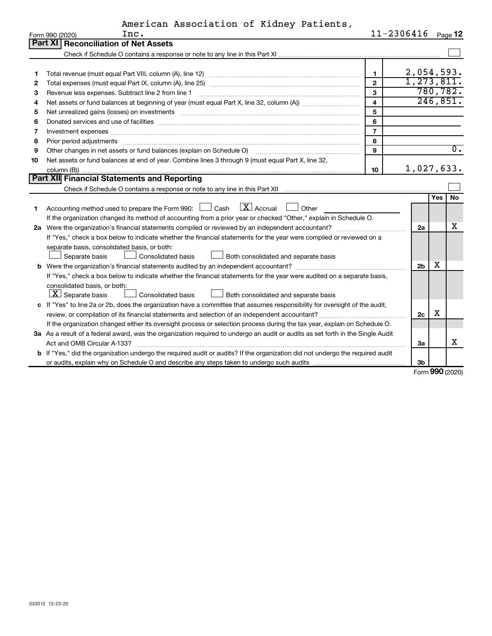|           | American Association of Kidney Patients, |  |                |
|-----------|------------------------------------------|--|----------------|
| $T_{max}$ |                                          |  | $11 - 2306116$ |

|    | Form 990 (2020)<br>inc.                                                                                                                                                                                                        | $11 - 2306416$          |                |            | Page 12          |
|----|--------------------------------------------------------------------------------------------------------------------------------------------------------------------------------------------------------------------------------|-------------------------|----------------|------------|------------------|
|    | <b>Part XI Reconciliation of Net Assets</b>                                                                                                                                                                                    |                         |                |            |                  |
|    |                                                                                                                                                                                                                                |                         |                |            |                  |
|    |                                                                                                                                                                                                                                |                         |                |            |                  |
| 1  |                                                                                                                                                                                                                                | $\mathbf{1}$            | 2,054,593.     |            |                  |
| 2  |                                                                                                                                                                                                                                | $\overline{2}$          | 1, 273, 811.   |            |                  |
| з  |                                                                                                                                                                                                                                | $\mathbf{3}$            | 780,782.       |            |                  |
| 4  |                                                                                                                                                                                                                                | $\overline{\mathbf{4}}$ | 246,851.       |            |                  |
| 5  |                                                                                                                                                                                                                                | 5                       |                |            |                  |
| 6  | Donated services and use of facilities [[111] matter contracts and use of facilities [[11] matter contracts and use of facilities [[11] matter contracts and use of facilities [[11] matter contracts and a service contract o | 6                       |                |            |                  |
| 7  | Investment expenses www.communication.com/www.communication.com/www.communication.com/www.com                                                                                                                                  | $\overline{7}$          |                |            |                  |
| 8  | Prior period adjustments www.communication.communication.communication.com                                                                                                                                                     | 8                       |                |            |                  |
| 9  | Other changes in net assets or fund balances (explain on Schedule O)                                                                                                                                                           | 9                       |                |            | $\overline{0}$ . |
| 10 | Net assets or fund balances at end of year. Combine lines 3 through 9 (must equal Part X, line 32,                                                                                                                             |                         |                |            |                  |
|    |                                                                                                                                                                                                                                | 10                      | 1,027,633.     |            |                  |
|    | Part XII Financial Statements and Reporting                                                                                                                                                                                    |                         |                |            |                  |
|    |                                                                                                                                                                                                                                |                         |                |            |                  |
|    |                                                                                                                                                                                                                                |                         |                | <b>Yes</b> | <b>No</b>        |
| 1. | $\lfloor$ X $\rfloor$ Accrual<br>Accounting method used to prepare the Form 990: [130] Cash<br>Other                                                                                                                           |                         |                |            |                  |
|    | If the organization changed its method of accounting from a prior year or checked "Other," explain in Schedule O.                                                                                                              |                         |                |            |                  |
|    |                                                                                                                                                                                                                                |                         | 2a             |            | x                |
|    | If "Yes," check a box below to indicate whether the financial statements for the year were compiled or reviewed on a                                                                                                           |                         |                |            |                  |
|    | separate basis, consolidated basis, or both:                                                                                                                                                                                   |                         |                |            |                  |
|    | Both consolidated and separate basis<br>Consolidated basis<br>Separate basis                                                                                                                                                   |                         |                |            |                  |
|    | <b>b</b> Were the organization's financial statements audited by an independent accountant?                                                                                                                                    |                         | 2 <sub>b</sub> | х          |                  |
|    | If "Yes," check a box below to indicate whether the financial statements for the year were audited on a separate basis,                                                                                                        |                         |                |            |                  |
|    | consolidated basis, or both:                                                                                                                                                                                                   |                         |                |            |                  |
|    | $ \mathbf{X} $ Separate basis<br><b>Consolidated basis</b><br>Both consolidated and separate basis                                                                                                                             |                         |                |            |                  |
|    | c If "Yes" to line 2a or 2b, does the organization have a committee that assumes responsibility for oversight of the audit,                                                                                                    |                         |                |            |                  |
|    |                                                                                                                                                                                                                                |                         | 2 <sub>c</sub> | x          |                  |
|    | If the organization changed either its oversight process or selection process during the tax year, explain on Schedule O.                                                                                                      |                         |                |            |                  |
|    | 3a As a result of a federal award, was the organization required to undergo an audit or audits as set forth in the Single Audit                                                                                                |                         |                |            |                  |
|    |                                                                                                                                                                                                                                |                         | За             |            | X                |
|    | b If "Yes," did the organization undergo the required audit or audits? If the organization did not undergo the required audit                                                                                                  |                         |                |            |                  |
|    |                                                                                                                                                                                                                                |                         | Зb             |            |                  |

Form (2020) **990**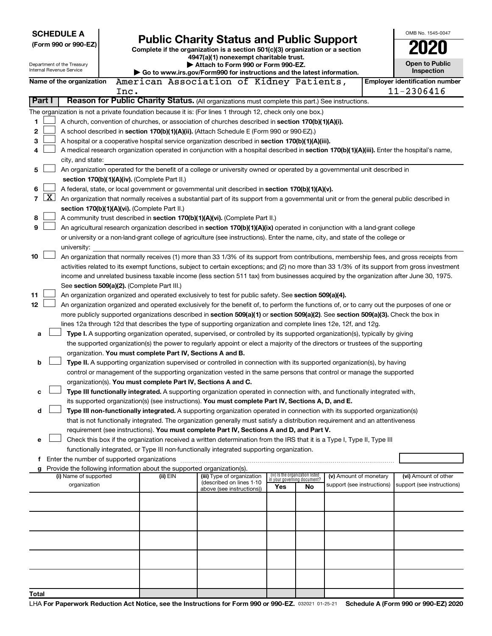| <b>SCHEDULE A</b><br>(Form 990 or 990-EZ)<br>Department of the Treasury                                 |                                                                                                                                            |                          | <b>Public Charity Status and Public Support</b><br>Complete if the organization is a section 501(c)(3) organization or a section<br>4947(a)(1) nonexempt charitable trust.<br>Attach to Form 990 or Form 990-EZ. |                                                                          |                                                                                                                                                                                                                      |                                    |    |                            |  | OMB No. 1545-0047<br><b>Open to Public</b>          |
|---------------------------------------------------------------------------------------------------------|--------------------------------------------------------------------------------------------------------------------------------------------|--------------------------|------------------------------------------------------------------------------------------------------------------------------------------------------------------------------------------------------------------|--------------------------------------------------------------------------|----------------------------------------------------------------------------------------------------------------------------------------------------------------------------------------------------------------------|------------------------------------|----|----------------------------|--|-----------------------------------------------------|
|                                                                                                         |                                                                                                                                            | Internal Revenue Service |                                                                                                                                                                                                                  |                                                                          | Go to www.irs.gov/Form990 for instructions and the latest information.                                                                                                                                               |                                    |    |                            |  | Inspection                                          |
|                                                                                                         |                                                                                                                                            | Name of the organization | Inc.                                                                                                                                                                                                             |                                                                          | American Association of Kidney Patients,                                                                                                                                                                             |                                    |    |                            |  | <b>Employer identification number</b><br>11-2306416 |
|                                                                                                         | Part I                                                                                                                                     |                          |                                                                                                                                                                                                                  |                                                                          | Reason for Public Charity Status. (All organizations must complete this part.) See instructions.                                                                                                                     |                                    |    |                            |  |                                                     |
|                                                                                                         |                                                                                                                                            |                          |                                                                                                                                                                                                                  |                                                                          | The organization is not a private foundation because it is: (For lines 1 through 12, check only one box.)                                                                                                            |                                    |    |                            |  |                                                     |
| 1<br>A church, convention of churches, or association of churches described in section 170(b)(1)(A)(i). |                                                                                                                                            |                          |                                                                                                                                                                                                                  |                                                                          |                                                                                                                                                                                                                      |                                    |    |                            |  |                                                     |
| 2                                                                                                       | A school described in section 170(b)(1)(A)(ii). (Attach Schedule E (Form 990 or 990-EZ).)                                                  |                          |                                                                                                                                                                                                                  |                                                                          |                                                                                                                                                                                                                      |                                    |    |                            |  |                                                     |
| 3                                                                                                       |                                                                                                                                            |                          |                                                                                                                                                                                                                  |                                                                          | A hospital or a cooperative hospital service organization described in section 170(b)(1)(A)(iii).                                                                                                                    |                                    |    |                            |  |                                                     |
| 4                                                                                                       | A medical research organization operated in conjunction with a hospital described in section 170(b)(1)(A)(iii). Enter the hospital's name, |                          |                                                                                                                                                                                                                  |                                                                          |                                                                                                                                                                                                                      |                                    |    |                            |  |                                                     |
|                                                                                                         |                                                                                                                                            | city, and state:         |                                                                                                                                                                                                                  |                                                                          |                                                                                                                                                                                                                      |                                    |    |                            |  |                                                     |
| 5                                                                                                       |                                                                                                                                            |                          |                                                                                                                                                                                                                  |                                                                          | An organization operated for the benefit of a college or university owned or operated by a governmental unit described in                                                                                            |                                    |    |                            |  |                                                     |
|                                                                                                         |                                                                                                                                            |                          |                                                                                                                                                                                                                  | section 170(b)(1)(A)(iv). (Complete Part II.)                            |                                                                                                                                                                                                                      |                                    |    |                            |  |                                                     |
| 6                                                                                                       |                                                                                                                                            |                          |                                                                                                                                                                                                                  |                                                                          | A federal, state, or local government or governmental unit described in section 170(b)(1)(A)(v).                                                                                                                     |                                    |    |                            |  |                                                     |
| $\overline{7}$                                                                                          | $\mathbf{X}$                                                                                                                               |                          |                                                                                                                                                                                                                  |                                                                          | An organization that normally receives a substantial part of its support from a governmental unit or from the general public described in                                                                            |                                    |    |                            |  |                                                     |
|                                                                                                         |                                                                                                                                            |                          |                                                                                                                                                                                                                  | section 170(b)(1)(A)(vi). (Complete Part II.)                            |                                                                                                                                                                                                                      |                                    |    |                            |  |                                                     |
| 8                                                                                                       |                                                                                                                                            |                          |                                                                                                                                                                                                                  |                                                                          | A community trust described in section 170(b)(1)(A)(vi). (Complete Part II.)                                                                                                                                         |                                    |    |                            |  |                                                     |
| 9                                                                                                       |                                                                                                                                            |                          |                                                                                                                                                                                                                  |                                                                          | An agricultural research organization described in section 170(b)(1)(A)(ix) operated in conjunction with a land-grant college                                                                                        |                                    |    |                            |  |                                                     |
|                                                                                                         |                                                                                                                                            |                          |                                                                                                                                                                                                                  |                                                                          | or university or a non-land-grant college of agriculture (see instructions). Enter the name, city, and state of the college or                                                                                       |                                    |    |                            |  |                                                     |
|                                                                                                         |                                                                                                                                            | university:              |                                                                                                                                                                                                                  |                                                                          |                                                                                                                                                                                                                      |                                    |    |                            |  |                                                     |
| 10                                                                                                      |                                                                                                                                            |                          |                                                                                                                                                                                                                  |                                                                          | An organization that normally receives (1) more than 33 1/3% of its support from contributions, membership fees, and gross receipts from                                                                             |                                    |    |                            |  |                                                     |
|                                                                                                         |                                                                                                                                            |                          |                                                                                                                                                                                                                  |                                                                          | activities related to its exempt functions, subject to certain exceptions; and (2) no more than 33 1/3% of its support from gross investment                                                                         |                                    |    |                            |  |                                                     |
|                                                                                                         |                                                                                                                                            |                          |                                                                                                                                                                                                                  |                                                                          | income and unrelated business taxable income (less section 511 tax) from businesses acquired by the organization after June 30, 1975.                                                                                |                                    |    |                            |  |                                                     |
|                                                                                                         |                                                                                                                                            |                          |                                                                                                                                                                                                                  | See section 509(a)(2). (Complete Part III.)                              |                                                                                                                                                                                                                      |                                    |    |                            |  |                                                     |
| 11                                                                                                      |                                                                                                                                            |                          |                                                                                                                                                                                                                  |                                                                          | An organization organized and operated exclusively to test for public safety. See section 509(a)(4).                                                                                                                 |                                    |    |                            |  |                                                     |
| 12                                                                                                      |                                                                                                                                            |                          |                                                                                                                                                                                                                  |                                                                          | An organization organized and operated exclusively for the benefit of, to perform the functions of, or to carry out the purposes of one or                                                                           |                                    |    |                            |  |                                                     |
|                                                                                                         |                                                                                                                                            |                          |                                                                                                                                                                                                                  |                                                                          | more publicly supported organizations described in section 509(a)(1) or section 509(a)(2). See section 509(a)(3). Check the box in                                                                                   |                                    |    |                            |  |                                                     |
|                                                                                                         |                                                                                                                                            |                          |                                                                                                                                                                                                                  |                                                                          | lines 12a through 12d that describes the type of supporting organization and complete lines 12e, 12f, and 12g.                                                                                                       |                                    |    |                            |  |                                                     |
| a                                                                                                       |                                                                                                                                            |                          |                                                                                                                                                                                                                  |                                                                          | Type I. A supporting organization operated, supervised, or controlled by its supported organization(s), typically by giving                                                                                          |                                    |    |                            |  |                                                     |
|                                                                                                         |                                                                                                                                            |                          |                                                                                                                                                                                                                  |                                                                          | the supported organization(s) the power to regularly appoint or elect a majority of the directors or trustees of the supporting                                                                                      |                                    |    |                            |  |                                                     |
|                                                                                                         |                                                                                                                                            |                          |                                                                                                                                                                                                                  | organization. You must complete Part IV, Sections A and B.               |                                                                                                                                                                                                                      |                                    |    |                            |  |                                                     |
| b                                                                                                       |                                                                                                                                            |                          |                                                                                                                                                                                                                  |                                                                          | Type II. A supporting organization supervised or controlled in connection with its supported organization(s), by having                                                                                              |                                    |    |                            |  |                                                     |
|                                                                                                         |                                                                                                                                            |                          |                                                                                                                                                                                                                  |                                                                          | control or management of the supporting organization vested in the same persons that control or manage the supported                                                                                                 |                                    |    |                            |  |                                                     |
|                                                                                                         |                                                                                                                                            |                          |                                                                                                                                                                                                                  | organization(s). You must complete Part IV, Sections A and C.            |                                                                                                                                                                                                                      |                                    |    |                            |  |                                                     |
|                                                                                                         |                                                                                                                                            |                          |                                                                                                                                                                                                                  |                                                                          | Type III functionally integrated. A supporting organization operated in connection with, and functionally integrated with,                                                                                           |                                    |    |                            |  |                                                     |
|                                                                                                         |                                                                                                                                            |                          |                                                                                                                                                                                                                  |                                                                          | its supported organization(s) (see instructions). You must complete Part IV, Sections A, D, and E.                                                                                                                   |                                    |    |                            |  |                                                     |
| d                                                                                                       |                                                                                                                                            |                          |                                                                                                                                                                                                                  |                                                                          | Type III non-functionally integrated. A supporting organization operated in connection with its supported organization(s)                                                                                            |                                    |    |                            |  |                                                     |
|                                                                                                         |                                                                                                                                            |                          |                                                                                                                                                                                                                  |                                                                          | that is not functionally integrated. The organization generally must satisfy a distribution requirement and an attentiveness                                                                                         |                                    |    |                            |  |                                                     |
|                                                                                                         |                                                                                                                                            |                          |                                                                                                                                                                                                                  |                                                                          | requirement (see instructions). You must complete Part IV, Sections A and D, and Part V.                                                                                                                             |                                    |    |                            |  |                                                     |
| е                                                                                                       |                                                                                                                                            |                          |                                                                                                                                                                                                                  |                                                                          | Check this box if the organization received a written determination from the IRS that it is a Type I, Type II, Type III<br>functionally integrated, or Type III non-functionally integrated supporting organization. |                                    |    |                            |  |                                                     |
|                                                                                                         |                                                                                                                                            |                          |                                                                                                                                                                                                                  |                                                                          |                                                                                                                                                                                                                      |                                    |    |                            |  |                                                     |
|                                                                                                         |                                                                                                                                            |                          |                                                                                                                                                                                                                  | g Provide the following information about the supported organization(s). |                                                                                                                                                                                                                      |                                    |    |                            |  |                                                     |
|                                                                                                         |                                                                                                                                            | (i) Name of supported    |                                                                                                                                                                                                                  | (ii) EIN                                                                 | (iii) Type of organization                                                                                                                                                                                           | (iv) Is the organization listed    |    | (v) Amount of monetary     |  | (vi) Amount of other                                |
|                                                                                                         |                                                                                                                                            | organization             |                                                                                                                                                                                                                  |                                                                          | (described on lines 1-10)<br>above (see instructions))                                                                                                                                                               | in vour aovernina document?<br>Yes | No | support (see instructions) |  | support (see instructions)                          |
|                                                                                                         |                                                                                                                                            |                          |                                                                                                                                                                                                                  |                                                                          |                                                                                                                                                                                                                      |                                    |    |                            |  |                                                     |
|                                                                                                         |                                                                                                                                            |                          |                                                                                                                                                                                                                  |                                                                          |                                                                                                                                                                                                                      |                                    |    |                            |  |                                                     |
|                                                                                                         |                                                                                                                                            |                          |                                                                                                                                                                                                                  |                                                                          |                                                                                                                                                                                                                      |                                    |    |                            |  |                                                     |
|                                                                                                         |                                                                                                                                            |                          |                                                                                                                                                                                                                  |                                                                          |                                                                                                                                                                                                                      |                                    |    |                            |  |                                                     |
|                                                                                                         |                                                                                                                                            |                          |                                                                                                                                                                                                                  |                                                                          |                                                                                                                                                                                                                      |                                    |    |                            |  |                                                     |
|                                                                                                         |                                                                                                                                            |                          |                                                                                                                                                                                                                  |                                                                          |                                                                                                                                                                                                                      |                                    |    |                            |  |                                                     |
|                                                                                                         |                                                                                                                                            |                          |                                                                                                                                                                                                                  |                                                                          |                                                                                                                                                                                                                      |                                    |    |                            |  |                                                     |
|                                                                                                         |                                                                                                                                            |                          |                                                                                                                                                                                                                  |                                                                          |                                                                                                                                                                                                                      |                                    |    |                            |  |                                                     |
|                                                                                                         |                                                                                                                                            |                          |                                                                                                                                                                                                                  |                                                                          |                                                                                                                                                                                                                      |                                    |    |                            |  |                                                     |
|                                                                                                         |                                                                                                                                            |                          |                                                                                                                                                                                                                  |                                                                          |                                                                                                                                                                                                                      |                                    |    |                            |  |                                                     |
| Total                                                                                                   |                                                                                                                                            |                          |                                                                                                                                                                                                                  |                                                                          |                                                                                                                                                                                                                      |                                    |    |                            |  |                                                     |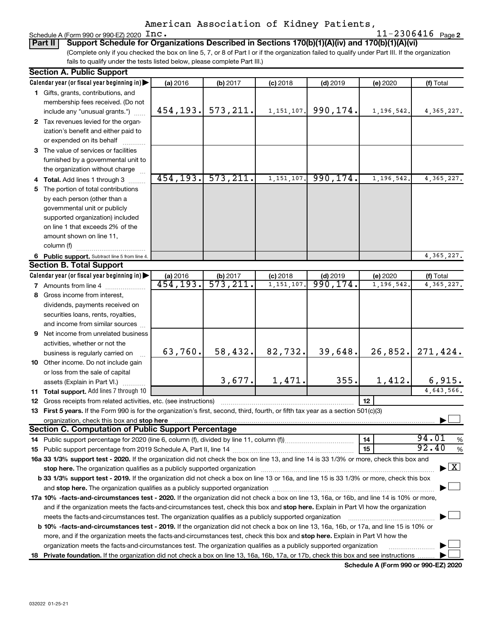|  | Schedule A (Form 990 or 990-EZ) 2020 $\text{Inc.}$ |  | $11 - 2306416$ Page 2 |  |
|--|----------------------------------------------------|--|-----------------------|--|
|--|----------------------------------------------------|--|-----------------------|--|

(Complete only if you checked the box on line 5, 7, or 8 of Part I or if the organization failed to qualify under Part III. If the organization fails to qualify under the tests listed below, please complete Part III.) **Part II Support Schedule for Organizations Described in Sections 170(b)(1)(A)(iv) and 170(b)(1)(A)(vi)**

| <b>Section A. Public Support</b>                                                                                                                                                                                                          |                       |                                  |              |            |            |                                          |  |
|-------------------------------------------------------------------------------------------------------------------------------------------------------------------------------------------------------------------------------------------|-----------------------|----------------------------------|--------------|------------|------------|------------------------------------------|--|
| Calendar year (or fiscal year beginning in)                                                                                                                                                                                               | (a) 2016              | (b) 2017                         | $(c)$ 2018   | $(d)$ 2019 | (e) 2020   | (f) Total                                |  |
| 1 Gifts, grants, contributions, and                                                                                                                                                                                                       |                       |                                  |              |            |            |                                          |  |
| membership fees received. (Do not                                                                                                                                                                                                         |                       |                                  |              |            |            |                                          |  |
| include any "unusual grants.")                                                                                                                                                                                                            | 454,193.              | 573, 211.                        | 1, 151, 107. | 990,174.   | 1,196,542. | 4, 365, 227.                             |  |
| 2 Tax revenues levied for the organ-                                                                                                                                                                                                      |                       |                                  |              |            |            |                                          |  |
| ization's benefit and either paid to                                                                                                                                                                                                      |                       |                                  |              |            |            |                                          |  |
| or expended on its behalf                                                                                                                                                                                                                 |                       |                                  |              |            |            |                                          |  |
| 3 The value of services or facilities                                                                                                                                                                                                     |                       |                                  |              |            |            |                                          |  |
| furnished by a governmental unit to                                                                                                                                                                                                       |                       |                                  |              |            |            |                                          |  |
| the organization without charge                                                                                                                                                                                                           |                       |                                  |              |            |            |                                          |  |
| 4 Total. Add lines 1 through 3                                                                                                                                                                                                            | 454, 193.             | 573, 211.                        | 1,151,107.   | 990, 174.  | 1,196,542  | 4,365,227.                               |  |
| 5 The portion of total contributions                                                                                                                                                                                                      |                       |                                  |              |            |            |                                          |  |
| by each person (other than a                                                                                                                                                                                                              |                       |                                  |              |            |            |                                          |  |
| governmental unit or publicly                                                                                                                                                                                                             |                       |                                  |              |            |            |                                          |  |
| supported organization) included                                                                                                                                                                                                          |                       |                                  |              |            |            |                                          |  |
| on line 1 that exceeds 2% of the                                                                                                                                                                                                          |                       |                                  |              |            |            |                                          |  |
| amount shown on line 11,                                                                                                                                                                                                                  |                       |                                  |              |            |            |                                          |  |
| column (f)                                                                                                                                                                                                                                |                       |                                  |              |            |            |                                          |  |
| 6 Public support. Subtract line 5 from line 4.                                                                                                                                                                                            |                       |                                  |              |            |            | 4, 365, 227.                             |  |
| <b>Section B. Total Support</b>                                                                                                                                                                                                           |                       |                                  |              |            |            |                                          |  |
| Calendar year (or fiscal year beginning in)                                                                                                                                                                                               | (a) 2016              |                                  | $(c)$ 2018   | $(d)$ 2019 | (e) 2020   | (f) Total                                |  |
| <b>7</b> Amounts from line 4                                                                                                                                                                                                              | $\overline{454,193.}$ | $\frac{1}{573}, \frac{211}{211}$ | 1, 151, 107  | 990, 174.  | 1,196,542  | 4,365,227.                               |  |
| 8 Gross income from interest,                                                                                                                                                                                                             |                       |                                  |              |            |            |                                          |  |
| dividends, payments received on                                                                                                                                                                                                           |                       |                                  |              |            |            |                                          |  |
| securities loans, rents, royalties,                                                                                                                                                                                                       |                       |                                  |              |            |            |                                          |  |
| and income from similar sources                                                                                                                                                                                                           |                       |                                  |              |            |            |                                          |  |
| 9 Net income from unrelated business                                                                                                                                                                                                      |                       |                                  |              |            |            |                                          |  |
| activities, whether or not the                                                                                                                                                                                                            |                       |                                  |              |            |            |                                          |  |
| business is regularly carried on                                                                                                                                                                                                          | 63,760.               | 58,432.                          | 82,732.      | 39,648.    | 26,852.    | 271,424.                                 |  |
| 10 Other income. Do not include gain                                                                                                                                                                                                      |                       |                                  |              |            |            |                                          |  |
| or loss from the sale of capital                                                                                                                                                                                                          |                       |                                  |              |            |            |                                          |  |
| assets (Explain in Part VI.)                                                                                                                                                                                                              |                       | 3,677.                           | 1,471.       | 355.       | 1,412.     | 6,915.                                   |  |
| 11 Total support. Add lines 7 through 10                                                                                                                                                                                                  |                       |                                  |              |            |            | 4,643,566.                               |  |
| <b>12</b> Gross receipts from related activities, etc. (see instructions)                                                                                                                                                                 |                       |                                  |              |            | 12         |                                          |  |
| 13 First 5 years. If the Form 990 is for the organization's first, second, third, fourth, or fifth tax year as a section 501(c)(3)                                                                                                        |                       |                                  |              |            |            |                                          |  |
| organization, check this box and stop here <b>contractly contractly contractly and stress</b> or contract the box and stop here <b>contractly and the contractly contractly contractly contractly and stress or contractly contract t</b> |                       |                                  |              |            |            |                                          |  |
| <b>Section C. Computation of Public Support Percentage</b>                                                                                                                                                                                |                       |                                  |              |            |            |                                          |  |
|                                                                                                                                                                                                                                           |                       |                                  |              |            | 14         | 94.01<br>%                               |  |
|                                                                                                                                                                                                                                           |                       |                                  |              |            | 15         | 92.40<br>$\%$                            |  |
| 16a 33 1/3% support test - 2020. If the organization did not check the box on line 13, and line 14 is 33 1/3% or more, check this box and                                                                                                 |                       |                                  |              |            |            |                                          |  |
| stop here. The organization qualifies as a publicly supported organization manufactured content and the support of the state of the state of the state of the state of the state of the state of the state of the state of the            |                       |                                  |              |            |            | $\blacktriangleright$ $\boxed{\text{X}}$ |  |
| b 33 1/3% support test - 2019. If the organization did not check a box on line 13 or 16a, and line 15 is 33 1/3% or more, check this box                                                                                                  |                       |                                  |              |            |            |                                          |  |
|                                                                                                                                                                                                                                           |                       |                                  |              |            |            |                                          |  |
| 17a 10% -facts-and-circumstances test - 2020. If the organization did not check a box on line 13, 16a, or 16b, and line 14 is 10% or more,                                                                                                |                       |                                  |              |            |            |                                          |  |
| and if the organization meets the facts-and-circumstances test, check this box and stop here. Explain in Part VI how the organization                                                                                                     |                       |                                  |              |            |            |                                          |  |
| meets the facts-and-circumstances test. The organization qualifies as a publicly supported organization                                                                                                                                   |                       |                                  |              |            |            |                                          |  |
| <b>b 10% -facts-and-circumstances test - 2019.</b> If the organization did not check a box on line 13, 16a, 16b, or 17a, and line 15 is 10% or                                                                                            |                       |                                  |              |            |            |                                          |  |
| more, and if the organization meets the facts-and-circumstances test, check this box and stop here. Explain in Part VI how the                                                                                                            |                       |                                  |              |            |            |                                          |  |
| organization meets the facts-and-circumstances test. The organization qualifies as a publicly supported organization                                                                                                                      |                       |                                  |              |            |            |                                          |  |
| 18 Private foundation. If the organization did not check a box on line 13, 16a, 16b, 17a, or 17b, check this box and see instructions                                                                                                     |                       |                                  |              |            |            |                                          |  |

**Schedule A (Form 990 or 990-EZ) 2020**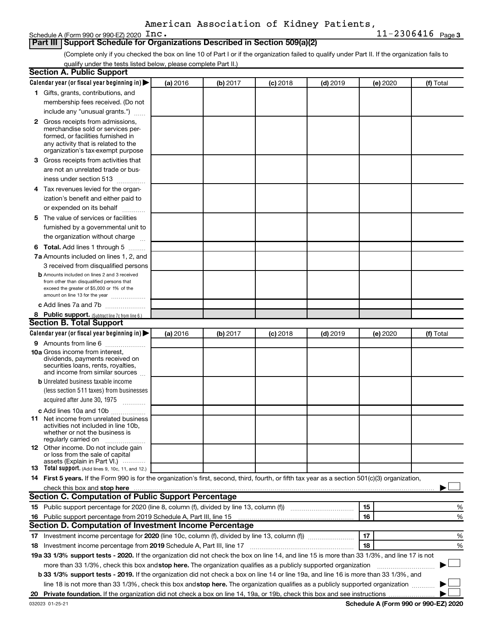Schedule A (Form 990 or 990-EZ) 2020  $\text{Inc}$ .

### **Part III Support Schedule for Organizations Described in Section 509(a)(2)**

(Complete only if you checked the box on line 10 of Part I or if the organization failed to qualify under Part II. If the organization fails to qualify under the tests listed below, please complete Part II.)

| <b>Section A. Public Support</b>                                                                                                                                                                                                         |          |          |            |            |          |           |
|------------------------------------------------------------------------------------------------------------------------------------------------------------------------------------------------------------------------------------------|----------|----------|------------|------------|----------|-----------|
| Calendar year (or fiscal year beginning in)                                                                                                                                                                                              | (a) 2016 | (b) 2017 | $(c)$ 2018 | $(d)$ 2019 | (e) 2020 | (f) Total |
| 1 Gifts, grants, contributions, and                                                                                                                                                                                                      |          |          |            |            |          |           |
| membership fees received. (Do not                                                                                                                                                                                                        |          |          |            |            |          |           |
| include any "unusual grants.")                                                                                                                                                                                                           |          |          |            |            |          |           |
| <b>2</b> Gross receipts from admissions,                                                                                                                                                                                                 |          |          |            |            |          |           |
| merchandise sold or services per-                                                                                                                                                                                                        |          |          |            |            |          |           |
| formed, or facilities furnished in<br>any activity that is related to the                                                                                                                                                                |          |          |            |            |          |           |
| organization's tax-exempt purpose                                                                                                                                                                                                        |          |          |            |            |          |           |
| 3 Gross receipts from activities that                                                                                                                                                                                                    |          |          |            |            |          |           |
| are not an unrelated trade or bus-                                                                                                                                                                                                       |          |          |            |            |          |           |
| iness under section 513                                                                                                                                                                                                                  |          |          |            |            |          |           |
| 4 Tax revenues levied for the organ-                                                                                                                                                                                                     |          |          |            |            |          |           |
| ization's benefit and either paid to                                                                                                                                                                                                     |          |          |            |            |          |           |
| or expended on its behalf                                                                                                                                                                                                                |          |          |            |            |          |           |
| 5 The value of services or facilities                                                                                                                                                                                                    |          |          |            |            |          |           |
| furnished by a governmental unit to                                                                                                                                                                                                      |          |          |            |            |          |           |
| the organization without charge                                                                                                                                                                                                          |          |          |            |            |          |           |
| 6 Total. Add lines 1 through 5                                                                                                                                                                                                           |          |          |            |            |          |           |
| 7a Amounts included on lines 1, 2, and                                                                                                                                                                                                   |          |          |            |            |          |           |
| 3 received from disqualified persons                                                                                                                                                                                                     |          |          |            |            |          |           |
| <b>b</b> Amounts included on lines 2 and 3 received                                                                                                                                                                                      |          |          |            |            |          |           |
| from other than disqualified persons that                                                                                                                                                                                                |          |          |            |            |          |           |
| exceed the greater of \$5,000 or 1% of the                                                                                                                                                                                               |          |          |            |            |          |           |
| amount on line 13 for the year                                                                                                                                                                                                           |          |          |            |            |          |           |
| c Add lines 7a and 7b                                                                                                                                                                                                                    |          |          |            |            |          |           |
| 8 Public support. (Subtract line 7c from line 6.)<br><b>Section B. Total Support</b>                                                                                                                                                     |          |          |            |            |          |           |
|                                                                                                                                                                                                                                          |          |          |            |            |          |           |
| Calendar year (or fiscal year beginning in)                                                                                                                                                                                              | (a) 2016 | (b) 2017 | $(c)$ 2018 | $(d)$ 2019 | (e) 2020 | (f) Total |
| 9 Amounts from line 6<br><b>10a</b> Gross income from interest,                                                                                                                                                                          |          |          |            |            |          |           |
| dividends, payments received on                                                                                                                                                                                                          |          |          |            |            |          |           |
| securities loans, rents, royalties,                                                                                                                                                                                                      |          |          |            |            |          |           |
| and income from similar sources                                                                                                                                                                                                          |          |          |            |            |          |           |
| <b>b</b> Unrelated business taxable income                                                                                                                                                                                               |          |          |            |            |          |           |
| (less section 511 taxes) from businesses                                                                                                                                                                                                 |          |          |            |            |          |           |
| acquired after June 30, 1975                                                                                                                                                                                                             |          |          |            |            |          |           |
| c Add lines 10a and 10b                                                                                                                                                                                                                  |          |          |            |            |          |           |
| <b>11</b> Net income from unrelated business<br>activities not included in line 10b.                                                                                                                                                     |          |          |            |            |          |           |
| whether or not the business is                                                                                                                                                                                                           |          |          |            |            |          |           |
| regularly carried on                                                                                                                                                                                                                     |          |          |            |            |          |           |
| 12 Other income. Do not include gain                                                                                                                                                                                                     |          |          |            |            |          |           |
| or loss from the sale of capital<br>assets (Explain in Part VI.)                                                                                                                                                                         |          |          |            |            |          |           |
| <b>13</b> Total support. (Add lines 9, 10c, 11, and 12.)                                                                                                                                                                                 |          |          |            |            |          |           |
| 14 First 5 years. If the Form 990 is for the organization's first, second, third, fourth, or fifth tax year as a section 501(c)(3) organization,                                                                                         |          |          |            |            |          |           |
| check this box and stop here <b>construction and construction</b> and check this box and stop here <b>construction</b> and construction and construction and construction and construction and construction and construction and constru |          |          |            |            |          |           |
| Section C. Computation of Public Support Percentage                                                                                                                                                                                      |          |          |            |            |          |           |
|                                                                                                                                                                                                                                          |          |          |            |            | 15       | ℅         |
| 16 Public support percentage from 2019 Schedule A, Part III, line 15                                                                                                                                                                     |          |          |            |            | 16       | %         |
| Section D. Computation of Investment Income Percentage                                                                                                                                                                                   |          |          |            |            |          |           |
|                                                                                                                                                                                                                                          |          |          |            |            | 17       | %         |
| 18 Investment income percentage from 2019 Schedule A, Part III, line 17                                                                                                                                                                  |          |          |            |            | 18       | %         |
| 19a 33 1/3% support tests - 2020. If the organization did not check the box on line 14, and line 15 is more than 33 1/3%, and line 17 is not                                                                                             |          |          |            |            |          |           |
| more than 33 1/3%, check this box and stop here. The organization qualifies as a publicly supported organization                                                                                                                         |          |          |            |            |          |           |
| <b>b 33 1/3% support tests - 2019.</b> If the organization did not check a box on line 14 or line 19a, and line 16 is more than 33 1/3%, and                                                                                             |          |          |            |            |          |           |
| line 18 is not more than 33 1/3%, check this box and stop here. The organization qualifies as a publicly supported organization                                                                                                          |          |          |            |            |          |           |
|                                                                                                                                                                                                                                          |          |          |            |            |          |           |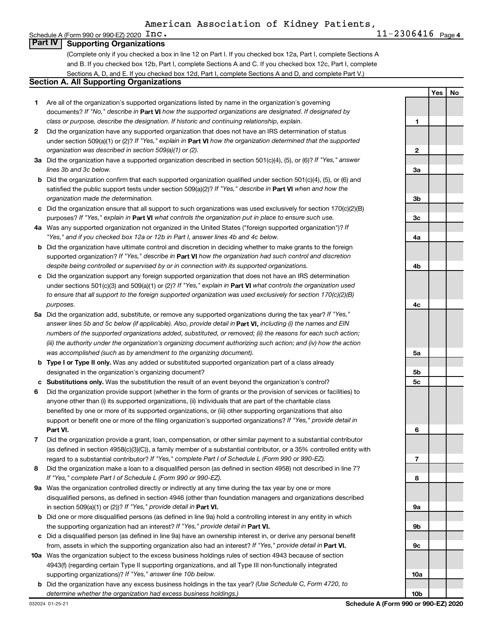### Schedule A (Form 990 or 990-EZ) 2020  $\text{Inc}$ . **Part IV Supporting Organizations**

(Complete only if you checked a box in line 12 on Part I. If you checked box 12a, Part I, complete Sections A and B. If you checked box 12b, Part I, complete Sections A and C. If you checked box 12c, Part I, complete Sections A, D, and E. If you checked box 12d, Part I, complete Sections A and D, and complete Part V.)

### **Section A. All Supporting Organizations**

- **1** Are all of the organization's supported organizations listed by name in the organization's governing documents? If "No," describe in Part VI how the supported organizations are designated. If designated by *class or purpose, describe the designation. If historic and continuing relationship, explain.*
- **2** Did the organization have any supported organization that does not have an IRS determination of status under section 509(a)(1) or (2)? If "Yes," explain in Part **VI** how the organization determined that the supported *organization was described in section 509(a)(1) or (2).*
- **3a** Did the organization have a supported organization described in section 501(c)(4), (5), or (6)? If "Yes," answer *lines 3b and 3c below.*
- **b** Did the organization confirm that each supported organization qualified under section 501(c)(4), (5), or (6) and satisfied the public support tests under section 509(a)(2)? If "Yes," describe in Part VI when and how the *organization made the determination.*
- **c** Did the organization ensure that all support to such organizations was used exclusively for section 170(c)(2)(B) purposes? If "Yes," explain in Part VI what controls the organization put in place to ensure such use.
- **4 a** *If* Was any supported organization not organized in the United States ("foreign supported organization")? *"Yes," and if you checked box 12a or 12b in Part I, answer lines 4b and 4c below.*
- **b** Did the organization have ultimate control and discretion in deciding whether to make grants to the foreign supported organization? If "Yes," describe in Part VI how the organization had such control and discretion *despite being controlled or supervised by or in connection with its supported organizations.*
- **c** Did the organization support any foreign supported organization that does not have an IRS determination under sections 501(c)(3) and 509(a)(1) or (2)? If "Yes," explain in Part VI what controls the organization used *to ensure that all support to the foreign supported organization was used exclusively for section 170(c)(2)(B) purposes.*
- **5a** Did the organization add, substitute, or remove any supported organizations during the tax year? If "Yes," answer lines 5b and 5c below (if applicable). Also, provide detail in **Part VI,** including (i) the names and EIN *numbers of the supported organizations added, substituted, or removed; (ii) the reasons for each such action; (iii) the authority under the organization's organizing document authorizing such action; and (iv) how the action was accomplished (such as by amendment to the organizing document).*
- **b** Type I or Type II only. Was any added or substituted supported organization part of a class already designated in the organization's organizing document?
- **c Substitutions only.**  Was the substitution the result of an event beyond the organization's control?
- **6** Did the organization provide support (whether in the form of grants or the provision of services or facilities) to **Part VI.** support or benefit one or more of the filing organization's supported organizations? If "Yes," provide detail in anyone other than (i) its supported organizations, (ii) individuals that are part of the charitable class benefited by one or more of its supported organizations, or (iii) other supporting organizations that also
- **7** Did the organization provide a grant, loan, compensation, or other similar payment to a substantial contributor regard to a substantial contributor? If "Yes," complete Part I of Schedule L (Form 990 or 990-EZ). (as defined in section 4958(c)(3)(C)), a family member of a substantial contributor, or a 35% controlled entity with
- **8** Did the organization make a loan to a disqualified person (as defined in section 4958) not described in line 7? *If "Yes," complete Part I of Schedule L (Form 990 or 990-EZ).*
- **9 a** Was the organization controlled directly or indirectly at any time during the tax year by one or more in section 509(a)(1) or (2))? If "Yes," provide detail in **Part VI.** disqualified persons, as defined in section 4946 (other than foundation managers and organizations described
- **b** Did one or more disqualified persons (as defined in line 9a) hold a controlling interest in any entity in which the supporting organization had an interest? If "Yes," provide detail in Part VI.
- **c** Did a disqualified person (as defined in line 9a) have an ownership interest in, or derive any personal benefit from, assets in which the supporting organization also had an interest? If "Yes," provide detail in Part VI.
- **10 a** Was the organization subject to the excess business holdings rules of section 4943 because of section supporting organizations)? If "Yes," answer line 10b below. 4943(f) (regarding certain Type II supporting organizations, and all Type III non-functionally integrated
	- **b** Did the organization have any excess business holdings in the tax year? (Use Schedule C, Form 4720, to *determine whether the organization had excess business holdings.)*

**Yes No 1 2 3a 3b 3c 4a 4b 4c 5a 5b 5c 6 7 8 9a 9b 9c 10a 10b**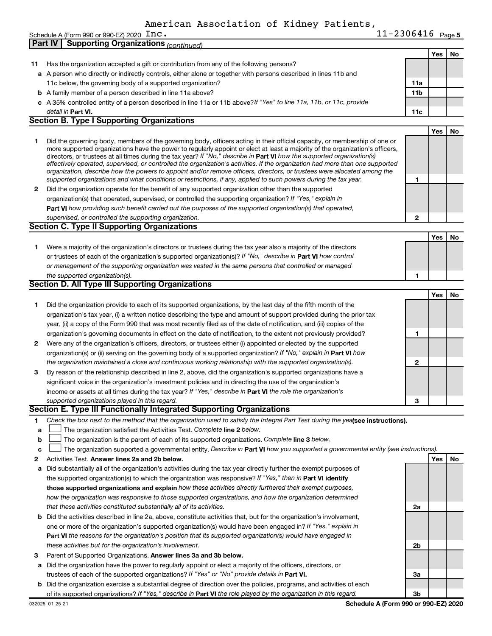|    | $11 - 2306416$ Page 5<br>Schedule A (Form 990 or 990-EZ) 2020 $\;$ $\rm Inc.$                                                                                                                                                                            |              |     |    |
|----|----------------------------------------------------------------------------------------------------------------------------------------------------------------------------------------------------------------------------------------------------------|--------------|-----|----|
|    | <b>Supporting Organizations (continued)</b><br>Part IV                                                                                                                                                                                                   |              |     |    |
|    |                                                                                                                                                                                                                                                          |              | Yes | No |
| 11 | Has the organization accepted a gift or contribution from any of the following persons?                                                                                                                                                                  |              |     |    |
|    | a A person who directly or indirectly controls, either alone or together with persons described in lines 11b and                                                                                                                                         |              |     |    |
|    | 11c below, the governing body of a supported organization?                                                                                                                                                                                               | 11a          |     |    |
|    | <b>b</b> A family member of a person described in line 11a above?                                                                                                                                                                                        | 11b          |     |    |
|    | c A 35% controlled entity of a person described in line 11a or 11b above?If "Yes" to line 11a, 11b, or 11c, provide                                                                                                                                      |              |     |    |
|    | detail in Part VI.                                                                                                                                                                                                                                       | 11c          |     |    |
|    | <b>Section B. Type I Supporting Organizations</b>                                                                                                                                                                                                        |              |     |    |
|    |                                                                                                                                                                                                                                                          |              | Yes | No |
| 1. | Did the governing body, members of the governing body, officers acting in their official capacity, or membership of one or                                                                                                                               |              |     |    |
|    | more supported organizations have the power to regularly appoint or elect at least a majority of the organization's officers,<br>directors, or trustees at all times during the tax year? If "No," describe in Part VI how the supported organization(s) |              |     |    |
|    | effectively operated, supervised, or controlled the organization's activities. If the organization had more than one supported                                                                                                                           |              |     |    |
|    | organization, describe how the powers to appoint and/or remove officers, directors, or trustees were allocated among the                                                                                                                                 |              |     |    |
|    | supported organizations and what conditions or restrictions, if any, applied to such powers during the tax year.                                                                                                                                         | 1            |     |    |
| 2  | Did the organization operate for the benefit of any supported organization other than the supported                                                                                                                                                      |              |     |    |
|    | organization(s) that operated, supervised, or controlled the supporting organization? If "Yes," explain in                                                                                                                                               |              |     |    |
|    | Part VI how providing such benefit carried out the purposes of the supported organization(s) that operated,                                                                                                                                              |              |     |    |
|    | supervised, or controlled the supporting organization.                                                                                                                                                                                                   | $\mathbf{2}$ |     |    |
|    | <b>Section C. Type II Supporting Organizations</b>                                                                                                                                                                                                       |              |     |    |
|    |                                                                                                                                                                                                                                                          |              | Yes | No |
| 1. | Were a majority of the organization's directors or trustees during the tax year also a majority of the directors                                                                                                                                         |              |     |    |
|    | or trustees of each of the organization's supported organization(s)? If "No," describe in Part VI how control                                                                                                                                            |              |     |    |
|    | or management of the supporting organization was vested in the same persons that controlled or managed                                                                                                                                                   |              |     |    |
|    | the supported organization(s).                                                                                                                                                                                                                           | 1            |     |    |
|    | <b>Section D. All Type III Supporting Organizations</b>                                                                                                                                                                                                  |              |     |    |
|    |                                                                                                                                                                                                                                                          |              | Yes | No |
| 1. | Did the organization provide to each of its supported organizations, by the last day of the fifth month of the                                                                                                                                           |              |     |    |
|    | organization's tax year, (i) a written notice describing the type and amount of support provided during the prior tax                                                                                                                                    |              |     |    |
|    | year, (ii) a copy of the Form 990 that was most recently filed as of the date of notification, and (iii) copies of the                                                                                                                                   |              |     |    |
|    | organization's governing documents in effect on the date of notification, to the extent not previously provided?                                                                                                                                         | 1            |     |    |
| 2  | Were any of the organization's officers, directors, or trustees either (i) appointed or elected by the supported                                                                                                                                         |              |     |    |
|    | organization(s) or (ii) serving on the governing body of a supported organization? If "No," explain in Part VI how                                                                                                                                       |              |     |    |
|    | the organization maintained a close and continuous working relationship with the supported organization(s).                                                                                                                                              | 2            |     |    |
| 3  | By reason of the relationship described in line 2, above, did the organization's supported organizations have a                                                                                                                                          |              |     |    |
|    | significant voice in the organization's investment policies and in directing the use of the organization's                                                                                                                                               |              |     |    |
|    | income or assets at all times during the tax year? If "Yes," describe in Part VI the role the organization's                                                                                                                                             |              |     |    |
|    | supported organizations played in this regard.                                                                                                                                                                                                           | з            |     |    |
|    | Section E. Type III Functionally Integrated Supporting Organizations                                                                                                                                                                                     |              |     |    |
| 1  |                                                                                                                                                                                                                                                          |              |     |    |
| a  | Check the box next to the method that the organization used to satisfy the Integral Part Test during the yealsee instructions).                                                                                                                          |              |     |    |
|    | The organization satisfied the Activities Test. Complete line 2 below.                                                                                                                                                                                   |              |     |    |
| b  | The organization is the parent of each of its supported organizations. Complete line 3 below.                                                                                                                                                            |              |     |    |
| с  | The organization supported a governmental entity. Describe in Part VI how you supported a governmental entity (see instructions).                                                                                                                        |              |     |    |
| 2  | Activities Test. Answer lines 2a and 2b below.                                                                                                                                                                                                           |              | Yes | No |
| а  | Did substantially all of the organization's activities during the tax year directly further the exempt purposes of                                                                                                                                       |              |     |    |
|    | the supported organization(s) to which the organization was responsive? If "Yes," then in Part VI identify                                                                                                                                               |              |     |    |
|    | those supported organizations and explain how these activities directly furthered their exempt purposes,                                                                                                                                                 |              |     |    |
|    | how the organization was responsive to those supported organizations, and how the organization determined                                                                                                                                                |              |     |    |
|    | that these activities constituted substantially all of its activities.                                                                                                                                                                                   | 2a           |     |    |
|    | <b>b</b> Did the activities described in line 2a, above, constitute activities that, but for the organization's involvement,<br>one or more of the organization's supported organization(s) would have been engaged in? If "Yes," explain in             |              |     |    |

- 3 Parent of Supported Organizations. Answer lines 3a and 3b below. *these activities but for the organization's involvement.*
- **a** Did the organization have the power to regularly appoint or elect a majority of the officers, directors, or trustees of each of the supported organizations? If "Yes" or "No" provide details in Part VI.
- **b** Did the organization exercise a substantial degree of direction over the policies, programs, and activities of each of its supported organizations? If "Yes," describe in Part VI the role played by the organization in this regard.

**Part VI**  *the reasons for the organization's position that its supported organization(s) would have engaged in*

**Schedule A (Form 990 or 990-EZ) 2020**

**2b**

**3a**

**3b**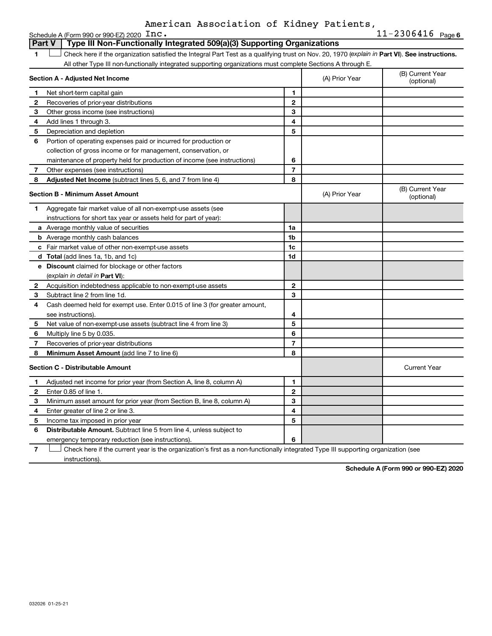|              | Part V<br>Type III Non-Functionally Integrated 509(a)(3) Supporting Organizations                                                              |                |                |                                |
|--------------|------------------------------------------------------------------------------------------------------------------------------------------------|----------------|----------------|--------------------------------|
| 1            | Check here if the organization satisfied the Integral Part Test as a qualifying trust on Nov. 20, 1970 (explain in Part VI). See instructions. |                |                |                                |
|              | All other Type III non-functionally integrated supporting organizations must complete Sections A through E.                                    |                |                |                                |
|              | Section A - Adjusted Net Income                                                                                                                |                | (A) Prior Year | (B) Current Year<br>(optional) |
| 1            | Net short-term capital gain                                                                                                                    | 1              |                |                                |
| $\mathbf{2}$ | Recoveries of prior-year distributions                                                                                                         | $\mathbf{2}$   |                |                                |
| 3            | Other gross income (see instructions)                                                                                                          | 3              |                |                                |
| 4            | Add lines 1 through 3.                                                                                                                         | 4              |                |                                |
| 5            | Depreciation and depletion                                                                                                                     | 5              |                |                                |
| 6            | Portion of operating expenses paid or incurred for production or                                                                               |                |                |                                |
|              | collection of gross income or for management, conservation, or                                                                                 |                |                |                                |
|              | maintenance of property held for production of income (see instructions)                                                                       | 6              |                |                                |
| 7            | Other expenses (see instructions)                                                                                                              | $\overline{7}$ |                |                                |
| 8            | <b>Adjusted Net Income</b> (subtract lines 5, 6, and 7 from line 4)                                                                            | 8              |                |                                |
|              | <b>Section B - Minimum Asset Amount</b>                                                                                                        |                | (A) Prior Year | (B) Current Year<br>(optional) |
| 1.           | Aggregate fair market value of all non-exempt-use assets (see                                                                                  |                |                |                                |
|              | instructions for short tax year or assets held for part of year):                                                                              |                |                |                                |
|              | a Average monthly value of securities                                                                                                          | 1a             |                |                                |
|              | <b>b</b> Average monthly cash balances                                                                                                         | 1b             |                |                                |
|              | c Fair market value of other non-exempt-use assets                                                                                             | 1c             |                |                                |
|              | <b>d</b> Total (add lines 1a, 1b, and 1c)                                                                                                      | 1d             |                |                                |
|              | <b>e</b> Discount claimed for blockage or other factors                                                                                        |                |                |                                |
|              | (explain in detail in <b>Part VI</b> ):                                                                                                        |                |                |                                |
| 2            | Acquisition indebtedness applicable to non-exempt-use assets                                                                                   | $\mathbf{2}$   |                |                                |
| 3            | Subtract line 2 from line 1d.                                                                                                                  | 3              |                |                                |
| 4            | Cash deemed held for exempt use. Enter 0.015 of line 3 (for greater amount,                                                                    |                |                |                                |
|              | see instructions).                                                                                                                             | 4              |                |                                |
| 5            | Net value of non-exempt-use assets (subtract line 4 from line 3)                                                                               | 5              |                |                                |
| 6            | Multiply line 5 by 0.035.                                                                                                                      | 6              |                |                                |
| 7            | Recoveries of prior-year distributions                                                                                                         | $\overline{7}$ |                |                                |
| 8            | Minimum Asset Amount (add line 7 to line 6)                                                                                                    | 8              |                |                                |
|              | Section C - Distributable Amount                                                                                                               |                |                | <b>Current Year</b>            |
| 1            | Adjusted net income for prior year (from Section A, line 8, column A)                                                                          | 1              |                |                                |
| $\mathbf{2}$ | Enter 0.85 of line 1.                                                                                                                          | $\mathbf{2}$   |                |                                |
| З            | Minimum asset amount for prior year (from Section B, line 8, column A)                                                                         | 3              |                |                                |
| 4            | Enter greater of line 2 or line 3.                                                                                                             | 4              |                |                                |
| 5            | Income tax imposed in prior year                                                                                                               | 5              |                |                                |
| 6            | <b>Distributable Amount.</b> Subtract line 5 from line 4, unless subject to                                                                    |                |                |                                |
|              | emergency temporary reduction (see instructions).                                                                                              | 6              |                |                                |

**7** Let Check here if the current year is the organization's first as a non-functionally integrated Type III supporting organization (see instructions).

**Schedule A (Form 990 or 990-EZ) 2020**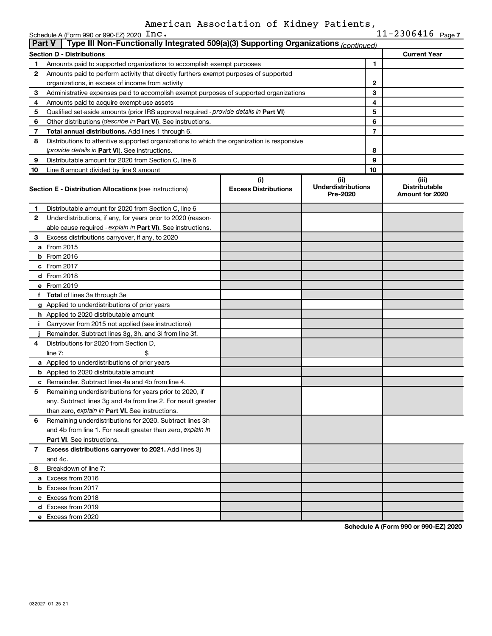| <b>Current Year</b>                              |
|--------------------------------------------------|
|                                                  |
|                                                  |
|                                                  |
|                                                  |
|                                                  |
|                                                  |
|                                                  |
|                                                  |
|                                                  |
|                                                  |
|                                                  |
|                                                  |
|                                                  |
|                                                  |
| (iii)<br><b>Distributable</b><br>Amount for 2020 |
|                                                  |
|                                                  |
|                                                  |
|                                                  |
|                                                  |
|                                                  |
|                                                  |
|                                                  |
|                                                  |
|                                                  |
|                                                  |
|                                                  |
|                                                  |
|                                                  |
|                                                  |
|                                                  |
|                                                  |
|                                                  |
|                                                  |
|                                                  |
|                                                  |
|                                                  |
|                                                  |
|                                                  |
|                                                  |
|                                                  |
|                                                  |
|                                                  |
|                                                  |
|                                                  |
|                                                  |
|                                                  |
|                                                  |
|                                                  |

**Schedule A (Form 990 or 990-EZ) 2020**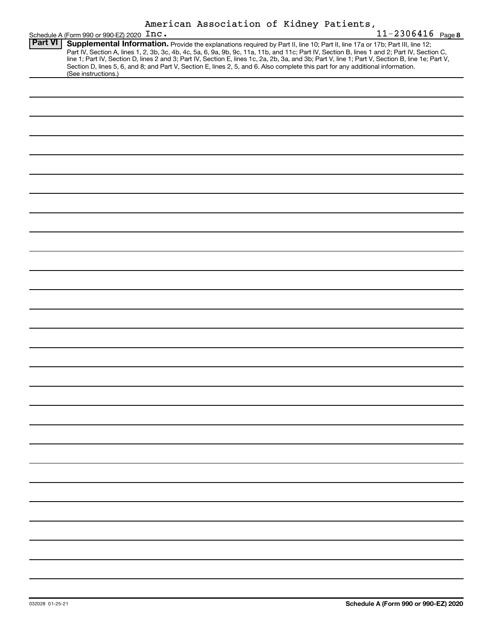|                | Schedule A (Form 990 or 990-EZ) 2020 Inc. |  | American Association of Kidney Patients,                                                                                                                                                                                                                                                                                                                                                                                                                                                                                                                             | $11 - 2306416$ Page 8 |
|----------------|-------------------------------------------|--|----------------------------------------------------------------------------------------------------------------------------------------------------------------------------------------------------------------------------------------------------------------------------------------------------------------------------------------------------------------------------------------------------------------------------------------------------------------------------------------------------------------------------------------------------------------------|-----------------------|
| <b>Part VI</b> | (See instructions.)                       |  | Supplemental Information. Provide the explanations required by Part II, line 10; Part II, line 17a or 17b; Part III, line 12;<br>Part IV, Section A, lines 1, 2, 3b, 3c, 4b, 4c, 5a, 6, 9a, 9b, 9c, 11a, 11b, and 11c; Part IV, Section B, lines 1 and 2; Part IV, Section C,<br>line 1; Part IV, Section D, lines 2 and 3; Part IV, Section E, lines 1c, 2a, 2b, 3a, and 3b; Part V, line 1; Part V, Section B, line 1e; Part V,<br>Section D, lines 5, 6, and 8; and Part V, Section E, lines 2, 5, and 6. Also complete this part for any additional information. |                       |
|                |                                           |  |                                                                                                                                                                                                                                                                                                                                                                                                                                                                                                                                                                      |                       |
|                |                                           |  |                                                                                                                                                                                                                                                                                                                                                                                                                                                                                                                                                                      |                       |
|                |                                           |  |                                                                                                                                                                                                                                                                                                                                                                                                                                                                                                                                                                      |                       |
|                |                                           |  |                                                                                                                                                                                                                                                                                                                                                                                                                                                                                                                                                                      |                       |
|                |                                           |  |                                                                                                                                                                                                                                                                                                                                                                                                                                                                                                                                                                      |                       |
|                |                                           |  |                                                                                                                                                                                                                                                                                                                                                                                                                                                                                                                                                                      |                       |
|                |                                           |  |                                                                                                                                                                                                                                                                                                                                                                                                                                                                                                                                                                      |                       |
|                |                                           |  |                                                                                                                                                                                                                                                                                                                                                                                                                                                                                                                                                                      |                       |
|                |                                           |  |                                                                                                                                                                                                                                                                                                                                                                                                                                                                                                                                                                      |                       |
|                |                                           |  |                                                                                                                                                                                                                                                                                                                                                                                                                                                                                                                                                                      |                       |
|                |                                           |  |                                                                                                                                                                                                                                                                                                                                                                                                                                                                                                                                                                      |                       |
|                |                                           |  |                                                                                                                                                                                                                                                                                                                                                                                                                                                                                                                                                                      |                       |
|                |                                           |  |                                                                                                                                                                                                                                                                                                                                                                                                                                                                                                                                                                      |                       |
|                |                                           |  |                                                                                                                                                                                                                                                                                                                                                                                                                                                                                                                                                                      |                       |
|                |                                           |  |                                                                                                                                                                                                                                                                                                                                                                                                                                                                                                                                                                      |                       |
|                |                                           |  |                                                                                                                                                                                                                                                                                                                                                                                                                                                                                                                                                                      |                       |
|                |                                           |  |                                                                                                                                                                                                                                                                                                                                                                                                                                                                                                                                                                      |                       |
|                |                                           |  |                                                                                                                                                                                                                                                                                                                                                                                                                                                                                                                                                                      |                       |
|                |                                           |  |                                                                                                                                                                                                                                                                                                                                                                                                                                                                                                                                                                      |                       |
|                |                                           |  |                                                                                                                                                                                                                                                                                                                                                                                                                                                                                                                                                                      |                       |
|                |                                           |  |                                                                                                                                                                                                                                                                                                                                                                                                                                                                                                                                                                      |                       |
|                |                                           |  |                                                                                                                                                                                                                                                                                                                                                                                                                                                                                                                                                                      |                       |
|                |                                           |  |                                                                                                                                                                                                                                                                                                                                                                                                                                                                                                                                                                      |                       |
|                |                                           |  |                                                                                                                                                                                                                                                                                                                                                                                                                                                                                                                                                                      |                       |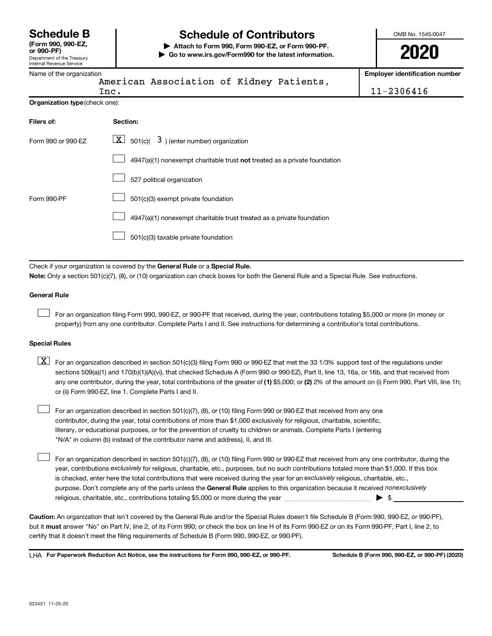Department of the Treasury Internal Revenue Service **(Form 990, 990-EZ,**

# **Schedule B Schedule of Contributors**

**or 990-PF) | Attach to Form 990, Form 990-EZ, or Form 990-PF. | Go to www.irs.gov/Form990 for the latest information.** OMB No. 1545-0047

**2020**

| Name of the organization       |                                                                                                                                                                                                                                                                                  | <b>Employer identification number</b> |  |  |
|--------------------------------|----------------------------------------------------------------------------------------------------------------------------------------------------------------------------------------------------------------------------------------------------------------------------------|---------------------------------------|--|--|
|                                | American Association of Kidney Patients,<br>Inc.                                                                                                                                                                                                                                 | 11-2306416                            |  |  |
| Organization type (check one): |                                                                                                                                                                                                                                                                                  |                                       |  |  |
| Filers of:                     | Section:                                                                                                                                                                                                                                                                         |                                       |  |  |
| Form 990 or 990-EZ             | $\lfloor x \rfloor$ 501(c)( 3) (enter number) organization                                                                                                                                                                                                                       |                                       |  |  |
|                                | 4947(a)(1) nonexempt charitable trust not treated as a private foundation                                                                                                                                                                                                        |                                       |  |  |
|                                | 527 political organization                                                                                                                                                                                                                                                       |                                       |  |  |
| Form 990-PF                    | 501(c)(3) exempt private foundation                                                                                                                                                                                                                                              |                                       |  |  |
|                                | 4947(a)(1) nonexempt charitable trust treated as a private foundation                                                                                                                                                                                                            |                                       |  |  |
|                                | 501(c)(3) taxable private foundation                                                                                                                                                                                                                                             |                                       |  |  |
|                                |                                                                                                                                                                                                                                                                                  |                                       |  |  |
|                                | Check if your organization is covered by the General Rule or a Special Rule.                                                                                                                                                                                                     |                                       |  |  |
|                                | Note: Only a section 501(c)(7), (8), or (10) organization can check boxes for both the General Rule and a Special Rule. See instructions.                                                                                                                                        |                                       |  |  |
| General Rule                   |                                                                                                                                                                                                                                                                                  |                                       |  |  |
|                                | For an organization filing Form 990, 990-EZ, or 990-PF that received, during the year, contributions totaling \$5,000 or more (in money or<br>property) from any one contributor. Complete Parts I and II. See instructions for determining a contributor's total contributions. |                                       |  |  |
| <b>Special Rules</b>           |                                                                                                                                                                                                                                                                                  |                                       |  |  |

| $X$ For an organization described in section 501(c)(3) filing Form 990 or 990-EZ that met the 33 1/3% support test of the regulations under           |
|-------------------------------------------------------------------------------------------------------------------------------------------------------|
| sections 509(a)(1) and 170(b)(1)(A)(vi), that checked Schedule A (Form 990 or 990-EZ), Part II, line 13, 16a, or 16b, and that received from          |
| any one contributor, during the year, total contributions of the greater of (1) \$5,000; or (2) 2% of the amount on (i) Form 990, Part VIII, line 1h; |
| or (ii) Form 990-EZ, line 1. Complete Parts I and II.                                                                                                 |

For an organization described in section 501(c)(7), (8), or (10) filing Form 990 or 990-EZ that received from any one contributor, during the year, total contributions of more than \$1,000 exclusively for religious, charitable, scientific, literary, or educational purposes, or for the prevention of cruelty to children or animals. Complete Parts I (entering "N/A" in column (b) instead of the contributor name and address), II, and III.  $\Box$ 

purpose. Don't complete any of the parts unless the General Rule applies to this organization because it received nonexclusively year, contributions exclusively for religious, charitable, etc., purposes, but no such contributions totaled more than \$1,000. If this box is checked, enter here the total contributions that were received during the year for an exclusively religious, charitable, etc., For an organization described in section 501(c)(7), (8), or (10) filing Form 990 or 990-EZ that received from any one contributor, during the religious, charitable, etc., contributions totaling \$5,000 or more during the year  $\ldots$  $\ldots$  $\ldots$  $\ldots$  $\ldots$  $\ldots$ 

**Caution:**  An organization that isn't covered by the General Rule and/or the Special Rules doesn't file Schedule B (Form 990, 990-EZ, or 990-PF),  **must** but it answer "No" on Part IV, line 2, of its Form 990; or check the box on line H of its Form 990-EZ or on its Form 990-PF, Part I, line 2, to certify that it doesn't meet the filing requirements of Schedule B (Form 990, 990-EZ, or 990-PF).

**For Paperwork Reduction Act Notice, see the instructions for Form 990, 990-EZ, or 990-PF. Schedule B (Form 990, 990-EZ, or 990-PF) (2020)** LHA

 $\Box$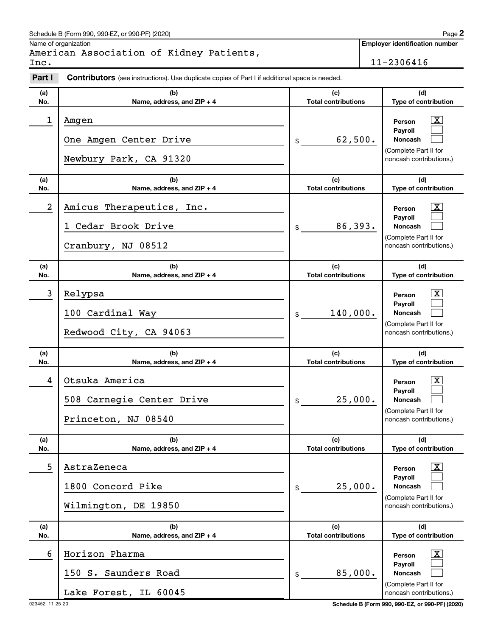| Schedule B (Form 990, 990-EZ, or 990-PF) (2020) | Page |
|-------------------------------------------------|------|
|                                                 |      |

Name of organization

|      | American Association of Kidney Patients, |  |  |
|------|------------------------------------------|--|--|
| Inc. |                                          |  |  |

**Employer identification number**

 $11-2306416$ 

| Part I           | <b>Contributors</b> (see instructions). Use duplicate copies of Part I if additional space is needed. |                                   |                                                                                        |
|------------------|-------------------------------------------------------------------------------------------------------|-----------------------------------|----------------------------------------------------------------------------------------|
| (a)<br>No.       | (b)<br>Name, address, and ZIP + 4                                                                     | (c)<br><b>Total contributions</b> | (d)<br>Type of contribution                                                            |
| 1                | Amgen<br>One Amgen Center Drive<br>Newbury Park, CA 91320                                             | 62,500.<br>\$                     | X.<br>Person<br>Payroll<br>Noncash<br>(Complete Part II for<br>noncash contributions.) |
| (a)<br>No.       | (b)<br>Name, address, and ZIP + 4                                                                     | (c)<br><b>Total contributions</b> | (d)<br>Type of contribution                                                            |
| $\boldsymbol{2}$ | Amicus Therapeutics, Inc.<br>1 Cedar Brook Drive<br>Cranbury, NJ 08512                                | 86,393.<br>\$                     | X.<br>Person<br>Payroll<br>Noncash<br>(Complete Part II for<br>noncash contributions.) |
| (a)<br>No.       | (b)<br>Name, address, and ZIP + 4                                                                     | (c)<br><b>Total contributions</b> | (d)<br>Type of contribution                                                            |
| 3                | Relypsa<br>100 Cardinal Way<br>Redwood City, CA 94063                                                 | 140,000.<br>\$                    | X.<br>Person<br>Payroll<br>Noncash<br>(Complete Part II for<br>noncash contributions.) |
| (a)<br>No.       | (b)<br>Name, address, and ZIP + 4                                                                     | (c)<br><b>Total contributions</b> | (d)<br>Type of contribution                                                            |
| 4                | Otsuka America<br>508 Carnegie Center Drive<br>Princeton, NJ 08540                                    | 25,000.<br>\$                     | X.<br>Person<br>Payroll<br>Noncash<br>(Complete Part II for<br>noncash contributions.) |
| (a)<br>No.       | (b)<br>Name, address, and ZIP + 4                                                                     | (c)<br><b>Total contributions</b> | (d)<br>Type of contribution                                                            |
| 5                | AstraZeneca<br>1800 Concord Pike<br>Wilmington, DE 19850                                              | 25,000.<br>\$                     | Person<br>Payroll<br>Noncash<br>(Complete Part II for<br>noncash contributions.)       |
| (a)<br>No.       | (b)<br>Name, address, and ZIP + 4                                                                     | (c)<br><b>Total contributions</b> | (d)<br>Type of contribution                                                            |
| 6                | Horizon Pharma<br>150 S. Saunders Road<br>Lake Forest, IL 60045                                       | 85,000.<br>\$                     | X<br>Person<br>Payroll<br>Noncash<br>(Complete Part II for<br>noncash contributions.)  |

023452 11-25-20 **Schedule B (Form 990, 990-EZ, or 990-PF) (2020)**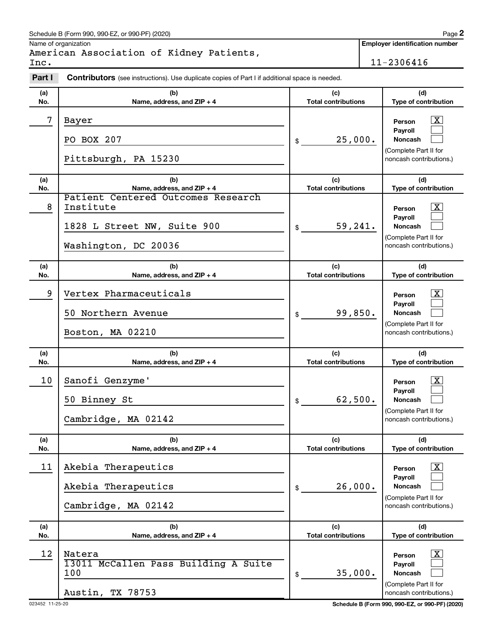### Schedule B (Form 990, 990-EZ, or 990-PF) (2020)

Name of organization

American Association of Kidney Patients, Inc. 11-2306416

**Employer identification number**

| Part I     | Contributors (see instructions). Use duplicate copies of Part I if additional space is needed.         |                                   |                                                                                                                    |
|------------|--------------------------------------------------------------------------------------------------------|-----------------------------------|--------------------------------------------------------------------------------------------------------------------|
| (a)<br>No. | (b)<br>Name, address, and ZIP + 4                                                                      | (c)<br><b>Total contributions</b> | (d)<br>Type of contribution                                                                                        |
| 7          | Bayer<br>PO BOX 207<br>Pittsburgh, PA 15230                                                            | 25,000.<br>\$                     | $\mathbf{X}$<br>Person<br><b>Payroll</b><br><b>Noncash</b><br>(Complete Part II for<br>noncash contributions.)     |
| (a)<br>No. | (b)<br>Name, address, and ZIP + 4                                                                      | (c)<br><b>Total contributions</b> | (d)<br>Type of contribution                                                                                        |
| 8          | Patient Centered Outcomes Research<br>Institute<br>1828 L Street NW, Suite 900<br>Washington, DC 20036 | 59,241.<br>\$                     | $\mathbf{X}$<br>Person<br><b>Payroll</b><br><b>Noncash</b><br>(Complete Part II for<br>noncash contributions.)     |
| (a)<br>No. | (b)<br>Name, address, and ZIP + 4                                                                      | (c)<br><b>Total contributions</b> | (d)<br>Type of contribution                                                                                        |
| 9          | Vertex Pharmaceuticals<br>50 Northern Avenue<br>Boston, MA 02210                                       | 99,850.<br>\$                     | X<br>Person<br><b>Payroll</b><br><b>Noncash</b><br>(Complete Part II for<br>noncash contributions.)                |
| (a)<br>No. | (b)<br>Name, address, and ZIP + 4                                                                      | (c)<br><b>Total contributions</b> | (d)<br>Type of contribution                                                                                        |
| 10         | Sanofi Genzyme'<br>50 Binney St<br>Cambridge, MA 02142                                                 | 62,500.<br>\$                     | X<br>Person<br><b>Pavroll</b><br><b>Noncash</b><br>(Complete Part II for<br>noncash contributions.)                |
| (a)<br>No. | (b)<br>Name, address, and ZIP + 4                                                                      | (c)<br><b>Total contributions</b> | (d)<br>Type of contribution                                                                                        |
| 11         | Akebia Therapeutics<br>Akebia Therapeutics<br>Cambridge, MA 02142                                      | 26,000.<br>\$                     | $\mathbf{X}$<br>Person<br>Payroll<br><b>Noncash</b><br>(Complete Part II for<br>noncash contributions.)            |
| (a)<br>No. | (b)<br>Name, address, and ZIP + 4                                                                      | (c)<br><b>Total contributions</b> | (d)<br><b>Type of contribution</b>                                                                                 |
| 12         | Natera<br>13011 McCallen Pass Building A Suite<br>100<br>Austin, TX 78753                              | 35,000.<br>\$                     | $\overline{\mathbf{X}}$<br>Person<br>Payroll<br><b>Noncash</b><br>(Complete Part II for<br>noncash contributions.) |

023452 11-25-20 **Schedule B (Form 990, 990-EZ, or 990-PF) (2020)**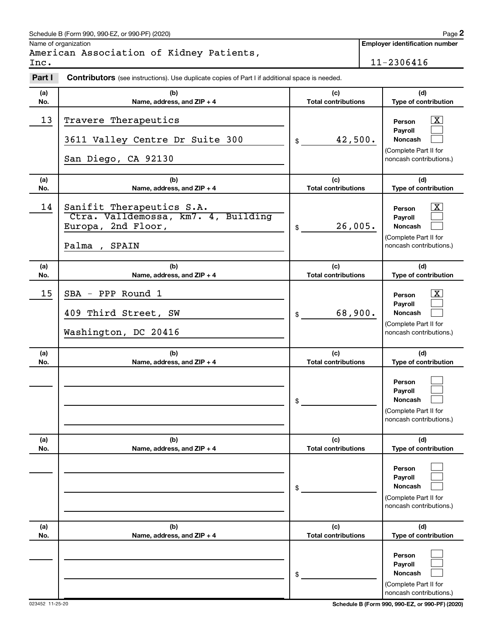### Schedule B (Form 990, 990-EZ, or 990-PF) (2020)

Name of organization

American Association of Kidney Patients, Inc. 11-2306416

**Employer identification number**

| Part I     | Contributors (see instructions). Use duplicate copies of Part I if additional space is needed.           |                                   |                                                                                              |
|------------|----------------------------------------------------------------------------------------------------------|-----------------------------------|----------------------------------------------------------------------------------------------|
| (a)<br>No. | (b)<br>Name, address, and ZIP + 4                                                                        | (c)<br><b>Total contributions</b> | (d)<br>Type of contribution                                                                  |
| 13         | Travere Therapeutics<br>3611 Valley Centre Dr Suite 300<br>San Diego, CA 92130                           | 42,500.<br>\$                     | X<br>Person<br>Payroll<br><b>Noncash</b><br>(Complete Part II for<br>noncash contributions.) |
| (a)<br>No. | (b)<br>Name, address, and ZIP + 4                                                                        | (c)<br><b>Total contributions</b> | (d)<br>Type of contribution                                                                  |
| 14         | Sanifit Therapeutics S.A.<br>Ctra. Valldemossa, km7. 4, Building<br>Europa, 2nd Floor,<br>Palma<br>SPAIN | 26,005.<br>\$                     | X<br>Person<br>Payroll<br><b>Noncash</b><br>(Complete Part II for<br>noncash contributions.) |
| (a)<br>No. | (b)<br>Name, address, and ZIP + 4                                                                        | (c)<br><b>Total contributions</b> | (d)<br>Type of contribution                                                                  |
| 15         | PPP Round 1<br>SBA<br>$\overline{\phantom{a}}$<br>409 Third Street, SW<br>Washington, DC 20416           | 68,900.<br>\$                     | X<br>Person<br>Pavroll<br>Noncash<br>(Complete Part II for<br>noncash contributions.)        |
| (a)<br>No. | (b)<br>Name, address, and ZIP + 4                                                                        | (c)<br><b>Total contributions</b> | (d)<br>Type of contribution                                                                  |
|            |                                                                                                          | \$                                | Person<br>Pavroll<br>Noncash<br>(Complete Part II for<br>noncash contributions.)             |
| (a)<br>No. | (b)<br>Name, address, and ZIP + 4                                                                        | (c)<br><b>Total contributions</b> | (d)<br>Type of contribution                                                                  |
|            |                                                                                                          | \$                                | Person<br>Payroll<br>Noncash<br>(Complete Part II for<br>noncash contributions.)             |
| (a)<br>No. | (b)<br>Name, address, and ZIP + 4                                                                        | (c)<br><b>Total contributions</b> | (d)<br>Type of contribution                                                                  |
|            |                                                                                                          | \$                                | Person<br>Payroll<br>Noncash<br>(Complete Part II for<br>noncash contributions.)             |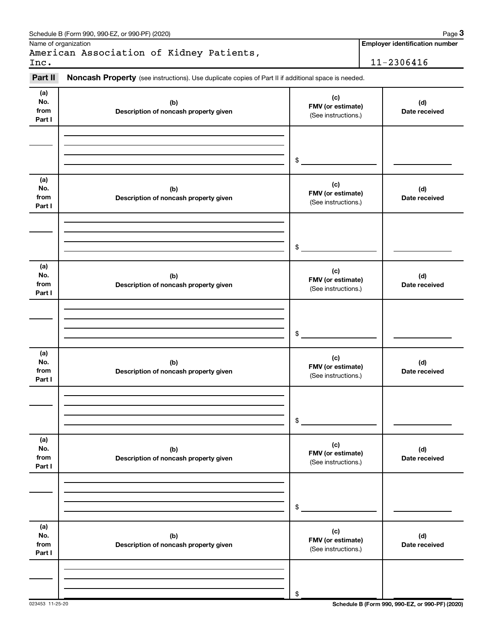|                              | Schedule B (Form 990, 990-EZ, or 990-PF) (2020)                                                     |                                                 | Page 3                                |
|------------------------------|-----------------------------------------------------------------------------------------------------|-------------------------------------------------|---------------------------------------|
|                              | Name of organization                                                                                |                                                 | <b>Employer identification number</b> |
| Inc.                         | American Association of Kidney Patients,                                                            |                                                 | 11-2306416                            |
|                              |                                                                                                     |                                                 |                                       |
| Part II                      | Noncash Property (see instructions). Use duplicate copies of Part II if additional space is needed. |                                                 |                                       |
| (a)<br>No.<br>from<br>Part I | (b)<br>Description of noncash property given                                                        | (c)<br>FMV (or estimate)<br>(See instructions.) | (d)<br>Date received                  |
|                              |                                                                                                     | \$                                              |                                       |
|                              |                                                                                                     |                                                 |                                       |
| (a)<br>No.<br>from<br>Part I | (b)<br>Description of noncash property given                                                        | (c)<br>FMV (or estimate)<br>(See instructions.) | (d)<br>Date received                  |
|                              |                                                                                                     |                                                 |                                       |
|                              |                                                                                                     | \$                                              |                                       |
| (a)<br>No.<br>from<br>Part I | (b)<br>Description of noncash property given                                                        | (c)<br>FMV (or estimate)<br>(See instructions.) | (d)<br>Date received                  |
|                              |                                                                                                     |                                                 |                                       |
|                              |                                                                                                     | \$                                              |                                       |
| (a)<br>No.<br>from<br>Part I | (b)<br>Description of noncash property given                                                        | (c)<br>FMV (or estimate)<br>(See instructions.) | (d)<br>Date received                  |
|                              |                                                                                                     |                                                 |                                       |
|                              |                                                                                                     | \$                                              |                                       |
| (a)<br>No.<br>from<br>Part I | (b)<br>Description of noncash property given                                                        | (c)<br>FMV (or estimate)<br>(See instructions.) | (d)<br>Date received                  |
|                              |                                                                                                     |                                                 |                                       |
|                              |                                                                                                     | \$                                              |                                       |
| (a)<br>No.<br>from<br>Part I | (b)<br>Description of noncash property given                                                        | (c)<br>FMV (or estimate)<br>(See instructions.) | (d)<br>Date received                  |
|                              |                                                                                                     |                                                 |                                       |
|                              |                                                                                                     | \$                                              |                                       |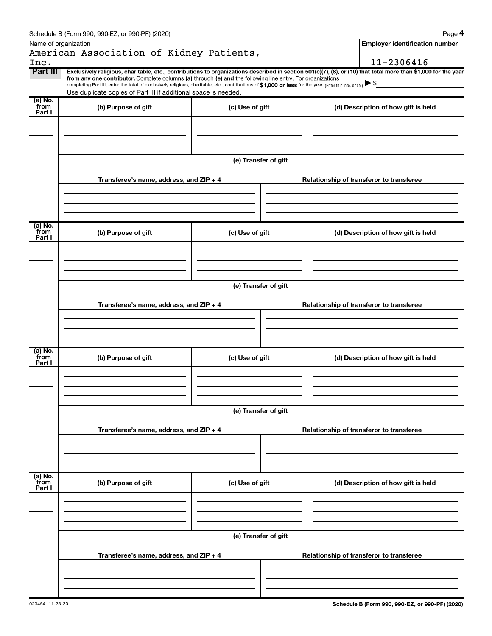| Schedule B (Form 990, 990-EZ, or 990-PF) (2020) | Page |
|-------------------------------------------------|------|
|-------------------------------------------------|------|

**4**

| Name of organization      | American Association of Kidney Patients,                                                                                                                                                                                                                                                                                                  |                      | <b>Employer identification number</b>                                                                                                                          |
|---------------------------|-------------------------------------------------------------------------------------------------------------------------------------------------------------------------------------------------------------------------------------------------------------------------------------------------------------------------------------------|----------------------|----------------------------------------------------------------------------------------------------------------------------------------------------------------|
| Inc.                      |                                                                                                                                                                                                                                                                                                                                           |                      | 11-2306416                                                                                                                                                     |
| Part III                  | from any one contributor. Complete columns (a) through (e) and the following line entry. For organizations<br>completing Part III, enter the total of exclusively religious, charitable, etc., contributions of \$1,000 or less for the year. (Enter this info. once.)<br>Use duplicate copies of Part III if additional space is needed. |                      | Exclusively religious, charitable, etc., contributions to organizations described in section 501(c)(7), (8), or (10) that total more than \$1,000 for the year |
| (a) No.<br>from<br>Part I | (b) Purpose of gift                                                                                                                                                                                                                                                                                                                       | (c) Use of gift      | (d) Description of how gift is held                                                                                                                            |
|                           | Transferee's name, address, and ZIP + 4                                                                                                                                                                                                                                                                                                   | (e) Transfer of gift | Relationship of transferor to transferee                                                                                                                       |
| (a) No.<br>from<br>Part I | (b) Purpose of gift                                                                                                                                                                                                                                                                                                                       | (c) Use of gift      | (d) Description of how gift is held                                                                                                                            |
|                           | Transferee's name, address, and ZIP + 4                                                                                                                                                                                                                                                                                                   | (e) Transfer of gift | Relationship of transferor to transferee                                                                                                                       |
| (a) No.<br>from           | (b) Purpose of gift                                                                                                                                                                                                                                                                                                                       | (c) Use of gift      | (d) Description of how gift is held                                                                                                                            |
| Part I                    |                                                                                                                                                                                                                                                                                                                                           |                      |                                                                                                                                                                |
|                           | Transferee's name, address, and ZIP + 4                                                                                                                                                                                                                                                                                                   | (e) Transfer of gift | Relationship of transferor to transferee                                                                                                                       |
| (a) No.<br>from<br>Part I | (b) Purpose of gift                                                                                                                                                                                                                                                                                                                       | (c) Use of gift      | (d) Description of how gift is held                                                                                                                            |
|                           | Transferee's name, address, and ZIP + 4                                                                                                                                                                                                                                                                                                   | (e) Transfer of gift | Relationship of transferor to transferee                                                                                                                       |
|                           |                                                                                                                                                                                                                                                                                                                                           |                      |                                                                                                                                                                |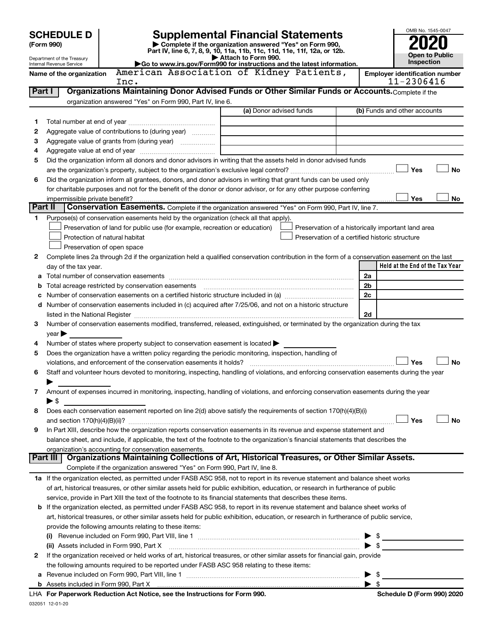|         | <b>Supplemental Financial Statements</b><br><b>SCHEDULE D</b>                                                                                                                                                                                            |                                                                                                                                                |                                                          |                                                    |                |                                 |  |
|---------|----------------------------------------------------------------------------------------------------------------------------------------------------------------------------------------------------------------------------------------------------------|------------------------------------------------------------------------------------------------------------------------------------------------|----------------------------------------------------------|----------------------------------------------------|----------------|---------------------------------|--|
|         | (Form 990)                                                                                                                                                                                                                                               |                                                                                                                                                | Complete if the organization answered "Yes" on Form 990, |                                                    |                |                                 |  |
|         | Department of the Treasury                                                                                                                                                                                                                               | Part IV, line 6, 7, 8, 9, 10, 11a, 11b, 11c, 11d, 11e, 11f, 12a, or 12b.                                                                       | Attach to Form 990.                                      | <b>Open to Public</b>                              |                |                                 |  |
|         | Internal Revenue Service                                                                                                                                                                                                                                 | Go to www.irs.gov/Form990 for instructions and the latest information.                                                                         |                                                          |                                                    |                | Inspection                      |  |
|         | American Association of Kidney Patients,<br><b>Employer identification number</b><br>Name of the organization<br>11-2306416<br>Inc.                                                                                                                      |                                                                                                                                                |                                                          |                                                    |                |                                 |  |
| Part I  |                                                                                                                                                                                                                                                          | Organizations Maintaining Donor Advised Funds or Other Similar Funds or Accounts. Complete if the                                              |                                                          |                                                    |                |                                 |  |
|         |                                                                                                                                                                                                                                                          | organization answered "Yes" on Form 990, Part IV, line 6.                                                                                      |                                                          |                                                    |                |                                 |  |
|         |                                                                                                                                                                                                                                                          |                                                                                                                                                | (a) Donor advised funds                                  |                                                    |                | (b) Funds and other accounts    |  |
| 1       |                                                                                                                                                                                                                                                          |                                                                                                                                                |                                                          |                                                    |                |                                 |  |
| 2       |                                                                                                                                                                                                                                                          | Aggregate value of contributions to (during year)                                                                                              |                                                          |                                                    |                |                                 |  |
| З       |                                                                                                                                                                                                                                                          | Aggregate value of grants from (during year)                                                                                                   |                                                          |                                                    |                |                                 |  |
| 4       |                                                                                                                                                                                                                                                          |                                                                                                                                                |                                                          |                                                    |                |                                 |  |
| 5       |                                                                                                                                                                                                                                                          | Did the organization inform all donors and donor advisors in writing that the assets held in donor advised funds                               |                                                          |                                                    |                | <b>No</b><br>Yes                |  |
| 6       |                                                                                                                                                                                                                                                          | Did the organization inform all grantees, donors, and donor advisors in writing that grant funds can be used only                              |                                                          |                                                    |                |                                 |  |
|         |                                                                                                                                                                                                                                                          | for charitable purposes and not for the benefit of the donor or donor advisor, or for any other purpose conferring                             |                                                          |                                                    |                |                                 |  |
|         | impermissible private benefit?                                                                                                                                                                                                                           |                                                                                                                                                |                                                          |                                                    |                | Yes<br>No                       |  |
| Part II |                                                                                                                                                                                                                                                          | Conservation Easements. Complete if the organization answered "Yes" on Form 990, Part IV, line 7.                                              |                                                          |                                                    |                |                                 |  |
| 1.      |                                                                                                                                                                                                                                                          | Purpose(s) of conservation easements held by the organization (check all that apply).                                                          |                                                          |                                                    |                |                                 |  |
|         |                                                                                                                                                                                                                                                          | Preservation of land for public use (for example, recreation or education)                                                                     |                                                          | Preservation of a historically important land area |                |                                 |  |
|         |                                                                                                                                                                                                                                                          | Protection of natural habitat                                                                                                                  |                                                          | Preservation of a certified historic structure     |                |                                 |  |
|         |                                                                                                                                                                                                                                                          | Preservation of open space                                                                                                                     |                                                          |                                                    |                |                                 |  |
| 2       |                                                                                                                                                                                                                                                          | Complete lines 2a through 2d if the organization held a qualified conservation contribution in the form of a conservation easement on the last |                                                          |                                                    |                |                                 |  |
|         | day of the tax year.                                                                                                                                                                                                                                     |                                                                                                                                                |                                                          |                                                    |                | Held at the End of the Tax Year |  |
| а       |                                                                                                                                                                                                                                                          |                                                                                                                                                |                                                          |                                                    | 2a             |                                 |  |
| b       |                                                                                                                                                                                                                                                          |                                                                                                                                                |                                                          |                                                    | 2 <sub>b</sub> |                                 |  |
| с       |                                                                                                                                                                                                                                                          | Number of conservation easements included in (c) acquired after 7/25/06, and not on a historic structure                                       |                                                          |                                                    | 2c             |                                 |  |
| d       |                                                                                                                                                                                                                                                          | 2d                                                                                                                                             |                                                          |                                                    |                |                                 |  |
| 3       | Number of conservation easements modified, transferred, released, extinguished, or terminated by the organization during the tax                                                                                                                         |                                                                                                                                                |                                                          |                                                    |                |                                 |  |
|         | year                                                                                                                                                                                                                                                     |                                                                                                                                                |                                                          |                                                    |                |                                 |  |
| 4       |                                                                                                                                                                                                                                                          | Number of states where property subject to conservation easement is located $\blacktriangleright$                                              |                                                          |                                                    |                |                                 |  |
| 5       |                                                                                                                                                                                                                                                          | Does the organization have a written policy regarding the periodic monitoring, inspection, handling of                                         |                                                          |                                                    |                |                                 |  |
|         |                                                                                                                                                                                                                                                          |                                                                                                                                                |                                                          |                                                    |                | <b>No</b><br>Yes                |  |
| 6       |                                                                                                                                                                                                                                                          | Staff and volunteer hours devoted to monitoring, inspecting, handling of violations, and enforcing conservation easements during the year      |                                                          |                                                    |                |                                 |  |
|         |                                                                                                                                                                                                                                                          |                                                                                                                                                |                                                          |                                                    |                |                                 |  |
| 7       |                                                                                                                                                                                                                                                          | Amount of expenses incurred in monitoring, inspecting, handling of violations, and enforcing conservation easements during the year            |                                                          |                                                    |                |                                 |  |
|         | ▶ \$                                                                                                                                                                                                                                                     |                                                                                                                                                |                                                          |                                                    |                |                                 |  |
| 8       |                                                                                                                                                                                                                                                          | Does each conservation easement reported on line 2(d) above satisfy the requirements of section 170(h)(4)(B)(i)                                |                                                          |                                                    |                | <b>No</b>                       |  |
| 9       |                                                                                                                                                                                                                                                          |                                                                                                                                                |                                                          |                                                    |                | Yes                             |  |
|         | In Part XIII, describe how the organization reports conservation easements in its revenue and expense statement and<br>balance sheet, and include, if applicable, the text of the footnote to the organization's financial statements that describes the |                                                                                                                                                |                                                          |                                                    |                |                                 |  |
|         |                                                                                                                                                                                                                                                          | organization's accounting for conservation easements.                                                                                          |                                                          |                                                    |                |                                 |  |
|         | Part III                                                                                                                                                                                                                                                 | Organizations Maintaining Collections of Art, Historical Treasures, or Other Similar Assets.                                                   |                                                          |                                                    |                |                                 |  |
|         |                                                                                                                                                                                                                                                          | Complete if the organization answered "Yes" on Form 990, Part IV, line 8.                                                                      |                                                          |                                                    |                |                                 |  |
|         |                                                                                                                                                                                                                                                          | 1a If the organization elected, as permitted under FASB ASC 958, not to report in its revenue statement and balance sheet works                |                                                          |                                                    |                |                                 |  |
|         |                                                                                                                                                                                                                                                          | of art, historical treasures, or other similar assets held for public exhibition, education, or research in furtherance of public              |                                                          |                                                    |                |                                 |  |
|         |                                                                                                                                                                                                                                                          | service, provide in Part XIII the text of the footnote to its financial statements that describes these items.                                 |                                                          |                                                    |                |                                 |  |
| b       |                                                                                                                                                                                                                                                          | If the organization elected, as permitted under FASB ASC 958, to report in its revenue statement and balance sheet works of                    |                                                          |                                                    |                |                                 |  |
|         |                                                                                                                                                                                                                                                          | art, historical treasures, or other similar assets held for public exhibition, education, or research in furtherance of public service,        |                                                          |                                                    |                |                                 |  |
|         |                                                                                                                                                                                                                                                          | provide the following amounts relating to these items:                                                                                         |                                                          |                                                    |                |                                 |  |
|         |                                                                                                                                                                                                                                                          |                                                                                                                                                |                                                          |                                                    | \$             |                                 |  |
|         |                                                                                                                                                                                                                                                          | (ii) Assets included in Form 990, Part X                                                                                                       |                                                          |                                                    | \$             |                                 |  |
| 2       |                                                                                                                                                                                                                                                          | If the organization received or held works of art, historical treasures, or other similar assets for financial gain, provide                   |                                                          |                                                    |                |                                 |  |
| а       |                                                                                                                                                                                                                                                          | the following amounts required to be reported under FASB ASC 958 relating to these items:                                                      |                                                          |                                                    | - \$           |                                 |  |
|         |                                                                                                                                                                                                                                                          |                                                                                                                                                |                                                          |                                                    |                |                                 |  |
|         |                                                                                                                                                                                                                                                          |                                                                                                                                                |                                                          |                                                    |                |                                 |  |

| LHA For Paperwork Reduction Act Notice, see the Instructions for Form 990 |  |
|---------------------------------------------------------------------------|--|
| 032051 12-01-20                                                           |  |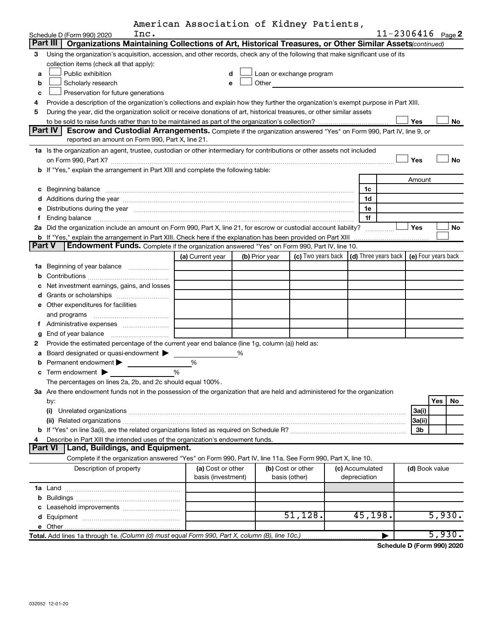|  | American Association of Kidney Patients, |  |  |  |
|--|------------------------------------------|--|--|--|
|--|------------------------------------------|--|--|--|

|               |                                                                                                                                                                                                                                                                                                                                                                                                                                                                         | American Association of Kidney Patients, |   |                |                                                                                                                                                                                                                                |                                                 |                       |           |
|---------------|-------------------------------------------------------------------------------------------------------------------------------------------------------------------------------------------------------------------------------------------------------------------------------------------------------------------------------------------------------------------------------------------------------------------------------------------------------------------------|------------------------------------------|---|----------------|--------------------------------------------------------------------------------------------------------------------------------------------------------------------------------------------------------------------------------|-------------------------------------------------|-----------------------|-----------|
|               | Inc.<br>Schedule D (Form 990) 2020                                                                                                                                                                                                                                                                                                                                                                                                                                      |                                          |   |                |                                                                                                                                                                                                                                |                                                 | $11 - 2306416$ Page 2 |           |
|               | Organizations Maintaining Collections of Art, Historical Treasures, or Other Similar Assets(continued)<br>Part III                                                                                                                                                                                                                                                                                                                                                      |                                          |   |                |                                                                                                                                                                                                                                |                                                 |                       |           |
| З             | Using the organization's acquisition, accession, and other records, check any of the following that make significant use of its                                                                                                                                                                                                                                                                                                                                         |                                          |   |                |                                                                                                                                                                                                                                |                                                 |                       |           |
|               | collection items (check all that apply):                                                                                                                                                                                                                                                                                                                                                                                                                                |                                          |   |                |                                                                                                                                                                                                                                |                                                 |                       |           |
| a             | Public exhibition                                                                                                                                                                                                                                                                                                                                                                                                                                                       | d                                        |   |                | Loan or exchange program                                                                                                                                                                                                       |                                                 |                       |           |
| b             | Scholarly research                                                                                                                                                                                                                                                                                                                                                                                                                                                      | e                                        |   |                | Other the contract of the contract of the contract of the contract of the contract of the contract of the contract of the contract of the contract of the contract of the contract of the contract of the contract of the cont |                                                 |                       |           |
| c             | Preservation for future generations                                                                                                                                                                                                                                                                                                                                                                                                                                     |                                          |   |                |                                                                                                                                                                                                                                |                                                 |                       |           |
| 4             | Provide a description of the organization's collections and explain how they further the organization's exempt purpose in Part XIII.                                                                                                                                                                                                                                                                                                                                    |                                          |   |                |                                                                                                                                                                                                                                |                                                 |                       |           |
| 5             | During the year, did the organization solicit or receive donations of art, historical treasures, or other similar assets                                                                                                                                                                                                                                                                                                                                                |                                          |   |                |                                                                                                                                                                                                                                |                                                 |                       |           |
|               |                                                                                                                                                                                                                                                                                                                                                                                                                                                                         |                                          |   |                |                                                                                                                                                                                                                                |                                                 | Yes                   | No        |
|               | Part IV<br>Escrow and Custodial Arrangements. Complete if the organization answered "Yes" on Form 990, Part IV, line 9, or                                                                                                                                                                                                                                                                                                                                              |                                          |   |                |                                                                                                                                                                                                                                |                                                 |                       |           |
|               | reported an amount on Form 990, Part X, line 21.                                                                                                                                                                                                                                                                                                                                                                                                                        |                                          |   |                |                                                                                                                                                                                                                                |                                                 |                       |           |
|               | 1a Is the organization an agent, trustee, custodian or other intermediary for contributions or other assets not included                                                                                                                                                                                                                                                                                                                                                |                                          |   |                |                                                                                                                                                                                                                                |                                                 |                       |           |
|               | on Form 990, Part X? [11] matter and the contract of the contract of the contract of the contract of the contract of the contract of the contract of the contract of the contract of the contract of the contract of the contr                                                                                                                                                                                                                                          |                                          |   |                |                                                                                                                                                                                                                                |                                                 | Yes                   | <b>No</b> |
|               | b If "Yes," explain the arrangement in Part XIII and complete the following table:                                                                                                                                                                                                                                                                                                                                                                                      |                                          |   |                |                                                                                                                                                                                                                                |                                                 |                       |           |
|               |                                                                                                                                                                                                                                                                                                                                                                                                                                                                         |                                          |   |                |                                                                                                                                                                                                                                |                                                 | Amount                |           |
|               | c Beginning balance<br>$\begin{minipage}{0.5\textwidth} \begin{tabular}{ l l l } \hline \multicolumn{1}{ l l l } \hline \multicolumn{1}{ l l } \hline \multicolumn{1}{ l } \multicolumn{1}{ l } \hline \multicolumn{1}{ l } \multicolumn{1}{ l } \multicolumn{1}{ l } \hline \multicolumn{1}{ l } \multicolumn{1}{ l } \multicolumn{1}{ l } \hline \multicolumn{1}{ l } \multicolumn{1}{ l } \hline \multicolumn{1}{ l } \multicolumn{1}{ l } \hline \multicolumn{1}{ $ |                                          |   |                |                                                                                                                                                                                                                                | 1c                                              |                       |           |
|               | d Additions during the year measurement contains and a final state of the year measurement of the year measurement of the state of the state of the state of the state of the state of the state of the state of the state of                                                                                                                                                                                                                                           |                                          |   |                |                                                                                                                                                                                                                                | 1d                                              |                       |           |
|               | e Distributions during the year manufactured and an intervention of the year manufactured by the state of the state of the state of the state of the state of the state of the state of the state of the state of the state of                                                                                                                                                                                                                                          |                                          |   |                |                                                                                                                                                                                                                                | 1е                                              |                       |           |
| Ť.            |                                                                                                                                                                                                                                                                                                                                                                                                                                                                         |                                          |   |                |                                                                                                                                                                                                                                | 1f                                              |                       |           |
|               | 2a Did the organization include an amount on Form 990, Part X, line 21, for escrow or custodial account liability?                                                                                                                                                                                                                                                                                                                                                      |                                          |   |                |                                                                                                                                                                                                                                | .                                               | Yes                   | No        |
|               |                                                                                                                                                                                                                                                                                                                                                                                                                                                                         |                                          |   |                |                                                                                                                                                                                                                                |                                                 |                       |           |
| <b>Part V</b> | Endowment Funds. Complete if the organization answered "Yes" on Form 990, Part IV, line 10.                                                                                                                                                                                                                                                                                                                                                                             |                                          |   |                |                                                                                                                                                                                                                                |                                                 |                       |           |
|               |                                                                                                                                                                                                                                                                                                                                                                                                                                                                         | (a) Current year                         |   | (b) Prior year |                                                                                                                                                                                                                                | (c) Two years back $ $ (d) Three years back $ $ | (e) Four years back   |           |
|               | 1a Beginning of year balance                                                                                                                                                                                                                                                                                                                                                                                                                                            |                                          |   |                |                                                                                                                                                                                                                                |                                                 |                       |           |
| b             |                                                                                                                                                                                                                                                                                                                                                                                                                                                                         |                                          |   |                |                                                                                                                                                                                                                                |                                                 |                       |           |
| c             | Net investment earnings, gains, and losses                                                                                                                                                                                                                                                                                                                                                                                                                              |                                          |   |                |                                                                                                                                                                                                                                |                                                 |                       |           |
|               |                                                                                                                                                                                                                                                                                                                                                                                                                                                                         |                                          |   |                |                                                                                                                                                                                                                                |                                                 |                       |           |
|               | <b>e</b> Other expenditures for facilities                                                                                                                                                                                                                                                                                                                                                                                                                              |                                          |   |                |                                                                                                                                                                                                                                |                                                 |                       |           |
|               |                                                                                                                                                                                                                                                                                                                                                                                                                                                                         |                                          |   |                |                                                                                                                                                                                                                                |                                                 |                       |           |
|               | f Administrative expenses                                                                                                                                                                                                                                                                                                                                                                                                                                               |                                          |   |                |                                                                                                                                                                                                                                |                                                 |                       |           |
| g             |                                                                                                                                                                                                                                                                                                                                                                                                                                                                         |                                          |   |                |                                                                                                                                                                                                                                |                                                 |                       |           |
| 2             | Provide the estimated percentage of the current year end balance (line 1g, column (a)) held as:                                                                                                                                                                                                                                                                                                                                                                         |                                          |   |                |                                                                                                                                                                                                                                |                                                 |                       |           |
| а             | Board designated or quasi-endowment                                                                                                                                                                                                                                                                                                                                                                                                                                     |                                          | % |                |                                                                                                                                                                                                                                |                                                 |                       |           |
| b             | Permanent endowment >                                                                                                                                                                                                                                                                                                                                                                                                                                                   | %                                        |   |                |                                                                                                                                                                                                                                |                                                 |                       |           |
| С             | Term endowment >                                                                                                                                                                                                                                                                                                                                                                                                                                                        | %                                        |   |                |                                                                                                                                                                                                                                |                                                 |                       |           |
|               | The percentages on lines 2a, 2b, and 2c should equal 100%.                                                                                                                                                                                                                                                                                                                                                                                                              |                                          |   |                |                                                                                                                                                                                                                                |                                                 |                       |           |
|               | 3a Are there endowment funds not in the possession of the organization that are held and administered for the organization                                                                                                                                                                                                                                                                                                                                              |                                          |   |                |                                                                                                                                                                                                                                |                                                 |                       |           |
|               | by:                                                                                                                                                                                                                                                                                                                                                                                                                                                                     |                                          |   |                |                                                                                                                                                                                                                                |                                                 | Yes                   | No        |
|               | (i)                                                                                                                                                                                                                                                                                                                                                                                                                                                                     |                                          |   |                |                                                                                                                                                                                                                                |                                                 | 3a(i)                 |           |
|               |                                                                                                                                                                                                                                                                                                                                                                                                                                                                         |                                          |   |                |                                                                                                                                                                                                                                |                                                 | 3a(ii)                |           |
|               |                                                                                                                                                                                                                                                                                                                                                                                                                                                                         |                                          |   |                |                                                                                                                                                                                                                                |                                                 | 3b                    |           |
| 4             | Describe in Part XIII the intended uses of the organization's endowment funds.                                                                                                                                                                                                                                                                                                                                                                                          |                                          |   |                |                                                                                                                                                                                                                                |                                                 |                       |           |
|               | Land, Buildings, and Equipment.<br>Part VI                                                                                                                                                                                                                                                                                                                                                                                                                              |                                          |   |                |                                                                                                                                                                                                                                |                                                 |                       |           |
|               | Complete if the organization answered "Yes" on Form 990, Part IV, line 11a. See Form 990, Part X, line 10.                                                                                                                                                                                                                                                                                                                                                              |                                          |   |                |                                                                                                                                                                                                                                |                                                 |                       |           |
|               | Description of property                                                                                                                                                                                                                                                                                                                                                                                                                                                 | (a) Cost or other                        |   |                | (b) Cost or other                                                                                                                                                                                                              | (c) Accumulated                                 | (d) Book value        |           |
|               |                                                                                                                                                                                                                                                                                                                                                                                                                                                                         | basis (investment)                       |   |                | basis (other)                                                                                                                                                                                                                  | depreciation                                    |                       |           |
|               |                                                                                                                                                                                                                                                                                                                                                                                                                                                                         |                                          |   |                |                                                                                                                                                                                                                                |                                                 |                       |           |
|               |                                                                                                                                                                                                                                                                                                                                                                                                                                                                         |                                          |   |                |                                                                                                                                                                                                                                |                                                 |                       |           |
|               | Leasehold improvements                                                                                                                                                                                                                                                                                                                                                                                                                                                  |                                          |   |                |                                                                                                                                                                                                                                |                                                 |                       |           |
|               |                                                                                                                                                                                                                                                                                                                                                                                                                                                                         |                                          |   |                | 51,128.                                                                                                                                                                                                                        | 45, 198.                                        |                       | 5,930.    |
|               |                                                                                                                                                                                                                                                                                                                                                                                                                                                                         |                                          |   |                |                                                                                                                                                                                                                                |                                                 |                       |           |
|               |                                                                                                                                                                                                                                                                                                                                                                                                                                                                         |                                          |   |                |                                                                                                                                                                                                                                | ▶                                               |                       | 5,930.    |

**Schedule D (Form 990) 2020**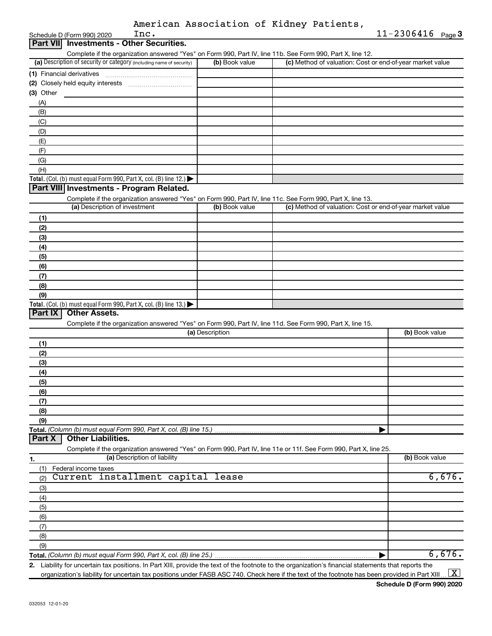| American Association of Kidney Patients, |  |  |
|------------------------------------------|--|--|
|------------------------------------------|--|--|

|                 | Inc.<br>Schedule D (Form 990) 2020                                                                                                                   |                 |                                                           | $11 - 2306416$ Page 3 |
|-----------------|------------------------------------------------------------------------------------------------------------------------------------------------------|-----------------|-----------------------------------------------------------|-----------------------|
| <b>Part VII</b> | <b>Investments - Other Securities.</b>                                                                                                               |                 |                                                           |                       |
|                 | Complete if the organization answered "Yes" on Form 990, Part IV, line 11b. See Form 990, Part X, line 12.                                           |                 |                                                           |                       |
|                 | (a) Description of security or category (including name of security)                                                                                 | (b) Book value  | (c) Method of valuation: Cost or end-of-year market value |                       |
|                 | (1) Financial derivatives                                                                                                                            |                 |                                                           |                       |
|                 |                                                                                                                                                      |                 |                                                           |                       |
| (3) Other       |                                                                                                                                                      |                 |                                                           |                       |
| (A)             |                                                                                                                                                      |                 |                                                           |                       |
| (B)             |                                                                                                                                                      |                 |                                                           |                       |
| (C)             |                                                                                                                                                      |                 |                                                           |                       |
| (D)             |                                                                                                                                                      |                 |                                                           |                       |
| (E)             |                                                                                                                                                      |                 |                                                           |                       |
| (F)             |                                                                                                                                                      |                 |                                                           |                       |
| (G)             |                                                                                                                                                      |                 |                                                           |                       |
| (H)             |                                                                                                                                                      |                 |                                                           |                       |
|                 | Total. (Col. (b) must equal Form 990, Part X, col. (B) line 12.)                                                                                     |                 |                                                           |                       |
|                 | Part VIII Investments - Program Related.                                                                                                             |                 |                                                           |                       |
|                 | Complete if the organization answered "Yes" on Form 990, Part IV, line 11c. See Form 990, Part X, line 13.                                           |                 |                                                           |                       |
|                 | (a) Description of investment                                                                                                                        | (b) Book value  | (c) Method of valuation: Cost or end-of-year market value |                       |
| (1)             |                                                                                                                                                      |                 |                                                           |                       |
| (2)             |                                                                                                                                                      |                 |                                                           |                       |
| (3)             |                                                                                                                                                      |                 |                                                           |                       |
| (4)             |                                                                                                                                                      |                 |                                                           |                       |
| (5)             |                                                                                                                                                      |                 |                                                           |                       |
| (6)             |                                                                                                                                                      |                 |                                                           |                       |
| (7)             |                                                                                                                                                      |                 |                                                           |                       |
| (8)             |                                                                                                                                                      |                 |                                                           |                       |
| (9)             |                                                                                                                                                      |                 |                                                           |                       |
|                 | Total. (Col. (b) must equal Form 990, Part X, col. (B) line 13.)                                                                                     |                 |                                                           |                       |
| Part IX         | <b>Other Assets.</b>                                                                                                                                 |                 |                                                           |                       |
|                 | Complete if the organization answered "Yes" on Form 990, Part IV, line 11d. See Form 990, Part X, line 15.                                           |                 |                                                           |                       |
|                 |                                                                                                                                                      | (a) Description |                                                           | (b) Book value        |
| (1)             |                                                                                                                                                      |                 |                                                           |                       |
| (2)             |                                                                                                                                                      |                 |                                                           |                       |
| (3)             |                                                                                                                                                      |                 |                                                           |                       |
| (4)             |                                                                                                                                                      |                 |                                                           |                       |
|                 |                                                                                                                                                      |                 |                                                           |                       |
| (5)<br>(6)      |                                                                                                                                                      |                 |                                                           |                       |
|                 |                                                                                                                                                      |                 |                                                           |                       |
| (7)             |                                                                                                                                                      |                 |                                                           |                       |
| (8)             |                                                                                                                                                      |                 |                                                           |                       |
| (9)             |                                                                                                                                                      |                 |                                                           |                       |
| Part X          | Total. (Column (b) must equal Form 990, Part X, col. (B) line 15.)<br><b>Other Liabilities.</b>                                                      |                 |                                                           |                       |
|                 | Complete if the organization answered "Yes" on Form 990, Part IV, line 11e or 11f. See Form 990, Part X, line 25.                                    |                 |                                                           |                       |
|                 | (a) Description of liability                                                                                                                         |                 |                                                           | (b) Book value        |
| 1.              |                                                                                                                                                      |                 |                                                           |                       |
| (1)             | Federal income taxes                                                                                                                                 |                 |                                                           |                       |
| (2)             | Current installment capital                                                                                                                          | lease           |                                                           | 6,676.                |
| (3)             |                                                                                                                                                      |                 |                                                           |                       |
| (4)             |                                                                                                                                                      |                 |                                                           |                       |
| (5)             |                                                                                                                                                      |                 |                                                           |                       |
| (6)             |                                                                                                                                                      |                 |                                                           |                       |
| (7)             |                                                                                                                                                      |                 |                                                           |                       |
| (8)             |                                                                                                                                                      |                 |                                                           |                       |
| (9)             |                                                                                                                                                      |                 |                                                           |                       |
|                 |                                                                                                                                                      |                 |                                                           | 6,676.                |
|                 | 2. Liability for uncertain tax positions. In Part XIII, provide the text of the footnote to the organization's financial statements that reports the |                 |                                                           |                       |

organization's liability for uncertain tax positions under FASB ASC 740. Check here if the text of the footnote has been provided in Part XIII ...  $\fbox{\bf X}$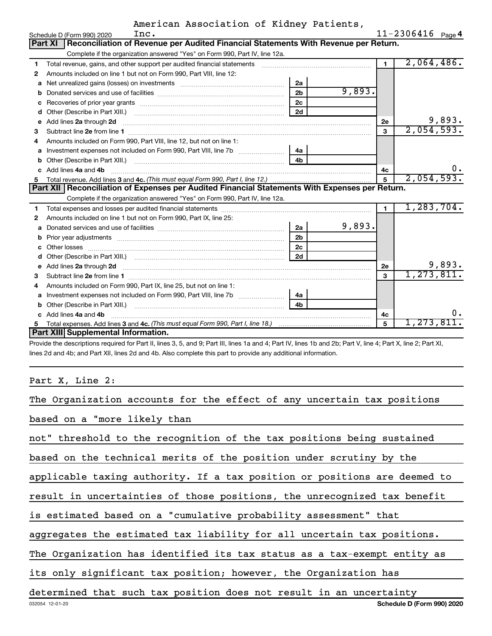|    | Inc.<br>Schedule D (Form 990) 2020                                                                                                                                                                                                       |                |        |                | $11 - 2306416$ Page 4 |
|----|------------------------------------------------------------------------------------------------------------------------------------------------------------------------------------------------------------------------------------------|----------------|--------|----------------|-----------------------|
|    | Reconciliation of Revenue per Audited Financial Statements With Revenue per Return.<br>Part XI                                                                                                                                           |                |        |                |                       |
|    | Complete if the organization answered "Yes" on Form 990, Part IV, line 12a.                                                                                                                                                              |                |        |                |                       |
| 1  | Total revenue, gains, and other support per audited financial statements [11] [11] Total revenue, [21] Total revenue of the support per audited financial statements                                                                     |                |        | $\blacksquare$ | 2,064,486.            |
| 2  | Amounts included on line 1 but not on Form 990, Part VIII, line 12:                                                                                                                                                                      |                |        |                |                       |
| a  | Net unrealized gains (losses) on investments [111] [12] Met unrealized gains (losses) on investments [11] Meta                                                                                                                           | 2a             |        |                |                       |
|    |                                                                                                                                                                                                                                          | 2 <sub>b</sub> | 9,893. |                |                       |
|    |                                                                                                                                                                                                                                          | 2c             |        |                |                       |
| d  |                                                                                                                                                                                                                                          | 2d             |        |                |                       |
| е  | Add lines 2a through 2d <b>contained a contained a contained a contained a</b> contained a contained a contained a contained a contained a contained a contained a contained a contained a contained a contained a contained a cont      |                |        | 2e             | 9,893.                |
| 3  |                                                                                                                                                                                                                                          |                |        | 3              | 2,054,593.            |
| 4  | Amounts included on Form 990, Part VIII, line 12, but not on line 1:                                                                                                                                                                     |                |        |                |                       |
|    |                                                                                                                                                                                                                                          | 4a             |        |                |                       |
| b  |                                                                                                                                                                                                                                          | 4 <sub>h</sub> |        |                |                       |
| c. | Add lines 4a and 4b                                                                                                                                                                                                                      |                |        | 4с             | υ.                    |
|    |                                                                                                                                                                                                                                          |                |        | 5              | 2,054,593.            |
|    | Part XII   Reconciliation of Expenses per Audited Financial Statements With Expenses per Return.                                                                                                                                         |                |        |                |                       |
|    | Complete if the organization answered "Yes" on Form 990, Part IV, line 12a.                                                                                                                                                              |                |        |                |                       |
| 1. |                                                                                                                                                                                                                                          |                |        | $\blacksquare$ | 1, 283, 704.          |
| 2  | Amounts included on line 1 but not on Form 990, Part IX, line 25:                                                                                                                                                                        |                |        |                |                       |
| a  |                                                                                                                                                                                                                                          | 2a             | 9,893. |                |                       |
|    |                                                                                                                                                                                                                                          | 2 <sub>b</sub> |        |                |                       |
| c  |                                                                                                                                                                                                                                          | 2 <sub>c</sub> |        |                |                       |
| d  |                                                                                                                                                                                                                                          | 2d             |        |                |                       |
|    | e Add lines 2a through 2d <b>[10]</b> [10] <b>All and Property Contract 20 and 20</b> and 20 and 20 and 20 and 20 and 20 and 20 and 20 and 20 and 20 and 20 and 20 and 20 and 20 and 20 and 20 and 20 and 20 and 20 and 20 and 20 and 20 |                |        | 2e             | 9,893.                |
| 3  |                                                                                                                                                                                                                                          |                |        | $\mathbf{a}$   | 1, 273, 811.          |
| 4  | Amounts included on Form 990, Part IX, line 25, but not on line 1:                                                                                                                                                                       |                |        |                |                       |
|    |                                                                                                                                                                                                                                          | 4a             |        |                |                       |
| b  |                                                                                                                                                                                                                                          | 4b             |        |                |                       |
|    | c Add lines 4a and 4b                                                                                                                                                                                                                    |                |        | 4c             | о.                    |
|    |                                                                                                                                                                                                                                          |                |        | 5              | 1,273,811.            |
|    | Part XIII Supplemental Information.                                                                                                                                                                                                      |                |        |                |                       |

Provide the descriptions required for Part II, lines 3, 5, and 9; Part III, lines 1a and 4; Part IV, lines 1b and 2b; Part V, line 4; Part X, line 2; Part XI, lines 2d and 4b; and Part XII, lines 2d and 4b. Also complete this part to provide any additional information.

Part X, Line 2:

| The Organization accounts for the effect of any uncertain tax positions   |
|---------------------------------------------------------------------------|
| based on a "more likely than                                              |
| not" threshold to the recognition of the tax positions being sustained    |
| based on the technical merits of the position under scrutiny by the       |
| applicable taxing authority. If a tax position or positions are deemed to |
| result in uncertainties of those positions, the unrecognized tax benefit  |
| is estimated based on a "cumulative probability assessment" that          |
| aggregates the estimated tax liability for all uncertain tax positions.   |
| The Organization has identified its tax status as a tax-exempt entity as  |
| its only significant tax position; however, the Organization has          |
| determined that such tax position does not result in an uncertainty       |
| Schedule D (Form 990) 2020<br>032054 12-01-20                             |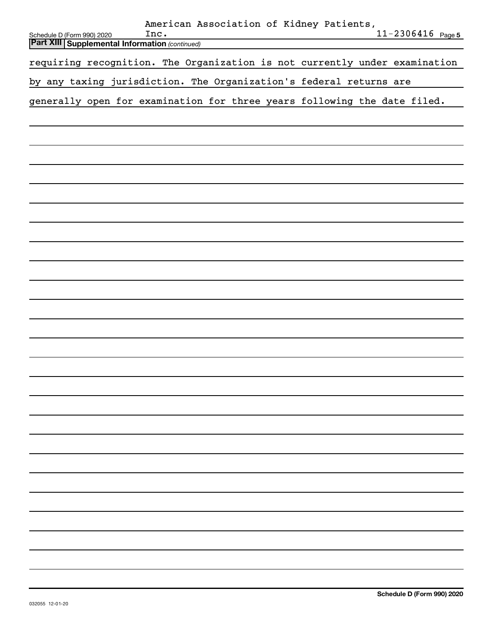|                                                                                       | American Association of Kidney Patients,<br>Inc. |  | $11 - 2306416$ Page 5 |
|---------------------------------------------------------------------------------------|--------------------------------------------------|--|-----------------------|
| Schedule D (Form 990) 2020<br><b>Part XIII   Supplemental Information (continued)</b> |                                                  |  |                       |
|                                                                                       |                                                  |  |                       |
| requiring recognition. The Organization is not currently under examination            |                                                  |  |                       |
| by any taxing jurisdiction. The Organization's federal returns are                    |                                                  |  |                       |
| generally open for examination for three years following the date filed.              |                                                  |  |                       |
|                                                                                       |                                                  |  |                       |
|                                                                                       |                                                  |  |                       |
|                                                                                       |                                                  |  |                       |
|                                                                                       |                                                  |  |                       |
|                                                                                       |                                                  |  |                       |
|                                                                                       |                                                  |  |                       |
|                                                                                       |                                                  |  |                       |
|                                                                                       |                                                  |  |                       |
|                                                                                       |                                                  |  |                       |
|                                                                                       |                                                  |  |                       |
|                                                                                       |                                                  |  |                       |
|                                                                                       |                                                  |  |                       |
|                                                                                       |                                                  |  |                       |
|                                                                                       |                                                  |  |                       |
|                                                                                       |                                                  |  |                       |
|                                                                                       |                                                  |  |                       |
|                                                                                       |                                                  |  |                       |
|                                                                                       |                                                  |  |                       |
|                                                                                       |                                                  |  |                       |
|                                                                                       |                                                  |  |                       |
|                                                                                       |                                                  |  |                       |
|                                                                                       |                                                  |  |                       |
|                                                                                       |                                                  |  |                       |
|                                                                                       |                                                  |  |                       |
|                                                                                       |                                                  |  |                       |
|                                                                                       |                                                  |  |                       |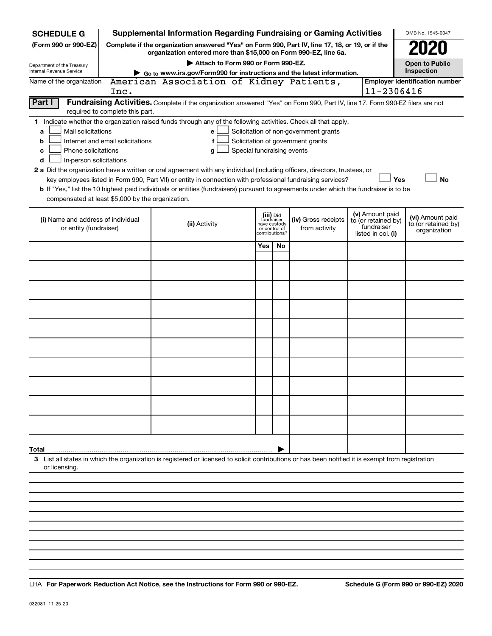| <b>SCHEDULE G</b>                                                                                                                             |                                  | <b>Supplemental Information Regarding Fundraising or Gaming Activities</b>                                                                                                                                                                                                                                                                                                                                                                                                                                           |                            |                                                                            |                                                                            |                                                                            | OMB No. 1545-0047                                       |
|-----------------------------------------------------------------------------------------------------------------------------------------------|----------------------------------|----------------------------------------------------------------------------------------------------------------------------------------------------------------------------------------------------------------------------------------------------------------------------------------------------------------------------------------------------------------------------------------------------------------------------------------------------------------------------------------------------------------------|----------------------------|----------------------------------------------------------------------------|----------------------------------------------------------------------------|----------------------------------------------------------------------------|---------------------------------------------------------|
| (Form 990 or 990-EZ)                                                                                                                          |                                  | Complete if the organization answered "Yes" on Form 990, Part IV, line 17, 18, or 19, or if the<br>organization entered more than \$15,000 on Form 990-EZ, line 6a.                                                                                                                                                                                                                                                                                                                                                  |                            |                                                                            |                                                                            |                                                                            | 2020                                                    |
| Department of the Treasury                                                                                                                    |                                  | Attach to Form 990 or Form 990-EZ.                                                                                                                                                                                                                                                                                                                                                                                                                                                                                   |                            |                                                                            |                                                                            |                                                                            | <b>Open to Public</b>                                   |
| <b>Internal Revenue Service</b>                                                                                                               |                                  | Go to www.irs.gov/Form990 for instructions and the latest information.                                                                                                                                                                                                                                                                                                                                                                                                                                               |                            |                                                                            |                                                                            |                                                                            | Inspection                                              |
| Name of the organization                                                                                                                      | Inc.                             | American Association of Kidney Patients,                                                                                                                                                                                                                                                                                                                                                                                                                                                                             |                            |                                                                            |                                                                            | 11-2306416                                                                 | <b>Employer identification number</b>                   |
| Part I                                                                                                                                        | required to complete this part.  | Fundraising Activities. Complete if the organization answered "Yes" on Form 990, Part IV, line 17. Form 990-EZ filers are not                                                                                                                                                                                                                                                                                                                                                                                        |                            |                                                                            |                                                                            |                                                                            |                                                         |
| Mail solicitations<br>a<br>b<br>Phone solicitations<br>c<br>In-person solicitations<br>d<br>compensated at least \$5,000 by the organization. | Internet and email solicitations | 1 Indicate whether the organization raised funds through any of the following activities. Check all that apply.<br>e<br>f<br>g<br>2 a Did the organization have a written or oral agreement with any individual (including officers, directors, trustees, or<br>key employees listed in Form 990, Part VII) or entity in connection with professional fundraising services?<br>b If "Yes," list the 10 highest paid individuals or entities (fundraisers) pursuant to agreements under which the fundraiser is to be | Special fundraising events |                                                                            | Solicitation of non-government grants<br>Solicitation of government grants |                                                                            | Yes<br><b>No</b>                                        |
| (i) Name and address of individual<br>or entity (fundraiser)                                                                                  |                                  | (ii) Activity                                                                                                                                                                                                                                                                                                                                                                                                                                                                                                        |                            | (iii) Did<br>fundraiser<br>have custody<br>or control of<br>contributions? | (iv) Gross receipts<br>from activity                                       | (v) Amount paid<br>to (or retained by)<br>fundraiser<br>listed in col. (i) | (vi) Amount paid<br>to (or retained by)<br>organization |
|                                                                                                                                               |                                  |                                                                                                                                                                                                                                                                                                                                                                                                                                                                                                                      | Yes                        | <b>No</b>                                                                  |                                                                            |                                                                            |                                                         |
|                                                                                                                                               |                                  |                                                                                                                                                                                                                                                                                                                                                                                                                                                                                                                      |                            |                                                                            |                                                                            |                                                                            |                                                         |
|                                                                                                                                               |                                  |                                                                                                                                                                                                                                                                                                                                                                                                                                                                                                                      |                            |                                                                            |                                                                            |                                                                            |                                                         |
|                                                                                                                                               |                                  |                                                                                                                                                                                                                                                                                                                                                                                                                                                                                                                      |                            |                                                                            |                                                                            |                                                                            |                                                         |
|                                                                                                                                               |                                  |                                                                                                                                                                                                                                                                                                                                                                                                                                                                                                                      |                            |                                                                            |                                                                            |                                                                            |                                                         |
|                                                                                                                                               |                                  |                                                                                                                                                                                                                                                                                                                                                                                                                                                                                                                      |                            |                                                                            |                                                                            |                                                                            |                                                         |
|                                                                                                                                               |                                  |                                                                                                                                                                                                                                                                                                                                                                                                                                                                                                                      |                            |                                                                            |                                                                            |                                                                            |                                                         |
|                                                                                                                                               |                                  |                                                                                                                                                                                                                                                                                                                                                                                                                                                                                                                      |                            |                                                                            |                                                                            |                                                                            |                                                         |
|                                                                                                                                               |                                  |                                                                                                                                                                                                                                                                                                                                                                                                                                                                                                                      |                            |                                                                            |                                                                            |                                                                            |                                                         |
|                                                                                                                                               |                                  |                                                                                                                                                                                                                                                                                                                                                                                                                                                                                                                      |                            |                                                                            |                                                                            |                                                                            |                                                         |
| Total                                                                                                                                         |                                  |                                                                                                                                                                                                                                                                                                                                                                                                                                                                                                                      |                            |                                                                            |                                                                            |                                                                            |                                                         |
| or licensing.                                                                                                                                 |                                  | 3 List all states in which the organization is registered or licensed to solicit contributions or has been notified it is exempt from registration                                                                                                                                                                                                                                                                                                                                                                   |                            |                                                                            |                                                                            |                                                                            |                                                         |
|                                                                                                                                               |                                  |                                                                                                                                                                                                                                                                                                                                                                                                                                                                                                                      |                            |                                                                            |                                                                            |                                                                            |                                                         |

**For Paperwork Reduction Act Notice, see the Instructions for Form 990 or 990-EZ. Schedule G (Form 990 or 990-EZ) 2020** LHA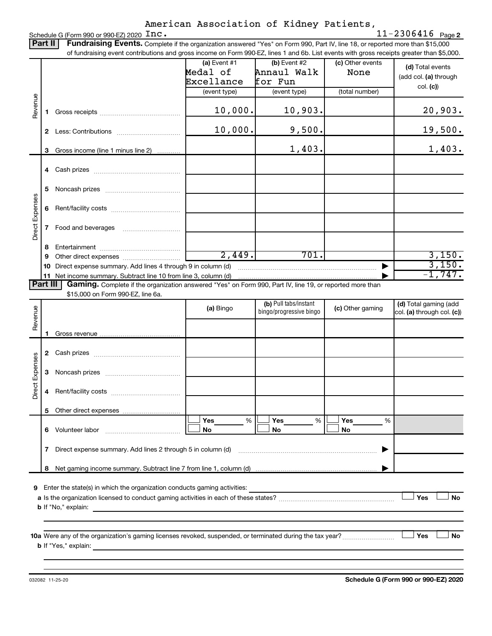|                 | Part II  | Fundraising Events. Complete if the organization answered "Yes" on Form 990, Part IV, line 18, or reported more than \$15,000                                                                                                                                 |                |                                                  |                  |                                                     |  |  |  |  |
|-----------------|----------|---------------------------------------------------------------------------------------------------------------------------------------------------------------------------------------------------------------------------------------------------------------|----------------|--------------------------------------------------|------------------|-----------------------------------------------------|--|--|--|--|
|                 |          | of fundraising event contributions and gross income on Form 990-EZ, lines 1 and 6b. List events with gross receipts greater than \$5,000.                                                                                                                     |                |                                                  |                  |                                                     |  |  |  |  |
|                 |          |                                                                                                                                                                                                                                                               | (a) Event $#1$ | $(b)$ Event #2                                   | (c) Other events | (d) Total events                                    |  |  |  |  |
|                 |          |                                                                                                                                                                                                                                                               | Medal of       | Annaul Walk                                      | None             | (add col. (a) through                               |  |  |  |  |
|                 |          |                                                                                                                                                                                                                                                               | Excellance     | for Fun                                          |                  | col. (c))                                           |  |  |  |  |
|                 |          |                                                                                                                                                                                                                                                               | (event type)   | (event type)                                     | (total number)   |                                                     |  |  |  |  |
| Revenue         | 1.       |                                                                                                                                                                                                                                                               | 10,000.        | 10,903.                                          |                  | 20,903.                                             |  |  |  |  |
|                 | 2        |                                                                                                                                                                                                                                                               | 10,000.        | 9,500.                                           |                  | 19,500.                                             |  |  |  |  |
|                 | 3        | Gross income (line 1 minus line 2)                                                                                                                                                                                                                            |                | 1,403.                                           |                  | 1,403.                                              |  |  |  |  |
|                 | 4        |                                                                                                                                                                                                                                                               |                |                                                  |                  |                                                     |  |  |  |  |
|                 | 5        |                                                                                                                                                                                                                                                               |                |                                                  |                  |                                                     |  |  |  |  |
|                 | 6        |                                                                                                                                                                                                                                                               |                |                                                  |                  |                                                     |  |  |  |  |
| Direct Expenses | 7        |                                                                                                                                                                                                                                                               |                |                                                  |                  |                                                     |  |  |  |  |
|                 | 8        |                                                                                                                                                                                                                                                               |                |                                                  |                  |                                                     |  |  |  |  |
|                 | 9        |                                                                                                                                                                                                                                                               | 2,449.         | 701.                                             |                  | 3,150.                                              |  |  |  |  |
|                 | 10       | Direct expense summary. Add lines 4 through 9 in column (d)                                                                                                                                                                                                   |                |                                                  |                  | 3,150.                                              |  |  |  |  |
|                 |          | 11 Net income summary. Subtract line 10 from line 3, column (d)                                                                                                                                                                                               |                |                                                  |                  | $-1,747.$                                           |  |  |  |  |
|                 | Part III | Gaming. Complete if the organization answered "Yes" on Form 990, Part IV, line 19, or reported more than                                                                                                                                                      |                |                                                  |                  |                                                     |  |  |  |  |
|                 |          | \$15,000 on Form 990-EZ, line 6a.                                                                                                                                                                                                                             |                |                                                  |                  |                                                     |  |  |  |  |
| Revenue         |          |                                                                                                                                                                                                                                                               | (a) Bingo      | (b) Pull tabs/instant<br>bingo/progressive bingo | (c) Other gaming | (d) Total gaming (add<br>col. (a) through col. (c)) |  |  |  |  |
|                 | 1        |                                                                                                                                                                                                                                                               |                |                                                  |                  |                                                     |  |  |  |  |
|                 |          |                                                                                                                                                                                                                                                               |                |                                                  |                  |                                                     |  |  |  |  |
|                 |          |                                                                                                                                                                                                                                                               |                |                                                  |                  |                                                     |  |  |  |  |
| Direct Expenses | 3        |                                                                                                                                                                                                                                                               |                |                                                  |                  |                                                     |  |  |  |  |
|                 | 4        |                                                                                                                                                                                                                                                               |                |                                                  |                  |                                                     |  |  |  |  |
|                 | 5        |                                                                                                                                                                                                                                                               |                |                                                  |                  |                                                     |  |  |  |  |
|                 |          |                                                                                                                                                                                                                                                               | Yes<br>%       | Yes<br>%                                         | Yes<br>%         |                                                     |  |  |  |  |
|                 |          |                                                                                                                                                                                                                                                               | No             | No                                               | No               |                                                     |  |  |  |  |
|                 | 7        | Direct expense summary. Add lines 2 through 5 in column (d)                                                                                                                                                                                                   |                |                                                  |                  |                                                     |  |  |  |  |
|                 | 8        |                                                                                                                                                                                                                                                               |                |                                                  |                  |                                                     |  |  |  |  |
|                 |          |                                                                                                                                                                                                                                                               |                |                                                  |                  |                                                     |  |  |  |  |
| 9               |          | Enter the state(s) in which the organization conducts gaming activities:                                                                                                                                                                                      |                |                                                  |                  |                                                     |  |  |  |  |
|                 |          |                                                                                                                                                                                                                                                               |                |                                                  |                  | Yes<br><b>No</b>                                    |  |  |  |  |
|                 |          |                                                                                                                                                                                                                                                               |                |                                                  |                  |                                                     |  |  |  |  |
|                 |          |                                                                                                                                                                                                                                                               |                |                                                  |                  |                                                     |  |  |  |  |
|                 |          |                                                                                                                                                                                                                                                               |                |                                                  |                  |                                                     |  |  |  |  |
|                 |          |                                                                                                                                                                                                                                                               |                |                                                  |                  |                                                     |  |  |  |  |
|                 |          | <b>No</b><br>Yes<br><b>b</b> If "Yes," explain: <u>All and the set of the set of the set of the set of the set of the set of the set of the set of the set of the set of the set of the set of the set of the set of the set of the set of the set of the</u> |                |                                                  |                  |                                                     |  |  |  |  |
|                 |          |                                                                                                                                                                                                                                                               |                |                                                  |                  |                                                     |  |  |  |  |

**Schedule G (Form 990 or 990-EZ) 2020**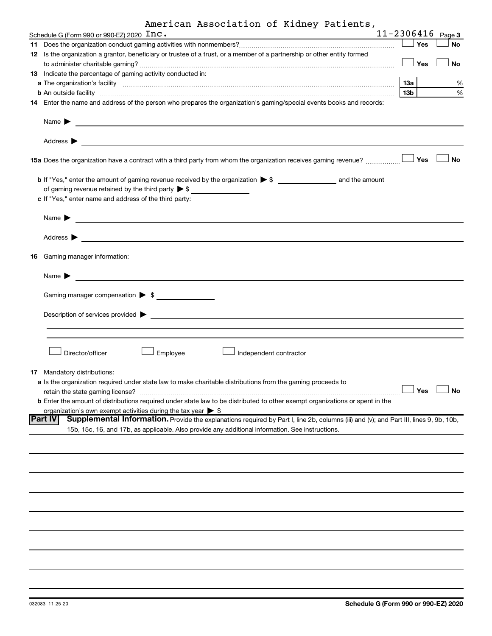| American Association of Kidney Patients, |  |  |  |
|------------------------------------------|--|--|--|
|------------------------------------------|--|--|--|

|  | American Association of Kidney Patients,                                                                                                                                                                                             |                       |           |
|--|--------------------------------------------------------------------------------------------------------------------------------------------------------------------------------------------------------------------------------------|-----------------------|-----------|
|  | Schedule G (Form 990 or 990-EZ) 2020 $\texttt{Inc}$ .<br><u> 1980 - Johann Barn, amerikan besteman besteman besteman besteman besteman besteman besteman besteman besteman</u>                                                       | $11 - 2306416$ Page 3 |           |
|  |                                                                                                                                                                                                                                      | $\Box$ Yes            | No        |
|  | 12 Is the organization a grantor, beneficiary or trustee of a trust, or a member of a partnership or other entity formed                                                                                                             |                       |           |
|  |                                                                                                                                                                                                                                      | Yes                   | No        |
|  | 13 Indicate the percentage of gaming activity conducted in:                                                                                                                                                                          |                       |           |
|  | a The organization's facility <b>contract to the contract of the contract of the contract of the contract of the contract of the contract of the contract of the contract of the contract of the contract of the contract of the</b> | 13а                   | %         |
|  | <b>b</b> An outside facility <i>www.communicality www.communicality.communicality www.communicality www.communicality.communicality www.communicality.com</i>                                                                        | 13 <sub>b</sub>       | %         |
|  | 14 Enter the name and address of the person who prepares the organization's gaming/special events books and records:                                                                                                                 |                       |           |
|  |                                                                                                                                                                                                                                      |                       |           |
|  | Name $\blacktriangleright$                                                                                                                                                                                                           |                       |           |
|  |                                                                                                                                                                                                                                      |                       |           |
|  | Address $\blacktriangleright$                                                                                                                                                                                                        |                       |           |
|  |                                                                                                                                                                                                                                      |                       |           |
|  | 15a Does the organization have a contract with a third party from whom the organization receives gaming revenue?                                                                                                                     | Yes                   | <b>No</b> |
|  |                                                                                                                                                                                                                                      |                       |           |
|  |                                                                                                                                                                                                                                      |                       |           |
|  | of gaming revenue retained by the third party $\triangleright$ \$                                                                                                                                                                    |                       |           |
|  | c If "Yes," enter name and address of the third party:                                                                                                                                                                               |                       |           |
|  |                                                                                                                                                                                                                                      |                       |           |
|  |                                                                                                                                                                                                                                      |                       |           |
|  | Name $\blacktriangleright$<br><u> 1980 - Jan Stein Harry Harry Harry Harry Harry Harry Harry Harry Harry Harry Harry Harry Harry Harry Harry Har</u>                                                                                 |                       |           |
|  |                                                                                                                                                                                                                                      |                       |           |
|  | Address $\blacktriangleright$<br><u> 1989 - Johann Barbara, martin amerikan basal dan berasal dalam basal dalam basal dalam basal dalam basal dala</u>                                                                               |                       |           |
|  |                                                                                                                                                                                                                                      |                       |           |
|  | 16 Gaming manager information:                                                                                                                                                                                                       |                       |           |
|  |                                                                                                                                                                                                                                      |                       |           |
|  | Name $\blacktriangleright$                                                                                                                                                                                                           |                       |           |
|  |                                                                                                                                                                                                                                      |                       |           |
|  | Gaming manager compensation $\triangleright$ \$                                                                                                                                                                                      |                       |           |
|  |                                                                                                                                                                                                                                      |                       |           |
|  | Description of services provided >                                                                                                                                                                                                   |                       |           |
|  |                                                                                                                                                                                                                                      |                       |           |
|  |                                                                                                                                                                                                                                      |                       |           |
|  |                                                                                                                                                                                                                                      |                       |           |
|  | Employee<br>Director/officer<br>Independent contractor                                                                                                                                                                               |                       |           |
|  |                                                                                                                                                                                                                                      |                       |           |
|  | <b>17</b> Mandatory distributions:                                                                                                                                                                                                   |                       |           |
|  | a Is the organization required under state law to make charitable distributions from the gaming proceeds to                                                                                                                          |                       |           |
|  |                                                                                                                                                                                                                                      | Yes                   | No        |
|  | b Enter the amount of distributions required under state law to be distributed to other exempt organizations or spent in the                                                                                                         |                       |           |
|  | organization's own exempt activities during the tax year $\triangleright$ \$                                                                                                                                                         |                       |           |
|  | Part IV<br>Supplemental Information. Provide the explanations required by Part I, line 2b, columns (iii) and (v); and Part III, lines 9, 9b, 10b,                                                                                    |                       |           |
|  | 15b, 15c, 16, and 17b, as applicable. Also provide any additional information. See instructions.                                                                                                                                     |                       |           |
|  |                                                                                                                                                                                                                                      |                       |           |
|  |                                                                                                                                                                                                                                      |                       |           |
|  |                                                                                                                                                                                                                                      |                       |           |
|  |                                                                                                                                                                                                                                      |                       |           |
|  |                                                                                                                                                                                                                                      |                       |           |
|  |                                                                                                                                                                                                                                      |                       |           |
|  |                                                                                                                                                                                                                                      |                       |           |
|  |                                                                                                                                                                                                                                      |                       |           |
|  |                                                                                                                                                                                                                                      |                       |           |
|  |                                                                                                                                                                                                                                      |                       |           |
|  |                                                                                                                                                                                                                                      |                       |           |
|  |                                                                                                                                                                                                                                      |                       |           |
|  |                                                                                                                                                                                                                                      |                       |           |
|  |                                                                                                                                                                                                                                      |                       |           |
|  |                                                                                                                                                                                                                                      |                       |           |
|  |                                                                                                                                                                                                                                      |                       |           |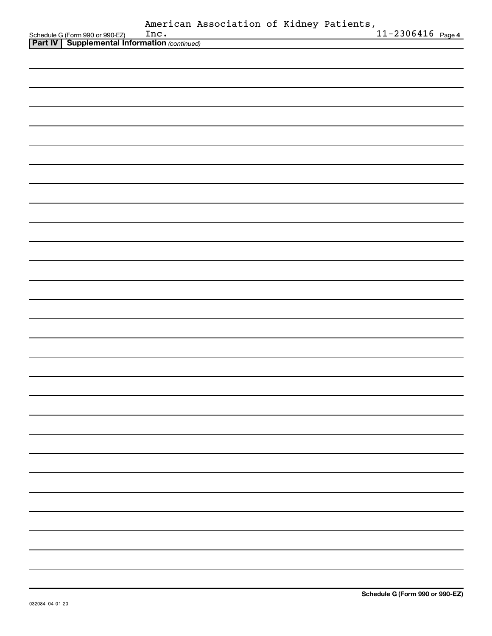|                                                                                             | Inc. | American Association of Kidney Patients, |  | $11 - 2306416$ Page 4 |
|---------------------------------------------------------------------------------------------|------|------------------------------------------|--|-----------------------|
| Schedule G (Form 990 or 990-EZ) Inc.<br><b>Part IV Supplemental Information</b> (continued) |      |                                          |  |                       |
|                                                                                             |      |                                          |  |                       |
|                                                                                             |      |                                          |  |                       |
|                                                                                             |      |                                          |  |                       |
|                                                                                             |      |                                          |  |                       |
|                                                                                             |      |                                          |  |                       |
|                                                                                             |      |                                          |  |                       |
|                                                                                             |      |                                          |  |                       |
|                                                                                             |      |                                          |  |                       |
|                                                                                             |      |                                          |  |                       |
|                                                                                             |      |                                          |  |                       |
|                                                                                             |      |                                          |  |                       |
|                                                                                             |      |                                          |  |                       |
|                                                                                             |      |                                          |  |                       |
|                                                                                             |      |                                          |  |                       |
|                                                                                             |      |                                          |  |                       |
|                                                                                             |      |                                          |  |                       |
|                                                                                             |      |                                          |  |                       |
|                                                                                             |      |                                          |  |                       |
|                                                                                             |      |                                          |  |                       |
|                                                                                             |      |                                          |  |                       |
|                                                                                             |      |                                          |  |                       |
|                                                                                             |      |                                          |  |                       |
|                                                                                             |      |                                          |  |                       |
|                                                                                             |      |                                          |  |                       |
|                                                                                             |      |                                          |  |                       |
|                                                                                             |      |                                          |  |                       |
|                                                                                             |      |                                          |  |                       |
|                                                                                             |      |                                          |  |                       |
|                                                                                             |      |                                          |  |                       |
|                                                                                             |      |                                          |  |                       |
|                                                                                             |      |                                          |  |                       |
|                                                                                             |      |                                          |  |                       |
|                                                                                             |      |                                          |  |                       |
|                                                                                             |      |                                          |  |                       |
|                                                                                             |      |                                          |  |                       |
|                                                                                             |      |                                          |  |                       |
|                                                                                             |      |                                          |  |                       |
|                                                                                             |      |                                          |  |                       |
|                                                                                             |      |                                          |  |                       |
|                                                                                             |      |                                          |  |                       |
|                                                                                             |      |                                          |  |                       |
|                                                                                             |      |                                          |  |                       |
|                                                                                             |      |                                          |  |                       |
|                                                                                             |      |                                          |  |                       |
|                                                                                             |      |                                          |  |                       |
|                                                                                             |      |                                          |  |                       |
|                                                                                             |      |                                          |  |                       |
|                                                                                             |      |                                          |  |                       |
|                                                                                             |      |                                          |  |                       |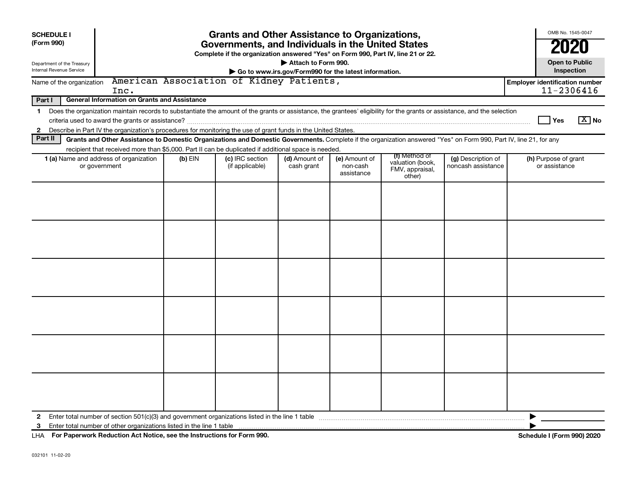| <b>SCHEDULE I</b><br>(Form 990)                                                                                       | <b>Grants and Other Assistance to Organizations,</b><br>Governments, and Individuals in the United States                                                                                                                                                                 |                                                            |                                                                                  |                             |                                         |                                                                |                                          |                                       | OMB No. 1545-0047     |  |  |
|-----------------------------------------------------------------------------------------------------------------------|---------------------------------------------------------------------------------------------------------------------------------------------------------------------------------------------------------------------------------------------------------------------------|------------------------------------------------------------|----------------------------------------------------------------------------------|-----------------------------|-----------------------------------------|----------------------------------------------------------------|------------------------------------------|---------------------------------------|-----------------------|--|--|
|                                                                                                                       |                                                                                                                                                                                                                                                                           |                                                            | Complete if the organization answered "Yes" on Form 990, Part IV, line 21 or 22. |                             |                                         |                                                                |                                          |                                       | 2020                  |  |  |
| Department of the Treasury<br>Internal Revenue Service                                                                |                                                                                                                                                                                                                                                                           | Attach to Form 990.<br><b>Open to Public</b><br>Inspection |                                                                                  |                             |                                         |                                                                |                                          |                                       |                       |  |  |
|                                                                                                                       | Go to www.irs.gov/Form990 for the latest information.                                                                                                                                                                                                                     |                                                            |                                                                                  |                             |                                         |                                                                |                                          |                                       |                       |  |  |
| American Association of Kidney Patients,<br><b>Employer identification number</b><br>Name of the organization<br>Inc. |                                                                                                                                                                                                                                                                           |                                                            |                                                                                  |                             |                                         |                                                                |                                          |                                       | 11-2306416            |  |  |
| Part I                                                                                                                | <b>General Information on Grants and Assistance</b>                                                                                                                                                                                                                       |                                                            |                                                                                  |                             |                                         |                                                                |                                          |                                       |                       |  |  |
| $\mathbf 1$                                                                                                           | Does the organization maintain records to substantiate the amount of the grants or assistance, the grantees' eligibility for the grants or assistance, and the selection                                                                                                  |                                                            |                                                                                  |                             |                                         |                                                                |                                          |                                       |                       |  |  |
|                                                                                                                       |                                                                                                                                                                                                                                                                           |                                                            |                                                                                  |                             |                                         |                                                                |                                          | Yes                                   | $\boxed{\text{X}}$ No |  |  |
| $\mathbf{2}$                                                                                                          | Describe in Part IV the organization's procedures for monitoring the use of grant funds in the United States.                                                                                                                                                             |                                                            |                                                                                  |                             |                                         |                                                                |                                          |                                       |                       |  |  |
| Part II                                                                                                               | Grants and Other Assistance to Domestic Organizations and Domestic Governments. Complete if the organization answered "Yes" on Form 990, Part IV, line 21, for any<br>recipient that received more than \$5,000. Part II can be duplicated if additional space is needed. |                                                            |                                                                                  |                             |                                         |                                                                |                                          |                                       |                       |  |  |
|                                                                                                                       | 1 (a) Name and address of organization<br>or government                                                                                                                                                                                                                   | $(b)$ EIN                                                  | (c) IRC section<br>(if applicable)                                               | (d) Amount of<br>cash grant | (e) Amount of<br>non-cash<br>assistance | (f) Method of<br>valuation (book,<br>FMV, appraisal,<br>other) | (g) Description of<br>noncash assistance | (h) Purpose of grant<br>or assistance |                       |  |  |
|                                                                                                                       |                                                                                                                                                                                                                                                                           |                                                            |                                                                                  |                             |                                         |                                                                |                                          |                                       |                       |  |  |
|                                                                                                                       |                                                                                                                                                                                                                                                                           |                                                            |                                                                                  |                             |                                         |                                                                |                                          |                                       |                       |  |  |
|                                                                                                                       |                                                                                                                                                                                                                                                                           |                                                            |                                                                                  |                             |                                         |                                                                |                                          |                                       |                       |  |  |
|                                                                                                                       |                                                                                                                                                                                                                                                                           |                                                            |                                                                                  |                             |                                         |                                                                |                                          |                                       |                       |  |  |
|                                                                                                                       |                                                                                                                                                                                                                                                                           |                                                            |                                                                                  |                             |                                         |                                                                |                                          |                                       |                       |  |  |
|                                                                                                                       |                                                                                                                                                                                                                                                                           |                                                            |                                                                                  |                             |                                         |                                                                |                                          |                                       |                       |  |  |
| 2                                                                                                                     | Enter total number of section $501(c)(3)$ and government organizations listed in the line 1 table                                                                                                                                                                         |                                                            |                                                                                  |                             |                                         |                                                                |                                          |                                       |                       |  |  |
| 3                                                                                                                     | Enter total number of other organizations listed in the line 1 table                                                                                                                                                                                                      |                                                            |                                                                                  |                             |                                         |                                                                |                                          |                                       |                       |  |  |
|                                                                                                                       | LHA For Paperwork Reduction Act Notice, see the Instructions for Form 990.                                                                                                                                                                                                |                                                            |                                                                                  |                             |                                         |                                                                |                                          | Schedule I (Form 990) 2020            |                       |  |  |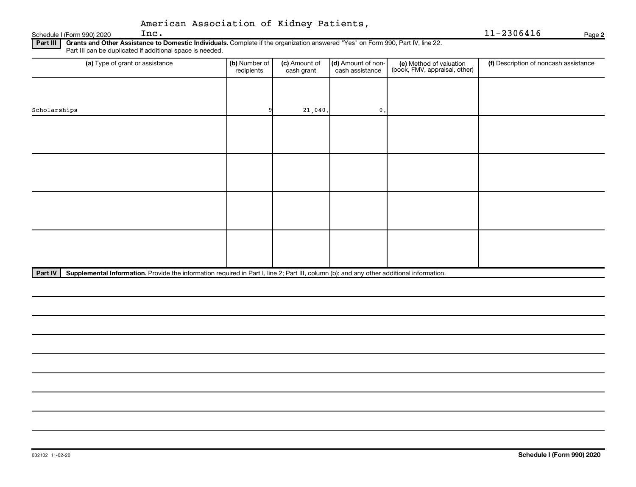## Schedule I (Form 990) 2020  $\mathbf{Inc.}$ American Association of Kidney Patients,

Inc. 11-2306416

**2**

Part III | Grants and Other Assistance to Domestic Individuals. Complete if the organization answered "Yes" on Form 990, Part IV, line 22. Part III can be duplicated if additional space is needed.

| (a) Type of grant or assistance | (b) Number of<br>recipients | (c) Amount of<br>cash grant | (d) Amount of non-<br>cash assistance | (e) Method of valuation<br>(book, FMV, appraisal, other) | (f) Description of noncash assistance |
|---------------------------------|-----------------------------|-----------------------------|---------------------------------------|----------------------------------------------------------|---------------------------------------|
|                                 |                             |                             |                                       |                                                          |                                       |
| Scholarships                    |                             | 21,040.                     | $\mathbf{0}$ .                        |                                                          |                                       |
|                                 |                             |                             |                                       |                                                          |                                       |
|                                 |                             |                             |                                       |                                                          |                                       |
|                                 |                             |                             |                                       |                                                          |                                       |
|                                 |                             |                             |                                       |                                                          |                                       |
|                                 |                             |                             |                                       |                                                          |                                       |
|                                 |                             |                             |                                       |                                                          |                                       |
|                                 |                             |                             |                                       |                                                          |                                       |
|                                 |                             |                             |                                       |                                                          |                                       |
|                                 |                             |                             |                                       |                                                          |                                       |

Part IV | Supplemental Information. Provide the information required in Part I, line 2; Part III, column (b); and any other additional information.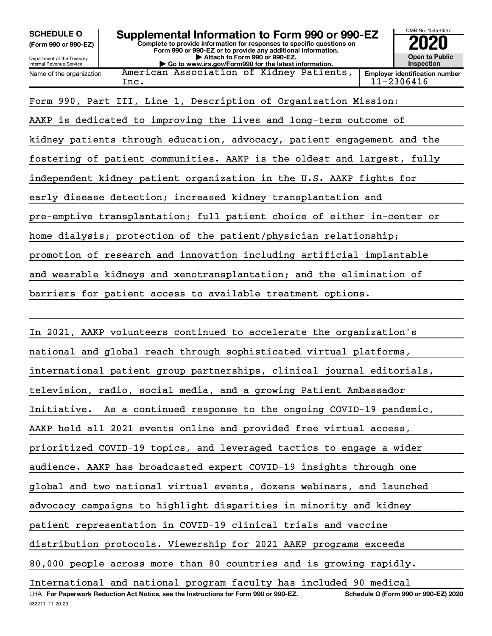**(Form 990 or 990-EZ)**

Department of the Treasury Internal Revenue Service

# **Complete to provide information for responses to specific questions on SCHEDULE O Supplemental Information to Form 990 or 990-EZ 2020**<br>(Form 990 or 990-EZ) Complete to provide information for responses to specific questions on

**Form 990 or 990-EZ or to provide any additional information. | Attach to Form 990 or 990-EZ. | Go to www.irs.gov/Form990 for the latest information.**

**Open to Public Inspection Employer identification number**

OMB No. 1545-0047

Name of the organization American Association of Kidney Patients,  $\texttt{Inc.} \qquad \qquad \qquad \qquad \qquad \qquad \qquad \qquad \texttt{11-2306416}$ 

Form 990, Part III, Line 1, Description of Organization Mission:

AAKP is dedicated to improving the lives and long-term outcome of kidney patients through education, advocacy, patient engagement and the fostering of patient communities. AAKP is the oldest and largest, fully independent kidney patient organization in the U.S. AAKP fights for early disease detection; increased kidney transplantation and pre-emptive transplantation; full patient choice of either in-center or home dialysis; protection of the patient/physician relationship; promotion of research and innovation including artificial implantable and wearable kidneys and xenotransplantation; and the elimination of barriers for patient access to available treatment options.

**For Paperwork Reduction Act Notice, see the Instructions for Form 990 or 990-EZ. Schedule O (Form 990 or 990-EZ) 2020** LHA In 2021, AAKP volunteers continued to accelerate the organization's national and global reach through sophisticated virtual platforms, international patient group partnerships, clinical journal editorials, television, radio, social media, and a growing Patient Ambassador Initiative. As a continued response to the ongoing COVID-19 pandemic, AAKP held all 2021 events online and provided free virtual access, prioritized COVID-19 topics, and leveraged tactics to engage a wider audience. AAKP has broadcasted expert COVID-19 insights through one global and two national virtual events, dozens webinars, and launched advocacy campaigns to highlight disparities in minority and kidney patient representation in COVID-19 clinical trials and vaccine distribution protocols. Viewership for 2021 AAKP programs exceeds 80,000 people across more than 80 countries and is growing rapidly. International and national program faculty has included 90 medical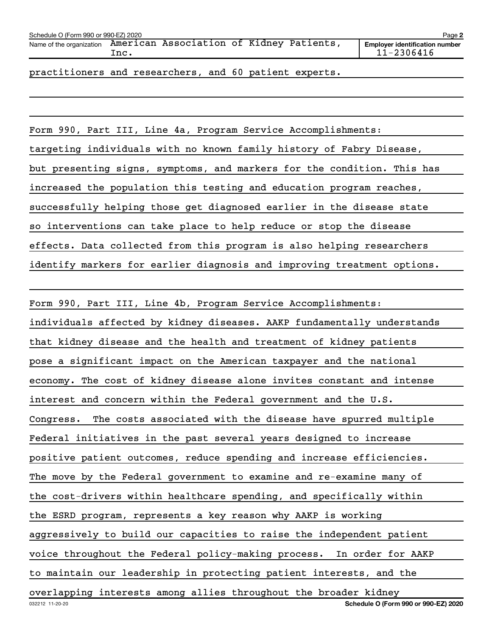| Schedule O (Form 990 or 990-EZ) 2020<br>Page 2 |      |                                          |  |  |                                                     |
|------------------------------------------------|------|------------------------------------------|--|--|-----------------------------------------------------|
| Name of the organization                       | Inc. | American Association of Kidney Patients, |  |  | <b>Emplover identification number</b><br>11-2306416 |
|                                                |      |                                          |  |  |                                                     |

practitioners and researchers, and 60 patient experts.

Form 990, Part III, Line 4a, Program Service Accomplishments: targeting individuals with no known family history of Fabry Disease, but presenting signs, symptoms, and markers for the condition. This has increased the population this testing and education program reaches, successfully helping those get diagnosed earlier in the disease state so interventions can take place to help reduce or stop the disease effects. Data collected from this program is also helping researchers identify markers for earlier diagnosis and improving treatment options.

032212 11-20-20 **Schedule O (Form 990 or 990-EZ) 2020** Form 990, Part III, Line 4b, Program Service Accomplishments: individuals affected by kidney diseases. AAKP fundamentally understands that kidney disease and the health and treatment of kidney patients pose a significant impact on the American taxpayer and the national economy. The cost of kidney disease alone invites constant and intense interest and concern within the Federal government and the U.S. Congress. The costs associated with the disease have spurred multiple Federal initiatives in the past several years designed to increase positive patient outcomes, reduce spending and increase efficiencies. The move by the Federal government to examine and re-examine many of the cost-drivers within healthcare spending, and specifically within the ESRD program, represents a key reason why AAKP is working aggressively to build our capacities to raise the independent patient voice throughout the Federal policy-making process. In order for AAKP to maintain our leadership in protecting patient interests, and the overlapping interests among allies throughout the broader kidney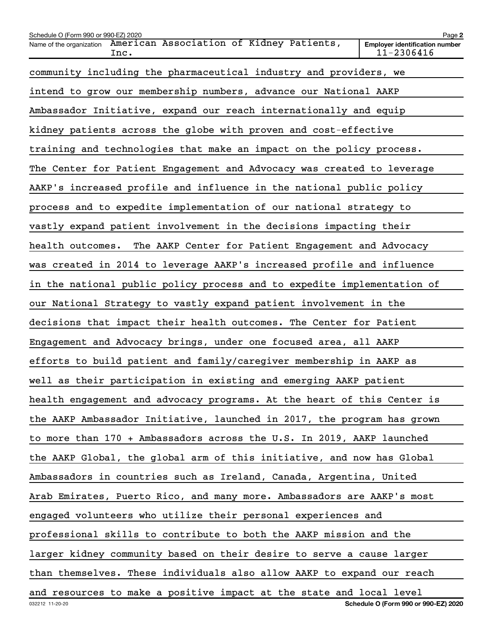| Schedule O (Form 990 or 990-EZ) 2020                                                    | Page 2                                              |
|-----------------------------------------------------------------------------------------|-----------------------------------------------------|
| American Association of Kidney Patients,<br>Name of the organization<br>Inc.            | <b>Employer identification number</b><br>11-2306416 |
| community including the pharmaceutical industry and providers, we                       |                                                     |
| intend to grow our membership numbers, advance our National AAKP                        |                                                     |
| Ambassador Initiative, expand our reach internationally and equip                       |                                                     |
| kidney patients across the globe with proven and cost-effective                         |                                                     |
| training and technologies that make an impact on the policy process.                    |                                                     |
| The Center for Patient Engagement and Advocacy was created to leverage                  |                                                     |
| AAKP's increased profile and influence in the national public policy                    |                                                     |
| process and to expedite implementation of our national strategy to                      |                                                     |
| vastly expand patient involvement in the decisions impacting their                      |                                                     |
| The AAKP Center for Patient Engagement and Advocacy<br>health outcomes.                 |                                                     |
| was created in 2014 to leverage AAKP's increased profile and influence                  |                                                     |
| in the national public policy process and to expedite implementation of                 |                                                     |
| our National Strategy to vastly expand patient involvement in the                       |                                                     |
| decisions that impact their health outcomes. The Center for Patient                     |                                                     |
| Engagement and Advocacy brings, under one focused area, all AAKP                        |                                                     |
| efforts to build patient and family/caregiver membership in AAKP as                     |                                                     |
| well as their participation in existing and emerging AAKP patient                       |                                                     |
| health engagement and advocacy programs. At the heart of this Center is                 |                                                     |
| the AAKP Ambassador Initiative, launched in 2017, the program has grown                 |                                                     |
| to more than 170 + Ambassadors across the U.S. In 2019, AAKP launched                   |                                                     |
| the AAKP Global, the global arm of this initiative, and now has Global                  |                                                     |
| Ambassadors in countries such as Ireland, Canada, Argentina, United                     |                                                     |
| Arab Emirates, Puerto Rico, and many more. Ambassadors are AAKP's most                  |                                                     |
| engaged volunteers who utilize their personal experiences and                           |                                                     |
| professional skills to contribute to both the AAKP mission and the                      |                                                     |
| larger kidney community based on their desire to serve a cause larger                   |                                                     |
| than themselves. These individuals also allow AAKP to expand our reach                  |                                                     |
| and resources to make a positive impact at the state and local level<br>032212 11-20-20 | Schedule O (Form 990 or 990-EZ) 2020                |
|                                                                                         |                                                     |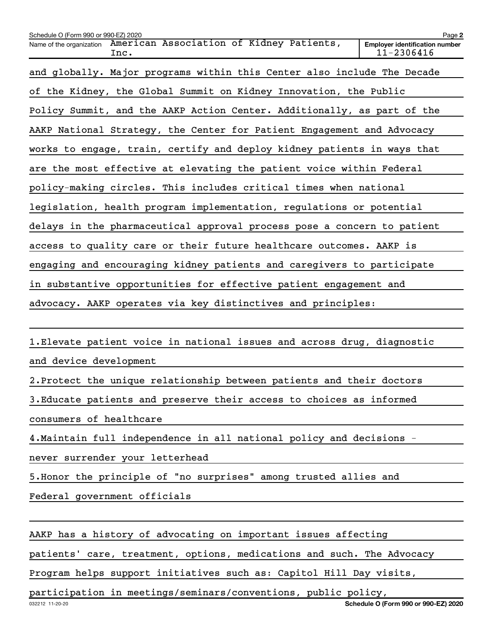| Schedule O (Form 990 or 990-EZ) 2020                                         | Page 2                                              |  |  |  |  |
|------------------------------------------------------------------------------|-----------------------------------------------------|--|--|--|--|
| American Association of Kidney Patients,<br>Name of the organization<br>Inc. | <b>Employer identification number</b><br>11-2306416 |  |  |  |  |
| and globally. Major programs within this Center also include The Decade      |                                                     |  |  |  |  |
| of the Kidney, the Global Summit on Kidney Innovation, the Public            |                                                     |  |  |  |  |
| Policy Summit, and the AAKP Action Center. Additionally, as part of the      |                                                     |  |  |  |  |
| AAKP National Strategy, the Center for Patient Engagement and Advocacy       |                                                     |  |  |  |  |
| works to engage, train, certify and deploy kidney patients in ways that      |                                                     |  |  |  |  |
| are the most effective at elevating the patient voice within Federal         |                                                     |  |  |  |  |
| policy-making circles. This includes critical times when national            |                                                     |  |  |  |  |
| legislation, health program implementation, regulations or potential         |                                                     |  |  |  |  |
| delays in the pharmaceutical approval process pose a concern to patient      |                                                     |  |  |  |  |
| access to quality care or their future healthcare outcomes. AAKP is          |                                                     |  |  |  |  |
| engaging and encouraging kidney patients and caregivers to participate       |                                                     |  |  |  |  |
| in substantive opportunities for effective patient engagement and            |                                                     |  |  |  |  |
| advocacy. AAKP operates via key distinctives and principles:                 |                                                     |  |  |  |  |
|                                                                              |                                                     |  |  |  |  |
| 1. Elevate patient voice in national issues and across drug, diagnostic      |                                                     |  |  |  |  |
| and device development                                                       |                                                     |  |  |  |  |
| 2. Protect the unique relationship between patients and their doctors        |                                                     |  |  |  |  |
| 3. Educate patients and preserve their access to choices as informed         |                                                     |  |  |  |  |
| consumers of healthcare                                                      |                                                     |  |  |  |  |
| 4. Maintain full independence in all national policy and decisions -         |                                                     |  |  |  |  |
| never surrender your letterhead                                              |                                                     |  |  |  |  |
| 5. Honor the principle of "no surprises" among trusted allies and            |                                                     |  |  |  |  |
| Federal government officials                                                 |                                                     |  |  |  |  |
|                                                                              |                                                     |  |  |  |  |
| AAKP has a history of advocating on important issues affecting               |                                                     |  |  |  |  |
| patients' care, treatment, options, medications and such. The Advocacy       |                                                     |  |  |  |  |
| Program helps support initiatives such as: Capitol Hill Day visits,          |                                                     |  |  |  |  |

participation in meetings/seminars/conventions, public policy,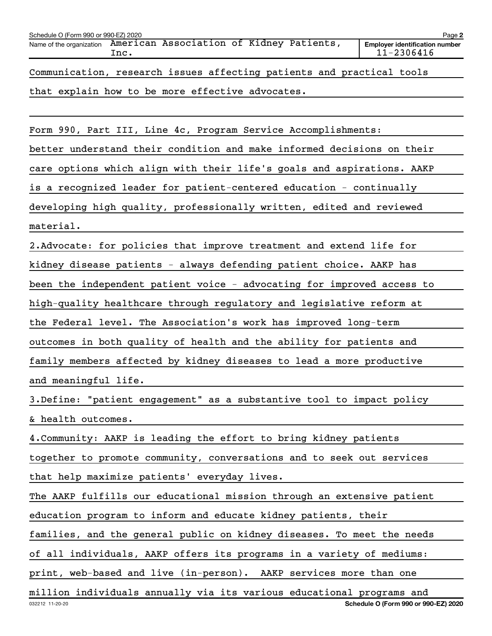| Schedule O (Form 990 or 990-EZ) 2020                                         | Page 2                                              |
|------------------------------------------------------------------------------|-----------------------------------------------------|
| American Association of Kidney Patients,<br>Name of the organization<br>Inc. | <b>Employer identification number</b><br>11-2306416 |
| Communication, research issues affecting patients and practical tools        |                                                     |
| that explain how to be more effective advocates.                             |                                                     |
|                                                                              |                                                     |
| Form 990, Part III, Line 4c, Program Service Accomplishments:                |                                                     |
| better understand their condition and make informed decisions on their       |                                                     |
| care options which align with their life's goals and aspirations. AAKP       |                                                     |
| is a recognized leader for patient-centered education - continually          |                                                     |
| developing high quality, professionally written, edited and reviewed         |                                                     |
| material.                                                                    |                                                     |
| 2. Advocate: for policies that improve treatment and extend life for         |                                                     |
| kidney disease patients - always defending patient choice. AAKP has          |                                                     |
| been the independent patient voice - advocating for improved access to       |                                                     |
| high-quality healthcare through regulatory and legislative reform at         |                                                     |
| the Federal level. The Association's work has improved long-term             |                                                     |
| outcomes in both quality of health and the ability for patients and          |                                                     |
| family members affected by kidney diseases to lead a more productive         |                                                     |
| and meaningful life.                                                         |                                                     |
| 3. Define: "patient engagement" as a substantive tool to impact policy       |                                                     |
| & health outcomes.                                                           |                                                     |
| 4. Community: AAKP is leading the effort to bring kidney patients            |                                                     |
| together to promote community, conversations and to seek out services        |                                                     |
| that help maximize patients' everyday lives.                                 |                                                     |
| The AAKP fulfills our educational mission through an extensive patient       |                                                     |
| education program to inform and educate kidney patients, their               |                                                     |
| families, and the general public on kidney diseases. To meet the needs       |                                                     |
| of all individuals, AAKP offers its programs in a variety of mediums:        |                                                     |
| print, web-based and live (in-person). AAKP services more than one           |                                                     |
| million individuals annually via its various educational programs and        |                                                     |
| 032212 11-20-20                                                              | Schedule O (Form 990 or 990-EZ) 2020                |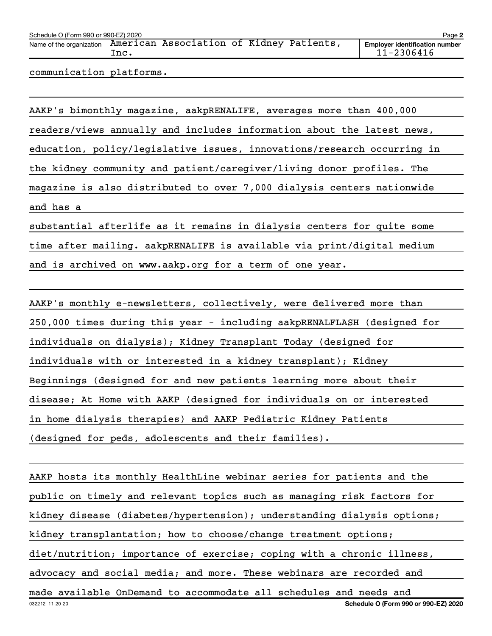| Schedule O (Form 990 or 990-EZ) 2020<br>Page 2 |      |                                          |  |  |  |                                                     |
|------------------------------------------------|------|------------------------------------------|--|--|--|-----------------------------------------------------|
| Name of the organization                       | Inc. | American Association of Kidney Patients, |  |  |  | <b>Employer identification number</b><br>11-2306416 |
|                                                |      |                                          |  |  |  |                                                     |

communication platforms.

AAKP's bimonthly magazine, aakpRENALIFE, averages more than 400,000 readers/views annually and includes information about the latest news, education, policy/legislative issues, innovations/research occurring in the kidney community and patient/caregiver/living donor profiles. The magazine is also distributed to over 7,000 dialysis centers nationwide and has a substantial afterlife as it remains in dialysis centers for quite some time after mailing. aakpRENALIFE is available via print/digital medium

and is archived on www.aakp.org for a term of one year.

AAKP's monthly e-newsletters, collectively, were delivered more than 250,000 times during this year - including aakpRENALFLASH (designed for individuals on dialysis); Kidney Transplant Today (designed for individuals with or interested in a kidney transplant); Kidney Beginnings (designed for and new patients learning more about their disease; At Home with AAKP (designed for individuals on or interested in home dialysis therapies) and AAKP Pediatric Kidney Patients (designed for peds, adolescents and their families).

032212 11-20-20 **Schedule O (Form 990 or 990-EZ) 2020** AAKP hosts its monthly HealthLine webinar series for patients and the public on timely and relevant topics such as managing risk factors for kidney disease (diabetes/hypertension); understanding dialysis options; kidney transplantation; how to choose/change treatment options; diet/nutrition; importance of exercise; coping with a chronic illness, advocacy and social media; and more. These webinars are recorded and made available OnDemand to accommodate all schedules and needs and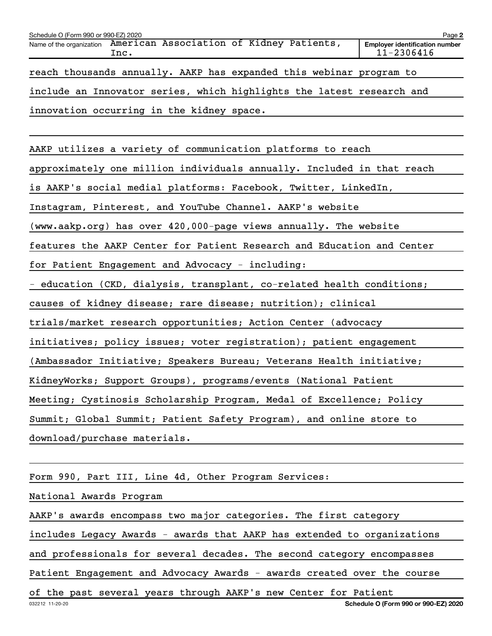| Schedule O (Form 990 or 990-EZ) 2020                                                                                             | Page 2 |
|----------------------------------------------------------------------------------------------------------------------------------|--------|
| Name of the organization American Association of Kidney Patients,<br><b>Employer identification number</b><br>11-2306416<br>Inc. |        |
| reach thousands annually. AAKP has expanded this webinar program to                                                              |        |
| include an Innovator series, which highlights the latest research and                                                            |        |
| innovation occurring in the kidney space.                                                                                        |        |

AAKP utilizes a variety of communication platforms to reach

approximately one million individuals annually. Included in that reach

is AAKP's social medial platforms: Facebook, Twitter, LinkedIn,

Instagram, Pinterest, and YouTube Channel. AAKP's website

(www.aakp.org) has over 420,000-page views annually. The website

features the AAKP Center for Patient Research and Education and Center

for Patient Engagement and Advocacy - including:

- education (CKD, dialysis, transplant, co-related health conditions;

causes of kidney disease; rare disease; nutrition); clinical

trials/market research opportunities; Action Center (advocacy

initiatives; policy issues; voter registration); patient engagement

(Ambassador Initiative; Speakers Bureau; Veterans Health initiative;

KidneyWorks; Support Groups), programs/events (National Patient

Meeting; Cystinosis Scholarship Program, Medal of Excellence; Policy

Summit; Global Summit; Patient Safety Program), and online store to

download/purchase materials.

Form 990, Part III, Line 4d, Other Program Services:

National Awards Program

AAKP's awards encompass two major categories. The first category

includes Legacy Awards - awards that AAKP has extended to organizations

and professionals for several decades. The second category encompasses

Patient Engagement and Advocacy Awards - awards created over the course

of the past several years through AAKP's new Center for Patient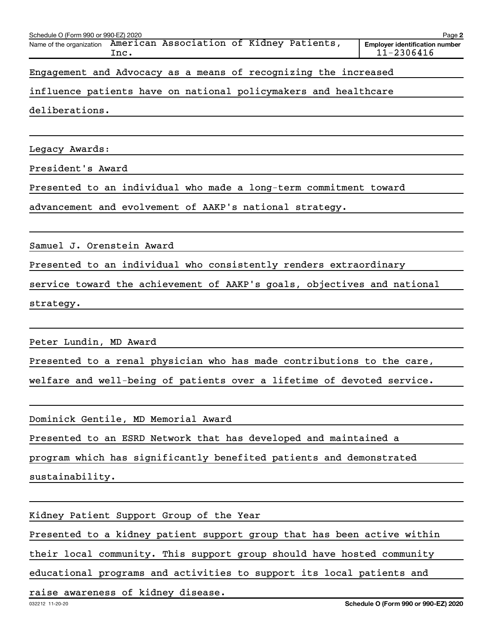| Schedule O (Form 990 or 990-EZ) 2020<br>American Association of Kidney Patients,<br>Name of the organization<br>Inc. | Page 2<br><b>Employer identification number</b><br>11-2306416 |
|----------------------------------------------------------------------------------------------------------------------|---------------------------------------------------------------|
| Engagement and Advocacy as a means of recognizing the increased                                                      |                                                               |
| influence patients have on national policymakers and healthcare                                                      |                                                               |
| deliberations.                                                                                                       |                                                               |
|                                                                                                                      |                                                               |
| Legacy Awards:                                                                                                       |                                                               |
| President's Award                                                                                                    |                                                               |
| Presented to an individual who made a long-term commitment toward                                                    |                                                               |
| advancement and evolvement of AAKP's national strategy.                                                              |                                                               |
|                                                                                                                      |                                                               |
| Samuel J. Orenstein Award                                                                                            |                                                               |
| Presented to an individual who consistently renders extraordinary                                                    |                                                               |
| service toward the achievement of AAKP's goals, objectives and national                                              |                                                               |
| strategy.                                                                                                            |                                                               |
|                                                                                                                      |                                                               |
| Peter Lundin, MD Award                                                                                               |                                                               |
| Presented to a renal physician who has made contributions to the care,                                               |                                                               |
| welfare and well-being of patients over a lifetime of devoted service.                                               |                                                               |
|                                                                                                                      |                                                               |
| Dominick Gentile, MD Memorial Award                                                                                  |                                                               |
| Presented to an ESRD Network that has developed and maintained a                                                     |                                                               |
| program which has significantly benefited patients and demonstrated                                                  |                                                               |
| sustainability.                                                                                                      |                                                               |
|                                                                                                                      |                                                               |
| Kidney Patient Support Group of the Year                                                                             |                                                               |
| Presented to a kidney patient support group that has been active within                                              |                                                               |

their local community. This support group should have hosted community

educational programs and activities to support its local patients and

raise awareness of kidney disease.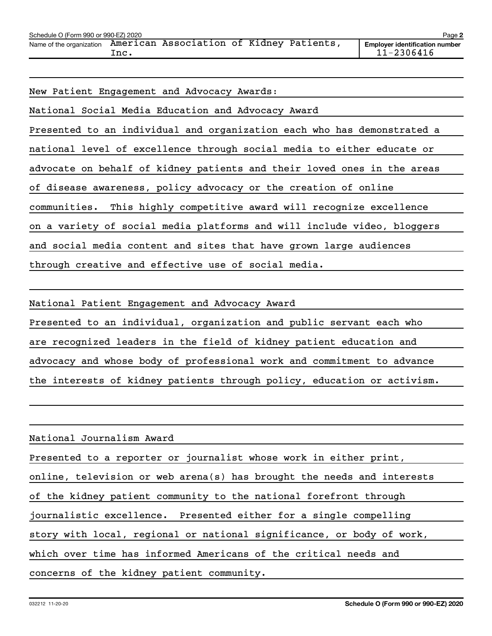| Schedule O (Form 990 or 990-EZ) 2020 |       |                                          |  | Page 2                                                  |
|--------------------------------------|-------|------------------------------------------|--|---------------------------------------------------------|
| Name of the organization             | . Inc | American Association of Kidney Patients, |  | <b>Emplover identification number</b><br>$11 - 2306416$ |

New Patient Engagement and Advocacy Awards:

National Social Media Education and Advocacy Award Presented to an individual and organization each who has demonstrated a national level of excellence through social media to either educate or advocate on behalf of kidney patients and their loved ones in the areas of disease awareness, policy advocacy or the creation of online communities. This highly competitive award will recognize excellence on a variety of social media platforms and will include video, bloggers and social media content and sites that have grown large audiences through creative and effective use of social media.

National Patient Engagement and Advocacy Award

Presented to an individual, organization and public servant each who are recognized leaders in the field of kidney patient education and advocacy and whose body of professional work and commitment to advance the interests of kidney patients through policy, education or activism.

National Journalism Award

Presented to a reporter or journalist whose work in either print,

online, television or web arena(s) has brought the needs and interests

of the kidney patient community to the national forefront through

journalistic excellence. Presented either for a single compelling

story with local, regional or national significance, or body of work,

which over time has informed Americans of the critical needs and

concerns of the kidney patient community.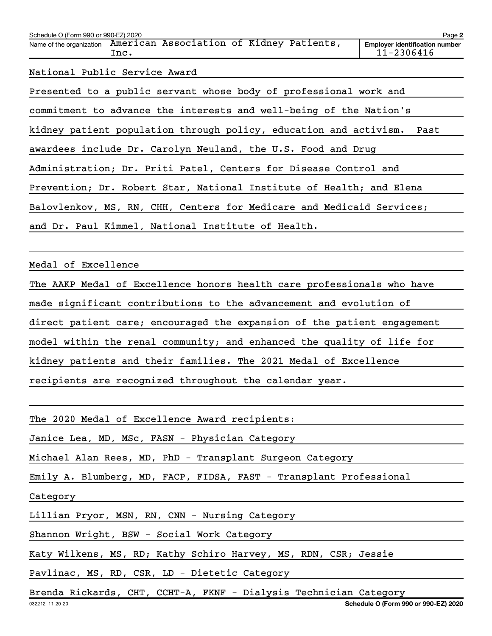| Schedule O (Form 990 or 990-EZ) 2020                                      | Page 2                                              |
|---------------------------------------------------------------------------|-----------------------------------------------------|
| Name of the organization American Association of Kidney Patients,<br>Inc. | <b>Employer identification number</b><br>11-2306416 |
| National Public Service Award                                             |                                                     |
| Presented to a public servant whose body of professional work and         |                                                     |
| commitment to advance the interests and well-being of the Nation's        |                                                     |
| kidney patient population through policy, education and activism.         | Past                                                |
| awardees include Dr. Carolyn Neuland, the U.S. Food and Drug              |                                                     |

Administration; Dr. Priti Patel, Centers for Disease Control and

Prevention; Dr. Robert Star, National Institute of Health; and Elena

Balovlenkov, MS, RN, CHH, Centers for Medicare and Medicaid Services;

and Dr. Paul Kimmel, National Institute of Health.

Medal of Excellence

The AAKP Medal of Excellence honors health care professionals who have

made significant contributions to the advancement and evolution of

direct patient care; encouraged the expansion of the patient engagement

model within the renal community; and enhanced the quality of life for

kidney patients and their families. The 2021 Medal of Excellence

recipients are recognized throughout the calendar year.

The 2020 Medal of Excellence Award recipients:

Janice Lea, MD, MSc, FASN - Physician Category

Michael Alan Rees, MD, PhD - Transplant Surgeon Category

Emily A. Blumberg, MD, FACP, FIDSA, FAST - Transplant Professional

Category

Lillian Pryor, MSN, RN, CNN - Nursing Category

Shannon Wright, BSW - Social Work Category

Katy Wilkens, MS, RD; Kathy Schiro Harvey, MS, RDN, CSR; Jessie

Pavlinac, MS, RD, CSR, LD - Dietetic Category

Brenda Rickards, CHT, CCHT-<mark>A, FKNF - Dialysis Technician Category</mark>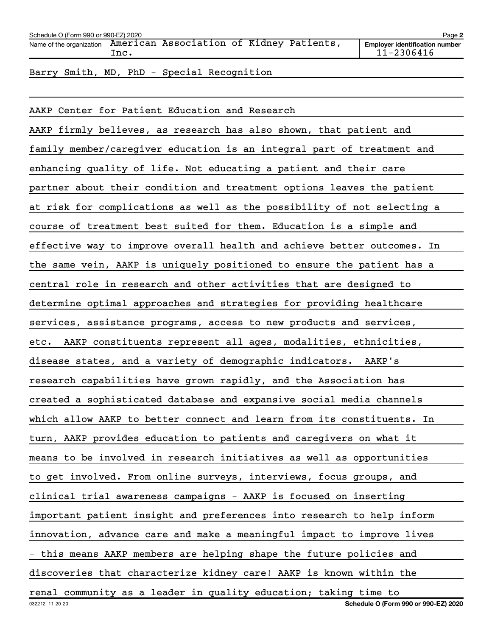| Schedule O (Form 990 or 990-EZ) 2020                              |      |  |  | Page 2 |                                                         |
|-------------------------------------------------------------------|------|--|--|--------|---------------------------------------------------------|
| Name of the organization American Association of Kidney Patients, | Inc. |  |  |        | <b>Employer identification number</b><br>$11 - 2306416$ |
|                                                                   |      |  |  |        |                                                         |

Barry Smith, MD, PhD - Special Recognition

032212 11-20-20 **Schedule O (Form 990 or 990-EZ) 2020** AAKP Center for Patient Education and Research AAKP firmly believes, as research has also shown, that patient and family member/caregiver education is an integral part of treatment and enhancing quality of life. Not educating a patient and their care partner about their condition and treatment options leaves the patient at risk for complications as well as the possibility of not selecting a course of treatment best suited for them. Education is a simple and effective way to improve overall health and achieve better outcomes. In the same vein, AAKP is uniquely positioned to ensure the patient has a central role in research and other activities that are designed to determine optimal approaches and strategies for providing healthcare services, assistance programs, access to new products and services, etc. AAKP constituents represent all ages, modalities, ethnicities, disease states, and a variety of demographic indicators. AAKP's research capabilities have grown rapidly, and the Association has created a sophisticated database and expansive social media channels which allow AAKP to better connect and learn from its constituents. In turn, AAKP provides education to patients and caregivers on what it means to be involved in research initiatives as well as opportunities to get involved. From online surveys, interviews, focus groups, and clinical trial awareness campaigns - AAKP is focused on inserting important patient insight and preferences into research to help inform innovation, advance care and make a meaningful impact to improve lives - this means AAKP members are helping shape the future policies and discoveries that characterize kidney care! AAKP is known within the renal community as a leader in quality education; taking time to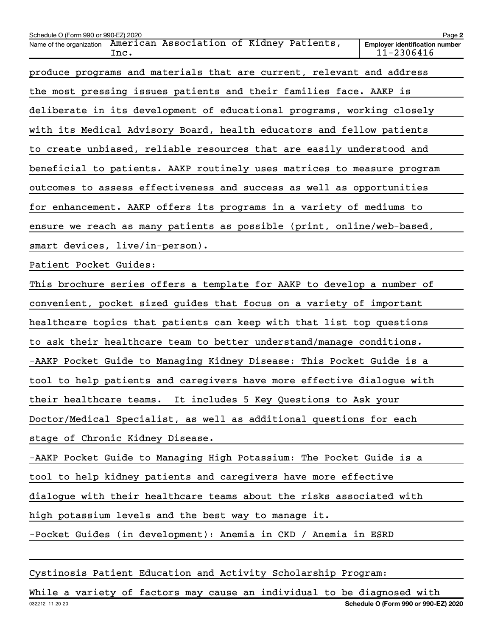| Schedule O (Form 990 or 990-EZ) 2020<br>Name of the organization | American Association of Kidney Patients,<br>Inc.                        | Page 2<br><b>Employer identification number</b><br>11-2306416 |
|------------------------------------------------------------------|-------------------------------------------------------------------------|---------------------------------------------------------------|
|                                                                  | produce programs and materials that are current, relevant and address   |                                                               |
|                                                                  | the most pressing issues patients and their families face. AAKP is      |                                                               |
|                                                                  | deliberate in its development of educational programs, working closely  |                                                               |
|                                                                  | with its Medical Advisory Board, health educators and fellow patients   |                                                               |
|                                                                  | to create unbiased, reliable resources that are easily understood and   |                                                               |
|                                                                  | beneficial to patients. AAKP routinely uses matrices to measure program |                                                               |
|                                                                  | outcomes to assess effectiveness and success as well as opportunities   |                                                               |
|                                                                  | for enhancement. AAKP offers its programs in a variety of mediums to    |                                                               |
|                                                                  | ensure we reach as many patients as possible (print, online/web-based,  |                                                               |
|                                                                  | smart devices, live/in-person).                                         |                                                               |
| Patient Pocket Guides:                                           |                                                                         |                                                               |
|                                                                  | This brochure series offers a template for AAKP to develop a number of  |                                                               |
|                                                                  | convenient, pocket sized guides that focus on a variety of important    |                                                               |
|                                                                  | healthcare topics that patients can keep with that list top questions   |                                                               |
|                                                                  | to ask their healthcare team to better understand/manage conditions.    |                                                               |
|                                                                  | -AAKP Pocket Guide to Managing Kidney Disease: This Pocket Guide is a   |                                                               |
|                                                                  | tool to help patients and caregivers have more effective dialogue with  |                                                               |
|                                                                  | their healthcare teams. It includes 5 Key Questions to Ask your         |                                                               |
|                                                                  | Doctor/Medical Specialist, as well as additional questions for each     |                                                               |
|                                                                  | stage of Chronic Kidney Disease.                                        |                                                               |
|                                                                  | -AAKP Pocket Guide to Managing High Potassium: The Pocket Guide is a    |                                                               |
|                                                                  | tool to help kidney patients and caregivers have more effective         |                                                               |
|                                                                  | dialogue with their healthcare teams about the risks associated with    |                                                               |
|                                                                  | high potassium levels and the best way to manage it.                    |                                                               |
|                                                                  | -Pocket Guides (in development): Anemia in CKD / Anemia in ESRD         |                                                               |

Cystinosis Patient Education and Activity Scholarship Program:

032212 11-20-20 **Schedule O (Form 990 or 990-EZ) 2020** While a variety of factors may cause an individual to be diagnosed with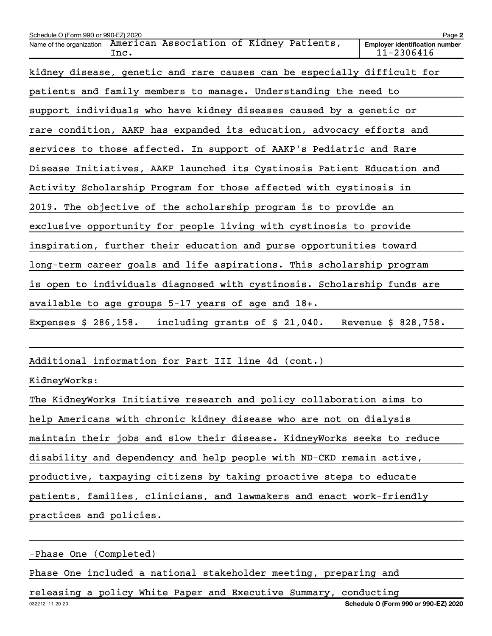| Schedule O (Form 990 or 990-EZ) 2020                                         | Page 2                                              |
|------------------------------------------------------------------------------|-----------------------------------------------------|
| American Association of Kidney Patients,<br>Name of the organization<br>Inc. | <b>Employer identification number</b><br>11-2306416 |
| kidney disease, genetic and rare causes can be especially difficult for      |                                                     |
| patients and family members to manage. Understanding the need to             |                                                     |
| support individuals who have kidney diseases caused by a genetic or          |                                                     |
| rare condition, AAKP has expanded its education, advocacy efforts and        |                                                     |
| services to those affected. In support of AAKP's Pediatric and Rare          |                                                     |
| Disease Initiatives, AAKP launched its Cystinosis Patient Education and      |                                                     |
| Activity Scholarship Program for those affected with cystinosis in           |                                                     |
| 2019. The objective of the scholarship program is to provide an              |                                                     |
| exclusive opportunity for people living with cystinosis to provide           |                                                     |
| inspiration, further their education and purse opportunities toward          |                                                     |
| long-term career goals and life aspirations. This scholarship program        |                                                     |
| is open to individuals diagnosed with cystinosis. Scholarship funds are      |                                                     |
| available to age groups $5-17$ years of age and $18+$ .                      |                                                     |
| including grants of \$ 21,040.<br>Expenses $$286,158.$                       | Revenue \$ 828,758.                                 |
|                                                                              |                                                     |
| Additional information for Part III line 4d (cont.)                          |                                                     |

KidneyWorks:

| The KidneyWorks Initiative research and policy collaboration aims to    |
|-------------------------------------------------------------------------|
| help Americans with chronic kidney disease who are not on dialysis      |
| maintain their jobs and slow their disease. KidneyWorks seeks to reduce |
| disability and dependency and help people with ND-CKD remain active,    |
| productive, taxpaying citizens by taking proactive steps to educate     |
| patients, families, clinicians, and lawmakers and enact work-friendly   |
| practices and policies.                                                 |

-Phase One (Completed)

Phase One included a national stakeholder meeting, preparing and

releasing a policy White Paper and Executive Summary, conducting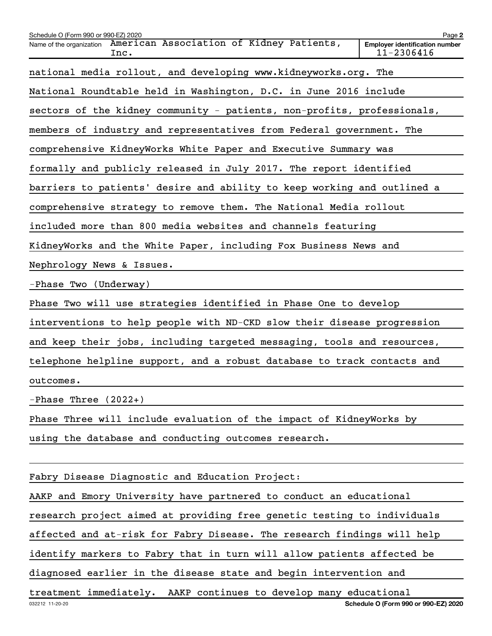| Schedule O (Form 990 or 990-EZ) 2020                                         | Page 2                                              |
|------------------------------------------------------------------------------|-----------------------------------------------------|
| American Association of Kidney Patients,<br>Name of the organization<br>Inc. | <b>Employer identification number</b><br>11-2306416 |
| national media rollout, and developing www.kidneyworks.org. The              |                                                     |
| National Roundtable held in Washington, D.C. in June 2016 include            |                                                     |
| sectors of the kidney community - patients, non-profits, professionals,      |                                                     |
| members of industry and representatives from Federal government. The         |                                                     |
| comprehensive KidneyWorks White Paper and Executive Summary was              |                                                     |
| formally and publicly released in July 2017. The report identified           |                                                     |
| barriers to patients' desire and ability to keep working and outlined a      |                                                     |
| comprehensive strategy to remove them. The National Media rollout            |                                                     |
| included more than 800 media websites and channels featuring                 |                                                     |
| KidneyWorks and the White Paper, including Fox Business News and             |                                                     |
| Nephrology News & Issues.                                                    |                                                     |
| -Phase Two (Underway)                                                        |                                                     |
| Phase Two will use strategies identified in Phase One to develop             |                                                     |
| interventions to help people with ND-CKD slow their disease progression      |                                                     |
| and keep their jobs, including targeted messaging, tools and resources,      |                                                     |
| telephone helpline support, and a robust database to track contacts and      |                                                     |
| outcomes.                                                                    |                                                     |
| -Phase Three $(2022+)$                                                       |                                                     |
| Phase Three will include evaluation of the impact of KidneyWorks by          |                                                     |
| using the database and conducting outcomes research.                         |                                                     |
|                                                                              |                                                     |
| Fabry Disease Diagnostic and Education Project:                              |                                                     |
| AAKP and Emory University have partnered to conduct an educational           |                                                     |
| research project aimed at providing free genetic testing to individuals      |                                                     |
| affected and at-risk for Fabry Disease. The research findings will help      |                                                     |
| identify markers to Fabry that in turn will allow patients affected be       |                                                     |
| diagnosed earlier in the disease state and begin intervention and            |                                                     |
| treatment immediately. AAKP continues to develop many educational            |                                                     |
| 032212 11-20-20                                                              | Schedule O (Form 990 or 990-EZ) 2020                |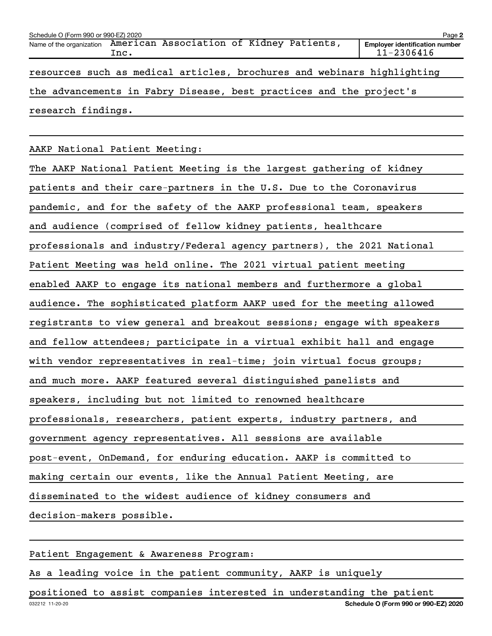| Schedule O (Form 990 or 990-EZ) 2020                                |      |  |  |  |  | Page 2                                                                  |
|---------------------------------------------------------------------|------|--|--|--|--|-------------------------------------------------------------------------|
| Name of the organization American Association of Kidney Patients,   | Inc. |  |  |  |  | <b>Employer identification number</b><br>11-2306416                     |
|                                                                     |      |  |  |  |  | resources such as medical articles, brochures and webinars highlighting |
| the advancements in Fabry Disease, best practices and the project's |      |  |  |  |  |                                                                         |
| research findings.                                                  |      |  |  |  |  |                                                                         |

AAKP National Patient Meeting:

The AAKP National Patient Meeting is the largest gathering of kidney patients and their care-partners in the U.S. Due to the Coronavirus pandemic, and for the safety of the AAKP professional team, speakers and audience (comprised of fellow kidney patients, healthcare professionals and industry/Federal agency partners), the 2021 National Patient Meeting was held online. The 2021 virtual patient meeting enabled AAKP to engage its national members and furthermore a global audience. The sophisticated platform AAKP used for the meeting allowed registrants to view general and breakout sessions; engage with speakers and fellow attendees; participate in a virtual exhibit hall and engage with vendor representatives in real-time; join virtual focus groups; and much more. AAKP featured several distinguished panelists and speakers, including but not limited to renowned healthcare professionals, researchers, patient experts, industry partners, and government agency representatives. All sessions are available post-event, OnDemand, for enduring education. AAKP is committed to making certain our events, like the Annual Patient Meeting, are disseminated to the widest audience of kidney consumers and decision-makers possible.

Patient Engagement & Awareness Program:

As a leading voice in the patient community, AAKP is uniquely

032212 11-20-20 **Schedule O (Form 990 or 990-EZ) 2020** positioned to assist companies interested in understanding the patient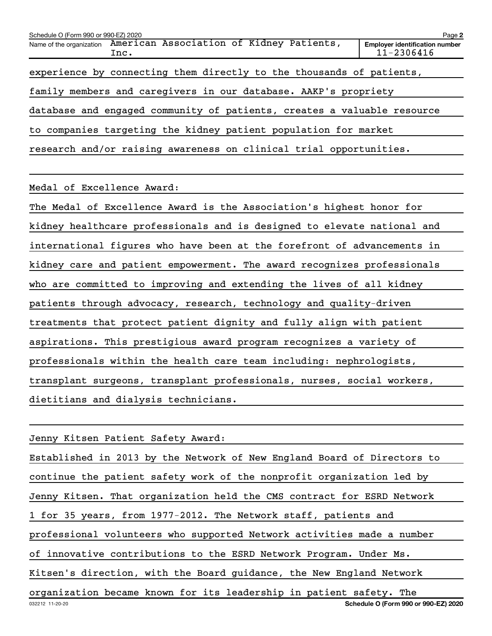| Schedule O (Form 990 or 990-EZ) 2020                            |                                                                           | Page 2                                              |  |  |
|-----------------------------------------------------------------|---------------------------------------------------------------------------|-----------------------------------------------------|--|--|
|                                                                 | Name of the organization American Association of Kidney Patients,<br>Inc. | <b>Employer identification number</b><br>11-2306416 |  |  |
|                                                                 | experience by connecting them directly to the thousands of patients,      |                                                     |  |  |
| family members and caregivers in our database. AAKP's propriety |                                                                           |                                                     |  |  |
|                                                                 | database and engaged community of patients, creates a valuable resource   |                                                     |  |  |
| to companies targeting the kidney patient population for market |                                                                           |                                                     |  |  |
|                                                                 | research and/or raising awareness on clinical trial opportunities.        |                                                     |  |  |

Medal of Excellence Award:

The Medal of Excellence Award is the Association's highest honor for kidney healthcare professionals and is designed to elevate national and international figures who have been at the forefront of advancements in kidney care and patient empowerment. The award recognizes professionals who are committed to improving and extending the lives of all kidney patients through advocacy, research, technology and quality-driven treatments that protect patient dignity and fully align with patient aspirations. This prestigious award program recognizes a variety of professionals within the health care team including: nephrologists, transplant surgeons, transplant professionals, nurses, social workers, dietitians and dialysis technicians.

032212 11-20-20 **Schedule O (Form 990 or 990-EZ) 2020** Jenny Kitsen Patient Safety Award: Established in 2013 by the Network of New England Board of Directors to continue the patient safety work of the nonprofit organization led by Jenny Kitsen. That organization held the CMS contract for ESRD Network 1 for 35 years, from 1977-2012. The Network staff, patients and professional volunteers who supported Network activities made a number of innovative contributions to the ESRD Network Program. Under Ms. Kitsen's direction, with the Board guidance, the New England Network organization became known for its leadership in patient safety. The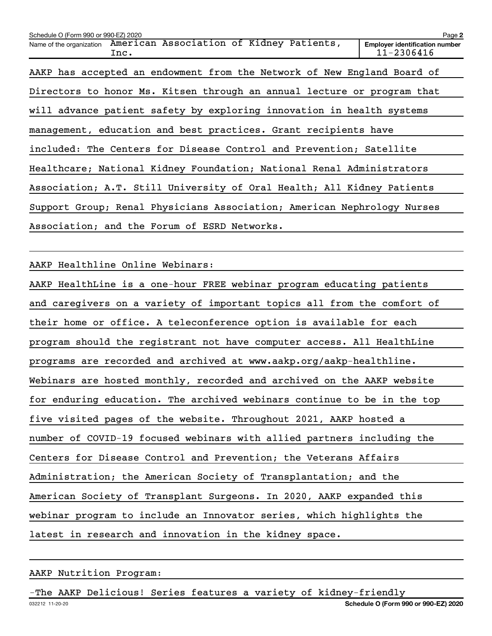| Schedule O (Form 990 or 990-EZ) 2020                                         | Page 2                                              |  |  |
|------------------------------------------------------------------------------|-----------------------------------------------------|--|--|
| American Association of Kidney Patients,<br>Name of the organization<br>Inc. | <b>Employer identification number</b><br>11-2306416 |  |  |
| AAKP has accepted an endowment from the Network of New England Board of      |                                                     |  |  |
| Directors to honor Ms. Kitsen through an annual lecture or program that      |                                                     |  |  |
| will advance patient safety by exploring innovation in health systems        |                                                     |  |  |
| management, education and best practices. Grant recipients have              |                                                     |  |  |
| included: The Centers for Disease Control and Prevention; Satellite          |                                                     |  |  |
| Healthcare; National Kidney Foundation; National Renal Administrators        |                                                     |  |  |
| Association; A.T. Still University of Oral Health; All Kidney Patients       |                                                     |  |  |
| Support Group; Renal Physicians Association; American Nephrology Nurses      |                                                     |  |  |
| Association; and the Forum of ESRD Networks.                                 |                                                     |  |  |

AAKP Healthline Online Webinars:

AAKP HealthLine is a one-hour FREE webinar program educating patients and caregivers on a variety of important topics all from the comfort of their home or office. A teleconference option is available for each program should the registrant not have computer access. All HealthLine programs are recorded and archived at www.aakp.org/aakp-healthline. Webinars are hosted monthly, recorded and archived on the AAKP website for enduring education. The archived webinars continue to be in the top five visited pages of the website. Throughout 2021, AAKP hosted a number of COVID-19 focused webinars with allied partners including the Centers for Disease Control and Prevention; the Veterans Affairs Administration; the American Society of Transplantation; and the American Society of Transplant Surgeons. In 2020, AAKP expanded this webinar program to include an Innovator series, which highlights the latest in research and innovation in the kidney space.

#### AAKP Nutrition Program:

The AAKP Delicious! Series features a variety of kidney-friendly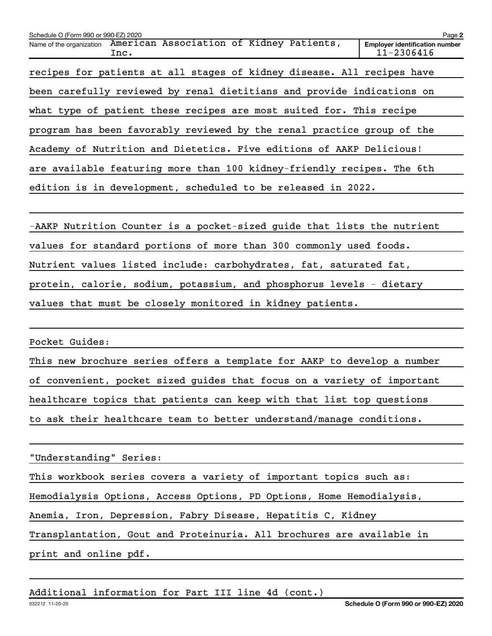| Schedule O (Form 990 or 990-EZ) 2020                                      |  |  | Page 2                                                  |  |
|---------------------------------------------------------------------------|--|--|---------------------------------------------------------|--|
| Name of the organization American Association of Kidney Patients,<br>Inc. |  |  | <b>Employer identification number</b><br>$11 - 2306416$ |  |
| recipes for patients at all stages of kidney disease. All recipes have    |  |  |                                                         |  |
| been carefully reviewed by renal dietitians and provide indications on    |  |  |                                                         |  |
| what type of patient these recipes are most suited for. This recipe       |  |  |                                                         |  |
| program has been favorably reviewed by the renal practice group of the    |  |  |                                                         |  |
| Academy of Nutrition and Dietetics. Five editions of AAKP Delicious!      |  |  |                                                         |  |
| are available featuring more than 100 kidney-friendly recipes. The 6th    |  |  |                                                         |  |
| edition is in development, scheduled to be released in 2022.              |  |  |                                                         |  |
|                                                                           |  |  |                                                         |  |

-AAKP Nutrition Counter is a pocket-sized guide that lists the nutrient values for standard portions of more than 300 commonly used foods. Nutrient values listed include: carbohydrates, fat, saturated fat, protein, calorie, sodium, potassium, and phosphorus levels - dietary values that must be closely monitored in kidney patients.

Pocket Guides:

This new brochure series offers a template for AAKP to develop a number of convenient, pocket sized guides that focus on a variety of important healthcare topics that patients can keep with that list top questions to ask their healthcare team to better understand/manage conditions.

"Understanding" Series:

This workbook series covers a variety of important topics such as: Hemodialysis Options, Access Options, PD Options, Home Hemodialysis, Anemia, Iron, Depression, Fabry Disease, Hepatitis C, Kidney Transplantation, Gout and Proteinuria. All brochures are available in print and online pdf.

### Additional information for Part III line 4d (cont.)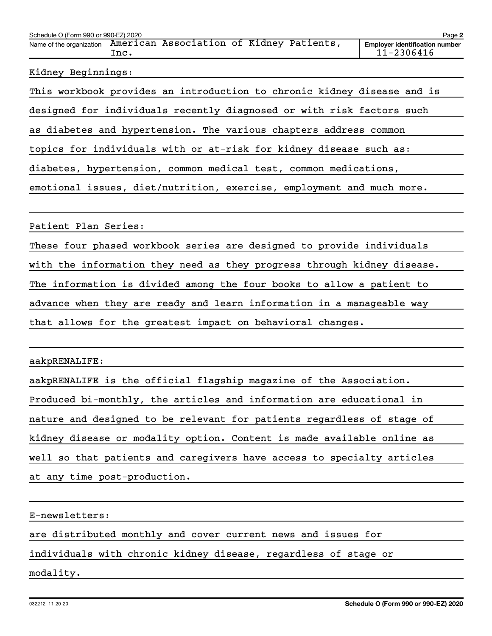| Schedule O (Form 990 or 990-EZ) 2020<br>Page 2 |      |                                          |  |  |                                                         |
|------------------------------------------------|------|------------------------------------------|--|--|---------------------------------------------------------|
| Name of the organization                       | Inc. | American Association of Kidney Patients, |  |  | <b>Employer identification number</b><br>$11 - 2306416$ |
|                                                |      |                                          |  |  |                                                         |

#### Kidney Beginnings:

This workbook provides an introduction to chronic kidney disease and is

designed for individuals recently diagnosed or with risk factors such

as diabetes and hypertension. The various chapters address common

topics for individuals with or at-risk for kidney disease such as:

diabetes, hypertension, common medical test, common medications,

emotional issues, diet/nutrition, exercise, employment and much more.

Patient Plan Series:

These four phased workbook series are designed to provide individuals

with the information they need as they progress through kidney disease.

The information is divided among the four books to allow a patient to

advance when they are ready and learn information in a manageable way

that allows for the greatest impact on behavioral changes.

### aakpRENALIFE:

aakpRENALIFE is the official flagship magazine of the Association. Produced bi-monthly, the articles and information are educational in nature and designed to be relevant for patients regardless of stage of kidney disease or modality option. Content is made available online as well so that patients and caregivers have access to specialty articles at any time post-production.

E-newsletters:

are distributed monthly and cover current news and issues for

individuals with chronic kidney disease, regardless of stage or

modality.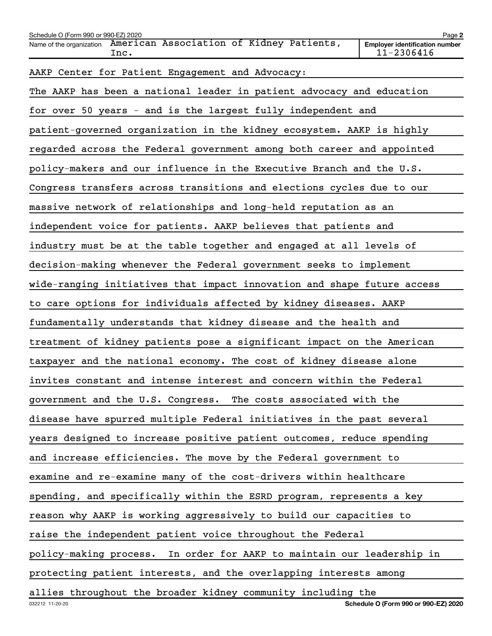| Schedule O (Form 990 or 990-EZ) 2020                                      | Page 2                                              |
|---------------------------------------------------------------------------|-----------------------------------------------------|
| Name of the organization American Association of Kidney Patients,<br>Inc. | <b>Employer identification number</b><br>11-2306416 |
| AAKP Center for Patient Engagement and Advocacy:                          |                                                     |
| The AAKP has been a national leader in patient advocacy and education     |                                                     |
| for over 50 years - and is the largest fully independent and              |                                                     |
| patient-governed organization in the kidney ecosystem. AAKP is highly     |                                                     |
| regarded across the Federal government among both career and appointed    |                                                     |
| policy-makers and our influence in the Executive Branch and the U.S.      |                                                     |
| Congress transfers across transitions and elections cycles due to our     |                                                     |
| massive network of relationships and long-held reputation as an           |                                                     |
| independent voice for patients. AAKP believes that patients and           |                                                     |
| industry must be at the table together and engaged at all levels of       |                                                     |
| decision-making whenever the Federal government seeks to implement        |                                                     |
| wide-ranging initiatives that impact innovation and shape future access   |                                                     |
| to care options for individuals affected by kidney diseases. AAKP         |                                                     |
| fundamentally understands that kidney disease and the health and          |                                                     |
| treatment of kidney patients pose a significant impact on the American    |                                                     |
| taxpayer and the national economy. The cost of kidney disease alone       |                                                     |
| invites constant and intense interest and concern within the Federal      |                                                     |
| government and the U.S. Congress. The costs associated with the           |                                                     |
| disease have spurred multiple Federal initiatives in the past several     |                                                     |
| years designed to increase positive patient outcomes, reduce spending     |                                                     |
| and increase efficiencies. The move by the Federal government to          |                                                     |
| examine and re-examine many of the cost-drivers within healthcare         |                                                     |
| spending, and specifically within the ESRD program, represents a key      |                                                     |
| reason why AAKP is working aggressively to build our capacities to        |                                                     |
| raise the independent patient voice throughout the Federal                |                                                     |
| policy-making process. In order for AAKP to maintain our leadership in    |                                                     |
| protecting patient interests, and the overlapping interests among         |                                                     |
| allies throughout the broader kidney community including the              |                                                     |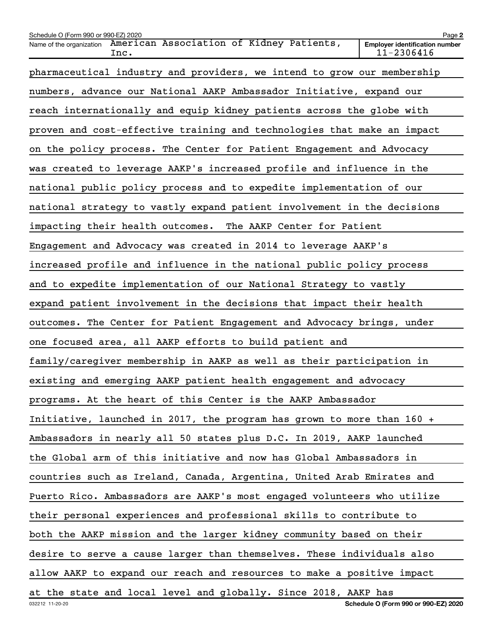| Schedule O (Form 990 or 990-EZ) 2020                                         | Page 2                                              |
|------------------------------------------------------------------------------|-----------------------------------------------------|
| American Association of Kidney Patients,<br>Name of the organization<br>Inc. | <b>Employer identification number</b><br>11-2306416 |
| pharmaceutical industry and providers, we intend to grow our membership      |                                                     |
| numbers, advance our National AAKP Ambassador Initiative, expand our         |                                                     |
| reach internationally and equip kidney patients across the globe with        |                                                     |
| proven and cost-effective training and technologies that make an impact      |                                                     |
| on the policy process. The Center for Patient Engagement and Advocacy        |                                                     |
| was created to leverage AAKP's increased profile and influence in the        |                                                     |
| national public policy process and to expedite implementation of our         |                                                     |
| national strategy to vastly expand patient involvement in the decisions      |                                                     |
| impacting their health outcomes.<br>The AAKP Center for Patient              |                                                     |
| Engagement and Advocacy was created in 2014 to leverage AAKP's               |                                                     |
| increased profile and influence in the national public policy process        |                                                     |
| and to expedite implementation of our National Strategy to vastly            |                                                     |
| expand patient involvement in the decisions that impact their health         |                                                     |
| outcomes. The Center for Patient Engagement and Advocacy brings, under       |                                                     |
| one focused area, all AAKP efforts to build patient and                      |                                                     |
| family/caregiver membership in AAKP as well as their participation in        |                                                     |
| existing and emerging AAKP patient health engagement and advocacy            |                                                     |
| programs. At the heart of this Center is the AAKP Ambassador                 |                                                     |
| Initiative, launched in 2017, the program has grown to more than 160 +       |                                                     |
| Ambassadors in nearly all 50 states plus D.C. In 2019, AAKP launched         |                                                     |
| the Global arm of this initiative and now has Global Ambassadors in          |                                                     |
| countries such as Ireland, Canada, Argentina, United Arab Emirates and       |                                                     |
| Puerto Rico. Ambassadors are AAKP's most engaged volunteers who utilize      |                                                     |
| their personal experiences and professional skills to contribute to          |                                                     |
| both the AAKP mission and the larger kidney community based on their         |                                                     |
| desire to serve a cause larger than themselves. These individuals also       |                                                     |
| allow AAKP to expand our reach and resources to make a positive impact       |                                                     |
| at the state and local level and globally. Since 2018, AAKP has              |                                                     |
| 032212 11-20-20                                                              | Schedule O (Form 990 or 990-EZ) 2020                |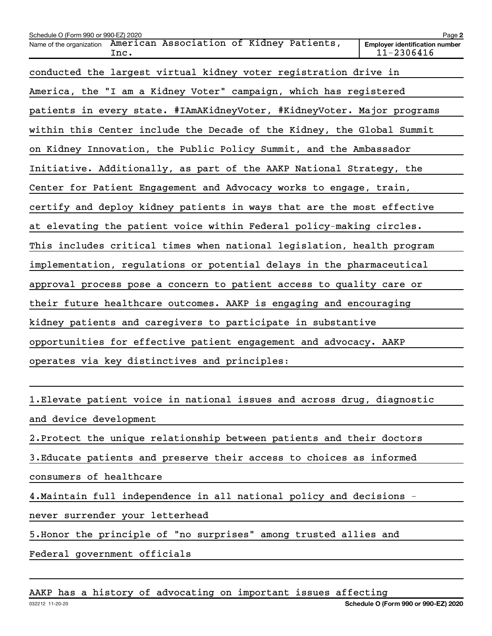| Schedule O (Form 990 or 990-EZ) 2020 |                                                                         | Page 2                                              |
|--------------------------------------|-------------------------------------------------------------------------|-----------------------------------------------------|
| Name of the organization             | American Association of Kidney Patients,<br>Inc.                        | <b>Employer identification number</b><br>11-2306416 |
|                                      | conducted the largest virtual kidney voter registration drive in        |                                                     |
|                                      | America, the "I am a Kidney Voter" campaign, which has registered       |                                                     |
|                                      | patients in every state. #IAmAKidneyVoter, #KidneyVoter. Major programs |                                                     |
|                                      | within this Center include the Decade of the Kidney, the Global Summit  |                                                     |
|                                      | on Kidney Innovation, the Public Policy Summit, and the Ambassador      |                                                     |
|                                      | Initiative. Additionally, as part of the AAKP National Strategy, the    |                                                     |
|                                      | Center for Patient Engagement and Advocacy works to engage, train,      |                                                     |
|                                      | certify and deploy kidney patients in ways that are the most effective  |                                                     |
|                                      | at elevating the patient voice within Federal policy-making circles.    |                                                     |
|                                      | This includes critical times when national legislation, health program  |                                                     |
|                                      | implementation, regulations or potential delays in the pharmaceutical   |                                                     |
|                                      | approval process pose a concern to patient access to quality care or    |                                                     |
|                                      | their future healthcare outcomes. AAKP is engaging and encouraging      |                                                     |
|                                      | kidney patients and caregivers to participate in substantive            |                                                     |
|                                      | opportunities for effective patient engagement and advocacy. AAKP       |                                                     |
|                                      | operates via key distinctives and principles:                           |                                                     |
|                                      |                                                                         |                                                     |
|                                      | 1. Elevate patient voice in national issues and across drug, diagnostic |                                                     |

```
and device development
```
2. Protect the unique relationship between patients and their doctors

3. Educate patients and preserve their access to choices as informed

consumers of healthcare

4. Maintain full independence in all national policy and decisions -

never surrender your letterhead

5. Honor the principle of "no surprises" among trusted allies and

Federal government officials

AAKP has a history of advocating on important issues affecting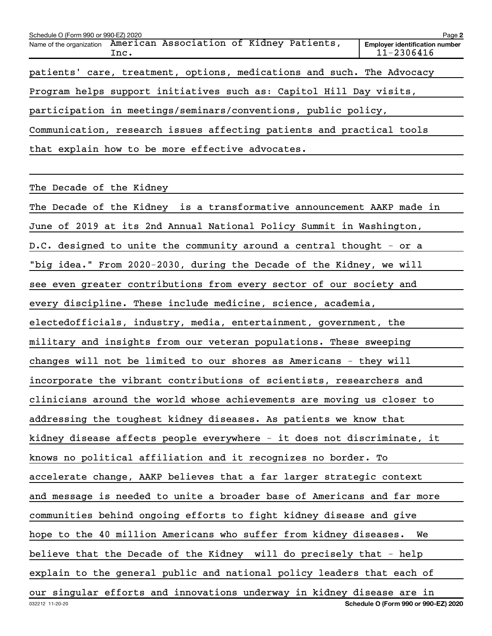| Schedule O (Form 990 or 990-EZ) 2020                                      | Page 2                                              |
|---------------------------------------------------------------------------|-----------------------------------------------------|
| Name of the organization American Association of Kidney Patients,<br>Inc. | <b>Employer identification number</b><br>11-2306416 |
| patients' care, treatment, options, medications and such. The Advocacy    |                                                     |
| Program helps support initiatives such as: Capitol Hill Day visits,       |                                                     |
| participation in meetings/seminars/conventions, public policy,            |                                                     |
| Communication, research issues affecting patients and practical tools     |                                                     |
| that explain how to be more effective advocates.                          |                                                     |

The Decade of the Kidney

032212 11-20-20 **Schedule O (Form 990 or 990-EZ) 2020** The Decade of the Kidney is a transformative announcement AAKP made in June of 2019 at its 2nd Annual National Policy Summit in Washington, D.C. designed to unite the community around a central thought - or a "big idea." From 2020-2030, during the Decade of the Kidney, we will see even greater contributions from every sector of our society and every discipline. These include medicine, science, academia, electedofficials, industry, media, entertainment, government, the military and insights from our veteran populations. These sweeping changes will not be limited to our shores as Americans - they will incorporate the vibrant contributions of scientists, researchers and clinicians around the world whose achievements are moving us closer to addressing the toughest kidney diseases. As patients we know that kidney disease affects people everywhere - it does not discriminate, it knows no political affiliation and it recognizes no border. To accelerate change, AAKP believes that a far larger strategic context and message is needed to unite a broader base of Americans and far more communities behind ongoing efforts to fight kidney disease and give hope to the 40 million Americans who suffer from kidney diseases. We believe that the Decade of the Kidney will do precisely that - help explain to the general public and national policy leaders that each of our singular efforts and innovations underway in kidney disease are in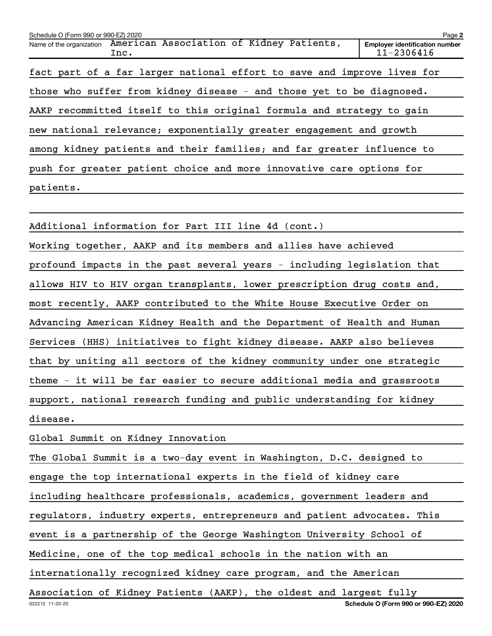| Schedule O (Form 990 or 990-EZ) 2020                                         | Page 2                                              |
|------------------------------------------------------------------------------|-----------------------------------------------------|
| American Association of Kidney Patients,<br>Name of the organization<br>Inc. | <b>Employer identification number</b><br>11-2306416 |
| fact part of a far larger national effort to save and improve lives for      |                                                     |
| those who suffer from kidney disease - and those yet to be diagnosed.        |                                                     |
| AAKP recommitted itself to this original formula and strategy to gain        |                                                     |
| new national relevance; exponentially greater engagement and growth          |                                                     |
| among kidney patients and their families; and far greater influence to       |                                                     |
| push for greater patient choice and more innovative care options for         |                                                     |
| patients.                                                                    |                                                     |
|                                                                              |                                                     |
| Additional information for Part III line 4d (cont.)                          |                                                     |

Working together, AAKP and its members and allies have achieved profound impacts in the past several years - including legislation that allows HIV to HIV organ transplants, lower prescription drug costs and, most recently, AAKP contributed to the White House Executive Order on Advancing American Kidney Health and the Department of Health and Human Services (HHS) initiatives to fight kidney disease. AAKP also believes that by uniting all sectors of the kidney community under one strategic theme - it will be far easier to secure additional media and grassroots support, national research funding and public understanding for kidney disease.

Global Summit on Kidney Innovation

The Global Summit is a two-day event in Washington, D.C. designed to engage the top international experts in the field of kidney care including healthcare professionals, academics, government leaders and regulators, industry experts, entrepreneurs and patient advocates. This event is a partnership of the George Washington University School of

Medicine, one of the top medical schools in the nation with an

internationally recognized kidney care program, and the American

032212 11-20-20 **Schedule O (Form 990 or 990-EZ) 2020** Association of Kidney Patients (AAKP), the oldest and largest fully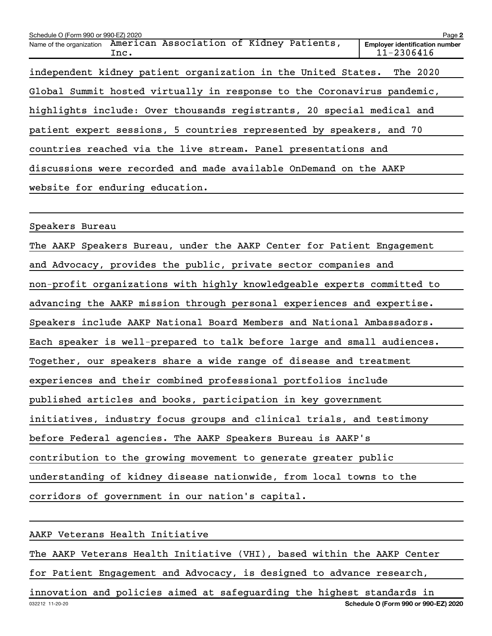| Schedule O (Form 990 or 990-EZ) 2020 |                                                                         | Page 2                                              |
|--------------------------------------|-------------------------------------------------------------------------|-----------------------------------------------------|
| Name of the organization             | American Association of Kidney Patients,<br>Inc.                        | <b>Employer identification number</b><br>11-2306416 |
|                                      | independent kidney patient organization in the United States. The 2020  |                                                     |
|                                      | Global Summit hosted virtually in response to the Coronavirus pandemic, |                                                     |
|                                      | highlights include: Over thousands registrants, 20 special medical and  |                                                     |
|                                      | patient expert sessions, 5 countries represented by speakers, and 70    |                                                     |
|                                      | countries reached via the live stream. Panel presentations and          |                                                     |
|                                      | discussions were recorded and made available OnDemand on the AAKP       |                                                     |
|                                      | website for enduring education.                                         |                                                     |
|                                      |                                                                         |                                                     |
| Speakers Bureau                      |                                                                         |                                                     |
|                                      | The AAKP Speakers Bureau, under the AAKP Center for Patient Engagement  |                                                     |
|                                      | and Advocacy, provides the public, private sector companies and         |                                                     |
|                                      | non-profit organizations with highly knowledgeable experts committed to |                                                     |
|                                      | advancing the AAKP mission through personal experiences and expertise.  |                                                     |
|                                      | Speakers include AAKP National Board Members and National Ambassadors.  |                                                     |
|                                      | Each speaker is well-prepared to talk before large and small audiences. |                                                     |
|                                      | Together, our speakers share a wide range of disease and treatment      |                                                     |
|                                      | experiences and their combined professional portfolios include          |                                                     |
|                                      | published articles and books, participation in key government           |                                                     |
|                                      | initiatives, industry focus groups and clinical trials, and testimony   |                                                     |
|                                      | before Federal agencies. The AAKP Speakers Bureau is AAKP's             |                                                     |
|                                      | contribution to the growing movement to generate greater public         |                                                     |
|                                      | understanding of kidney disease nationwide, from local towns to the     |                                                     |
|                                      | corridors of government in our nation's capital.                        |                                                     |

AAKP Veterans Health Initiative

The AAKP Veterans Health Initiative (VHI), based within the AAKP Center

for Patient Engagement and Advocacy, is designed to advance research,

032212 11-20-20 **Schedule O (Form 990 or 990-EZ) 2020** innovation and policies aimed at safeguarding the highest standards in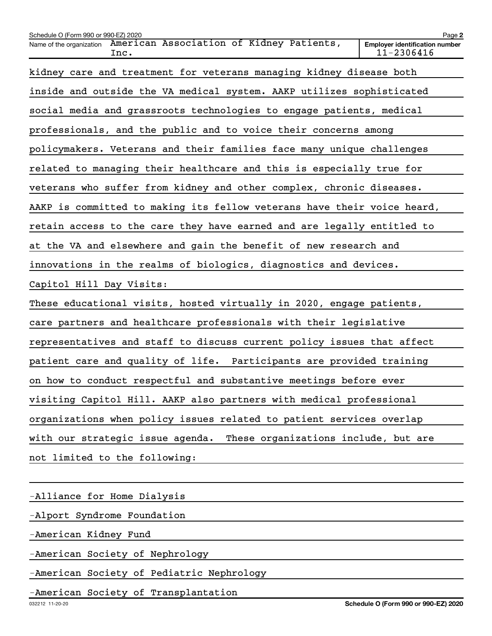| Schedule O (Form 990 or 990-EZ) 2020                                         | Page 2                                              |
|------------------------------------------------------------------------------|-----------------------------------------------------|
| American Association of Kidney Patients,<br>Name of the organization<br>Inc. | <b>Employer identification number</b><br>11-2306416 |
| kidney care and treatment for veterans managing kidney disease both          |                                                     |
| inside and outside the VA medical system. AAKP utilizes sophisticated        |                                                     |
| social media and grassroots technologies to engage patients, medical         |                                                     |
| professionals, and the public and to voice their concerns among              |                                                     |
| policymakers. Veterans and their families face many unique challenges        |                                                     |
| related to managing their healthcare and this is especially true for         |                                                     |
| veterans who suffer from kidney and other complex, chronic diseases.         |                                                     |
| AAKP is committed to making its fellow veterans have their voice heard,      |                                                     |
| retain access to the care they have earned and are legally entitled to       |                                                     |
| at the VA and elsewhere and gain the benefit of new research and             |                                                     |
| innovations in the realms of biologics, diagnostics and devices.             |                                                     |
| Capitol Hill Day Visits:                                                     |                                                     |
| These educational visits, hosted virtually in 2020, engage patients,         |                                                     |
| care partners and healthcare professionals with their legislative            |                                                     |
| representatives and staff to discuss current policy issues that affect       |                                                     |
| patient care and quality of life. Participants are provided training         |                                                     |
| on how to conduct respectful and substantive meetings before ever            |                                                     |
| visiting Capitol Hill. AAKP also partners with medical professional          |                                                     |
| organizations when policy issues related to patient services overlap         |                                                     |
| with our strategic issue agenda.<br>These organizations include, but are     |                                                     |
| not limited to the following:                                                |                                                     |
|                                                                              |                                                     |

-Alliance for Home Dialysis

-Alport Syndrome Foundation

-American Kidney Fund

-American Society of Nephrology

-American Society of Pediatric Nephrology

-American Society of Transplantation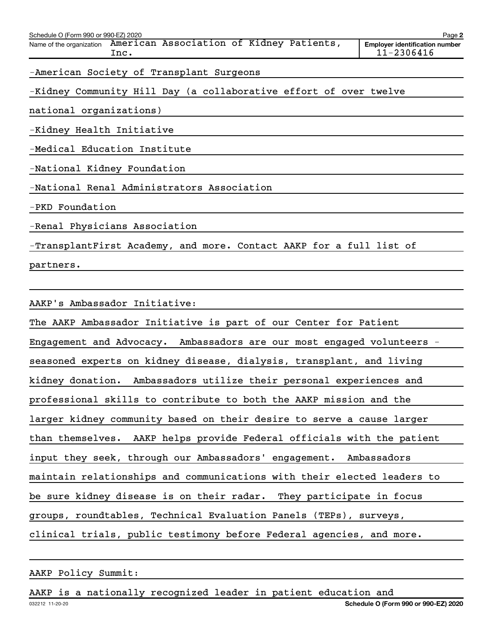| Schedule O (Form 990 or 990-EZ) 2020                                      | Page 2                                              |
|---------------------------------------------------------------------------|-----------------------------------------------------|
| Name of the organization American Association of Kidney Patients,<br>Inc. | <b>Employer identification number</b><br>11-2306416 |
| -American Society of Transplant Surgeons                                  |                                                     |
| -Kidney Community Hill Day (a collaborative effort of over twelve         |                                                     |
| national organizations)                                                   |                                                     |
| -Kidney Health Initiative                                                 |                                                     |
| -Medical Education Institute                                              |                                                     |
| -National Kidney Foundation                                               |                                                     |
| -National Renal Administrators Association                                |                                                     |
| -PKD Foundation                                                           |                                                     |
| -Renal Physicians Association                                             |                                                     |
| -TransplantFirst Academy, and more. Contact AAKP for a full list of       |                                                     |
| partners.                                                                 |                                                     |
|                                                                           |                                                     |
| AAKP's Ambassador Initiative:                                             |                                                     |

The AAKP Ambassador Initiative is part of our Center for Patient Engagement and Advocacy. Ambassadors are our most engaged volunteers seasoned experts on kidney disease, dialysis, transplant, and living kidney donation. Ambassadors utilize their personal experiences and professional skills to contribute to both the AAKP mission and the larger kidney community based on their desire to serve a cause larger than themselves. AAKP helps provide Federal officials with the patient input they seek, through our Ambassadors' engagement. Ambassadors maintain relationships and communications with their elected leaders to be sure kidney disease is on their radar. They participate in focus groups, roundtables, Technical Evaluation Panels (TEPs), surveys, clinical trials, public testimony before Federal agencies, and more.

AAKP Policy Summit:

032212 11-20-20 AAKP is a nationally recognized leader in patient education and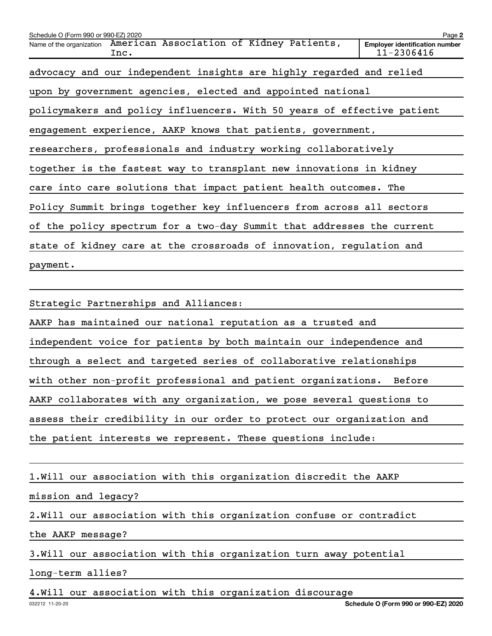| Schedule O (Form 990 or 990-EZ) 2020                                         | Page 2                                              |
|------------------------------------------------------------------------------|-----------------------------------------------------|
| American Association of Kidney Patients,<br>Name of the organization<br>Inc. | <b>Employer identification number</b><br>11-2306416 |
| advocacy and our independent insights are highly regarded and relied         |                                                     |
| upon by government agencies, elected and appointed national                  |                                                     |
| policymakers and policy influencers. With 50 years of effective patient      |                                                     |
| engagement experience, AAKP knows that patients, government,                 |                                                     |
| researchers, professionals and industry working collaboratively              |                                                     |
| together is the fastest way to transplant new innovations in kidney          |                                                     |
| care into care solutions that impact patient health outcomes. The            |                                                     |
| Policy Summit brings together key influencers from across all sectors        |                                                     |
| of the policy spectrum for a two-day Summit that addresses the current       |                                                     |
| state of kidney care at the crossroads of innovation, regulation and         |                                                     |
| payment.                                                                     |                                                     |

Strategic Partnerships and Alliances:

AAKP has maintained our national reputation as a trusted and

independent voice for patients by both maintain our independence and

through a select and targeted series of collaborative relationships

with other non-profit professional and patient organizations. Before

AAKP collaborates with any organization, we pose several questions to

assess their credibility in our order to protect our organization and

the patient interests we represent. These questions include:

1. Will our association with this organization discredit the AAKP

mission and legacy?

2. Will our association with this organization confuse or contradict

the AAKP message?

3. Will our association with this organization turn away potential

long-term allies?

4. Will our association with this organization discourage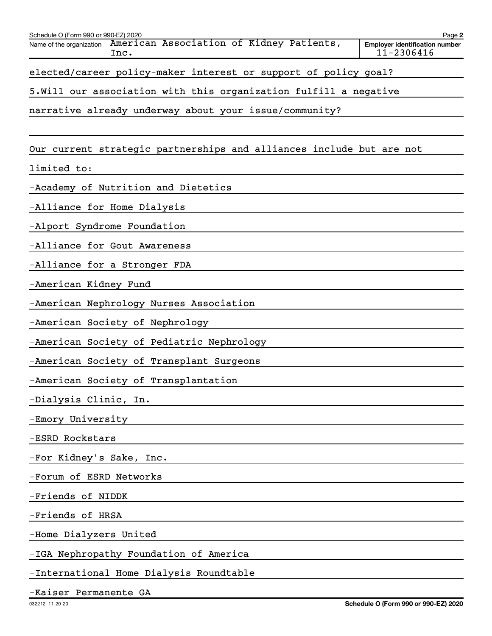| Schedule O (Form 990 or 990-EZ) 2020                                         | Page 2                                              |
|------------------------------------------------------------------------------|-----------------------------------------------------|
| American Association of Kidney Patients,<br>Name of the organization<br>Inc. | <b>Employer identification number</b><br>11-2306416 |
| elected/career policy-maker interest or support of policy goal?              |                                                     |
| 5.Will our association with this organization fulfill a negative             |                                                     |
| narrative already underway about your issue/community?                       |                                                     |
|                                                                              |                                                     |
| Our current strategic partnerships and alliances include but are not         |                                                     |
| limited to:                                                                  |                                                     |
| -Academy of Nutrition and Dietetics                                          |                                                     |
| -Alliance for Home Dialysis                                                  |                                                     |
| -Alport Syndrome Foundation                                                  |                                                     |
| -Alliance for Gout Awareness                                                 |                                                     |
| -Alliance for a Stronger FDA                                                 |                                                     |
| -American Kidney Fund                                                        |                                                     |
| -American Nephrology Nurses Association                                      |                                                     |
| -American Society of Nephrology                                              |                                                     |
| -American Society of Pediatric Nephrology                                    |                                                     |
| -American Society of Transplant Surgeons                                     |                                                     |
| -American Society of Transplantation                                         |                                                     |
| -Dialysis Clinic, In.                                                        |                                                     |
| -Emory University                                                            |                                                     |
| -ESRD Rockstars                                                              |                                                     |
| -For Kidney's Sake, Inc.                                                     |                                                     |
| -Forum of ESRD Networks                                                      |                                                     |
| -Friends of NIDDK                                                            |                                                     |
| -Friends of HRSA                                                             |                                                     |
| -Home Dialyzers United                                                       |                                                     |
| -IGA Nephropathy Foundation of America                                       |                                                     |
| -International Home Dialysis Roundtable                                      |                                                     |

-Kaiser Permanente GA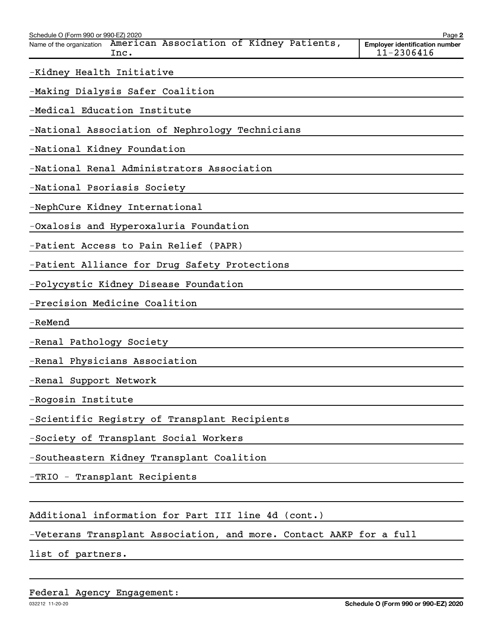| Schedule O (Form 990 or 990-EZ) 2020<br>American Association of Kidney Patients,<br>Name of the organization<br>Inc. | Page 2<br><b>Employer identification number</b><br>11-2306416 |
|----------------------------------------------------------------------------------------------------------------------|---------------------------------------------------------------|
| -Kidney Health Initiative                                                                                            |                                                               |
| -Making Dialysis Safer Coalition                                                                                     |                                                               |
| -Medical Education Institute                                                                                         |                                                               |
| -National Association of Nephrology Technicians                                                                      |                                                               |
| -National Kidney Foundation                                                                                          |                                                               |
| -National Renal Administrators Association                                                                           |                                                               |
| -National Psoriasis Society                                                                                          |                                                               |
| -NephCure Kidney International                                                                                       |                                                               |
| -Oxalosis and Hyperoxaluria Foundation                                                                               |                                                               |
| -Patient Access to Pain Relief (PAPR)                                                                                |                                                               |
| -Patient Alliance for Drug Safety Protections                                                                        |                                                               |
| -Polycystic Kidney Disease Foundation                                                                                |                                                               |
| -Precision Medicine Coalition                                                                                        |                                                               |
| -ReMend                                                                                                              |                                                               |
| -Renal Pathology Society                                                                                             |                                                               |
| -Renal Physicians Association                                                                                        |                                                               |
| -Renal Support Network                                                                                               |                                                               |
| -Rogosin Institute                                                                                                   |                                                               |
| -Scientific Registry of Transplant Recipients                                                                        |                                                               |
| -Society of Transplant Social Workers                                                                                |                                                               |
| -Southeastern Kidney Transplant Coalition                                                                            |                                                               |
| -TRIO - Transplant Recipients                                                                                        |                                                               |
| Additional information for Part III line 4d (cont.)                                                                  |                                                               |
| -Veterans Transplant Association, and more. Contact AAKP for a full                                                  |                                                               |

list of partners.

Federal Agency Engagement: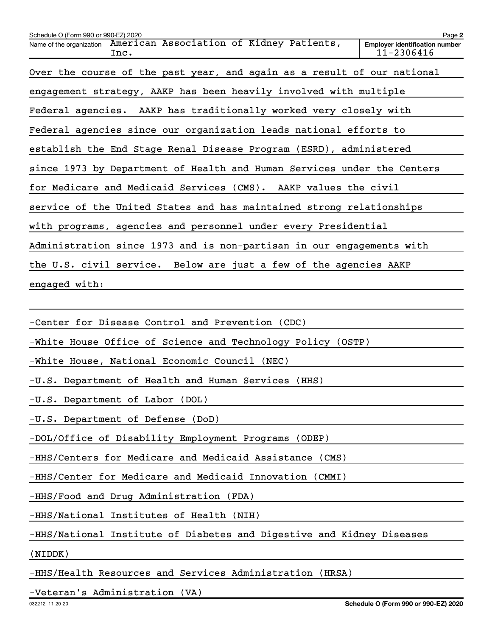| Schedule O (Form 990 or 990-EZ) 2020                                         | Page 2                                              |
|------------------------------------------------------------------------------|-----------------------------------------------------|
| American Association of Kidney Patients,<br>Name of the organization<br>Inc. | <b>Employer identification number</b><br>11-2306416 |
| Over the course of the past year, and again as a result of our national      |                                                     |
| engagement strategy, AAKP has been heavily involved with multiple            |                                                     |
| Federal agencies. AAKP has traditionally worked very closely with            |                                                     |
| Federal agencies since our organization leads national efforts to            |                                                     |
| establish the End Stage Renal Disease Program (ESRD), administered           |                                                     |
| since 1973 by Department of Health and Human Services under the Centers      |                                                     |
| for Medicare and Medicaid Services (CMS). AAKP values the civil              |                                                     |
| service of the United States and has maintained strong relationships         |                                                     |
| with programs, agencies and personnel under every Presidential               |                                                     |
| Administration since 1973 and is non-partisan in our engagements with        |                                                     |
| the U.S. civil service. Below are just a few of the agencies AAKP            |                                                     |
| engaged with:                                                                |                                                     |
|                                                                              |                                                     |

-Center for Disease Control and Prevention (CDC)

-White House Office of Science and Technology Policy (OSTP)

-White House, National Economic Council (NEC)

-U.S. Department of Health and Human Services (HHS)

-U.S. Department of Labor (DOL)

-U.S. Department of Defense (DoD)

-DOL/Office of Disability Employment Programs (ODEP)

-HHS/Centers for Medicare and Medicaid Assistance (CMS)

-HHS/Center for Medicare and Medicaid Innovation (CMMI)

-HHS/Food and Drug Administration (FDA)

-HHS/National Institutes of Health (NIH)

-HHS/National Institute of Diabetes and Digestive and Kidney Diseases

(NIDDK)

-HHS/Health Resources and Services Administration (HRSA)

-Veteran's Administration (VA)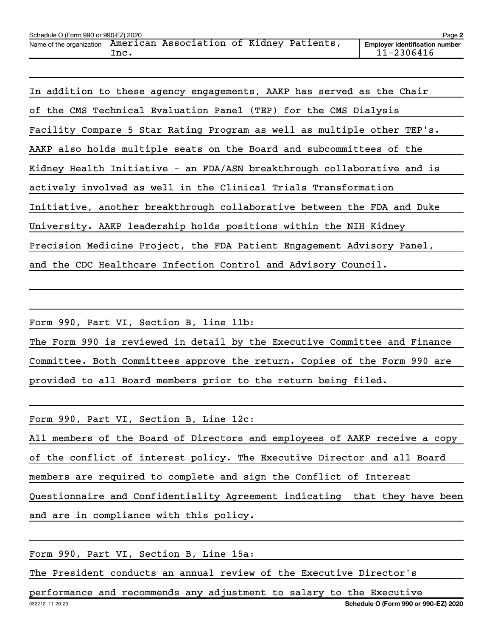| Schedule O (Form 990 or 990-EZ) 2020 |       |                                          |  | Page 2                                                  |
|--------------------------------------|-------|------------------------------------------|--|---------------------------------------------------------|
| Name of the organization             | Inc . | American Association of Kidney Patients, |  | <b>Employer identification number</b><br>$11 - 2306416$ |

In addition to these agency engagements, AAKP has served as the Chair of the CMS Technical Evaluation Panel (TEP) for the CMS Dialysis Facility Compare 5 Star Rating Program as well as multiple other TEP's. AAKP also holds multiple seats on the Board and subcommittees of the Kidney Health Initiative - an FDA/ASN breakthrough collaborative and is actively involved as well in the Clinical Trials Transformation Initiative, another breakthrough collaborative between the FDA and Duke University. AAKP leadership holds positions within the NIH Kidney Precision Medicine Project, the FDA Patient Engagement Advisory Panel, and the CDC Healthcare Infection Control and Advisory Council.

Form 990, Part VI, Section B, line 11b:

The Form 990 is reviewed in detail by the Executive Committee and Finance Committee. Both Committees approve the return. Copies of the Form 990 are provided to all Board members prior to the return being filed.

Form 990, Part VI, Section B, Line 12c:

| All members of the Board of Directors and employees of AAKP receive a copy |  |
|----------------------------------------------------------------------------|--|
| of the conflict of interest policy. The Executive Director and all Board   |  |
| members are required to complete and sign the Conflict of Interest         |  |
| Questionnaire and Confidentiality Agreement indicating that they have been |  |
| and are in compliance with this policy.                                    |  |

Form 990, Part VI, Section B, Line 15a:

The President conducts an annual review of the Executive Director's

032212 11-20-20 **Schedule O (Form 990 or 990-EZ) 2020** performance and recommends any adjustment to salary to the Executive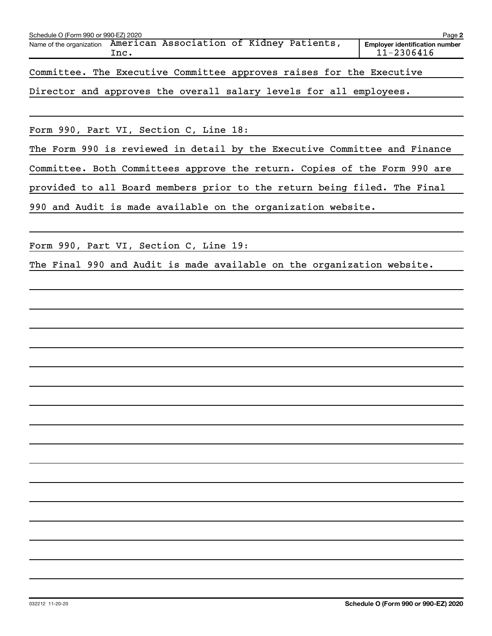| Schedule O (Form 990 or 990-EZ) 2020<br>Name of the organization American Association of Kidney Patients, | Inc. |  |  |  |  | Page 2<br><b>Employer identification number</b><br>$11 - 2306416$ |
|-----------------------------------------------------------------------------------------------------------|------|--|--|--|--|-------------------------------------------------------------------|
| Committee. The Executive Committee approves raises for the Executive                                      |      |  |  |  |  |                                                                   |
| Director and approves the overall salary levels for all employees.                                        |      |  |  |  |  |                                                                   |

Form 990, Part VI, Section C, Line 18:

The Form 990 is reviewed in detail by the Executive Committee and Finance

Committee. Both Committees approve the return. Copies of the Form 990 are

provided to all Board members prior to the return being filed. The Final

990 and Audit is made available on the organization website.

Form 990, Part VI, Section C, Line 19:

The Final 990 and Audit is made available on the organization website.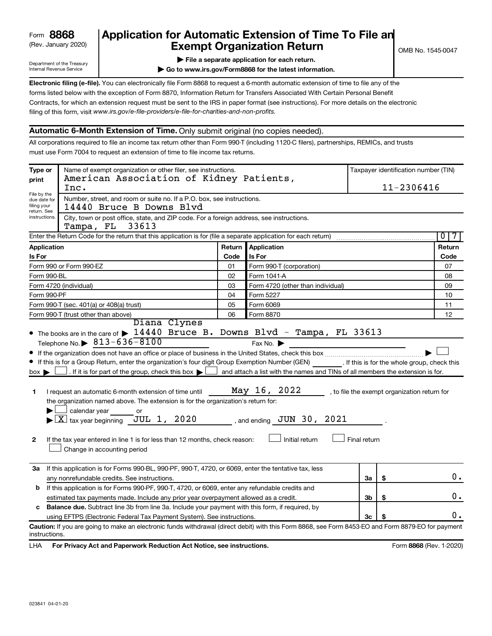# (Rev. January 2020) **Cxempt Organization Return** Manuary 2020) and the settern **Canadian Exempt Organization Return 8868 Application for Automatic Extension of Time To File an**

Department of the Treasury Internal Revenue Service

|  |  |  |  | File a separate application for each return. |  |
|--|--|--|--|----------------------------------------------|--|
|  |  |  |  |                                              |  |

**| Go to www.irs.gov/Form8868 for the latest information.**

**Electronic filing (e-file).** You can electronically file Form 8868 to request a 6-month automatic extension of time to file any of the filing of this form, visit www.irs.gov/e-file-providers/e-file-for-charities-and-non-profits. forms listed below with the exception of Form 8870, Information Return for Transfers Associated With Certain Personal Benefit Contracts, for which an extension request must be sent to the IRS in paper format (see instructions). For more details on the electronic

### **Automatic 6-Month Extension of Time.** Only submit original (no copies needed).

All corporations required to file an income tax return other than Form 990-T (including 1120-C filers), partnerships, REMICs, and trusts must use Form 7004 to request an extension of time to file income tax returns.

| Type or<br>print                                          | Name of exempt organization or other filer, see instructions.<br>American Association of Kidney Patients,                                                                                                                                                                                                                                                                                                                                                                                                                                                                                                                                                                                                                                     |        |                                                                                                                                                            |              | Taxpayer identification number (TIN)         |                         |
|-----------------------------------------------------------|-----------------------------------------------------------------------------------------------------------------------------------------------------------------------------------------------------------------------------------------------------------------------------------------------------------------------------------------------------------------------------------------------------------------------------------------------------------------------------------------------------------------------------------------------------------------------------------------------------------------------------------------------------------------------------------------------------------------------------------------------|--------|------------------------------------------------------------------------------------------------------------------------------------------------------------|--------------|----------------------------------------------|-------------------------|
|                                                           | Inc.                                                                                                                                                                                                                                                                                                                                                                                                                                                                                                                                                                                                                                                                                                                                          |        |                                                                                                                                                            |              | 11-2306416                                   |                         |
| File by the<br>due date for<br>filing your<br>return. See | Number, street, and room or suite no. If a P.O. box, see instructions.<br>14440 Bruce B Downs Blvd                                                                                                                                                                                                                                                                                                                                                                                                                                                                                                                                                                                                                                            |        |                                                                                                                                                            |              |                                              |                         |
| instructions.                                             | City, town or post office, state, and ZIP code. For a foreign address, see instructions.<br>Tampa, FL<br>33613                                                                                                                                                                                                                                                                                                                                                                                                                                                                                                                                                                                                                                |        |                                                                                                                                                            |              |                                              |                         |
|                                                           | Enter the Return Code for the return that this application is for (file a separate application for each return)                                                                                                                                                                                                                                                                                                                                                                                                                                                                                                                                                                                                                               |        |                                                                                                                                                            |              |                                              | $\overline{0}$<br>7     |
| Application                                               |                                                                                                                                                                                                                                                                                                                                                                                                                                                                                                                                                                                                                                                                                                                                               | Return | Application                                                                                                                                                |              |                                              | Return                  |
| Is For                                                    |                                                                                                                                                                                                                                                                                                                                                                                                                                                                                                                                                                                                                                                                                                                                               | Code   | Is For                                                                                                                                                     |              |                                              | Code                    |
|                                                           | Form 990 or Form 990-EZ                                                                                                                                                                                                                                                                                                                                                                                                                                                                                                                                                                                                                                                                                                                       | 01     | Form 990-T (corporation)                                                                                                                                   |              |                                              | 07                      |
| Form 990-BL                                               |                                                                                                                                                                                                                                                                                                                                                                                                                                                                                                                                                                                                                                                                                                                                               | 02     | Form 1041-A                                                                                                                                                |              |                                              | 08                      |
|                                                           | Form 4720 (individual)                                                                                                                                                                                                                                                                                                                                                                                                                                                                                                                                                                                                                                                                                                                        | 03     | Form 4720 (other than individual)                                                                                                                          |              |                                              | 09                      |
| Form 990-PF                                               |                                                                                                                                                                                                                                                                                                                                                                                                                                                                                                                                                                                                                                                                                                                                               | 04     | Form 5227                                                                                                                                                  |              |                                              | 10                      |
|                                                           | Form 990-T (sec. 401(a) or 408(a) trust)                                                                                                                                                                                                                                                                                                                                                                                                                                                                                                                                                                                                                                                                                                      | 05     | Form 6069                                                                                                                                                  |              |                                              | 11                      |
|                                                           | Form 990-T (trust other than above)<br>Diana Clynes                                                                                                                                                                                                                                                                                                                                                                                                                                                                                                                                                                                                                                                                                           | 06     | Form 8870                                                                                                                                                  |              |                                              | 12                      |
| $box \blacktriangleright$<br>1<br>2                       | $\bullet$ The books are in the care of $\triangleright$ 14440 Bruce B. Downs Blvd - Tampa, FL 33613<br>Telephone No. $\triangleright$ 813-636-8100<br>If this is for a Group Return, enter the organization's four digit Group Exemption Number (GEN) [If this is for the whole group, check this<br>. If it is for part of the group, check this box $\blacktriangleright$<br>I request an automatic 6-month extension of time until<br>the organization named above. The extension is for the organization's return for:<br>calendar year<br>or<br>$\blacktriangleright$ $\lfloor$ X $\rfloor$ tax year beginning JUL 1, 2020<br>If the tax year entered in line 1 is for less than 12 months, check reason:<br>Change in accounting period |        | Fax No.<br>and attach a list with the names and TINs of all members the extension is for.<br>May 16, 2022<br>, and ending $JUN$ 30, 2021<br>Initial return | Final return | , to file the exempt organization return for |                         |
| За                                                        | If this application is for Forms 990-BL, 990-PF, 990-T, 4720, or 6069, enter the tentative tax, less<br>any nonrefundable credits. See instructions.                                                                                                                                                                                                                                                                                                                                                                                                                                                                                                                                                                                          |        |                                                                                                                                                            | За           | \$                                           | 0.                      |
| b                                                         | If this application is for Forms 990-PF, 990-T, 4720, or 6069, enter any refundable credits and                                                                                                                                                                                                                                                                                                                                                                                                                                                                                                                                                                                                                                               |        |                                                                                                                                                            |              |                                              |                         |
|                                                           | estimated tax payments made. Include any prior year overpayment allowed as a credit.                                                                                                                                                                                                                                                                                                                                                                                                                                                                                                                                                                                                                                                          |        |                                                                                                                                                            | 3b           | \$                                           | 0.                      |
| c                                                         | Balance due. Subtract line 3b from line 3a. Include your payment with this form, if required, by                                                                                                                                                                                                                                                                                                                                                                                                                                                                                                                                                                                                                                              |        |                                                                                                                                                            |              |                                              | Ο.                      |
|                                                           | using EFTPS (Electronic Federal Tax Payment System). See instructions.<br>Caution: If you are going to make an electronic funds withdrawal (direct debit) with this Form 8868, see Form 8453-EO and Form 8879-EO for payment                                                                                                                                                                                                                                                                                                                                                                                                                                                                                                                  |        |                                                                                                                                                            | 3c           | S                                            |                         |
| instructions.                                             |                                                                                                                                                                                                                                                                                                                                                                                                                                                                                                                                                                                                                                                                                                                                               |        |                                                                                                                                                            |              |                                              |                         |
| LHA                                                       | For Privacy Act and Paperwork Reduction Act Notice, see instructions.                                                                                                                                                                                                                                                                                                                                                                                                                                                                                                                                                                                                                                                                         |        |                                                                                                                                                            |              |                                              | Form 8868 (Rev. 1-2020) |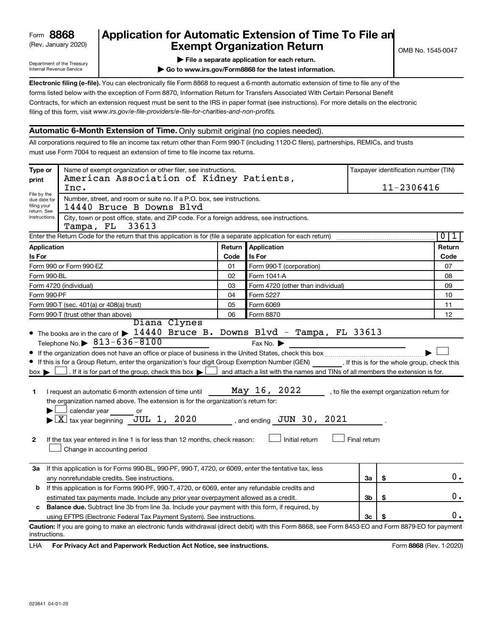# (Rev. January 2020) **Cxempt Organization Return** Manuary 2020) and the settern **Canadian Exempt Organization Return 8868 Application for Automatic Extension of Time To File an**

Department of the Treasury Internal Revenue Service

|  |  |  |  | File a separate application for each return. |
|--|--|--|--|----------------------------------------------|
|  |  |  |  |                                              |

**| Go to www.irs.gov/Form8868 for the latest information.**

**Electronic filing (e-file).** You can electronically file Form 8868 to request a 6-month automatic extension of time to file any of the filing of this form, visit www.irs.gov/e-file-providers/e-file-for-charities-and-non-profits. forms listed below with the exception of Form 8870, Information Return for Transfers Associated With Certain Personal Benefit Contracts, for which an extension request must be sent to the IRS in paper format (see instructions). For more details on the electronic

# **Automatic 6-Month Extension of Time.** Only submit original (no copies needed).

All corporations required to file an income tax return other than Form 990-T (including 1120-C filers), partnerships, REMICs, and trusts must use Form 7004 to request an extension of time to file income tax returns.

| Type or                                                   | Name of exempt organization or other filer, see instructions.<br>American Association of Kidney Patients,                                                                                                                                                                                                                                                                                                                                                                                                                                                                                                                                                                                                                                                      |        |                                                                                                                                                                                         |              |            | Taxpayer identification number (TIN)         |
|-----------------------------------------------------------|----------------------------------------------------------------------------------------------------------------------------------------------------------------------------------------------------------------------------------------------------------------------------------------------------------------------------------------------------------------------------------------------------------------------------------------------------------------------------------------------------------------------------------------------------------------------------------------------------------------------------------------------------------------------------------------------------------------------------------------------------------------|--------|-----------------------------------------------------------------------------------------------------------------------------------------------------------------------------------------|--------------|------------|----------------------------------------------|
| print                                                     | Inc.                                                                                                                                                                                                                                                                                                                                                                                                                                                                                                                                                                                                                                                                                                                                                           |        |                                                                                                                                                                                         |              | 11-2306416 |                                              |
| File by the<br>due date for<br>filing your<br>return. See | Number, street, and room or suite no. If a P.O. box, see instructions.<br>14440 Bruce B Downs Blvd                                                                                                                                                                                                                                                                                                                                                                                                                                                                                                                                                                                                                                                             |        |                                                                                                                                                                                         |              |            |                                              |
| instructions.                                             | City, town or post office, state, and ZIP code. For a foreign address, see instructions.<br>33613<br>Tampa, FL                                                                                                                                                                                                                                                                                                                                                                                                                                                                                                                                                                                                                                                 |        |                                                                                                                                                                                         |              |            |                                              |
|                                                           | Enter the Return Code for the return that this application is for (file a separate application for each return)                                                                                                                                                                                                                                                                                                                                                                                                                                                                                                                                                                                                                                                |        |                                                                                                                                                                                         |              |            | $\overline{\bullet}$<br>1                    |
| Application                                               |                                                                                                                                                                                                                                                                                                                                                                                                                                                                                                                                                                                                                                                                                                                                                                | Return | Application                                                                                                                                                                             |              |            | Return                                       |
| Is For                                                    |                                                                                                                                                                                                                                                                                                                                                                                                                                                                                                                                                                                                                                                                                                                                                                | Code   | <b>Is For</b>                                                                                                                                                                           |              |            | Code                                         |
|                                                           | Form 990 or Form 990-EZ                                                                                                                                                                                                                                                                                                                                                                                                                                                                                                                                                                                                                                                                                                                                        | 01     | Form 990-T (corporation)                                                                                                                                                                |              |            | 07                                           |
| Form 990-BL                                               |                                                                                                                                                                                                                                                                                                                                                                                                                                                                                                                                                                                                                                                                                                                                                                | 02     | Form 1041-A                                                                                                                                                                             |              |            | 08                                           |
|                                                           | Form 4720 (individual)                                                                                                                                                                                                                                                                                                                                                                                                                                                                                                                                                                                                                                                                                                                                         | 03     | Form 4720 (other than individual)                                                                                                                                                       |              |            | 09                                           |
| Form 990-PF                                               |                                                                                                                                                                                                                                                                                                                                                                                                                                                                                                                                                                                                                                                                                                                                                                | 04     | Form 5227                                                                                                                                                                               |              |            | 10                                           |
|                                                           | Form 990-T (sec. 401(a) or 408(a) trust)                                                                                                                                                                                                                                                                                                                                                                                                                                                                                                                                                                                                                                                                                                                       | 05     | Form 6069                                                                                                                                                                               |              |            | 11                                           |
|                                                           | Form 990-T (trust other than above)<br>Diana Clynes                                                                                                                                                                                                                                                                                                                                                                                                                                                                                                                                                                                                                                                                                                            | 06     | Form 8870                                                                                                                                                                               |              |            | 12                                           |
| $box \blacktriangleright$<br>1<br>$\mathbf{2}$            | • The books are in the care of $\blacktriangleright$ 14440 Bruce B. Downs Blvd - Tampa, FL 33613<br>Telephone No. $\triangleright$ 813-636-8100<br>If this is for a Group Return, enter the organization's four digit Group Exemption Number (GEN) [If this is for the whole group, check this<br>$\rfloor$ . If it is for part of the group, check this box $\blacktriangleright$ $\rfloor$<br>I request an automatic 6-month extension of time until<br>the organization named above. The extension is for the organization's return for:<br>calendar year<br>or<br>$\blacktriangleright$ $\lfloor$ X $\rfloor$ tax year beginning JUL 1, 2020<br>If the tax year entered in line 1 is for less than 12 months, check reason:<br>Change in accounting period |        | Fax No. $\blacktriangleright$<br>$\Box$ and attach a list with the names and TINs of all members the extension is for.<br>May 16, 2022<br>, and ending $JUN$ 30, 2021<br>Initial return | Final return |            | , to file the exempt organization return for |
| За                                                        | If this application is for Forms 990-BL, 990-PF, 990-T, 4720, or 6069, enter the tentative tax, less<br>any nonrefundable credits. See instructions.                                                                                                                                                                                                                                                                                                                                                                                                                                                                                                                                                                                                           |        |                                                                                                                                                                                         | За           | \$         | 0.                                           |
| b                                                         | If this application is for Forms 990-PF, 990-T, 4720, or 6069, enter any refundable credits and                                                                                                                                                                                                                                                                                                                                                                                                                                                                                                                                                                                                                                                                |        |                                                                                                                                                                                         |              |            |                                              |
|                                                           | estimated tax payments made. Include any prior year overpayment allowed as a credit.                                                                                                                                                                                                                                                                                                                                                                                                                                                                                                                                                                                                                                                                           |        |                                                                                                                                                                                         | Зb           | \$         | 0.                                           |
| c                                                         | Balance due. Subtract line 3b from line 3a. Include your payment with this form, if required, by                                                                                                                                                                                                                                                                                                                                                                                                                                                                                                                                                                                                                                                               |        |                                                                                                                                                                                         |              |            |                                              |
|                                                           | using EFTPS (Electronic Federal Tax Payment System). See instructions.                                                                                                                                                                                                                                                                                                                                                                                                                                                                                                                                                                                                                                                                                         |        |                                                                                                                                                                                         | 3c           | S          | 0.                                           |
| instructions.                                             | Caution: If you are going to make an electronic funds withdrawal (direct debit) with this Form 8868, see Form 8453-EO and Form 8879-EO for payment                                                                                                                                                                                                                                                                                                                                                                                                                                                                                                                                                                                                             |        |                                                                                                                                                                                         |              |            |                                              |
| LHA                                                       | For Privacy Act and Paperwork Reduction Act Notice, see instructions.                                                                                                                                                                                                                                                                                                                                                                                                                                                                                                                                                                                                                                                                                          |        |                                                                                                                                                                                         |              |            | Form 8868 (Rev. 1-2020)                      |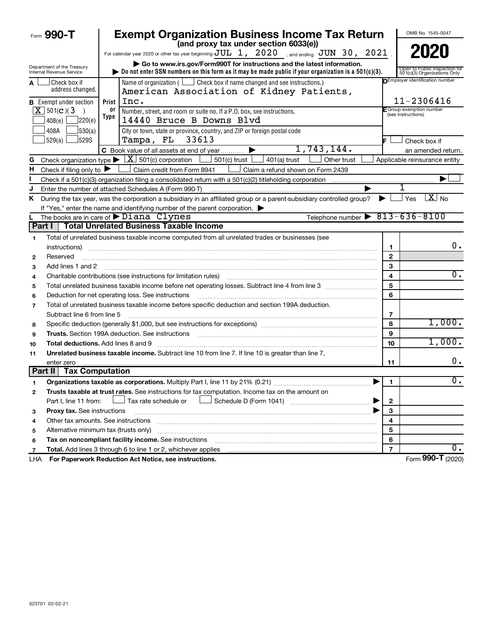|    | Form 990-T                                             | <b>Exempt Organization Business Income Tax Return</b>                                                                                                                                                                           |                | OMB No. 1545-0047                                             |
|----|--------------------------------------------------------|---------------------------------------------------------------------------------------------------------------------------------------------------------------------------------------------------------------------------------|----------------|---------------------------------------------------------------|
|    |                                                        | (and proxy tax under section 6033(e))                                                                                                                                                                                           |                | 2020                                                          |
|    |                                                        | For calendar year 2020 or other tax year beginning $JUL$ 1, $2020$ , and ending $JUN$ 30, $2021$                                                                                                                                |                |                                                               |
|    | Department of the Treasury<br>Internal Revenue Service | Go to www.irs.gov/Form990T for instructions and the latest information.<br>Do not enter SSN numbers on this form as it may be made public if your organization is a $501(c)(3)$ .                                               |                | Open to Public Inspection for<br>501(c)(3) Organizations Only |
| A  | Check box if<br>address changed.                       | Name of organization ( $\Box$ Check box if name changed and see instructions.)<br>American Association of Kidney Patients,                                                                                                      |                | DEmployer identification number                               |
|    | <b>B</b> Exempt under section                          | Inc.<br>Print                                                                                                                                                                                                                   |                | 11-2306416                                                    |
|    | $X$ 501(c)(3)<br>$\rightarrow$                         | 0r<br>Number, street, and room or suite no. If a P.O. box, see instructions.                                                                                                                                                    |                | E Group exemption number<br>(see instructions)                |
|    | ]220(e)<br>408(e)                                      | Type<br>14440 Bruce B Downs Blvd                                                                                                                                                                                                |                |                                                               |
|    | 408A<br>530(a)                                         | City or town, state or province, country, and ZIP or foreign postal code                                                                                                                                                        |                |                                                               |
|    | 529(a) <u> </u><br>529S                                | 33613<br>Tampa, FL                                                                                                                                                                                                              |                | Check box if                                                  |
|    |                                                        | 1,743,144.<br>C Book value of all assets at end of year                                                                                                                                                                         |                | an amended return.                                            |
| G  |                                                        | Check organization type $\blacktriangleright \lfloor \underline{X} \rfloor$ 501(c) corporation<br>$501(c)$ trust $\lfloor$<br>401(a) trust<br>Other trust                                                                       |                | Applicable reinsurance entity                                 |
| н  | Check if filing only to $\blacktriangleright$          | Claim credit from Form 8941<br>Claim a refund shown on Form 2439                                                                                                                                                                |                |                                                               |
|    |                                                        |                                                                                                                                                                                                                                 |                |                                                               |
|    |                                                        | Enter the number of attached Schedules A (Form 990-T)                                                                                                                                                                           |                |                                                               |
| Κ  |                                                        | During the tax year, was the corporation a subsidiary in an affiliated group or a parent-subsidiary controlled group?<br>▶                                                                                                      |                | $\boxed{\text{X}}$ No<br>Yes                                  |
|    |                                                        | If "Yes," enter the name and identifying number of the parent corporation.                                                                                                                                                      |                |                                                               |
|    |                                                        | Telephone number $\triangleright$ 813-636-8100<br>The books are in care of $\blacktriangleright$ Diana Clynes                                                                                                                   |                |                                                               |
|    | Part I                                                 | <b>Total Unrelated Business Taxable Income</b>                                                                                                                                                                                  |                |                                                               |
| 1  |                                                        | Total of unrelated business taxable income computed from all unrelated trades or businesses (see                                                                                                                                |                |                                                               |
|    | instructions)                                          |                                                                                                                                                                                                                                 | 1              | 0.                                                            |
| 2  | Reserved                                               |                                                                                                                                                                                                                                 | $\mathbf{2}$   |                                                               |
| 3  | Add lines 1 and 2                                      |                                                                                                                                                                                                                                 | 3              |                                                               |
| 4  |                                                        | Charitable contributions (see instructions for limitation rules)                                                                                                                                                                | 4              | 0.                                                            |
| 5  |                                                        |                                                                                                                                                                                                                                 | 5              |                                                               |
| 6  |                                                        | Deduction for net operating loss. See instructions                                                                                                                                                                              | 6              |                                                               |
| 7  |                                                        | Total of unrelated business taxable income before specific deduction and section 199A deduction.                                                                                                                                |                |                                                               |
|    | Subtract line 6 from line 5                            |                                                                                                                                                                                                                                 | 7              |                                                               |
| 8  |                                                        | Specific deduction (generally \$1,000, but see instructions for exceptions) manufactured contains and suppose the set of the set of the set of the set of the set of the set of the set of the set of the set of the set of the | 8              | 1,000.                                                        |
| 9  |                                                        | <b>Trusts.</b> Section 199A deduction. See instructions                                                                                                                                                                         | 9              |                                                               |
| 10 |                                                        | <b>Total deductions.</b> Add lines 8 and 9                                                                                                                                                                                      | 10             | 1,000.                                                        |
| 11 |                                                        | Unrelated business taxable income. Subtract line 10 from line 7. If line 10 is greater than line 7,                                                                                                                             |                |                                                               |
|    | enter zero                                             |                                                                                                                                                                                                                                 | 11             | 0.                                                            |
|    | <b>Part II</b><br><b>Tax Computation</b>               |                                                                                                                                                                                                                                 |                |                                                               |
|    |                                                        | Organizations taxable as corporations. Multiply Part I, line 11 by 21% (0.21)                                                                                                                                                   | $\mathbf{1}$   | $\overline{0}$ .                                              |
| 2  |                                                        | Trusts taxable at trust rates. See instructions for tax computation. Income tax on the amount on                                                                                                                                |                |                                                               |
|    | Part I, line 11 from:                                  | Tax rate schedule or                                                                                                                                                                                                            | 2              |                                                               |
| з  | Proxy tax. See instructions                            |                                                                                                                                                                                                                                 | 3              |                                                               |
| 4  |                                                        | Other tax amounts. See instructions                                                                                                                                                                                             | 4              |                                                               |
| 5  |                                                        | Alternative minimum tax (trusts only)                                                                                                                                                                                           | 5              |                                                               |
| 6  |                                                        | Tax on noncompliant facility income. See instructions                                                                                                                                                                           | 6              |                                                               |
| 7  |                                                        | Total. Add lines 3 through 6 to line 1 or 2, whichever applies                                                                                                                                                                  | $\overline{7}$ | υ.                                                            |
|    |                                                        | LHA For Paperwork Reduction Act Notice, see instructions.                                                                                                                                                                       |                | Form 990-T (2020)                                             |

**990-T**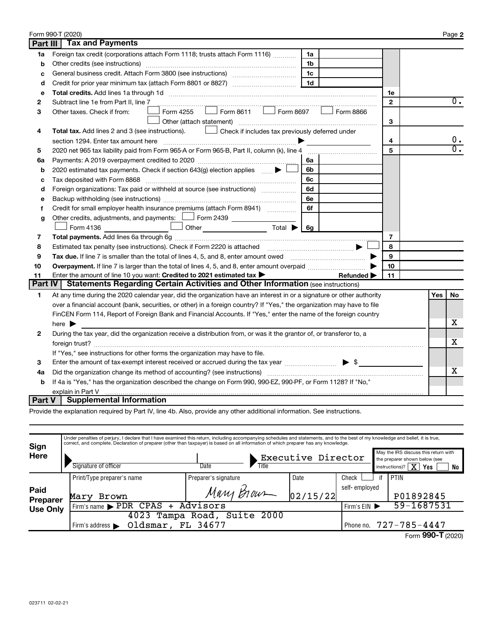|                | Form 990-T (2020)                                                                                                           |                |            | Page 2           |
|----------------|-----------------------------------------------------------------------------------------------------------------------------|----------------|------------|------------------|
| Part III       | <b>Tax and Payments</b>                                                                                                     |                |            |                  |
| 1a             | Foreign tax credit (corporations attach Form 1118; trusts attach Form 1116)<br>1a                                           |                |            |                  |
| b              | Other credits (see instructions)<br>1b                                                                                      |                |            |                  |
| c              | 1 <sub>c</sub>                                                                                                              |                |            |                  |
| d              | 1 <sub>d</sub>                                                                                                              |                |            |                  |
| e              |                                                                                                                             | 1e             |            |                  |
| $\mathbf{2}$   | Subtract line 1e from Part II, line 7                                                                                       | $\mathbf{2}$   |            | $\overline{0}$ . |
| 3              | Form 8611 $\Box$ Form 8697<br>Form 4255<br>Form 8866<br>Other taxes. Check if from:                                         |                |            |                  |
|                | Other (attach statement)                                                                                                    | 3              |            |                  |
| 4              | Total tax. Add lines 2 and 3 (see instructions). Check if includes tax previously deferred under                            |                |            |                  |
|                | section 1294. Enter tax amount here<br>$\blacksquare$                                                                       | 4              |            | 0.               |
| 5              | 2020 net 965 tax liability paid from Form 965-A or Form 965-B, Part II, column (k), line 4                                  | 5              |            | $\overline{0}$ . |
| 6a             | 6a                                                                                                                          |                |            |                  |
| b              | 2020 estimated tax payments. Check if section 643(g) election applies  ▶<br>6b                                              |                |            |                  |
| c              | Tax deposited with Form 8868 [11, 11] [11] Tax deposited with Form 8868 [11] [11] Tax deposited with Form 8868<br>6с        |                |            |                  |
| d              | Foreign organizations: Tax paid or withheld at source (see instructions)<br>6d                                              |                |            |                  |
| e              | 6е                                                                                                                          |                |            |                  |
| f              | Credit for small employer health insurance premiums (attach Form 8941)<br>6f                                                |                |            |                  |
| g              | Other credits, adjustments, and payments: $\Box$ Form 2439 $\Box$                                                           |                |            |                  |
|                |                                                                                                                             |                |            |                  |
| 7              |                                                                                                                             | $\overline{7}$ |            |                  |
| 8              |                                                                                                                             | 8              |            |                  |
| 9              | Tax due. If line 7 is smaller than the total of lines 4, 5, and 8, enter amount owed <i></i>                                | 9              |            |                  |
| 10             | Overpayment. If line 7 is larger than the total of lines 4, 5, and 8, enter amount overpaid <i>manumumum</i>                | 10             |            |                  |
| 11             | Enter the amount of line 10 you want: Credited to 2021 estimated tax ><br>Refunded $\blacktriangleright$                    | 11             |            |                  |
| <b>Part IV</b> | <b>Statements Regarding Certain Activities and Other Information (see instructions)</b>                                     |                |            |                  |
| 1              | At any time during the 2020 calendar year, did the organization have an interest in or a signature or other authority       |                | <b>Yes</b> | No               |
|                | over a financial account (bank, securities, or other) in a foreign country? If "Yes," the organization may have to file     |                |            |                  |
|                | FinCEN Form 114, Report of Foreign Bank and Financial Accounts. If "Yes," enter the name of the foreign country             |                |            |                  |
|                | here $\blacktriangleright$                                                                                                  |                |            | х                |
| 2              | During the tax year, did the organization receive a distribution from, or was it the grantor of, or transferor to, a        |                |            |                  |
|                |                                                                                                                             |                |            | x                |
|                | If "Yes," see instructions for other forms the organization may have to file.                                               |                |            |                  |
| 3              | Enter the amount of tax-exempt interest received or accrued during the tax year manufactured in<br>$\blacktriangleright$ \$ |                |            |                  |
| 4a             |                                                                                                                             |                |            | x                |
| b              | If 4a is "Yes," has the organization described the change on Form 990, 990-EZ, 990-PF, or Form 1128? If "No,"               |                |            |                  |
|                | explain in Part V                                                                                                           |                |            |                  |
| Part V         | <b>Supplemental Information</b>                                                                                             |                |            |                  |

Provide the explanation required by Part IV, line 4b. Also, provide any other additional information. See instructions.

|                     | Under penalties of perjury, I declare that I have examined this return, including accompanying schedules and statements, and to the best of my knowledge and belief, it is true,<br>correct, and complete. Declaration of preparer (other than taxpayer) is based on all information of which preparer has any knowledge. |                             |                    |               |                                                                                                                             |
|---------------------|---------------------------------------------------------------------------------------------------------------------------------------------------------------------------------------------------------------------------------------------------------------------------------------------------------------------------|-----------------------------|--------------------|---------------|-----------------------------------------------------------------------------------------------------------------------------|
| Sign<br><b>Here</b> | Signature of officer                                                                                                                                                                                                                                                                                                      | Title<br>Date               | Executive Director |               | May the IRS discuss this return with<br>the preparer shown below (see<br>instructions)? $\boxed{\mathbf{X}}$<br>  Yes<br>No |
|                     | Print/Type preparer's name                                                                                                                                                                                                                                                                                                | Preparer's signature        | Date               | Check         | <b>PTIN</b>                                                                                                                 |
| Paid<br>Preparer    | Mary<br>Brown                                                                                                                                                                                                                                                                                                             | Mary Brown                  | 02/15/22           | self-employed | P01892845                                                                                                                   |
| <b>Use Only</b>     | Firm's name PDR CPAS + Advisors                                                                                                                                                                                                                                                                                           |                             |                    | Firm's $EIN$  | 59-1687531                                                                                                                  |
|                     | Oldsmar, FL 34677<br>Firm's address $\blacktriangleright$                                                                                                                                                                                                                                                                 | 4023 Tampa Road, Suite 2000 |                    |               | Phone no. 727-785-4447                                                                                                      |
|                     |                                                                                                                                                                                                                                                                                                                           |                             |                    |               | Form 990-T (2020)                                                                                                           |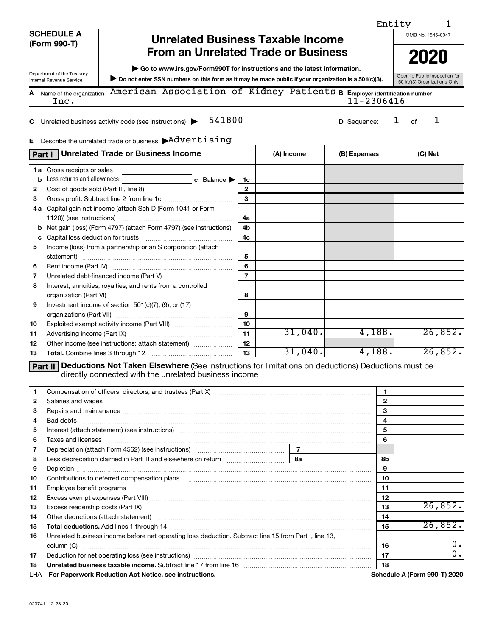#### **SCHEDULE A (Form 990-T)**

Department of the Treasury<br>Internal Revenue Service

# **Unrelated Business Taxable Income From an Unrelated Trade or Business** | 2020

**| Go to www.irs.gov/Form990T for instructions and the latest information.**

Department of the Treasury<br>Internal Revenue Service **Dispection for SSN numbers on this form as it may be made public if your organization is a 501(c)(3). So the Valic Inspection for** 

Open to Public Inspection for<br>501(c)(3) Organizations Only Name of the organization **American Association of Kidney Patients B E<sub>mployer identification number**</sub> **A** Inc. 11-2306416

**C 541800 D** Sequence: 1 of 1 Unrelated business activity code (see instructions)  $\blacktriangleright$  541800  $\blacktriangleright$  1 of

#### **E** Describe the unrelated trade or business  $\rightarrow$   $\text{Advertising}$

|              | <b>Unrelated Trade or Business Income</b><br>Part I                   |                | (A) Income | (B) Expenses | (C) Net |
|--------------|-----------------------------------------------------------------------|----------------|------------|--------------|---------|
|              | <b>1a</b> Gross receipts or sales                                     |                |            |              |         |
| b            | Less returns and allowances<br><b>c</b> Balance $\blacktriangleright$ | 1c             |            |              |         |
| $\mathbf{2}$ |                                                                       | $\mathbf{2}$   |            |              |         |
| 3            |                                                                       | 3              |            |              |         |
| 4 a          | Capital gain net income (attach Sch D (Form 1041 or Form              |                |            |              |         |
|              | 1120)) (see instructions)                                             | 4a             |            |              |         |
| b            | Net gain (loss) (Form 4797) (attach Form 4797) (see instructions)     | 4b             |            |              |         |
| c            | Capital loss deduction for trusts                                     | 4c             |            |              |         |
| 5            | Income (loss) from a partnership or an S corporation (attach          |                |            |              |         |
|              | statement)                                                            | 5              |            |              |         |
| 6            |                                                                       | 6              |            |              |         |
| 7            |                                                                       | $\overline{7}$ |            |              |         |
| 8            | Interest, annuities, royalties, and rents from a controlled           |                |            |              |         |
|              |                                                                       | 8              |            |              |         |
| 9            | Investment income of section 501(c)(7), (9), or (17)                  |                |            |              |         |
|              |                                                                       | 9              |            |              |         |
| 10           |                                                                       | 10             |            |              |         |
| 11           |                                                                       | 11             | 31,040.    | 4,188.       | 26,852. |
| 12           | Other income (see instructions; attach statement)                     | 12             |            |              |         |
| 13           |                                                                       | 13             | 31,040.    | 4,188.       | 26,852. |

**Part II Deductions Not Taken Elsewhere** (See instructions for limitations on deductions) Deductions must be directly connected with the unrelated business income

| 1.           |                                                                                                                                                                                             |  | 1            |                                     |
|--------------|---------------------------------------------------------------------------------------------------------------------------------------------------------------------------------------------|--|--------------|-------------------------------------|
| $\mathbf{2}$ |                                                                                                                                                                                             |  | $\mathbf{2}$ |                                     |
| 3            |                                                                                                                                                                                             |  | 3            |                                     |
| 4            |                                                                                                                                                                                             |  | 4            |                                     |
| 5            | Interest (attach statement) (see instructions) material content content and a finite content and a finite content of the instructions of the interest (attach statement) (see instructions) |  | 5            |                                     |
| 6            |                                                                                                                                                                                             |  | 6            |                                     |
| 7            |                                                                                                                                                                                             |  |              |                                     |
| 8            |                                                                                                                                                                                             |  | 8b           |                                     |
| 9            |                                                                                                                                                                                             |  | 9            |                                     |
| 10           |                                                                                                                                                                                             |  | 10           |                                     |
| 11           |                                                                                                                                                                                             |  | 11           |                                     |
| 12           |                                                                                                                                                                                             |  | 12           |                                     |
| 13           | Excess readership costs (Part IX) [11] [2000] [2000] [3000] [3000] [3000] [3000] [3000] [3000] [3000] [3000] [                                                                              |  | 13           | 26,852.                             |
| 14           | Other deductions (attach statement) manufacture and according to the deductions (attach statement)                                                                                          |  | 14           |                                     |
| 15           |                                                                                                                                                                                             |  | 15           | 26,852.                             |
| 16           | Unrelated business income before net operating loss deduction. Subtract line 15 from Part I, line 13,                                                                                       |  |              |                                     |
|              | column (C)                                                                                                                                                                                  |  | 16           | 0.                                  |
| 17           |                                                                                                                                                                                             |  | 17           | 0.                                  |
| 18           | Unrelated business taxable income. Subtract line 17 from line 16 [19] [19] Unrelated business taxable income. Subtract line 17 from line 16                                                 |  | 18           |                                     |
|              | LHA For Paperwork Reduction Act Notice, see instructions.                                                                                                                                   |  |              | <b>Schedule A (Form 990-T) 2020</b> |

Entity 1

OMB No. 1545-0047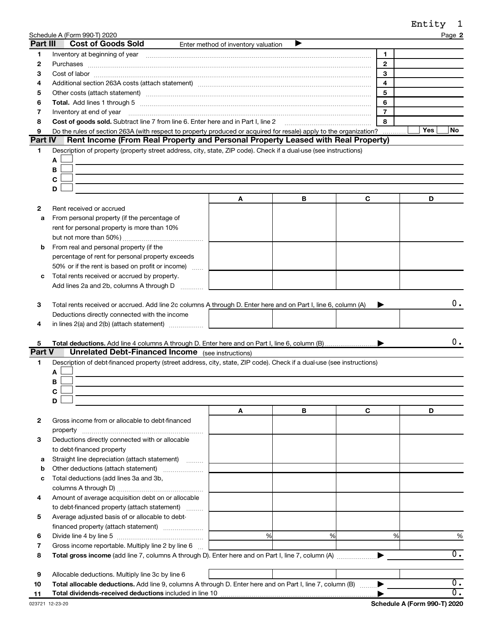|                |                                                                                                                                                                                                                                |                                     |   |   |                     | Entity | 1                |
|----------------|--------------------------------------------------------------------------------------------------------------------------------------------------------------------------------------------------------------------------------|-------------------------------------|---|---|---------------------|--------|------------------|
|                | Schedule A (Form 990-T) 2020                                                                                                                                                                                                   |                                     |   |   |                     |        | Page 2           |
| Part III       | <b>Cost of Goods Sold</b>                                                                                                                                                                                                      | Enter method of inventory valuation |   |   |                     |        |                  |
| 1              | Inventory at beginning of year [11] matter contains and the contact of year [11] monthly contact the contact of year [11] monthly contact the contact of year [11] monthly contact the contact of the contact of the contact o |                                     |   |   | 1                   |        |                  |
| $\mathbf{2}$   |                                                                                                                                                                                                                                |                                     |   |   | $\mathbf{2}$        |        |                  |
| З              |                                                                                                                                                                                                                                |                                     |   |   | 3                   |        |                  |
| 4              | Additional section 263A costs (attach statement) material content content and section 263A costs (attach statement)                                                                                                            |                                     |   |   | 4                   |        |                  |
| 5              |                                                                                                                                                                                                                                |                                     |   |   | 5                   |        |                  |
| 6              |                                                                                                                                                                                                                                |                                     |   |   | 6<br>$\overline{7}$ |        |                  |
| 7              | Inventory at end of year<br>Cost of goods sold. Subtract line 7 from line 6. Enter here and in Part I, line 2                                                                                                                  |                                     |   |   | 8                   |        |                  |
| 8<br>9         | Do the rules of section 263A (with respect to property produced or acquired for resale) apply to the organization?                                                                                                             |                                     |   |   |                     | Yes    | No               |
| <b>Part IV</b> | Rent Income (From Real Property and Personal Property Leased with Real Property)                                                                                                                                               |                                     |   |   |                     |        |                  |
| 1              | Description of property (property street address, city, state, ZIP code). Check if a dual-use (see instructions)                                                                                                               |                                     |   |   |                     |        |                  |
|                | A                                                                                                                                                                                                                              |                                     |   |   |                     |        |                  |
|                | В                                                                                                                                                                                                                              |                                     |   |   |                     |        |                  |
|                | C                                                                                                                                                                                                                              |                                     |   |   |                     |        |                  |
|                | D                                                                                                                                                                                                                              |                                     |   |   |                     |        |                  |
|                |                                                                                                                                                                                                                                | A                                   | В | С |                     | D      |                  |
| $\mathbf{2}$   | Rent received or accrued                                                                                                                                                                                                       |                                     |   |   |                     |        |                  |
| а              | From personal property (if the percentage of                                                                                                                                                                                   |                                     |   |   |                     |        |                  |
|                | rent for personal property is more than 10%                                                                                                                                                                                    |                                     |   |   |                     |        |                  |
|                |                                                                                                                                                                                                                                |                                     |   |   |                     |        |                  |
| b              | From real and personal property (if the                                                                                                                                                                                        |                                     |   |   |                     |        |                  |
|                | percentage of rent for personal property exceeds                                                                                                                                                                               |                                     |   |   |                     |        |                  |
|                | 50% or if the rent is based on profit or income)                                                                                                                                                                               |                                     |   |   |                     |        |                  |
| с              | Total rents received or accrued by property.                                                                                                                                                                                   |                                     |   |   |                     |        |                  |
|                | Add lines 2a and 2b, columns A through D                                                                                                                                                                                       |                                     |   |   |                     |        |                  |
| 4              | Deductions directly connected with the income<br>in lines 2(a) and 2(b) (attach statement)                                                                                                                                     |                                     |   |   |                     |        |                  |
| 5              |                                                                                                                                                                                                                                |                                     |   |   |                     |        | 0.               |
| Part V         | <b>Unrelated Debt-Financed Income</b> (see instructions)                                                                                                                                                                       |                                     |   |   |                     |        |                  |
| 1              | Description of debt-financed property (street address, city, state, ZIP code). Check if a dual-use (see instructions)                                                                                                          |                                     |   |   |                     |        |                  |
|                | Α                                                                                                                                                                                                                              |                                     |   |   |                     |        |                  |
|                | В                                                                                                                                                                                                                              |                                     |   |   |                     |        |                  |
|                | С                                                                                                                                                                                                                              |                                     |   |   |                     |        |                  |
|                | D                                                                                                                                                                                                                              |                                     |   |   |                     |        |                  |
|                |                                                                                                                                                                                                                                | A                                   | В | С |                     | D      |                  |
| 2              | Gross income from or allocable to debt-financed                                                                                                                                                                                |                                     |   |   |                     |        |                  |
|                |                                                                                                                                                                                                                                |                                     |   |   |                     |        |                  |
| 3              | Deductions directly connected with or allocable                                                                                                                                                                                |                                     |   |   |                     |        |                  |
|                | to debt-financed property                                                                                                                                                                                                      |                                     |   |   |                     |        |                  |
| а              | Straight line depreciation (attach statement)                                                                                                                                                                                  |                                     |   |   |                     |        |                  |
| b              | Other deductions (attach statement)                                                                                                                                                                                            |                                     |   |   |                     |        |                  |
| с              | Total deductions (add lines 3a and 3b,                                                                                                                                                                                         |                                     |   |   |                     |        |                  |
|                |                                                                                                                                                                                                                                |                                     |   |   |                     |        |                  |
| 4              | Amount of average acquisition debt on or allocable                                                                                                                                                                             |                                     |   |   |                     |        |                  |
|                | to debt-financed property (attach statement)                                                                                                                                                                                   |                                     |   |   |                     |        |                  |
| 5              | Average adjusted basis of or allocable to debt-                                                                                                                                                                                |                                     |   |   |                     |        |                  |
| 6              |                                                                                                                                                                                                                                | %                                   | % |   | %                   |        | %                |
| 7              | Gross income reportable. Multiply line 2 by line 6                                                                                                                                                                             |                                     |   |   |                     |        |                  |
| 8              |                                                                                                                                                                                                                                |                                     |   |   |                     |        | $\overline{0}$ . |
|                |                                                                                                                                                                                                                                |                                     |   |   |                     |        |                  |
| 9              | Allocable deductions. Multiply line 3c by line 6                                                                                                                                                                               |                                     |   |   |                     |        |                  |
| 10             | Total allocable deductions. Add line 9, columns A through D. Enter here and on Part I, line 7, column (B)                                                                                                                      |                                     |   |   |                     |        | $\overline{0}$ . |
| 11             |                                                                                                                                                                                                                                |                                     |   |   |                     |        | $\overline{0}$ . |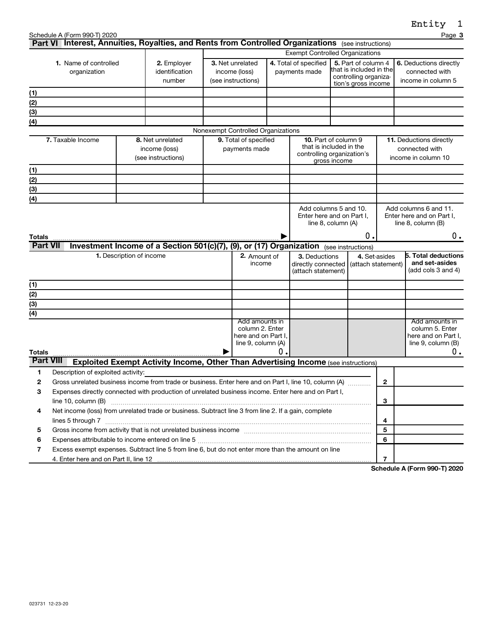|                  |                                                                                                                                                                                                                                                        |                                 |                                                                                           |                                                              |    |                                                           |                                                                                                |               |                    | <b>……∟</b>                                                               |
|------------------|--------------------------------------------------------------------------------------------------------------------------------------------------------------------------------------------------------------------------------------------------------|---------------------------------|-------------------------------------------------------------------------------------------|--------------------------------------------------------------|----|-----------------------------------------------------------|------------------------------------------------------------------------------------------------|---------------|--------------------|--------------------------------------------------------------------------|
|                  | Schedule A (Form 990-T) 2020<br>Part VI Interest, Annuities, Royalties, and Rents from Controlled Organizations (see instructions)                                                                                                                     |                                 |                                                                                           |                                                              |    |                                                           |                                                                                                |               |                    | Page 3                                                                   |
|                  |                                                                                                                                                                                                                                                        |                                 |                                                                                           |                                                              |    | <b>Exempt Controlled Organizations</b>                    |                                                                                                |               |                    |                                                                          |
|                  | <b>1.</b> Name of controlled<br>organization                                                                                                                                                                                                           |                                 | 2. Employer<br>identification<br>number                                                   | 3. Net unrelated<br>income (loss)<br>(see instructions)      |    | 4. Total of specified<br>payments made                    | 5. Part of column 4<br>that is included in the<br>controlling organiza-<br>tion's gross income |               |                    | 6. Deductions directly<br>connected with<br>income in column 5           |
| (1)              |                                                                                                                                                                                                                                                        |                                 |                                                                                           |                                                              |    |                                                           |                                                                                                |               |                    |                                                                          |
| (2)              |                                                                                                                                                                                                                                                        |                                 |                                                                                           |                                                              |    |                                                           |                                                                                                |               |                    |                                                                          |
| (3)              |                                                                                                                                                                                                                                                        |                                 |                                                                                           |                                                              |    |                                                           |                                                                                                |               |                    |                                                                          |
| (4)              |                                                                                                                                                                                                                                                        |                                 |                                                                                           |                                                              |    |                                                           |                                                                                                |               |                    |                                                                          |
|                  |                                                                                                                                                                                                                                                        |                                 |                                                                                           | Nonexempt Controlled Organizations                           |    |                                                           |                                                                                                |               |                    |                                                                          |
|                  | 7. Taxable Income                                                                                                                                                                                                                                      |                                 | 8. Net unrelated<br>income (loss)<br>(see instructions)                                   | 9. Total of specified<br>payments made                       |    | controlling organization's                                | 10. Part of column 9<br>that is included in the<br>gross income                                |               |                    | 11. Deductions directly<br>connected with<br>income in column 10         |
| (1)              |                                                                                                                                                                                                                                                        |                                 |                                                                                           |                                                              |    |                                                           |                                                                                                |               |                    |                                                                          |
| (2)              |                                                                                                                                                                                                                                                        |                                 |                                                                                           |                                                              |    |                                                           |                                                                                                |               |                    |                                                                          |
| (3)              |                                                                                                                                                                                                                                                        |                                 |                                                                                           |                                                              |    |                                                           |                                                                                                |               |                    |                                                                          |
| (4)              |                                                                                                                                                                                                                                                        |                                 |                                                                                           |                                                              |    |                                                           |                                                                                                |               |                    |                                                                          |
|                  |                                                                                                                                                                                                                                                        |                                 |                                                                                           |                                                              |    | Enter here and on Part I,                                 | Add columns 5 and 10.<br>line $8$ , column $(A)$                                               |               |                    | Add columns 6 and 11.<br>Enter here and on Part I,<br>line 8, column (B) |
| <b>Totals</b>    |                                                                                                                                                                                                                                                        |                                 |                                                                                           |                                                              |    |                                                           |                                                                                                | О.            |                    | 0.                                                                       |
| <b>Part VII</b>  |                                                                                                                                                                                                                                                        |                                 | Investment Income of a Section 501(c)(7), (9), or (17) Organization (see instructions)    |                                                              |    |                                                           |                                                                                                |               |                    |                                                                          |
|                  |                                                                                                                                                                                                                                                        | <b>1.</b> Description of income |                                                                                           | 2. Amount of<br>income                                       |    | 3. Deductions<br>directly connected<br>(attach statement) |                                                                                                | 4. Set-asides | (attach statement) | 5. Total deductions<br>and set-asides<br>(add cols $3$ and $4$ )         |
| (1)              |                                                                                                                                                                                                                                                        |                                 |                                                                                           |                                                              |    |                                                           |                                                                                                |               |                    |                                                                          |
| (2)              |                                                                                                                                                                                                                                                        |                                 |                                                                                           |                                                              |    |                                                           |                                                                                                |               |                    |                                                                          |
| (3)              |                                                                                                                                                                                                                                                        |                                 |                                                                                           |                                                              |    |                                                           |                                                                                                |               |                    |                                                                          |
| (4)              |                                                                                                                                                                                                                                                        |                                 |                                                                                           | Add amounts in                                               |    |                                                           |                                                                                                |               |                    | Add amounts in                                                           |
|                  |                                                                                                                                                                                                                                                        |                                 |                                                                                           | column 2. Enter<br>here and on Part I.<br>line 9, column (A) |    |                                                           |                                                                                                |               |                    | column 5. Enter<br>here and on Part I,<br>line 9, column (B)             |
| <b>Totals</b>    |                                                                                                                                                                                                                                                        |                                 |                                                                                           |                                                              | О. |                                                           |                                                                                                |               |                    | 0.                                                                       |
| <b>Part VIII</b> |                                                                                                                                                                                                                                                        |                                 | <b>Exploited Exempt Activity Income, Other Than Advertising Income (see instructions)</b> |                                                              |    |                                                           |                                                                                                |               |                    |                                                                          |
| 1                | Description of exploited activity:                                                                                                                                                                                                                     |                                 |                                                                                           |                                                              |    |                                                           |                                                                                                |               |                    |                                                                          |
| $\mathbf{2}$     | Gross unrelated business income from trade or business. Enter here and on Part I, line 10, column (A)                                                                                                                                                  |                                 |                                                                                           |                                                              |    |                                                           |                                                                                                |               | $\mathbf{2}$       |                                                                          |
| 3                | Expenses directly connected with production of unrelated business income. Enter here and on Part I,                                                                                                                                                    |                                 |                                                                                           |                                                              |    |                                                           |                                                                                                |               |                    |                                                                          |
|                  | line 10, column (B)                                                                                                                                                                                                                                    |                                 |                                                                                           |                                                              |    |                                                           |                                                                                                |               | 3                  |                                                                          |
| 4                | Net income (loss) from unrelated trade or business. Subtract line 3 from line 2. If a gain, complete                                                                                                                                                   |                                 |                                                                                           |                                                              |    |                                                           |                                                                                                |               |                    |                                                                          |
|                  |                                                                                                                                                                                                                                                        |                                 |                                                                                           |                                                              |    |                                                           |                                                                                                |               | 4                  |                                                                          |
| 5                | Gross income from activity that is not unrelated business income [111] [11] content material content from activity that is not unrelated business income [11] [11] [11] $\alpha$ [11] $\alpha$ [11] $\alpha$ [11] $\alpha$ [11] $\alpha$ [11] $\alpha$ |                                 |                                                                                           |                                                              |    |                                                           |                                                                                                |               | 5                  |                                                                          |
| 6                | Expenses attributable to income entered on line 5 [[11] manufacture manufacture attributable to income entered on line 5 [[11] manufacture manufacture attributable to income entered on line 5                                                        |                                 |                                                                                           |                                                              |    |                                                           |                                                                                                |               | 6                  |                                                                          |
| 7                | Excess exempt expenses. Subtract line 5 from line 6, but do not enter more than the amount on line                                                                                                                                                     |                                 |                                                                                           |                                                              |    |                                                           |                                                                                                |               |                    |                                                                          |
|                  |                                                                                                                                                                                                                                                        |                                 |                                                                                           |                                                              |    |                                                           |                                                                                                |               | $\overline{7}$     | Schedule A (Form 000-T) 2020                                             |

**Schedule A (Form 990-T) 2020**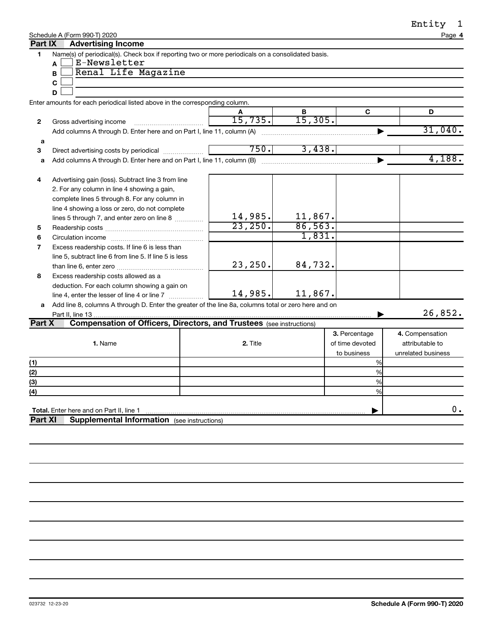| Entity |
|--------|
|--------|

| Schedule A (Form 990-T) 2020 |  |
|------------------------------|--|
|                              |  |

| sntıt |      |  |
|-------|------|--|
|       | 1000 |  |

|                | Schedule A (Form 990-T) 2020                                                                         |          |         |                 | Page 4             |
|----------------|------------------------------------------------------------------------------------------------------|----------|---------|-----------------|--------------------|
| Part IX        | <b>Advertising Income</b>                                                                            |          |         |                 |                    |
| 1              | Name(s) of periodical(s). Check box if reporting two or more periodicals on a consolidated basis.    |          |         |                 |                    |
|                | E-Newsletter<br>A                                                                                    |          |         |                 |                    |
|                | Renal Life Magazine<br>B                                                                             |          |         |                 |                    |
|                | $\mathbf c$                                                                                          |          |         |                 |                    |
|                | D                                                                                                    |          |         |                 |                    |
|                | Enter amounts for each periodical listed above in the corresponding column.                          |          |         |                 |                    |
|                |                                                                                                      | A        | В       | C               | D                  |
| 2              | Gross advertising income                                                                             | 15,735.  | 15,305. |                 |                    |
|                | Add columns A through D. Enter here and on Part I, line 11, column (A)                               |          |         |                 | 31,040.            |
| a              |                                                                                                      |          |         |                 |                    |
| 3              | Direct advertising costs by periodical                                                               | 750.     | 3,438.  |                 |                    |
| a              |                                                                                                      |          |         |                 | 4,188.             |
|                |                                                                                                      |          |         |                 |                    |
| 4              | Advertising gain (loss). Subtract line 3 from line                                                   |          |         |                 |                    |
|                | 2. For any column in line 4 showing a gain,                                                          |          |         |                 |                    |
|                | complete lines 5 through 8. For any column in                                                        |          |         |                 |                    |
|                |                                                                                                      |          |         |                 |                    |
|                | line 4 showing a loss or zero, do not complete                                                       | 14,985.  | 11,867. |                 |                    |
|                | lines 5 through 7, and enter zero on line 8                                                          | 23,250.  | 86,563. |                 |                    |
| 5              |                                                                                                      |          | 1,831.  |                 |                    |
| 6              |                                                                                                      |          |         |                 |                    |
| 7              | Excess readership costs. If line 6 is less than                                                      |          |         |                 |                    |
|                | line 5, subtract line 6 from line 5. If line 5 is less                                               |          |         |                 |                    |
|                |                                                                                                      | 23, 250. | 84,732. |                 |                    |
| 8              | Excess readership costs allowed as a                                                                 |          |         |                 |                    |
|                | deduction. For each column showing a gain on                                                         |          |         |                 |                    |
|                |                                                                                                      | 14,985.  | 11,867. |                 |                    |
| a              | Add line 8, columns A through D. Enter the greater of the line 8a, columns total or zero here and on |          |         |                 |                    |
|                |                                                                                                      |          |         |                 | 26,852.            |
| Part X         | <b>Compensation of Officers, Directors, and Trustees (see instructions)</b>                          |          |         |                 |                    |
|                |                                                                                                      |          |         | 3. Percentage   | 4. Compensation    |
|                | 1. Name                                                                                              | 2. Title |         | of time devoted | attributable to    |
|                |                                                                                                      |          |         | to business     | unrelated business |
| (1)            |                                                                                                      |          |         | %               |                    |
| (2)            |                                                                                                      |          |         | %               |                    |
| (3)            |                                                                                                      |          |         | %               |                    |
| (4)            |                                                                                                      |          |         | $\frac{9}{6}$   |                    |
|                |                                                                                                      |          |         |                 |                    |
|                | Total. Enter here and on Part II, line 1                                                             |          |         |                 | $0$ .              |
| <b>Part XI</b> | <b>Supplemental Information</b> (see instructions)                                                   |          |         |                 |                    |
|                |                                                                                                      |          |         |                 |                    |
|                |                                                                                                      |          |         |                 |                    |
|                |                                                                                                      |          |         |                 |                    |
|                |                                                                                                      |          |         |                 |                    |
|                |                                                                                                      |          |         |                 |                    |
|                |                                                                                                      |          |         |                 |                    |
|                |                                                                                                      |          |         |                 |                    |
|                |                                                                                                      |          |         |                 |                    |
|                |                                                                                                      |          |         |                 |                    |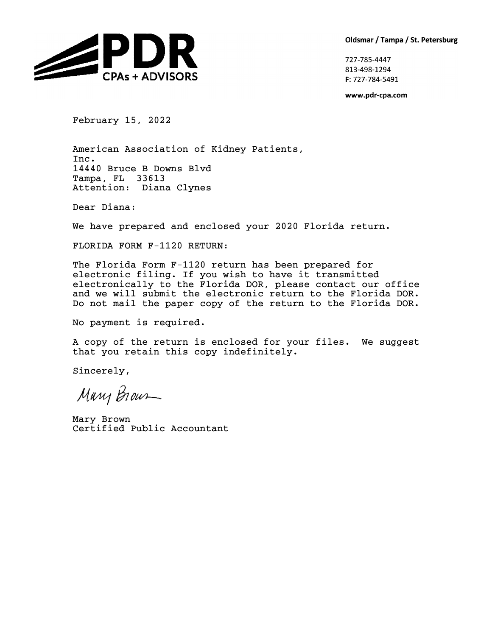Oldsmar / Tampa / St. Petersburg



727-785-4447 813-498-1294 F: 727-784-5491

www.pdr-cpa.com

February 15, 2022

American Association of Kidney Patients, Inc. 14440 Bruce B Downs Blvd Tampa, FL 33613 Attention: Diana Clynes

Dear Diana:

We have prepared and enclosed your 2020 Florida return.

FLORIDA FORM F-1120 RETURN:

The Florida Form F-1120 return has been prepared for electronic filing. If you wish to have it transmitted electronically to the Florida DOR, please contact our office and we will submit the electronic return to the Florida DOR. Do not mail the paper copy of the return to the Florida DOR.

No payment is required.

A copy of the return is enclosed for your files. We suggest that you retain this copy indefinitely.

Sincerely,

Mary Brown

Mary Brown Certified Public Accountant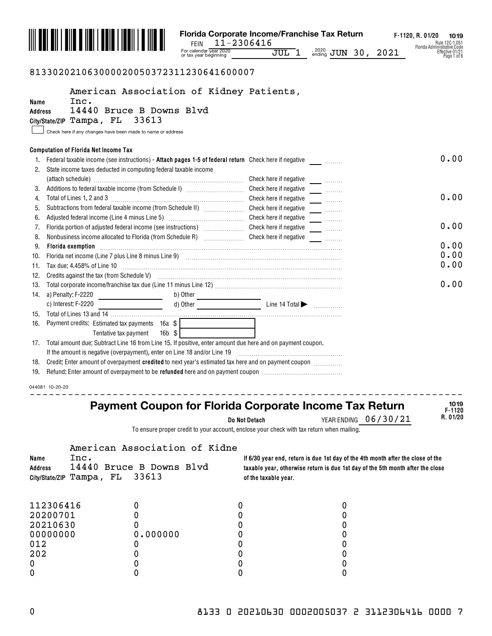

# 813302021063000020050372311230641600007

|                 |                                                             | American Association of Kidney Patients,                                                                                                                                                                                       |                        |                                                                                 |                |
|-----------------|-------------------------------------------------------------|--------------------------------------------------------------------------------------------------------------------------------------------------------------------------------------------------------------------------------|------------------------|---------------------------------------------------------------------------------|----------------|
| Name            | Inc.                                                        | 14440 Bruce B Downs Blvd                                                                                                                                                                                                       |                        |                                                                                 |                |
| <b>Address</b>  | City/State/ZIP Tampa, FL                                    | 33613                                                                                                                                                                                                                          |                        |                                                                                 |                |
|                 | Check here if any changes have been made to name or address |                                                                                                                                                                                                                                |                        |                                                                                 |                |
|                 |                                                             |                                                                                                                                                                                                                                |                        |                                                                                 |                |
|                 | <b>Computation of Florida Net Income Tax</b>                |                                                                                                                                                                                                                                |                        |                                                                                 |                |
|                 |                                                             | Federal taxable income (see instructions) - Attach pages 1-5 of federal return Check here if negative ______________                                                                                                           |                        |                                                                                 | 0.00           |
|                 |                                                             | State income taxes deducted in computing federal taxable income                                                                                                                                                                |                        |                                                                                 |                |
|                 |                                                             |                                                                                                                                                                                                                                | Check here if negative |                                                                                 |                |
|                 |                                                             |                                                                                                                                                                                                                                | Check here if negative |                                                                                 |                |
|                 |                                                             |                                                                                                                                                                                                                                | Check here if negative |                                                                                 | 0.00           |
| 5.              |                                                             | Subtractions from federal taxable income (from Schedule II) [[[[[[[[[[[[[[[[[[[[[[]]]]]]]]]                                                                                                                                    | Check here if negative | $\overline{\phantom{a}}$                                                        |                |
|                 |                                                             |                                                                                                                                                                                                                                | Check here if negative | $\overline{\phantom{a}}$                                                        |                |
| 7.              |                                                             | Florida portion of adjusted federal income (see instructions) [                                                                                                                                                                | Check here if negative |                                                                                 | 0.00           |
| 8.              |                                                             |                                                                                                                                                                                                                                |                        |                                                                                 |                |
| 9.              | Florida exemption                                           |                                                                                                                                                                                                                                |                        |                                                                                 | 0.00           |
| 10.             |                                                             | Florida net income (Line 7 plus Line 8 minus Line 9) [11] matter continuum matter in the contract of the 7 plus Line 8 minus Line 9) [11] matter continuum matter in the florid net florid net florid net florid net florid ne |                        |                                                                                 | 0.00           |
| 11.             | Tax due: 4.458% of Line 10                                  |                                                                                                                                                                                                                                |                        |                                                                                 | 0.00           |
| 12.             |                                                             | Credits against the tax (from Schedule V) <b>manufacture and continuum control of the system</b> of the tax (from Schedule V)                                                                                                  |                        |                                                                                 |                |
| 13.             |                                                             |                                                                                                                                                                                                                                |                        |                                                                                 | 0.00           |
| 14.             | a) Penalty: F-2220                                          | b) Other                                                                                                                                                                                                                       |                        |                                                                                 |                |
|                 | c) Interest: F-2220                                         | $\Box$ d) Other $\Box$ Line 14 Total $\blacktriangleright$ $\Box$                                                                                                                                                              |                        |                                                                                 |                |
| 15.             |                                                             |                                                                                                                                                                                                                                |                        |                                                                                 |                |
| 16.             | Payment credits: Estimated tax payments 16a \$              |                                                                                                                                                                                                                                |                        |                                                                                 |                |
|                 | Tentative tax payment                                       | $16b$ \$                                                                                                                                                                                                                       |                        |                                                                                 |                |
| 17.             |                                                             | Total amount due: Subtract Line 16 from Line 15. If positive, enter amount due here and on payment coupon.                                                                                                                     |                        |                                                                                 |                |
|                 |                                                             | If the amount is negative (overpayment), enter on Line 18 and/or Line 19                                                                                                                                                       |                        |                                                                                 |                |
| 18.             |                                                             | Credit: Enter amount of overpayment credited to next year's estimated tax here and on payment coupon <i>management</i>                                                                                                         |                        |                                                                                 |                |
|                 |                                                             |                                                                                                                                                                                                                                |                        |                                                                                 |                |
| 044081 10-20-20 |                                                             |                                                                                                                                                                                                                                |                        |                                                                                 |                |
|                 |                                                             |                                                                                                                                                                                                                                |                        |                                                                                 |                |
|                 |                                                             | Payment Coupon for Florida Corporate Income Tax Return                                                                                                                                                                         |                        |                                                                                 | 1019<br>F-1120 |
|                 |                                                             |                                                                                                                                                                                                                                | Do Not Detach          | 06/30/21<br>YEAR ENDING                                                         | R. 01/20       |
|                 |                                                             | To ensure proper credit to your account, enclose your check with tax return when mailing.                                                                                                                                      |                        |                                                                                 |                |
|                 |                                                             |                                                                                                                                                                                                                                |                        |                                                                                 |                |
|                 |                                                             | American Association of Kidne                                                                                                                                                                                                  |                        |                                                                                 |                |
| Name            | Inc.                                                        |                                                                                                                                                                                                                                |                        | If 6/30 year end, return is due 1st day of the 4th month after the close of the |                |
| Address         |                                                             | 14440 Bruce B Downs Blvd<br>33613                                                                                                                                                                                              |                        | taxable year, otherwise return is due 1st day of the 5th month after the close  |                |
| City/State/ZIP  | Tampa, FL                                                   |                                                                                                                                                                                                                                | of the taxable year.   |                                                                                 |                |
|                 |                                                             |                                                                                                                                                                                                                                |                        |                                                                                 |                |
| 112306416       |                                                             | 0<br>0                                                                                                                                                                                                                         |                        | 0                                                                               |                |
| 20200701        |                                                             | 0<br>0                                                                                                                                                                                                                         |                        | 0                                                                               |                |
| 20210630        |                                                             | 0<br>0                                                                                                                                                                                                                         |                        | 0                                                                               |                |
| 00000000        |                                                             | 0.000000<br>0                                                                                                                                                                                                                  |                        | 0                                                                               |                |
| 012             |                                                             | 0<br>0                                                                                                                                                                                                                         |                        | 0                                                                               |                |

202 0 0 0 0 0 0 0 0 0 0 0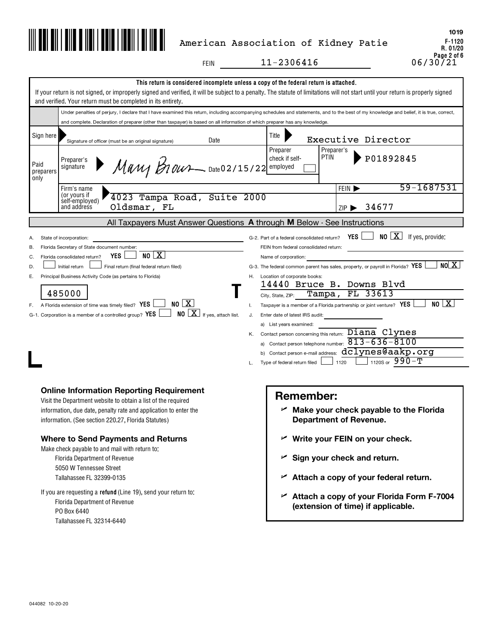

# American Association of Kidney Patie

 $11-2306416$ 

FEIN

|                            | and verified. Your return must be completed in its entirety.                                                                                                                                                                                                                                                                                                                                                                               | This return is considered incomplete unless a copy of the federal return is attached.<br>If your return is not signed, or improperly signed and verified, it will be subject to a penalty. The statute of limitations will not start until your return is properly signed                                                                                                                                                                                                                                                                                                                                                                                                                                                                                                       |
|----------------------------|--------------------------------------------------------------------------------------------------------------------------------------------------------------------------------------------------------------------------------------------------------------------------------------------------------------------------------------------------------------------------------------------------------------------------------------------|---------------------------------------------------------------------------------------------------------------------------------------------------------------------------------------------------------------------------------------------------------------------------------------------------------------------------------------------------------------------------------------------------------------------------------------------------------------------------------------------------------------------------------------------------------------------------------------------------------------------------------------------------------------------------------------------------------------------------------------------------------------------------------|
|                            |                                                                                                                                                                                                                                                                                                                                                                                                                                            | Under penalties of perjury, I declare that I have examined this return, including accompanying schedules and statements, and to the best of my knowledge and belief, it is true, correct,                                                                                                                                                                                                                                                                                                                                                                                                                                                                                                                                                                                       |
|                            | and complete. Declaration of preparer (other than taxpayer) is based on all information of which preparer has any knowledge.                                                                                                                                                                                                                                                                                                               |                                                                                                                                                                                                                                                                                                                                                                                                                                                                                                                                                                                                                                                                                                                                                                                 |
| Sign here                  | Date<br>Signature of officer (must be an original signature)                                                                                                                                                                                                                                                                                                                                                                               | Title<br>Executive Director                                                                                                                                                                                                                                                                                                                                                                                                                                                                                                                                                                                                                                                                                                                                                     |
| Paid<br>preparers<br>only  | Preparer's<br>$M$ any $B$ 10ur - Date 02/15/22 employed<br>signature                                                                                                                                                                                                                                                                                                                                                                       | Preparer<br>Preparer's<br>P01892845<br><b>PTIN</b><br>check if self-                                                                                                                                                                                                                                                                                                                                                                                                                                                                                                                                                                                                                                                                                                            |
|                            | Firm's name                                                                                                                                                                                                                                                                                                                                                                                                                                | 59-1687531<br>FEIN D                                                                                                                                                                                                                                                                                                                                                                                                                                                                                                                                                                                                                                                                                                                                                            |
|                            | (or yours if<br>self-employed)<br>4023 Tampa Road, Suite 2000<br>Oldsmar, FL<br>and address                                                                                                                                                                                                                                                                                                                                                | 34677<br>7IP                                                                                                                                                                                                                                                                                                                                                                                                                                                                                                                                                                                                                                                                                                                                                                    |
|                            |                                                                                                                                                                                                                                                                                                                                                                                                                                            | All Taxpayers Must Answer Questions A through M Below - See Instructions                                                                                                                                                                                                                                                                                                                                                                                                                                                                                                                                                                                                                                                                                                        |
| В.<br>C.<br>D.<br>Е.<br>F. | State of incorporation:<br>Florida Secretary of State document number:<br>NO X<br><b>YES</b><br>Florida consolidated return?<br>Initial return<br>Final return (final federal return filed)<br>Principal Business Activity Code (as pertains to Florida)<br>485000<br>NO X <br>A Florida extension of time was timely filed? YES<br>$NO \times$ If yes, attach list.<br>G-1. Corporation is a member of a controlled group? YES            | NO X<br>If yes, provide:<br>YES I<br>G-2. Part of a federal consolidated return?<br>FEIN from federal consolidated return:<br>Name of corporation:<br>NOX<br>G-3. The federal common parent has sales, property, or payroll in Florida? YES<br>Location of corporate books:<br>Н.<br>14440 Bruce B. Downs Blvd<br>FL 33613<br>Tampa,<br>City, State, ZIP:<br>NO/X<br>Taxpayer is a member of a Florida partnership or joint venture? YES<br>Τ.<br>J.<br>Enter date of latest IRS audit:<br>a) List years examined:<br>Contact person concerning this return: Diana Clynes<br>Κ.<br>a) Contact person telephone number: $\overline{813-636-8100}$<br>b) Contact person e-mail address: $d\overline{clynes@aakp.org}$<br>1120S or $990-T$<br>1120<br>Type of federal return filed |
|                            | <b>Online Information Reporting Requirement</b><br>Visit the Department website to obtain a list of the required<br>information, due date, penalty rate and application to enter the<br>information. (See section 220.27, Florida Statutes)<br><b>Where to Send Payments and Returns</b><br>Make check payable to and mail with return to:<br><b>Florida Department of Revenue</b><br>5050 W Tennessee Street<br>Tallahassee FL 32399-0135 | <b>Remember:</b><br>$\mathcal{L}$ Make your check payable to the Florida<br><b>Department of Revenue.</b><br>Write your FEIN on your check.<br>Sign your check and return.<br>∽<br>Attach a copy of your federal return.<br>➤                                                                                                                                                                                                                                                                                                                                                                                                                                                                                                                                                   |

If you are requesting a **refund** (Line 19), send your return to: Florida Department of Revenue PO Box 6440 Tallahassee FL 32314-6440

# **Attach a copy of your Florida Form F-7004** U **(extension of time) if applicable.**

**F-1120 R. 01/20** Page 2 of 6<br>0 6 / 3 0 / 0 6 / 0 **1019**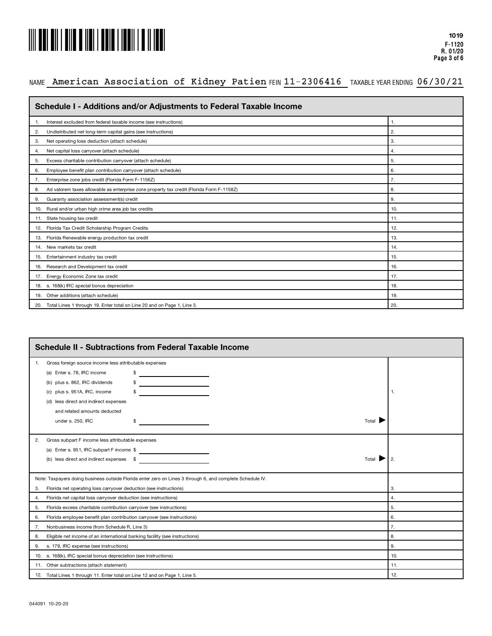

# NAME American Association of Kidney Patien FEIN 11-2306416 TAXABLEYEARENDING 06/30/21

| Schedule I - Additions and/or Adjustments to Federal Taxable Income                            |     |
|------------------------------------------------------------------------------------------------|-----|
| Interest excluded from federal taxable income (see instructions)<br>1                          | 1.  |
| Undistributed net long-term capital gains (see instructions)<br>2.                             | 2.  |
| Net operating loss deduction (attach schedule)<br>3.                                           | 3.  |
| Net capital loss carryover (attach schedule)<br>4.                                             | 4.  |
| Excess charitable contribution carryover (attach schedule)<br>5.                               | 5.  |
| Employee benefit plan contribution carryover (attach schedule)<br>6.                           | 6.  |
| Enterprise zone jobs credit (Florida Form F-1156Z)<br>7.                                       | 7.  |
| Ad valorem taxes allowable as enterprise zone property tax credit (Florida Form F-1158Z)<br>8. | 8.  |
| Guaranty association assessment(s) credit<br>9.                                                | 9.  |
| 10. Rural and/or urban high crime area job tax credits                                         | 10. |
| 11. State housing tax credit                                                                   | 11. |
| 12. Florida Tax Credit Scholarship Program Credits                                             | 12. |
| Florida Renewable energy production tax credit<br>13.                                          | 13. |
| 14. New markets tax credit                                                                     | 14. |
| 15. Entertainment industry tax credit                                                          | 15. |
| 16. Research and Development tax credit                                                        | 16. |
| 17. Energy Economic Zone tax credit                                                            | 17. |
| 18. s. 168(k) IRC special bonus depreciation                                                   | 18. |
| Other additions (attach schedule)<br>19.                                                       | 19. |
| 20. Total Lines 1 through 19. Enter total on Line 20 and on Page 1, Line 3.                    | 20. |

|    | <b>Schedule II - Subtractions from Federal Taxable Income</b>                                                                                                             |     |  |  |  |
|----|---------------------------------------------------------------------------------------------------------------------------------------------------------------------------|-----|--|--|--|
| 1. | Gross foreign source income less attributable expenses                                                                                                                    |     |  |  |  |
|    | (a) Enter s. 78, IRC income<br><u> 1989 - Andrea Andrew Maria III (b. 1974)</u>                                                                                           |     |  |  |  |
|    | plus s. 862, IRC dividends<br><u> 1990 - Jan Barbara Barbara, política española</u><br>(b)                                                                                |     |  |  |  |
|    | plus s. 951A, IRC, income<br><u> 1980 - Johann Barbara, martxa a</u><br>(C)                                                                                               | -1. |  |  |  |
|    | (d) less direct and indirect expenses                                                                                                                                     |     |  |  |  |
|    | and related amounts deducted                                                                                                                                              |     |  |  |  |
|    | $Total \quad \blacksquare$<br>under s. 250, IRC<br>\$                                                                                                                     |     |  |  |  |
|    |                                                                                                                                                                           |     |  |  |  |
| 2. | Gross subpart F income less attributable expenses                                                                                                                         |     |  |  |  |
|    | (a) Enter s. 951, IRC subpart F income \$                                                                                                                                 |     |  |  |  |
|    | (b) less direct and indirect expenses \$<br>Total<br><u> 1980 - Jan Barbara Barbara, maso a popular popular e popular de la propia de la propia de la propia de la pr</u> | 2.  |  |  |  |
|    |                                                                                                                                                                           |     |  |  |  |
|    | Note: Taxpayers doing business outside Florida enter zero on Lines 3 through 6, and complete Schedule IV.                                                                 |     |  |  |  |
| 3. | Florida net operating loss carryover deduction (see instructions)                                                                                                         | 3.  |  |  |  |
| 4. | Florida net capital loss carryover deduction (see instructions)                                                                                                           | 4.  |  |  |  |
| 5. | Florida excess charitable contribution carryover (see instructions)                                                                                                       | 5.  |  |  |  |
| 6. | Florida employee benefit plan contribution carryover (see instructions)                                                                                                   | 6.  |  |  |  |
| 7. | Nonbusiness income (from Schedule R, Line 3)                                                                                                                              | 7.  |  |  |  |
| 8. | Eligible net income of an international banking facility (see instructions)                                                                                               | 8.  |  |  |  |
| 9. | s. 179, IRC expense (see instructions)                                                                                                                                    | 9.  |  |  |  |
|    | 10. s. 168(k), IRC special bonus depreciation (see instructions)                                                                                                          | 10. |  |  |  |
|    | 11. Other subtractions (attach statement)                                                                                                                                 | 11. |  |  |  |
|    | 12. Total Lines 1 through 11. Enter total on Line 12 and on Page 1, Line 5.                                                                                               | 12. |  |  |  |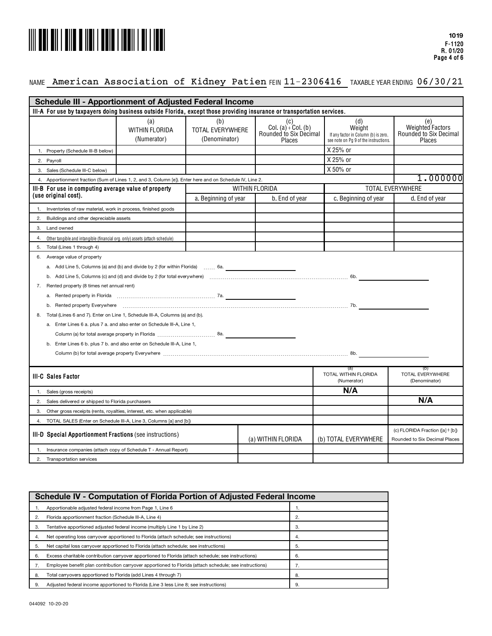

# NAME American Association of Kidney Patien FEIN 11-2306416 TAXABLEYEARENDING 06/30/21

|                                                                                                          | <b>Schedule III - Apportionment of Adjusted Federal Income</b>                                                          |                                                                                                                                                                                                                                |                                          |          |                                                                     |                                                                                                |                                                                    |
|----------------------------------------------------------------------------------------------------------|-------------------------------------------------------------------------------------------------------------------------|--------------------------------------------------------------------------------------------------------------------------------------------------------------------------------------------------------------------------------|------------------------------------------|----------|---------------------------------------------------------------------|------------------------------------------------------------------------------------------------|--------------------------------------------------------------------|
|                                                                                                          | III-A For use by taxpayers doing business outside Florida, except those providing insurance or transportation services. |                                                                                                                                                                                                                                |                                          |          |                                                                     |                                                                                                |                                                                    |
|                                                                                                          |                                                                                                                         | (a)<br><b>WITHIN FLORIDA</b><br>(Numerator)                                                                                                                                                                                    | (b)<br>TOTAL EVERYWHERE<br>(Denominator) |          | (c)<br>Col. (a) $\div$ Col. (b)<br>Rounded to Six Decimal<br>Places | (d)<br>Weight<br>If any factor in Column (b) is zero,<br>see note on Pg 9 of the instructions. | (e)<br>Weighted Factors<br>Rounded to Six Decimal<br><b>Places</b> |
|                                                                                                          | 1. Property (Schedule III-B below)                                                                                      |                                                                                                                                                                                                                                |                                          |          |                                                                     | X 25% or                                                                                       |                                                                    |
| 2. Payroll                                                                                               |                                                                                                                         |                                                                                                                                                                                                                                |                                          |          |                                                                     | X 25% or                                                                                       |                                                                    |
|                                                                                                          | 3. Sales (Schedule III-C below)                                                                                         |                                                                                                                                                                                                                                |                                          |          |                                                                     | X 50% or                                                                                       |                                                                    |
| 4. Apportionment fraction (Sum of Lines 1, 2, and 3, Column [e]). Enter here and on Schedule IV, Line 2. |                                                                                                                         |                                                                                                                                                                                                                                |                                          | 1.000000 |                                                                     |                                                                                                |                                                                    |
| <b>TOTAL EVERYWHERE</b><br><b>WITHIN FLORIDA</b><br>III-B For use in computing average value of property |                                                                                                                         |                                                                                                                                                                                                                                |                                          |          |                                                                     |                                                                                                |                                                                    |
|                                                                                                          | (use original cost).                                                                                                    |                                                                                                                                                                                                                                | a. Beginning of year                     |          | b. End of year                                                      | c. Beginning of year                                                                           | d. End of year                                                     |
| 1.                                                                                                       | Inventories of raw material, work in process, finished goods                                                            |                                                                                                                                                                                                                                |                                          |          |                                                                     |                                                                                                |                                                                    |
| 2.                                                                                                       | Buildings and other depreciable assets                                                                                  |                                                                                                                                                                                                                                |                                          |          |                                                                     |                                                                                                |                                                                    |
| 3.                                                                                                       | Land owned                                                                                                              |                                                                                                                                                                                                                                |                                          |          |                                                                     |                                                                                                |                                                                    |
| 4.                                                                                                       | Other tangible and intangible (financial org. only) assets (attach schedule)                                            |                                                                                                                                                                                                                                |                                          |          |                                                                     |                                                                                                |                                                                    |
| 5.                                                                                                       | Total (Lines 1 through 4)                                                                                               |                                                                                                                                                                                                                                |                                          |          |                                                                     |                                                                                                |                                                                    |
|                                                                                                          | 6. Average value of property                                                                                            |                                                                                                                                                                                                                                |                                          |          |                                                                     |                                                                                                |                                                                    |
|                                                                                                          |                                                                                                                         | a. Add Line 5, Columns (a) and (b) and divide by 2 (for within Florida)  6a.                                                                                                                                                   |                                          |          |                                                                     |                                                                                                |                                                                    |
|                                                                                                          |                                                                                                                         |                                                                                                                                                                                                                                |                                          |          |                                                                     |                                                                                                |                                                                    |
| 7.                                                                                                       | Rented property (8 times net annual rent)                                                                               |                                                                                                                                                                                                                                |                                          |          |                                                                     |                                                                                                |                                                                    |
|                                                                                                          |                                                                                                                         |                                                                                                                                                                                                                                |                                          |          |                                                                     |                                                                                                |                                                                    |
|                                                                                                          |                                                                                                                         | b. Rented property Everywhere encourance entertainment contained and the contact the contact the contact the contact the contact the contact the contact the contact the contact the contact the contact the contact the conta |                                          |          |                                                                     |                                                                                                |                                                                    |
| 8.                                                                                                       |                                                                                                                         | Total (Lines 6 and 7). Enter on Line 1, Schedule III-A, Columns (a) and (b).                                                                                                                                                   |                                          |          |                                                                     |                                                                                                |                                                                    |
|                                                                                                          |                                                                                                                         | a. Enter Lines 6 a. plus 7 a. and also enter on Schedule III-A, Line 1,                                                                                                                                                        |                                          |          |                                                                     |                                                                                                |                                                                    |
|                                                                                                          |                                                                                                                         |                                                                                                                                                                                                                                |                                          |          |                                                                     |                                                                                                |                                                                    |
|                                                                                                          |                                                                                                                         | b. Enter Lines 6 b. plus 7 b. and also enter on Schedule III-A, Line 1,                                                                                                                                                        |                                          |          |                                                                     |                                                                                                |                                                                    |
|                                                                                                          |                                                                                                                         |                                                                                                                                                                                                                                |                                          |          |                                                                     |                                                                                                |                                                                    |
|                                                                                                          |                                                                                                                         |                                                                                                                                                                                                                                |                                          |          |                                                                     |                                                                                                |                                                                    |
|                                                                                                          | <b>III-C Sales Factor</b>                                                                                               |                                                                                                                                                                                                                                |                                          |          |                                                                     | (a)<br><b>TOTAL WITHIN FLORIDA</b><br>(Numerator)                                              | (D)<br>TOTAL EVERYWHERE<br>(Denominator)                           |
| 1.                                                                                                       | Sales (gross receipts)                                                                                                  |                                                                                                                                                                                                                                |                                          |          |                                                                     | N/A                                                                                            |                                                                    |
| 2.                                                                                                       | Sales delivered or shipped to Florida purchasers                                                                        |                                                                                                                                                                                                                                |                                          |          |                                                                     |                                                                                                | N/A                                                                |
| 3.                                                                                                       |                                                                                                                         | Other gross receipts (rents, royalties, interest, etc. when applicable)                                                                                                                                                        |                                          |          |                                                                     |                                                                                                |                                                                    |
| 4 <sub>1</sub>                                                                                           |                                                                                                                         | TOTAL SALES (Enter on Schedule III-A, Line 3, Columns [a] and [b])                                                                                                                                                             |                                          |          |                                                                     |                                                                                                |                                                                    |
|                                                                                                          | III-D Special Apportionment Fractions (see instructions)                                                                |                                                                                                                                                                                                                                |                                          |          | (a) WITHIN FLORIDA                                                  | (b) TOTAL EVERYWHERE                                                                           | (c) FLORIDA Fraction ([a] ÷ [b])<br>Rounded to Six Decimal Places  |
|                                                                                                          |                                                                                                                         | Insurance companies (attach copy of Schedule T - Annual Report)                                                                                                                                                                |                                          |          |                                                                     |                                                                                                |                                                                    |
|                                                                                                          | 2. Transportation services                                                                                              |                                                                                                                                                                                                                                |                                          |          |                                                                     |                                                                                                |                                                                    |

|    | Schedule IV - Computation of Florida Portion of Adjusted Federal Income                                 |    |  |
|----|---------------------------------------------------------------------------------------------------------|----|--|
|    | Apportionable adjusted federal income from Page 1, Line 6                                               |    |  |
|    | Florida apportionment fraction (Schedule III-A, Line 4)                                                 | 2. |  |
|    | Tentative apportioned adjusted federal income (multiply Line 1 by Line 2)                               | 3. |  |
| 4. | Net operating loss carryover apportioned to Florida (attach schedule: see instructions)                 | 4. |  |
| 5. | Net capital loss carryover apportioned to Florida (attach schedule: see instructions)                   | 5. |  |
| ь. | Excess charitable contribution carryover apportioned to Florida (attach schedule: see instructions)     | 6. |  |
|    | Employee benefit plan contribution carryover apportioned to Florida (attach schedule; see instructions) | 7. |  |
| 8. | Total carryovers apportioned to Florida (add Lines 4 through 7)                                         | 8. |  |
|    | Adjusted federal income apportioned to Florida (Line 3 less Line 8; see instructions)                   | 9. |  |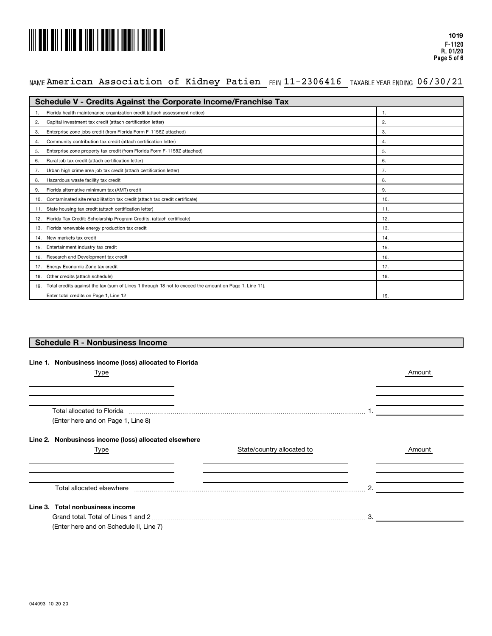# 

# NAME American Association of Kidney Patien FEIN 11-2306416 TAXABLEYEARENDING 06/30/21

| <b>Schedule V - Credits Against the Corporate Income/Franchise Tax</b>                                     |     |  |
|------------------------------------------------------------------------------------------------------------|-----|--|
| Florida health maintenance organization credit (attach assessment notice)                                  | 1.  |  |
| Capital investment tax credit (attach certification letter)<br>2.                                          | 2.  |  |
| Enterprise zone jobs credit (from Florida Form F-1156Z attached)<br>3.                                     | 3.  |  |
| Community contribution tax credit (attach certification letter)<br>4.                                      | 4.  |  |
| Enterprise zone property tax credit (from Florida Form F-1158Z attached)<br>5.                             | 5.  |  |
| Rural job tax credit (attach certification letter)<br>6.                                                   | 6.  |  |
| Urban high crime area job tax credit (attach certification letter)<br>7.                                   | 7.  |  |
| Hazardous waste facility tax credit<br>8.                                                                  | 8.  |  |
| Florida alternative minimum tax (AMT) credit<br>9.                                                         | 9.  |  |
| Contaminated site rehabilitation tax credit (attach tax credit certificate)<br>10.                         | 10. |  |
| 11. State housing tax credit (attach certification letter)                                                 | 11. |  |
| 12. Florida Tax Credit: Scholarship Program Credits. (attach certificate)                                  | 12. |  |
| 13. Florida renewable energy production tax credit                                                         | 13. |  |
| 14. New markets tax credit                                                                                 | 14. |  |
| 15. Entertainment industry tax credit                                                                      | 15. |  |
| 16. Research and Development tax credit                                                                    | 16. |  |
| 17. Energy Economic Zone tax credit                                                                        | 17. |  |
| 18. Other credits (attach schedule)                                                                        | 18. |  |
| 19. Total credits against the tax (sum of Lines 1 through 18 not to exceed the amount on Page 1, Line 11). |     |  |
| Enter total credits on Page 1, Line 12                                                                     | 19. |  |

#### **Schedule R - Nonbusiness Income**

#### **Line 1. Nonbusiness income (loss) allocated to Florida**

| Type                                                                                                                                                                                                                           |                            |    | Amount |
|--------------------------------------------------------------------------------------------------------------------------------------------------------------------------------------------------------------------------------|----------------------------|----|--------|
|                                                                                                                                                                                                                                |                            |    |        |
| Total allocated to Florida [11] manufacture in the state of the florida manufacture in the state of the state of the state of the state of the state of the state of the state of the state of the state of the state of the s |                            |    |        |
| (Enter here and on Page 1, Line 8)                                                                                                                                                                                             |                            |    |        |
| Line 2. Nonbusiness income (loss) allocated elsewhere                                                                                                                                                                          |                            |    |        |
| Type                                                                                                                                                                                                                           | State/country allocated to |    | Amount |
| Total allocated elsewhere                                                                                                                                                                                                      |                            | 2  |        |
| Line 3. Total nonbusiness income                                                                                                                                                                                               |                            |    |        |
|                                                                                                                                                                                                                                |                            | З. |        |
| (Enter here and on Schedule II, Line 7)                                                                                                                                                                                        |                            |    |        |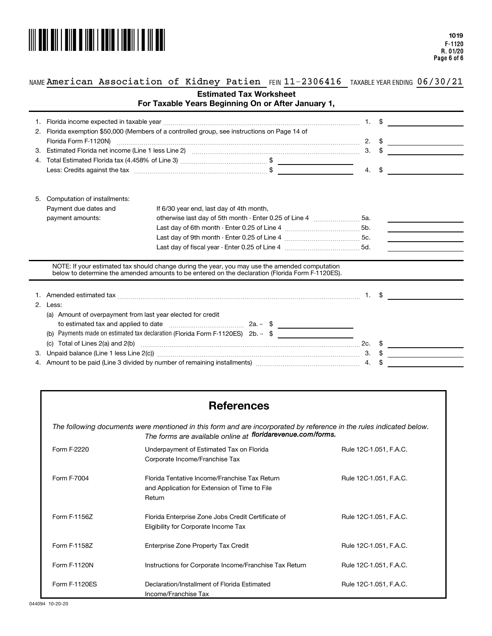

 $\overline{\phantom{0}}$ 

### NAME American Association of Kidney Patien FEIN 11-2306416 TAXABLEYEARENDING 06/30/21

|  |  |  | For Taxable Years Beginning On or After January 1, |  |  |  |  |
|--|--|--|----------------------------------------------------|--|--|--|--|
|--|--|--|----------------------------------------------------|--|--|--|--|

| 2. | Florida exemption \$50,000 (Members of a controlled group, see instructions on Page 14 of                                                                                                                                      |                                          |                                                                                                                                                                                                    |    |               |                  |
|----|--------------------------------------------------------------------------------------------------------------------------------------------------------------------------------------------------------------------------------|------------------------------------------|----------------------------------------------------------------------------------------------------------------------------------------------------------------------------------------------------|----|---------------|------------------|
|    |                                                                                                                                                                                                                                |                                          |                                                                                                                                                                                                    |    |               | 2. $\frac{1}{2}$ |
|    |                                                                                                                                                                                                                                |                                          |                                                                                                                                                                                                    |    | $3. \quad$ \$ |                  |
|    |                                                                                                                                                                                                                                |                                          |                                                                                                                                                                                                    |    |               |                  |
|    | Less: Credits against the tax measurement of the state of the state of the state of the state of the state of the state of the state of the state of the state of the state of the state of the state of the state of the stat |                                          |                                                                                                                                                                                                    | 4. | \$            |                  |
|    |                                                                                                                                                                                                                                |                                          |                                                                                                                                                                                                    |    |               |                  |
|    |                                                                                                                                                                                                                                |                                          |                                                                                                                                                                                                    |    |               |                  |
| 5. | Computation of installments:                                                                                                                                                                                                   |                                          |                                                                                                                                                                                                    |    |               |                  |
|    | Payment due dates and                                                                                                                                                                                                          | If 6/30 year end, last day of 4th month, |                                                                                                                                                                                                    |    |               |                  |
|    | payment amounts:                                                                                                                                                                                                               |                                          |                                                                                                                                                                                                    |    |               |                  |
|    |                                                                                                                                                                                                                                |                                          |                                                                                                                                                                                                    |    |               |                  |
|    |                                                                                                                                                                                                                                |                                          |                                                                                                                                                                                                    |    |               |                  |
|    |                                                                                                                                                                                                                                |                                          |                                                                                                                                                                                                    |    |               |                  |
|    |                                                                                                                                                                                                                                |                                          |                                                                                                                                                                                                    |    |               |                  |
|    |                                                                                                                                                                                                                                |                                          | NOTE: If your estimated tax should change during the year, you may use the amended computation<br>below to determine the amended amounts to be entered on the declaration (Florida Form F-1120ES). |    |               |                  |
|    |                                                                                                                                                                                                                                |                                          |                                                                                                                                                                                                    |    |               |                  |
|    |                                                                                                                                                                                                                                |                                          |                                                                                                                                                                                                    |    |               |                  |
|    |                                                                                                                                                                                                                                |                                          |                                                                                                                                                                                                    |    |               |                  |

| 2 |     | Less:                                                                                                                             |       |  |     |  |
|---|-----|-----------------------------------------------------------------------------------------------------------------------------------|-------|--|-----|--|
|   | (a) | Amount of overpayment from last year elected for credit                                                                           |       |  |     |  |
|   |     | to estimated tax and applied to date                                                                                              | 2a. – |  |     |  |
|   |     | (b) Payments made on estimated tax declaration (Florida Form F-1120ES) 2b. -- \$                                                  |       |  |     |  |
|   |     | (c) Total of Lines $2(a)$ and $2(b)$                                                                                              |       |  | 2c. |  |
|   |     | 3. Unpaid balance (Line 1 less Line 2(c))                                                                                         |       |  | З.  |  |
|   |     | 4. Amount to be paid (Line 3 divided by number of remaining installments) manufactured in the sensitive manufactured to Amount 4. |       |  |     |  |

# **References**

*The following documents were mentioned in this form and are incorporated by reference in the rules indicated below. The forms are available online at floridarevenue.com/forms.*

| Form F-2220   | Underpayment of Estimated Tax on Florida<br>Corporate Income/Franchise Tax                               | Rule 12C-1.051, F.A.C. |
|---------------|----------------------------------------------------------------------------------------------------------|------------------------|
| Form F-7004   | Florida Tentative Income/Franchise Tax Return<br>and Application for Extension of Time to File<br>Return | Rule 12C-1.051, F.A.C. |
| Form F-1156Z  | Florida Enterprise Zone Jobs Credit Certificate of<br>Eligibility for Corporate Income Tax               | Rule 12C-1.051, F.A.C. |
| Form F-1158Z  | Enterprise Zone Property Tax Credit                                                                      | Rule 12C-1.051, F.A.C. |
| Form F-1120N  | Instructions for Corporate Income/Franchise Tax Return                                                   | Rule 12C-1.051, F.A.C. |
| Form F-1120ES | Declaration/Installment of Florida Estimated<br>Income/Franchise Tax                                     | Rule 12C-1.051, F.A.C. |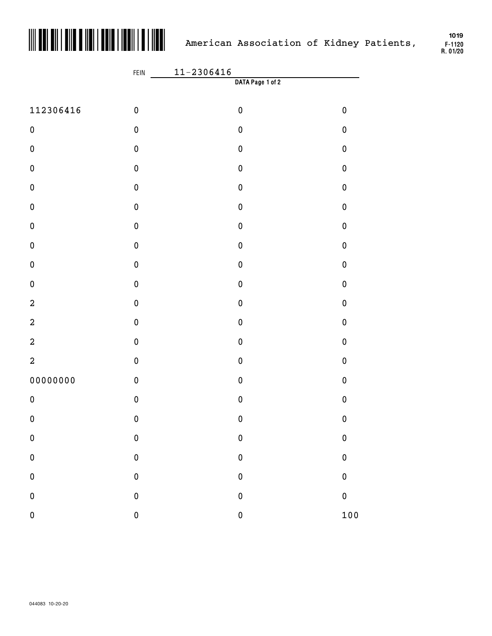

**F-1120 R. 01/20** 

|                         | $11 - 2306416$<br>FEIN |                  |             |
|-------------------------|------------------------|------------------|-------------|
|                         |                        | DATA Page 1 of 2 |             |
| 112306416               | $\pmb{0}$              | $\pmb{0}$        | $\pmb{0}$   |
| $\pmb{0}$               | $\pmb{0}$              | $\pmb{0}$        | $\mathbf 0$ |
| $\pmb{0}$               | $\pmb{0}$              | $\pmb{0}$        | $\mathbf 0$ |
| $\pmb{0}$               | $\pmb{0}$              | $\pmb{0}$        | $\mathbf 0$ |
| $\pmb{0}$               | $\pmb{0}$              | $\pmb{0}$        | $\mathbf 0$ |
| $\pmb{0}$               | $\pmb{0}$              | $\pmb{0}$        | $\mathbf 0$ |
| $\pmb{0}$               | $\pmb{0}$              | $\pmb{0}$        | $\mathbf 0$ |
| $\pmb{0}$               | $\pmb{0}$              | $\pmb{0}$        | $\mathbf 0$ |
| $\pmb{0}$               | $\pmb{0}$              | $\pmb{0}$        | $\mathbf 0$ |
| $\pmb{0}$               | $\pmb{0}$              | $\pmb{0}$        | $\mathbf 0$ |
| $\overline{\mathbf{c}}$ | $\pmb{0}$              | $\pmb{0}$        | $\mathbf 0$ |
| $\overline{\mathbf{c}}$ | $\pmb{0}$              | $\pmb{0}$        | $\mathbf 0$ |
| $\overline{\mathbf{c}}$ | $\pmb{0}$              | $\pmb{0}$        | $\mathbf 0$ |
| $\overline{a}$          | $\pmb{0}$              | $\pmb{0}$        | $\mathbf 0$ |
| 00000000                | $\pmb{0}$              | $\pmb{0}$        | $\mathbf 0$ |
| $\pmb{0}$               | $\pmb{0}$              | $\pmb{0}$        | $\mathbf 0$ |
| $\pmb{0}$               | $\pmb{0}$              | $\pmb{0}$        | $\pmb{0}$   |
| $\pmb{0}$               | $\pmb{0}$              | $\pmb{0}$        | $\bf{0}$    |
| $\pmb{0}$               | $\pmb{0}$              | $\pmb{0}$        | $\bf{0}$    |
| $\pmb{0}$               | $\pmb{0}$              | $\pmb{0}$        | $\bf{0}$    |
| $\pmb{0}$               | $\pmb{0}$              | $\pmb{0}$        | $\bf{0}$    |
| $\pmb{0}$               | $\pmb{0}$              | $\pmb{0}$        | 100         |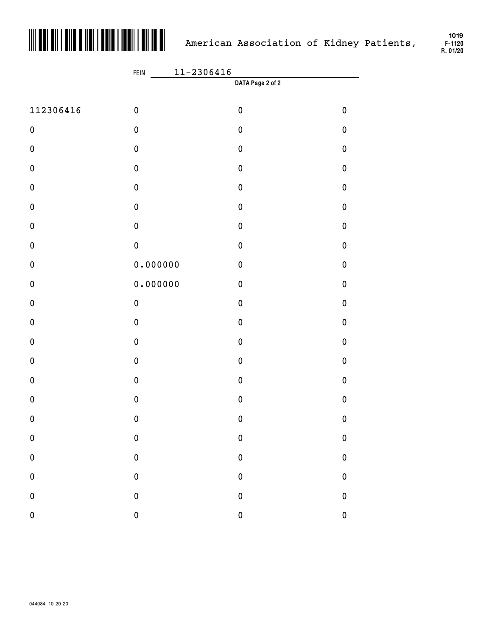

**F-1120 R. 01/20** 

|           | $11 - 2306416$<br>FEIN |                  |             |  |  |
|-----------|------------------------|------------------|-------------|--|--|
|           |                        | DATA Page 2 of 2 |             |  |  |
| 112306416 | $\pmb{0}$              | $\pmb{0}$        | $\pmb{0}$   |  |  |
| $\pmb{0}$ | $\pmb{0}$              | $\pmb{0}$        | $\pmb{0}$   |  |  |
| $\pmb{0}$ | $\pmb{0}$              | $\pmb{0}$        | $\pmb{0}$   |  |  |
| $\pmb{0}$ | $\pmb{0}$              | $\pmb{0}$        | $\pmb{0}$   |  |  |
| $\pmb{0}$ | $\pmb{0}$              | $\pmb{0}$        | $\pmb{0}$   |  |  |
| $\pmb{0}$ | $\pmb{0}$              | $\pmb{0}$        | $\pmb{0}$   |  |  |
| $\pmb{0}$ | $\pmb{0}$              | $\pmb{0}$        | $\pmb{0}$   |  |  |
| $\pmb{0}$ | $\pmb{0}$              | $\pmb{0}$        | $\pmb{0}$   |  |  |
| $\pmb{0}$ | 0.000000               | $\pmb{0}$        | $\pmb{0}$   |  |  |
| $\pmb{0}$ | 0.000000               | $\pmb{0}$        | $\pmb{0}$   |  |  |
| $\pmb{0}$ | ${\bf 0}$              | $\pmb{0}$        | $\pmb{0}$   |  |  |
| $\pmb{0}$ | $\pmb{0}$              | $\pmb{0}$        | $\pmb{0}$   |  |  |
| $\pmb{0}$ | $\pmb{0}$              | $\pmb{0}$        | $\pmb{0}$   |  |  |
| $\pmb{0}$ | $\pmb{0}$              | $\pmb{0}$        | $\pmb{0}$   |  |  |
| $\pmb{0}$ | $\pmb{0}$              | $\pmb{0}$        | $\pmb{0}$   |  |  |
| $\pmb{0}$ | $\pmb{0}$              | $\pmb{0}$        | $\pmb{0}$   |  |  |
| $\pmb{0}$ | $\pmb{0}$              | $\pmb{0}$        | $\pmb{0}$   |  |  |
| ${\bf 0}$ | ${\bf 0}$              | $\pmb{0}$        | $\bf{0}$    |  |  |
| $\pmb{0}$ | ${\bf 0}$              | $\pmb{0}$        | $\bf{0}$    |  |  |
| $\pmb{0}$ | $\pmb{0}$              | $\pmb{0}$        | $\bf{0}$    |  |  |
| $\pmb{0}$ | $\pmb{0}$              | $\pmb{0}$        | $\bf{0}$    |  |  |
| $\pmb{0}$ | $\pmb{0}$              | $\pmb{0}$        | $\mathbf 0$ |  |  |